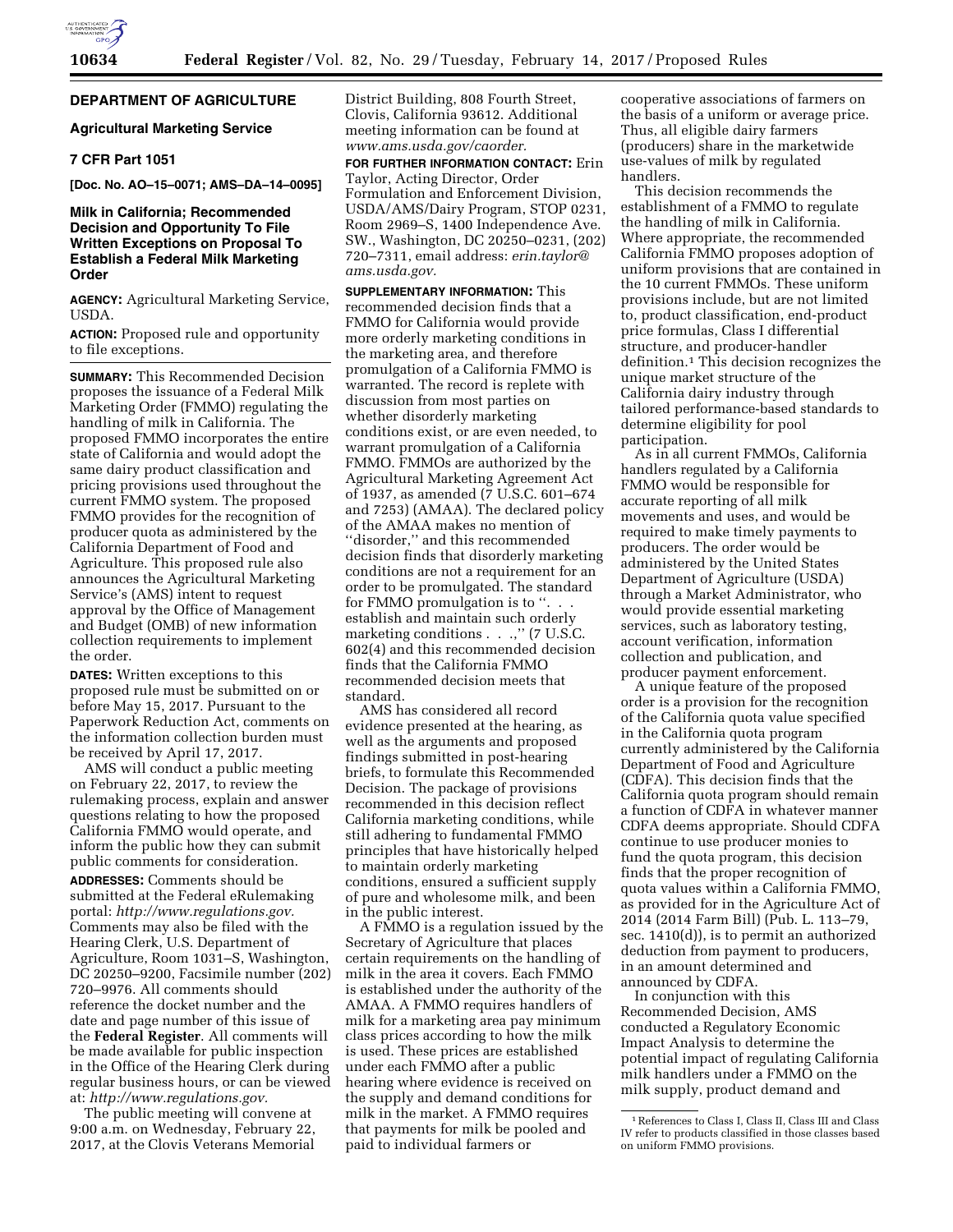# **DEPARTMENT OF AGRICULTURE**

# **Agricultural Marketing Service**

# **7 CFR Part 1051**

**[Doc. No. AO–15–0071; AMS–DA–14–0095]** 

# **Milk in California; Recommended Decision and Opportunity To File Written Exceptions on Proposal To Establish a Federal Milk Marketing Order**

**AGENCY:** Agricultural Marketing Service, USDA.

**ACTION:** Proposed rule and opportunity to file exceptions.

**SUMMARY:** This Recommended Decision proposes the issuance of a Federal Milk Marketing Order (FMMO) regulating the handling of milk in California. The proposed FMMO incorporates the entire state of California and would adopt the same dairy product classification and pricing provisions used throughout the current FMMO system. The proposed FMMO provides for the recognition of producer quota as administered by the California Department of Food and Agriculture. This proposed rule also announces the Agricultural Marketing Service's (AMS) intent to request approval by the Office of Management and Budget (OMB) of new information collection requirements to implement the order.

**DATES:** Written exceptions to this proposed rule must be submitted on or before May 15, 2017. Pursuant to the Paperwork Reduction Act, comments on the information collection burden must be received by April 17, 2017.

AMS will conduct a public meeting on February 22, 2017, to review the rulemaking process, explain and answer questions relating to how the proposed California FMMO would operate, and inform the public how they can submit public comments for consideration.

**ADDRESSES:** Comments should be submitted at the Federal eRulemaking portal: *[http://www.regulations.gov.](http://www.regulations.gov)*  Comments may also be filed with the Hearing Clerk, U.S. Department of Agriculture, Room 1031–S, Washington, DC 20250–9200, Facsimile number (202) 720–9976. All comments should reference the docket number and the date and page number of this issue of the **Federal Register**. All comments will be made available for public inspection in the Office of the Hearing Clerk during regular business hours, or can be viewed at: *[http://www.regulations.gov.](http://www.regulations.gov)* 

The public meeting will convene at 9:00 a.m. on Wednesday, February 22, 2017, at the Clovis Veterans Memorial

District Building, 808 Fourth Street, Clovis, California 93612. Additional meeting information can be found at *[www.ams.usda.gov/caorder.](http://www.ams.usda.gov/caorder)* 

**FOR FURTHER INFORMATION CONTACT:** Erin Taylor, Acting Director, Order Formulation and Enforcement Division, USDA/AMS/Dairy Program, STOP 0231, Room 2969–S, 1400 Independence Ave. SW., Washington, DC 20250–0231, (202) 720–7311, email address: *[erin.taylor@](mailto:erin.taylor@ams.usda.gov) [ams.usda.gov.](mailto:erin.taylor@ams.usda.gov)* 

**SUPPLEMENTARY INFORMATION:** This recommended decision finds that a FMMO for California would provide more orderly marketing conditions in the marketing area, and therefore promulgation of a California FMMO is warranted. The record is replete with discussion from most parties on whether disorderly marketing conditions exist, or are even needed, to warrant promulgation of a California FMMO. FMMOs are authorized by the Agricultural Marketing Agreement Act of 1937, as amended (7 U.S.C. 601–674 and 7253) (AMAA). The declared policy of the AMAA makes no mention of ''disorder,'' and this recommended decision finds that disorderly marketing conditions are not a requirement for an order to be promulgated. The standard for FMMO promulgation is to "... establish and maintain such orderly marketing conditions . . .," (7 U.S.C. 602(4) and this recommended decision finds that the California FMMO recommended decision meets that standard.

AMS has considered all record evidence presented at the hearing, as well as the arguments and proposed findings submitted in post-hearing briefs, to formulate this Recommended Decision. The package of provisions recommended in this decision reflect California marketing conditions, while still adhering to fundamental FMMO principles that have historically helped to maintain orderly marketing conditions, ensured a sufficient supply of pure and wholesome milk, and been in the public interest.

A FMMO is a regulation issued by the Secretary of Agriculture that places certain requirements on the handling of milk in the area it covers. Each FMMO is established under the authority of the AMAA. A FMMO requires handlers of milk for a marketing area pay minimum class prices according to how the milk is used. These prices are established under each FMMO after a public hearing where evidence is received on the supply and demand conditions for milk in the market. A FMMO requires that payments for milk be pooled and paid to individual farmers or

cooperative associations of farmers on the basis of a uniform or average price. Thus, all eligible dairy farmers (producers) share in the marketwide use-values of milk by regulated handlers.

This decision recommends the establishment of a FMMO to regulate the handling of milk in California. Where appropriate, the recommended California FMMO proposes adoption of uniform provisions that are contained in the 10 current FMMOs. These uniform provisions include, but are not limited to, product classification, end-product price formulas, Class I differential structure, and producer-handler definition.1 This decision recognizes the unique market structure of the California dairy industry through tailored performance-based standards to determine eligibility for pool participation.

As in all current FMMOs, California handlers regulated by a California FMMO would be responsible for accurate reporting of all milk movements and uses, and would be required to make timely payments to producers. The order would be administered by the United States Department of Agriculture (USDA) through a Market Administrator, who would provide essential marketing services, such as laboratory testing, account verification, information collection and publication, and producer payment enforcement.

A unique feature of the proposed order is a provision for the recognition of the California quota value specified in the California quota program currently administered by the California Department of Food and Agriculture (CDFA). This decision finds that the California quota program should remain a function of CDFA in whatever manner CDFA deems appropriate. Should CDFA continue to use producer monies to fund the quota program, this decision finds that the proper recognition of quota values within a California FMMO, as provided for in the Agriculture Act of 2014 (2014 Farm Bill) (Pub. L. 113–79, sec. 1410(d)), is to permit an authorized deduction from payment to producers, in an amount determined and announced by CDFA.

In conjunction with this Recommended Decision, AMS conducted a Regulatory Economic Impact Analysis to determine the potential impact of regulating California milk handlers under a FMMO on the milk supply, product demand and

<sup>1</sup>References to Class I, Class II, Class III and Class IV refer to products classified in those classes based on uniform FMMO provisions.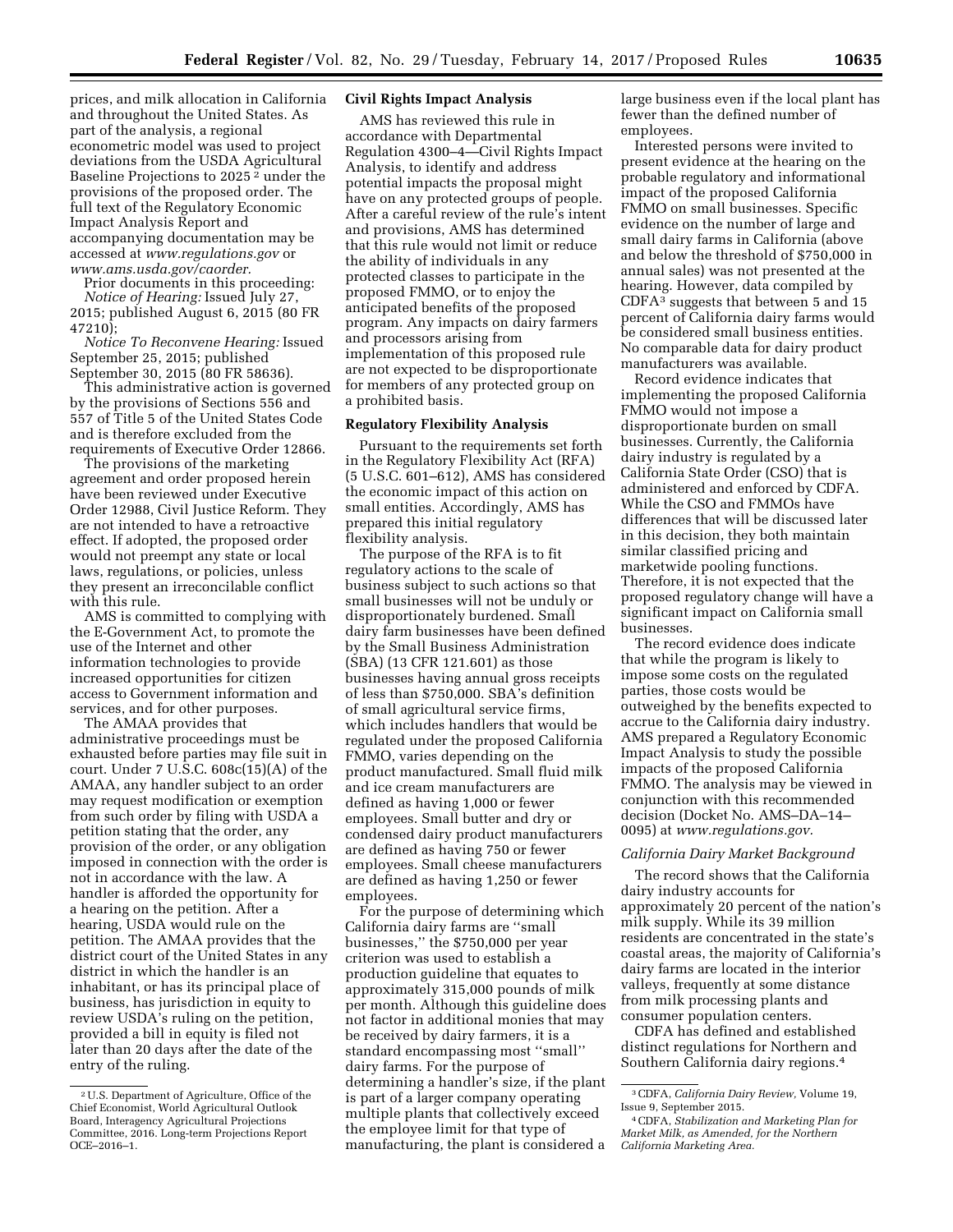prices, and milk allocation in California and throughout the United States. As part of the analysis, a regional econometric model was used to project deviations from the USDA Agricultural Baseline Projections to 2025 2 under the provisions of the proposed order. The full text of the Regulatory Economic Impact Analysis Report and accompanying documentation may be accessed at *[www.regulations.gov](http://www.regulations.gov)* or *[www.ams.usda.gov/caorder.](http://www.ams.usda.gov/caorder)* 

Prior documents in this proceeding:

*Notice of Hearing:* Issued July 27, 2015; published August 6, 2015 (80 FR 47210);

*Notice To Reconvene Hearing:* Issued September 25, 2015; published September 30, 2015 (80 FR 58636).

This administrative action is governed by the provisions of Sections 556 and 557 of Title 5 of the United States Code and is therefore excluded from the requirements of Executive Order 12866.

The provisions of the marketing agreement and order proposed herein have been reviewed under Executive Order 12988, Civil Justice Reform. They are not intended to have a retroactive effect. If adopted, the proposed order would not preempt any state or local laws, regulations, or policies, unless they present an irreconcilable conflict with this rule.

AMS is committed to complying with the E-Government Act, to promote the use of the Internet and other information technologies to provide increased opportunities for citizen access to Government information and services, and for other purposes.

The AMAA provides that administrative proceedings must be exhausted before parties may file suit in court. Under 7 U.S.C. 608c(15)(A) of the AMAA, any handler subject to an order may request modification or exemption from such order by filing with USDA a petition stating that the order, any provision of the order, or any obligation imposed in connection with the order is not in accordance with the law. A handler is afforded the opportunity for a hearing on the petition. After a hearing, USDA would rule on the petition. The AMAA provides that the district court of the United States in any district in which the handler is an inhabitant, or has its principal place of business, has jurisdiction in equity to review USDA's ruling on the petition, provided a bill in equity is filed not later than 20 days after the date of the entry of the ruling.

## **Civil Rights Impact Analysis**

AMS has reviewed this rule in accordance with Departmental Regulation 4300–4—Civil Rights Impact Analysis, to identify and address potential impacts the proposal might have on any protected groups of people. After a careful review of the rule's intent and provisions, AMS has determined that this rule would not limit or reduce the ability of individuals in any protected classes to participate in the proposed FMMO, or to enjoy the anticipated benefits of the proposed program. Any impacts on dairy farmers and processors arising from implementation of this proposed rule are not expected to be disproportionate for members of any protected group on a prohibited basis.

## **Regulatory Flexibility Analysis**

Pursuant to the requirements set forth in the Regulatory Flexibility Act (RFA) (5 U.S.C. 601–612), AMS has considered the economic impact of this action on small entities. Accordingly, AMS has prepared this initial regulatory flexibility analysis.

The purpose of the RFA is to fit regulatory actions to the scale of business subject to such actions so that small businesses will not be unduly or disproportionately burdened. Small dairy farm businesses have been defined by the Small Business Administration (SBA) (13 CFR 121.601) as those businesses having annual gross receipts of less than \$750,000. SBA's definition of small agricultural service firms, which includes handlers that would be regulated under the proposed California FMMO, varies depending on the product manufactured. Small fluid milk and ice cream manufacturers are defined as having 1,000 or fewer employees. Small butter and dry or condensed dairy product manufacturers are defined as having 750 or fewer employees. Small cheese manufacturers are defined as having 1,250 or fewer employees.

For the purpose of determining which California dairy farms are ''small businesses,'' the \$750,000 per year criterion was used to establish a production guideline that equates to approximately 315,000 pounds of milk per month. Although this guideline does not factor in additional monies that may be received by dairy farmers, it is a standard encompassing most ''small'' dairy farms. For the purpose of determining a handler's size, if the plant is part of a larger company operating multiple plants that collectively exceed the employee limit for that type of manufacturing, the plant is considered a

large business even if the local plant has fewer than the defined number of employees.

Interested persons were invited to present evidence at the hearing on the probable regulatory and informational impact of the proposed California FMMO on small businesses. Specific evidence on the number of large and small dairy farms in California (above and below the threshold of \$750,000 in annual sales) was not presented at the hearing. However, data compiled by CDFA3 suggests that between 5 and 15 percent of California dairy farms would be considered small business entities. No comparable data for dairy product manufacturers was available.

Record evidence indicates that implementing the proposed California FMMO would not impose a disproportionate burden on small businesses. Currently, the California dairy industry is regulated by a California State Order (CSO) that is administered and enforced by CDFA. While the CSO and FMMOs have differences that will be discussed later in this decision, they both maintain similar classified pricing and marketwide pooling functions. Therefore, it is not expected that the proposed regulatory change will have a significant impact on California small businesses.

The record evidence does indicate that while the program is likely to impose some costs on the regulated parties, those costs would be outweighed by the benefits expected to accrue to the California dairy industry. AMS prepared a Regulatory Economic Impact Analysis to study the possible impacts of the proposed California FMMO. The analysis may be viewed in conjunction with this recommended decision (Docket No. AMS–DA–14– 0095) at *[www.regulations.gov.](http://www.regulations.gov)* 

### *California Dairy Market Background*

The record shows that the California dairy industry accounts for approximately 20 percent of the nation's milk supply. While its 39 million residents are concentrated in the state's coastal areas, the majority of California's dairy farms are located in the interior valleys, frequently at some distance from milk processing plants and consumer population centers.

CDFA has defined and established distinct regulations for Northern and Southern California dairy regions.4

<sup>2</sup>U.S. Department of Agriculture, Office of the Chief Economist, World Agricultural Outlook Board, Interagency Agricultural Projections Committee, 2016. Long-term Projections Report OCE–2016–1.

<sup>3</sup>CDFA, *California Dairy Review,* Volume 19, Issue 9, September 2015.

<sup>4</sup>CDFA, *Stabilization and Marketing Plan for Market Milk, as Amended, for the Northern California Marketing Area.*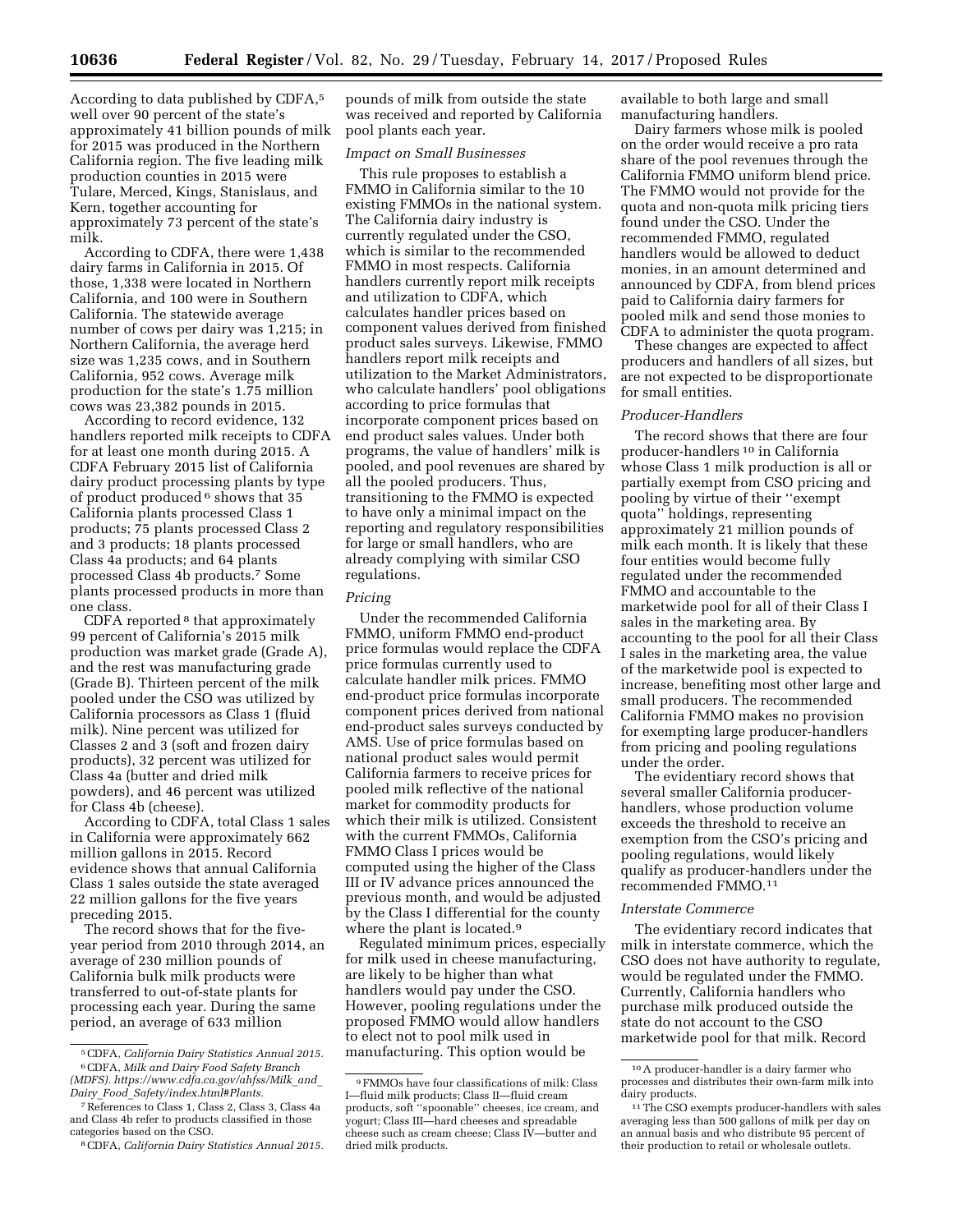According to data published by CDFA,5 well over 90 percent of the state's approximately 41 billion pounds of milk for 2015 was produced in the Northern California region. The five leading milk production counties in 2015 were Tulare, Merced, Kings, Stanislaus, and

Kern, together accounting for approximately 73 percent of the state's milk.

According to CDFA, there were 1,438 dairy farms in California in 2015. Of those, 1,338 were located in Northern California, and 100 were in Southern California. The statewide average number of cows per dairy was 1,215; in Northern California, the average herd size was 1,235 cows, and in Southern California, 952 cows. Average milk production for the state's 1.75 million cows was 23,382 pounds in 2015.

According to record evidence, 132 handlers reported milk receipts to CDFA for at least one month during 2015. A CDFA February 2015 list of California dairy product processing plants by type of product produced 6 shows that 35 California plants processed Class 1 products; 75 plants processed Class 2 and 3 products; 18 plants processed Class 4a products; and 64 plants processed Class 4b products.7 Some plants processed products in more than one class.

CDFA reported 8 that approximately 99 percent of California's 2015 milk production was market grade (Grade A), and the rest was manufacturing grade (Grade B). Thirteen percent of the milk pooled under the CSO was utilized by California processors as Class 1 (fluid milk). Nine percent was utilized for Classes 2 and 3 (soft and frozen dairy products), 32 percent was utilized for Class 4a (butter and dried milk powders), and 46 percent was utilized for Class 4b (cheese).

According to CDFA, total Class 1 sales in California were approximately 662 million gallons in 2015. Record evidence shows that annual California Class 1 sales outside the state averaged 22 million gallons for the five years preceding 2015.

The record shows that for the fiveyear period from 2010 through 2014, an average of 230 million pounds of California bulk milk products were transferred to out-of-state plants for processing each year. During the same period, an average of 633 million

pounds of milk from outside the state was received and reported by California pool plants each year.

# *Impact on Small Businesses*

This rule proposes to establish a FMMO in California similar to the 10 existing FMMOs in the national system. The California dairy industry is currently regulated under the CSO, which is similar to the recommended FMMO in most respects. California handlers currently report milk receipts and utilization to CDFA, which calculates handler prices based on component values derived from finished product sales surveys. Likewise, FMMO handlers report milk receipts and utilization to the Market Administrators, who calculate handlers' pool obligations according to price formulas that incorporate component prices based on end product sales values. Under both programs, the value of handlers' milk is pooled, and pool revenues are shared by all the pooled producers. Thus, transitioning to the FMMO is expected to have only a minimal impact on the reporting and regulatory responsibilities for large or small handlers, who are already complying with similar CSO regulations.

# *Pricing*

Under the recommended California FMMO, uniform FMMO end-product price formulas would replace the CDFA price formulas currently used to calculate handler milk prices. FMMO end-product price formulas incorporate component prices derived from national end-product sales surveys conducted by AMS. Use of price formulas based on national product sales would permit California farmers to receive prices for pooled milk reflective of the national market for commodity products for which their milk is utilized. Consistent with the current FMMOs, California FMMO Class I prices would be computed using the higher of the Class III or IV advance prices announced the previous month, and would be adjusted by the Class I differential for the county where the plant is located.<sup>9</sup>

Regulated minimum prices, especially for milk used in cheese manufacturing, are likely to be higher than what handlers would pay under the CSO. However, pooling regulations under the proposed FMMO would allow handlers to elect not to pool milk used in manufacturing. This option would be

available to both large and small manufacturing handlers.

Dairy farmers whose milk is pooled on the order would receive a pro rata share of the pool revenues through the California FMMO uniform blend price. The FMMO would not provide for the quota and non-quota milk pricing tiers found under the CSO. Under the recommended FMMO, regulated handlers would be allowed to deduct monies, in an amount determined and announced by CDFA, from blend prices paid to California dairy farmers for pooled milk and send those monies to CDFA to administer the quota program.

These changes are expected to affect producers and handlers of all sizes, but are not expected to be disproportionate for small entities.

# *Producer-Handlers*

The record shows that there are four producer-handlers 10 in California whose Class 1 milk production is all or partially exempt from CSO pricing and pooling by virtue of their ''exempt quota'' holdings, representing approximately 21 million pounds of milk each month. It is likely that these four entities would become fully regulated under the recommended FMMO and accountable to the marketwide pool for all of their Class I sales in the marketing area. By accounting to the pool for all their Class I sales in the marketing area, the value of the marketwide pool is expected to increase, benefiting most other large and small producers. The recommended California FMMO makes no provision for exempting large producer-handlers from pricing and pooling regulations under the order.

The evidentiary record shows that several smaller California producerhandlers, whose production volume exceeds the threshold to receive an exemption from the CSO's pricing and pooling regulations, would likely qualify as producer-handlers under the recommended FMMO.11

## *Interstate Commerce*

The evidentiary record indicates that milk in interstate commerce, which the CSO does not have authority to regulate, would be regulated under the FMMO. Currently, California handlers who purchase milk produced outside the state do not account to the CSO marketwide pool for that milk. Record

<sup>5</sup>CDFA, *California Dairy Statistics Annual 2015.*  6CDFA, *Milk and Dairy Food Safety Branch (MDFS). [https://www.cdfa.ca.gov/ahfss/Milk](https://www.cdfa.ca.gov/ahfss/Milk_and_Dairy_Food_Safety/index.html#Plants)*\_*and*\_ *Dairy*\_*Food*\_*[Safety/index.html#Plants.](https://www.cdfa.ca.gov/ahfss/Milk_and_Dairy_Food_Safety/index.html#Plants)* 

<sup>7</sup>References to Class 1, Class 2, Class 3, Class 4a and Class 4b refer to products classified in those categories based on the CSO.

<sup>8</sup>CDFA, *California Dairy Statistics Annual 2015.* 

<sup>9</sup>FMMOs have four classifications of milk: Class I—fluid milk products; Class II—fluid cream products, soft ''spoonable'' cheeses, ice cream, and yogurt; Class III—hard cheeses and spreadable cheese such as cream cheese; Class IV—butter and dried milk products.

<sup>10</sup>A producer-handler is a dairy farmer who processes and distributes their own-farm milk into dairy products.

<sup>11</sup>The CSO exempts producer-handlers with sales averaging less than 500 gallons of milk per day on an annual basis and who distribute 95 percent of their production to retail or wholesale outlets.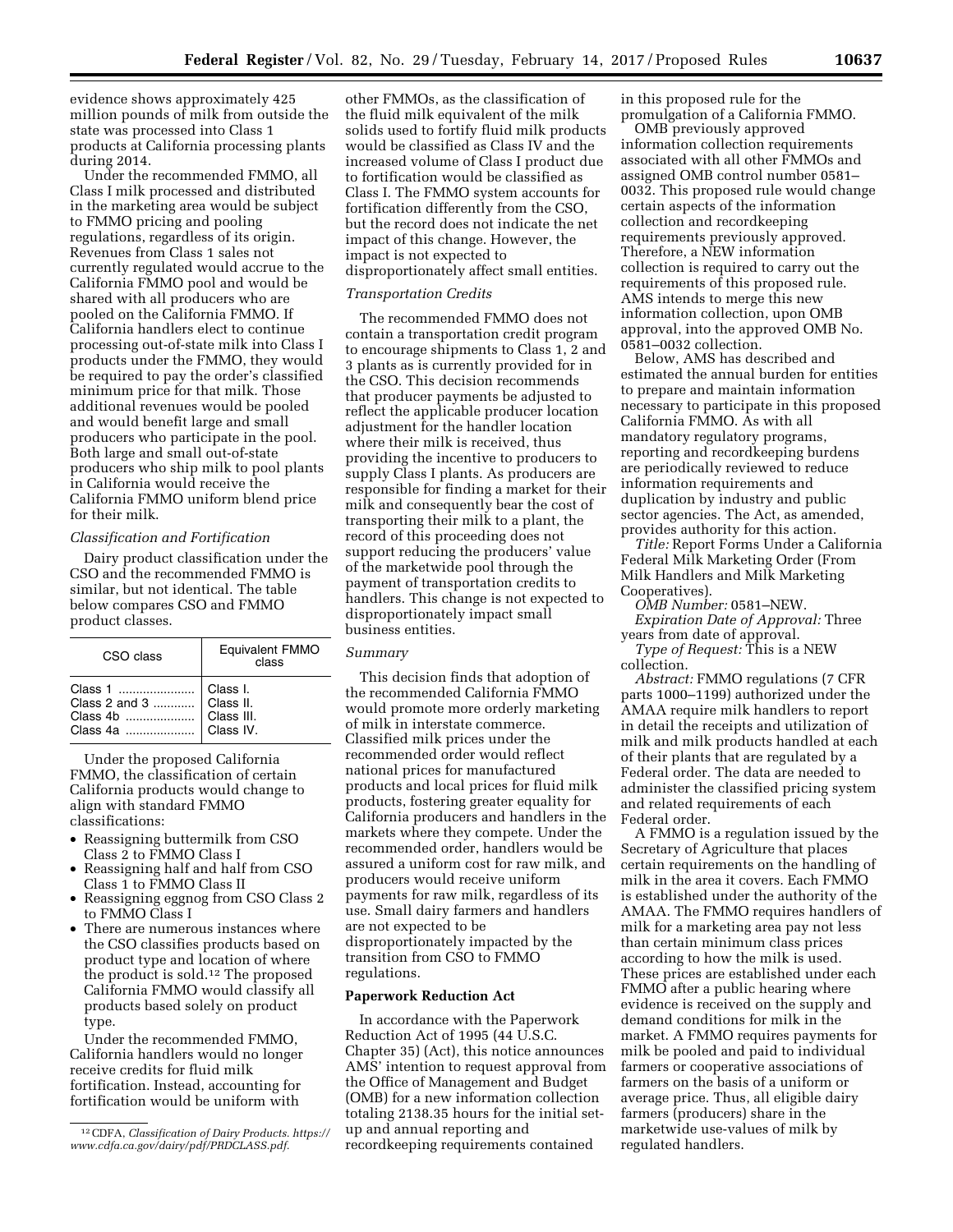evidence shows approximately 425 million pounds of milk from outside the state was processed into Class 1 products at California processing plants during 2014.

Under the recommended FMMO, all Class I milk processed and distributed in the marketing area would be subject to FMMO pricing and pooling regulations, regardless of its origin. Revenues from Class 1 sales not currently regulated would accrue to the California FMMO pool and would be shared with all producers who are pooled on the California FMMO. If California handlers elect to continue processing out-of-state milk into Class I products under the FMMO, they would be required to pay the order's classified minimum price for that milk. Those additional revenues would be pooled and would benefit large and small producers who participate in the pool. Both large and small out-of-state producers who ship milk to pool plants in California would receive the California FMMO uniform blend price for their milk.

# *Classification and Fortification*

Dairy product classification under the CSO and the recommended FMMO is similar, but not identical. The table below compares CSO and FMMO product classes.

| CSO class           | <b>Equivalent FMMO</b><br>class |
|---------------------|---------------------------------|
| Class 1    Class I. |                                 |

Under the proposed California FMMO, the classification of certain California products would change to align with standard FMMO classifications:

- Reassigning buttermilk from CSO Class 2 to FMMO Class I
- Reassigning half and half from CSO Class 1 to FMMO Class II
- Reassigning eggnog from CSO Class 2 to FMMO Class I
- There are numerous instances where the CSO classifies products based on product type and location of where the product is sold.12 The proposed California FMMO would classify all products based solely on product type.

Under the recommended FMMO, California handlers would no longer receive credits for fluid milk fortification. Instead, accounting for fortification would be uniform with

other FMMOs, as the classification of the fluid milk equivalent of the milk solids used to fortify fluid milk products would be classified as Class IV and the increased volume of Class I product due to fortification would be classified as Class I. The FMMO system accounts for fortification differently from the CSO, but the record does not indicate the net impact of this change. However, the impact is not expected to disproportionately affect small entities.

#### *Transportation Credits*

The recommended FMMO does not contain a transportation credit program to encourage shipments to Class 1, 2 and 3 plants as is currently provided for in the CSO. This decision recommends that producer payments be adjusted to reflect the applicable producer location adjustment for the handler location where their milk is received, thus providing the incentive to producers to supply Class I plants. As producers are responsible for finding a market for their milk and consequently bear the cost of transporting their milk to a plant, the record of this proceeding does not support reducing the producers' value of the marketwide pool through the payment of transportation credits to handlers. This change is not expected to disproportionately impact small business entities.

#### *Summary*

This decision finds that adoption of the recommended California FMMO would promote more orderly marketing of milk in interstate commerce. Classified milk prices under the recommended order would reflect national prices for manufactured products and local prices for fluid milk products, fostering greater equality for California producers and handlers in the markets where they compete. Under the recommended order, handlers would be assured a uniform cost for raw milk, and producers would receive uniform payments for raw milk, regardless of its use. Small dairy farmers and handlers are not expected to be disproportionately impacted by the transition from CSO to FMMO regulations.

#### **Paperwork Reduction Act**

In accordance with the Paperwork Reduction Act of 1995 (44 U.S.C. Chapter 35) (Act), this notice announces AMS' intention to request approval from the Office of Management and Budget (OMB) for a new information collection totaling 2138.35 hours for the initial setup and annual reporting and recordkeeping requirements contained

in this proposed rule for the promulgation of a California FMMO.

OMB previously approved information collection requirements associated with all other FMMOs and assigned OMB control number 0581– 0032. This proposed rule would change certain aspects of the information collection and recordkeeping requirements previously approved. Therefore, a NEW information collection is required to carry out the requirements of this proposed rule. AMS intends to merge this new information collection, upon OMB approval, into the approved OMB No. 0581–0032 collection.

Below, AMS has described and estimated the annual burden for entities to prepare and maintain information necessary to participate in this proposed California FMMO. As with all mandatory regulatory programs, reporting and recordkeeping burdens are periodically reviewed to reduce information requirements and duplication by industry and public sector agencies. The Act, as amended, provides authority for this action.

*Title:* Report Forms Under a California Federal Milk Marketing Order (From Milk Handlers and Milk Marketing Cooperatives).

*OMB Number:* 0581–NEW. *Expiration Date of Approval:* Three

years from date of approval.

*Type of Request:* This is a NEW collection.

*Abstract:* FMMO regulations (7 CFR parts 1000–1199) authorized under the AMAA require milk handlers to report in detail the receipts and utilization of milk and milk products handled at each of their plants that are regulated by a Federal order. The data are needed to administer the classified pricing system and related requirements of each Federal order.

A FMMO is a regulation issued by the Secretary of Agriculture that places certain requirements on the handling of milk in the area it covers. Each FMMO is established under the authority of the AMAA. The FMMO requires handlers of milk for a marketing area pay not less than certain minimum class prices according to how the milk is used. These prices are established under each FMMO after a public hearing where evidence is received on the supply and demand conditions for milk in the market. A FMMO requires payments for milk be pooled and paid to individual farmers or cooperative associations of farmers on the basis of a uniform or average price. Thus, all eligible dairy farmers (producers) share in the marketwide use-values of milk by regulated handlers.

<sup>12</sup>CDFA, *Classification of Dairy Products. [https://](https://www.cdfa.ca.gov/dairy/pdf/PRDCLASS.pdf)  [www.cdfa.ca.gov/dairy/pdf/PRDCLASS.pdf.](https://www.cdfa.ca.gov/dairy/pdf/PRDCLASS.pdf)*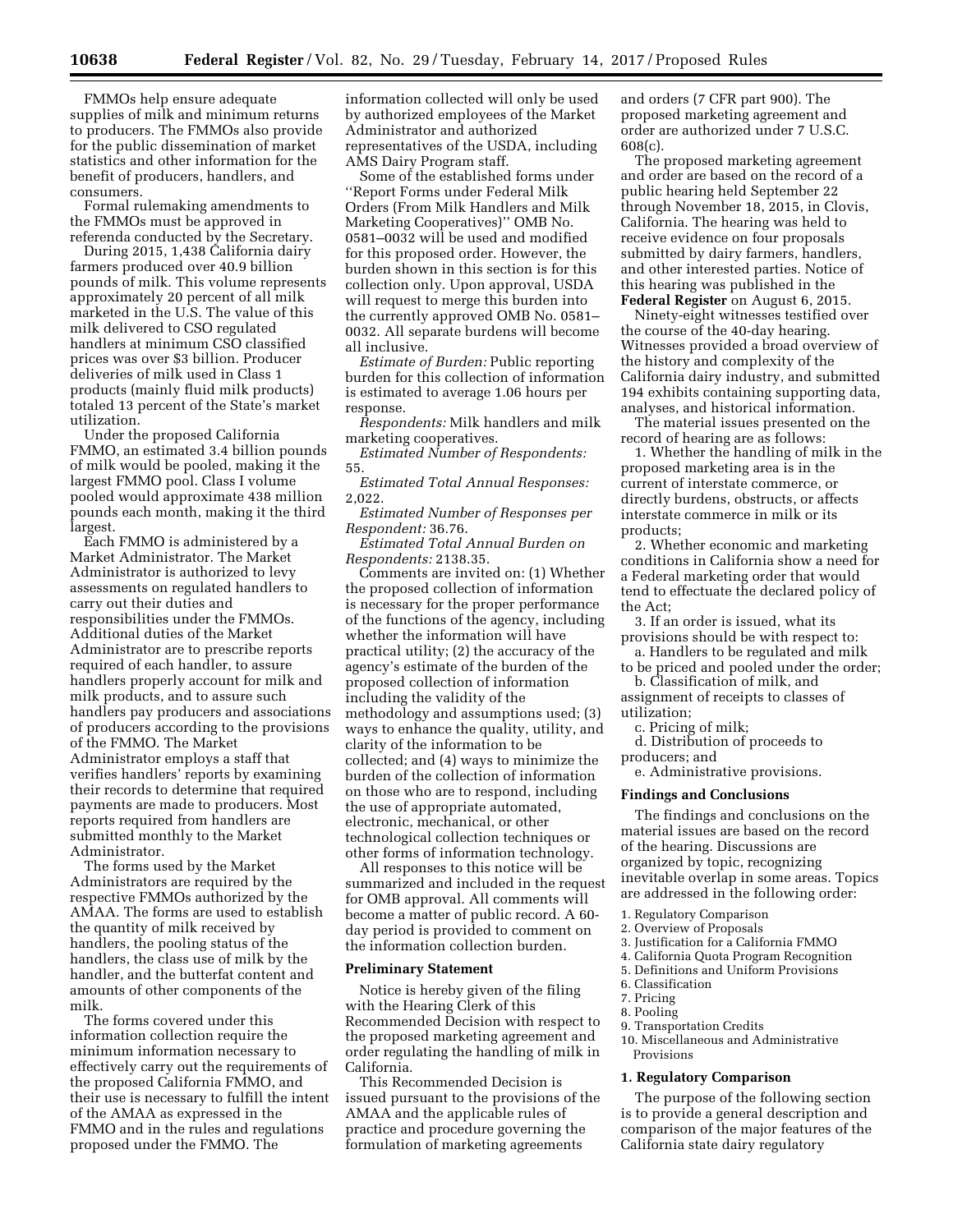FMMOs help ensure adequate supplies of milk and minimum returns to producers. The FMMOs also provide for the public dissemination of market statistics and other information for the benefit of producers, handlers, and consumers.

Formal rulemaking amendments to the FMMOs must be approved in referenda conducted by the Secretary.

During 2015, 1,438 California dairy farmers produced over 40.9 billion pounds of milk. This volume represents approximately 20 percent of all milk marketed in the U.S. The value of this milk delivered to CSO regulated handlers at minimum CSO classified prices was over \$3 billion. Producer deliveries of milk used in Class 1 products (mainly fluid milk products) totaled 13 percent of the State's market utilization.

Under the proposed California FMMO, an estimated 3.4 billion pounds of milk would be pooled, making it the largest FMMO pool. Class I volume pooled would approximate 438 million pounds each month, making it the third largest.

Each FMMO is administered by a Market Administrator. The Market Administrator is authorized to levy assessments on regulated handlers to carry out their duties and responsibilities under the FMMOs. Additional duties of the Market Administrator are to prescribe reports required of each handler, to assure handlers properly account for milk and milk products, and to assure such handlers pay producers and associations of producers according to the provisions of the FMMO. The Market Administrator employs a staff that verifies handlers' reports by examining their records to determine that required payments are made to producers. Most reports required from handlers are submitted monthly to the Market Administrator.

The forms used by the Market Administrators are required by the respective FMMOs authorized by the AMAA. The forms are used to establish the quantity of milk received by handlers, the pooling status of the handlers, the class use of milk by the handler, and the butterfat content and amounts of other components of the milk.

The forms covered under this information collection require the minimum information necessary to effectively carry out the requirements of the proposed California FMMO, and their use is necessary to fulfill the intent of the AMAA as expressed in the FMMO and in the rules and regulations proposed under the FMMO. The

information collected will only be used by authorized employees of the Market Administrator and authorized representatives of the USDA, including AMS Dairy Program staff.

Some of the established forms under ''Report Forms under Federal Milk Orders (From Milk Handlers and Milk Marketing Cooperatives)'' OMB No. 0581–0032 will be used and modified for this proposed order. However, the burden shown in this section is for this collection only. Upon approval, USDA will request to merge this burden into the currently approved OMB No. 0581– 0032. All separate burdens will become all inclusive.

*Estimate of Burden:* Public reporting burden for this collection of information is estimated to average 1.06 hours per response.

*Respondents:* Milk handlers and milk marketing cooperatives.

*Estimated Number of Respondents:*  55.

*Estimated Total Annual Responses:*  2,022.

*Estimated Number of Responses per Respondent:* 36.76.

*Estimated Total Annual Burden on Respondents:* 2138.35.

Comments are invited on: (1) Whether the proposed collection of information is necessary for the proper performance of the functions of the agency, including whether the information will have practical utility; (2) the accuracy of the agency's estimate of the burden of the proposed collection of information including the validity of the methodology and assumptions used; (3) ways to enhance the quality, utility, and clarity of the information to be collected; and (4) ways to minimize the burden of the collection of information on those who are to respond, including the use of appropriate automated, electronic, mechanical, or other technological collection techniques or other forms of information technology.

All responses to this notice will be summarized and included in the request for OMB approval. All comments will become a matter of public record. A 60 day period is provided to comment on the information collection burden.

#### **Preliminary Statement**

Notice is hereby given of the filing with the Hearing Clerk of this Recommended Decision with respect to the proposed marketing agreement and order regulating the handling of milk in California.

This Recommended Decision is issued pursuant to the provisions of the AMAA and the applicable rules of practice and procedure governing the formulation of marketing agreements

and orders (7 CFR part 900). The proposed marketing agreement and order are authorized under 7 U.S.C. 608(c).

The proposed marketing agreement and order are based on the record of a public hearing held September 22 through November 18, 2015, in Clovis, California. The hearing was held to receive evidence on four proposals submitted by dairy farmers, handlers, and other interested parties. Notice of this hearing was published in the **Federal Register** on August 6, 2015.

Ninety-eight witnesses testified over the course of the 40-day hearing. Witnesses provided a broad overview of the history and complexity of the California dairy industry, and submitted 194 exhibits containing supporting data, analyses, and historical information.

The material issues presented on the record of hearing are as follows:

1. Whether the handling of milk in the proposed marketing area is in the current of interstate commerce, or directly burdens, obstructs, or affects interstate commerce in milk or its products;

2. Whether economic and marketing conditions in California show a need for a Federal marketing order that would tend to effectuate the declared policy of the Act;

3. If an order is issued, what its provisions should be with respect to:

a. Handlers to be regulated and milk to be priced and pooled under the order;

b. Classification of milk, and assignment of receipts to classes of

utilization;

c. Pricing of milk;

d. Distribution of proceeds to producers; and

e. Administrative provisions.

## **Findings and Conclusions**

The findings and conclusions on the material issues are based on the record of the hearing. Discussions are organized by topic, recognizing inevitable overlap in some areas. Topics are addressed in the following order:

- 1. Regulatory Comparison
- 2. Overview of Proposals
- 3. Justification for a California FMMO
- 4. California Quota Program Recognition
- 5. Definitions and Uniform Provisions
- 6. Classification
- 7. Pricing
- 8. Pooling
- 9. Transportation Credits
- 10. Miscellaneous and Administrative Provisions

## **1. Regulatory Comparison**

The purpose of the following section is to provide a general description and comparison of the major features of the California state dairy regulatory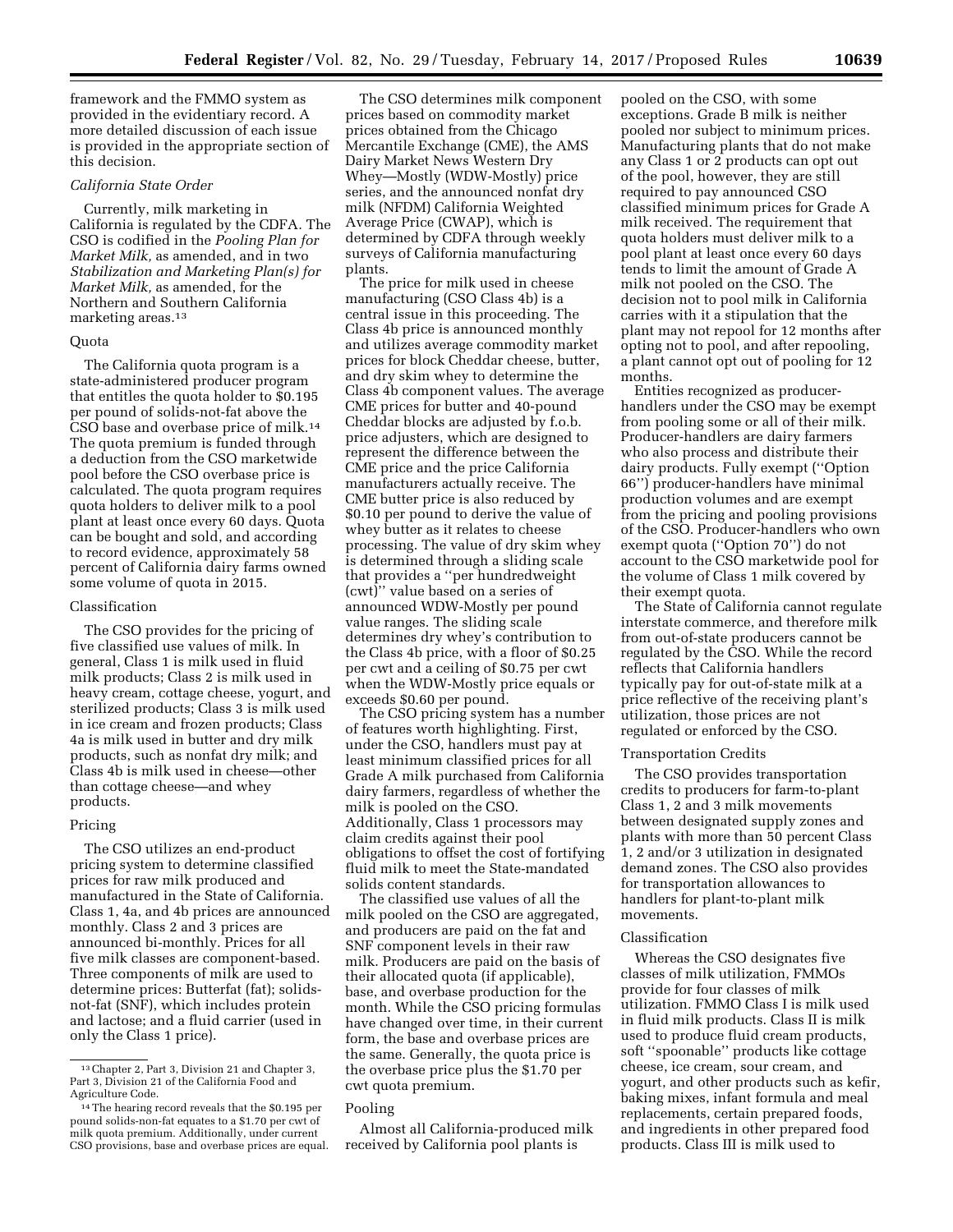framework and the FMMO system as provided in the evidentiary record. A more detailed discussion of each issue is provided in the appropriate section of this decision.

## *California State Order*

Currently, milk marketing in California is regulated by the CDFA. The CSO is codified in the *Pooling Plan for Market Milk,* as amended, and in two *Stabilization and Marketing Plan(s) for Market Milk,* as amended, for the Northern and Southern California marketing areas.13

#### Quota

The California quota program is a state-administered producer program that entitles the quota holder to \$0.195 per pound of solids-not-fat above the CSO base and overbase price of milk.14 The quota premium is funded through a deduction from the CSO marketwide pool before the CSO overbase price is calculated. The quota program requires quota holders to deliver milk to a pool plant at least once every 60 days. Quota can be bought and sold, and according to record evidence, approximately 58 percent of California dairy farms owned some volume of quota in 2015.

### Classification

The CSO provides for the pricing of five classified use values of milk. In general, Class 1 is milk used in fluid milk products; Class 2 is milk used in heavy cream, cottage cheese, yogurt, and sterilized products; Class 3 is milk used in ice cream and frozen products; Class 4a is milk used in butter and dry milk products, such as nonfat dry milk; and Class 4b is milk used in cheese—other than cottage cheese—and whey products.

## Pricing

The CSO utilizes an end-product pricing system to determine classified prices for raw milk produced and manufactured in the State of California. Class 1, 4a, and 4b prices are announced monthly. Class 2 and 3 prices are announced bi-monthly. Prices for all five milk classes are component-based. Three components of milk are used to determine prices: Butterfat (fat); solidsnot-fat (SNF), which includes protein and lactose; and a fluid carrier (used in only the Class 1 price).

The CSO determines milk component prices based on commodity market prices obtained from the Chicago Mercantile Exchange (CME), the AMS Dairy Market News Western Dry Whey—Mostly (WDW-Mostly) price series, and the announced nonfat dry milk (NFDM) California Weighted Average Price (CWAP), which is determined by CDFA through weekly surveys of California manufacturing plants.

The price for milk used in cheese manufacturing (CSO Class 4b) is a central issue in this proceeding. The Class 4b price is announced monthly and utilizes average commodity market prices for block Cheddar cheese, butter, and dry skim whey to determine the Class 4b component values. The average CME prices for butter and 40-pound Cheddar blocks are adjusted by f.o.b. price adjusters, which are designed to represent the difference between the CME price and the price California manufacturers actually receive. The CME butter price is also reduced by \$0.10 per pound to derive the value of whey butter as it relates to cheese processing. The value of dry skim whey is determined through a sliding scale that provides a ''per hundredweight (cwt)'' value based on a series of announced WDW-Mostly per pound value ranges. The sliding scale determines dry whey's contribution to the Class 4b price, with a floor of \$0.25 per cwt and a ceiling of \$0.75 per cwt when the WDW-Mostly price equals or exceeds \$0.60 per pound.

The CSO pricing system has a number of features worth highlighting. First, under the CSO, handlers must pay at least minimum classified prices for all Grade A milk purchased from California dairy farmers, regardless of whether the milk is pooled on the CSO. Additionally, Class 1 processors may claim credits against their pool obligations to offset the cost of fortifying fluid milk to meet the State-mandated solids content standards.

The classified use values of all the milk pooled on the CSO are aggregated, and producers are paid on the fat and SNF component levels in their raw milk. Producers are paid on the basis of their allocated quota (if applicable), base, and overbase production for the month. While the CSO pricing formulas have changed over time, in their current form, the base and overbase prices are the same. Generally, the quota price is the overbase price plus the \$1.70 per cwt quota premium.

#### Pooling

Almost all California-produced milk received by California pool plants is

pooled on the CSO, with some exceptions. Grade B milk is neither pooled nor subject to minimum prices. Manufacturing plants that do not make any Class 1 or 2 products can opt out of the pool, however, they are still required to pay announced CSO classified minimum prices for Grade A milk received. The requirement that quota holders must deliver milk to a pool plant at least once every 60 days tends to limit the amount of Grade A milk not pooled on the CSO. The decision not to pool milk in California carries with it a stipulation that the plant may not repool for 12 months after opting not to pool, and after repooling, a plant cannot opt out of pooling for 12 months.

Entities recognized as producerhandlers under the CSO may be exempt from pooling some or all of their milk. Producer-handlers are dairy farmers who also process and distribute their dairy products. Fully exempt (''Option 66'') producer-handlers have minimal production volumes and are exempt from the pricing and pooling provisions of the CSO. Producer-handlers who own exempt quota (''Option 70'') do not account to the CSO marketwide pool for the volume of Class 1 milk covered by their exempt quota.

The State of California cannot regulate interstate commerce, and therefore milk from out-of-state producers cannot be regulated by the CSO. While the record reflects that California handlers typically pay for out-of-state milk at a price reflective of the receiving plant's utilization, those prices are not regulated or enforced by the CSO.

#### Transportation Credits

The CSO provides transportation credits to producers for farm-to-plant Class 1, 2 and 3 milk movements between designated supply zones and plants with more than 50 percent Class 1, 2 and/or 3 utilization in designated demand zones. The CSO also provides for transportation allowances to handlers for plant-to-plant milk movements.

### Classification

Whereas the CSO designates five classes of milk utilization, FMMOs provide for four classes of milk utilization. FMMO Class I is milk used in fluid milk products. Class II is milk used to produce fluid cream products, soft ''spoonable'' products like cottage cheese, ice cream, sour cream, and yogurt, and other products such as kefir, baking mixes, infant formula and meal replacements, certain prepared foods, and ingredients in other prepared food products. Class III is milk used to

<sup>13</sup>Chapter 2, Part 3, Division 21 and Chapter 3, Part 3, Division 21 of the California Food and Agriculture Code.

<sup>14</sup>The hearing record reveals that the \$0.195 per pound solids-non-fat equates to a \$1.70 per cwt of milk quota premium. Additionally, under current CSO provisions, base and overbase prices are equal.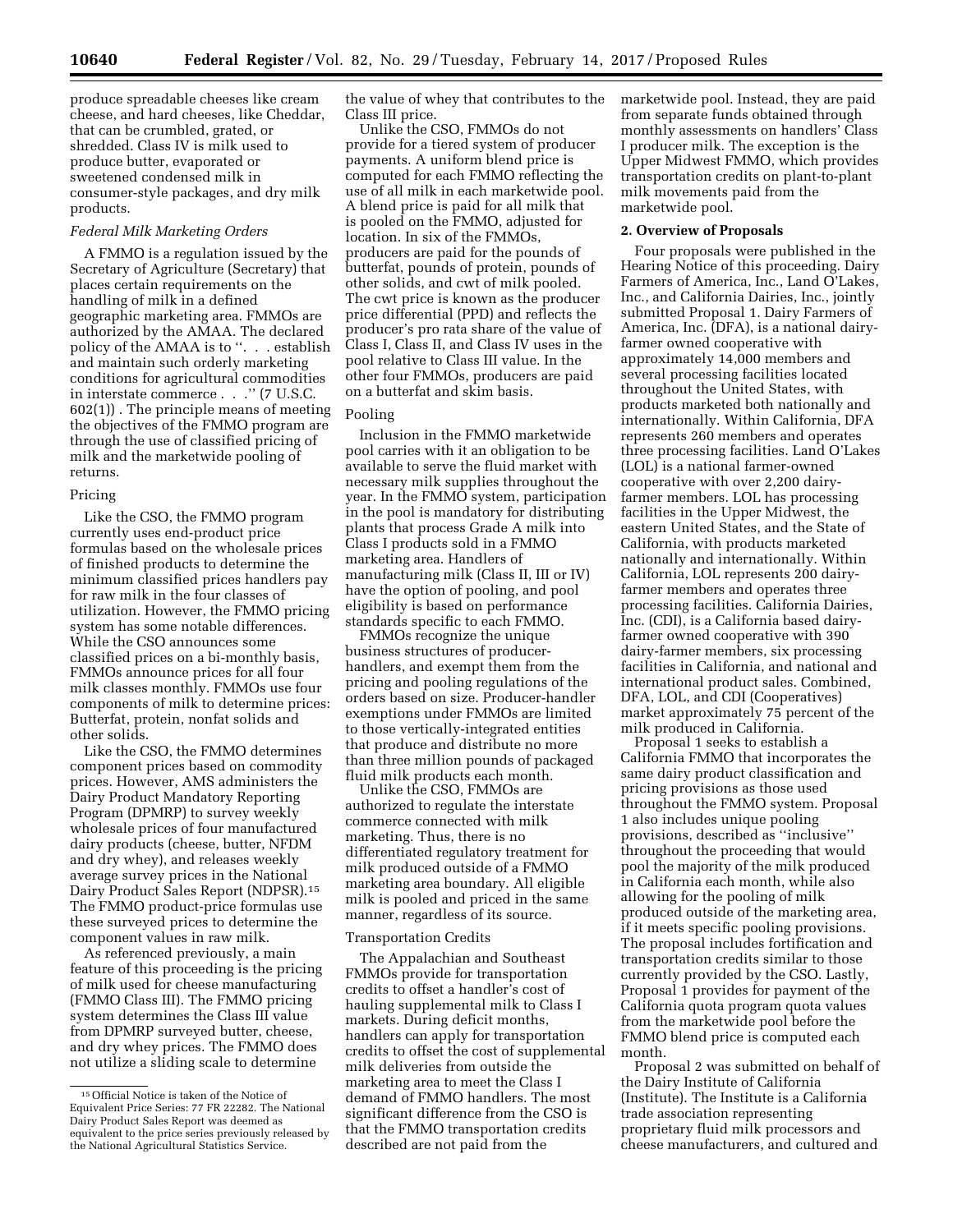produce spreadable cheeses like cream cheese, and hard cheeses, like Cheddar, that can be crumbled, grated, or shredded. Class IV is milk used to produce butter, evaporated or sweetened condensed milk in consumer-style packages, and dry milk products.

#### *Federal Milk Marketing Orders*

A FMMO is a regulation issued by the Secretary of Agriculture (Secretary) that places certain requirements on the handling of milk in a defined geographic marketing area. FMMOs are authorized by the AMAA. The declared policy of the AMAA is to ''. . . establish and maintain such orderly marketing conditions for agricultural commodities in interstate commerce . . .'' (7 U.S.C. 602(1)) . The principle means of meeting the objectives of the FMMO program are through the use of classified pricing of milk and the marketwide pooling of returns.

#### Pricing

Like the CSO, the FMMO program currently uses end-product price formulas based on the wholesale prices of finished products to determine the minimum classified prices handlers pay for raw milk in the four classes of utilization. However, the FMMO pricing system has some notable differences. While the CSO announces some classified prices on a bi-monthly basis, FMMOs announce prices for all four milk classes monthly. FMMOs use four components of milk to determine prices: Butterfat, protein, nonfat solids and other solids.

Like the CSO, the FMMO determines component prices based on commodity prices. However, AMS administers the Dairy Product Mandatory Reporting Program (DPMRP) to survey weekly wholesale prices of four manufactured dairy products (cheese, butter, NFDM and dry whey), and releases weekly average survey prices in the National Dairy Product Sales Report (NDPSR).15 The FMMO product-price formulas use these surveyed prices to determine the component values in raw milk.

As referenced previously, a main feature of this proceeding is the pricing of milk used for cheese manufacturing (FMMO Class III). The FMMO pricing system determines the Class III value from DPMRP surveyed butter, cheese, and dry whey prices. The FMMO does not utilize a sliding scale to determine

the value of whey that contributes to the Class III price.

Unlike the CSO, FMMOs do not provide for a tiered system of producer payments. A uniform blend price is computed for each FMMO reflecting the use of all milk in each marketwide pool. A blend price is paid for all milk that is pooled on the FMMO, adjusted for location. In six of the FMMOs, producers are paid for the pounds of butterfat, pounds of protein, pounds of other solids, and cwt of milk pooled. The cwt price is known as the producer price differential (PPD) and reflects the producer's pro rata share of the value of Class I, Class II, and Class IV uses in the pool relative to Class III value. In the other four FMMOs, producers are paid on a butterfat and skim basis.

#### Pooling

Inclusion in the FMMO marketwide pool carries with it an obligation to be available to serve the fluid market with necessary milk supplies throughout the year. In the FMMO system, participation in the pool is mandatory for distributing plants that process Grade A milk into Class I products sold in a FMMO marketing area. Handlers of manufacturing milk (Class II, III or IV) have the option of pooling, and pool eligibility is based on performance standards specific to each FMMO.

FMMOs recognize the unique business structures of producerhandlers, and exempt them from the pricing and pooling regulations of the orders based on size. Producer-handler exemptions under FMMOs are limited to those vertically-integrated entities that produce and distribute no more than three million pounds of packaged fluid milk products each month.

Unlike the CSO, FMMOs are authorized to regulate the interstate commerce connected with milk marketing. Thus, there is no differentiated regulatory treatment for milk produced outside of a FMMO marketing area boundary. All eligible milk is pooled and priced in the same manner, regardless of its source.

### Transportation Credits

The Appalachian and Southeast FMMOs provide for transportation credits to offset a handler's cost of hauling supplemental milk to Class I markets. During deficit months, handlers can apply for transportation credits to offset the cost of supplemental milk deliveries from outside the marketing area to meet the Class I demand of FMMO handlers. The most significant difference from the CSO is that the FMMO transportation credits described are not paid from the

marketwide pool. Instead, they are paid from separate funds obtained through monthly assessments on handlers' Class I producer milk. The exception is the Upper Midwest FMMO, which provides transportation credits on plant-to-plant milk movements paid from the marketwide pool.

### **2. Overview of Proposals**

Four proposals were published in the Hearing Notice of this proceeding. Dairy Farmers of America, Inc., Land O'Lakes, Inc., and California Dairies, Inc., jointly submitted Proposal 1. Dairy Farmers of America, Inc. (DFA), is a national dairyfarmer owned cooperative with approximately 14,000 members and several processing facilities located throughout the United States, with products marketed both nationally and internationally. Within California, DFA represents 260 members and operates three processing facilities. Land O'Lakes (LOL) is a national farmer-owned cooperative with over 2,200 dairyfarmer members. LOL has processing facilities in the Upper Midwest, the eastern United States, and the State of California, with products marketed nationally and internationally. Within California, LOL represents 200 dairyfarmer members and operates three processing facilities. California Dairies, Inc. (CDI), is a California based dairyfarmer owned cooperative with 390 dairy-farmer members, six processing facilities in California, and national and international product sales. Combined, DFA, LOL, and CDI (Cooperatives) market approximately 75 percent of the milk produced in California.

Proposal 1 seeks to establish a California FMMO that incorporates the same dairy product classification and pricing provisions as those used throughout the FMMO system. Proposal 1 also includes unique pooling provisions, described as ''inclusive'' throughout the proceeding that would pool the majority of the milk produced in California each month, while also allowing for the pooling of milk produced outside of the marketing area, if it meets specific pooling provisions. The proposal includes fortification and transportation credits similar to those currently provided by the CSO. Lastly, Proposal 1 provides for payment of the California quota program quota values from the marketwide pool before the FMMO blend price is computed each month.

Proposal 2 was submitted on behalf of the Dairy Institute of California (Institute). The Institute is a California trade association representing proprietary fluid milk processors and cheese manufacturers, and cultured and

<sup>15</sup>Official Notice is taken of the Notice of Equivalent Price Series: 77 FR 22282. The National Dairy Product Sales Report was deemed as equivalent to the price series previously released by the National Agricultural Statistics Service.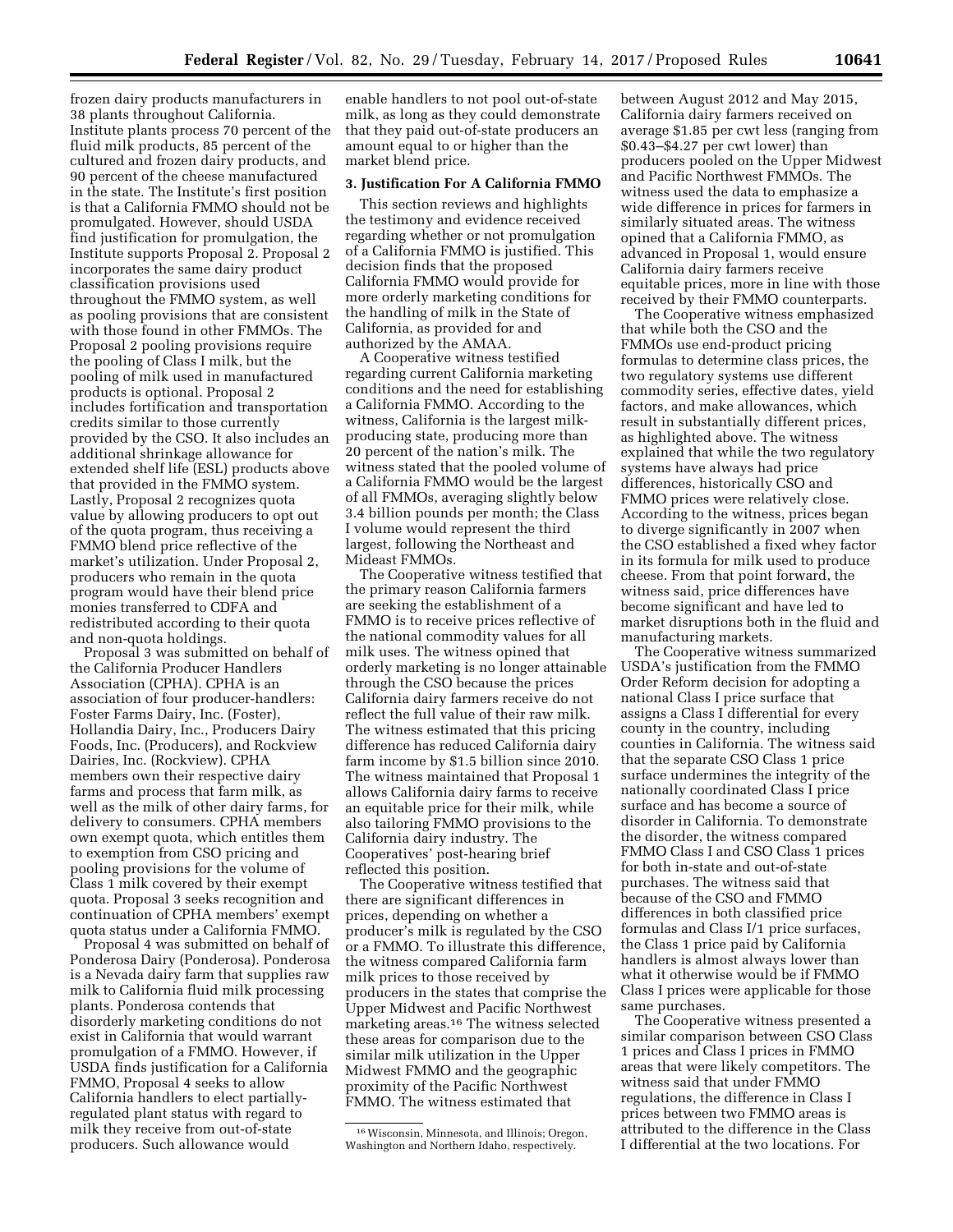frozen dairy products manufacturers in 38 plants throughout California. Institute plants process 70 percent of the fluid milk products, 85 percent of the cultured and frozen dairy products, and 90 percent of the cheese manufactured in the state. The Institute's first position is that a California FMMO should not be promulgated. However, should USDA find justification for promulgation, the Institute supports Proposal 2. Proposal 2 incorporates the same dairy product classification provisions used throughout the FMMO system, as well as pooling provisions that are consistent with those found in other FMMOs. The Proposal 2 pooling provisions require the pooling of Class I milk, but the pooling of milk used in manufactured products is optional. Proposal 2 includes fortification and transportation credits similar to those currently provided by the CSO. It also includes an additional shrinkage allowance for extended shelf life (ESL) products above that provided in the FMMO system. Lastly, Proposal 2 recognizes quota value by allowing producers to opt out of the quota program, thus receiving a FMMO blend price reflective of the market's utilization. Under Proposal 2, producers who remain in the quota program would have their blend price monies transferred to CDFA and redistributed according to their quota and non-quota holdings.

Proposal 3 was submitted on behalf of the California Producer Handlers Association (CPHA). CPHA is an association of four producer-handlers: Foster Farms Dairy, Inc. (Foster), Hollandia Dairy, Inc., Producers Dairy Foods, Inc. (Producers), and Rockview Dairies, Inc. (Rockview). CPHA members own their respective dairy farms and process that farm milk, as well as the milk of other dairy farms, for delivery to consumers. CPHA members own exempt quota, which entitles them to exemption from CSO pricing and pooling provisions for the volume of Class 1 milk covered by their exempt quota. Proposal 3 seeks recognition and continuation of CPHA members' exempt quota status under a California FMMO.

Proposal 4 was submitted on behalf of Ponderosa Dairy (Ponderosa). Ponderosa is a Nevada dairy farm that supplies raw milk to California fluid milk processing plants. Ponderosa contends that disorderly marketing conditions do not exist in California that would warrant promulgation of a FMMO. However, if USDA finds justification for a California FMMO, Proposal 4 seeks to allow California handlers to elect partiallyregulated plant status with regard to milk they receive from out-of-state producers. Such allowance would

enable handlers to not pool out-of-state milk, as long as they could demonstrate that they paid out-of-state producers an amount equal to or higher than the market blend price.

# **3. Justification For A California FMMO**

This section reviews and highlights the testimony and evidence received regarding whether or not promulgation of a California FMMO is justified. This decision finds that the proposed California FMMO would provide for more orderly marketing conditions for the handling of milk in the State of California, as provided for and authorized by the AMAA.

A Cooperative witness testified regarding current California marketing conditions and the need for establishing a California FMMO. According to the witness, California is the largest milkproducing state, producing more than 20 percent of the nation's milk. The witness stated that the pooled volume of a California FMMO would be the largest of all FMMOs, averaging slightly below 3.4 billion pounds per month; the Class I volume would represent the third largest, following the Northeast and Mideast FMMOs.

The Cooperative witness testified that the primary reason California farmers are seeking the establishment of a FMMO is to receive prices reflective of the national commodity values for all milk uses. The witness opined that orderly marketing is no longer attainable through the CSO because the prices California dairy farmers receive do not reflect the full value of their raw milk. The witness estimated that this pricing difference has reduced California dairy farm income by \$1.5 billion since 2010. The witness maintained that Proposal 1 allows California dairy farms to receive an equitable price for their milk, while also tailoring FMMO provisions to the California dairy industry. The Cooperatives' post-hearing brief reflected this position.

The Cooperative witness testified that there are significant differences in prices, depending on whether a producer's milk is regulated by the CSO or a FMMO. To illustrate this difference, the witness compared California farm milk prices to those received by producers in the states that comprise the Upper Midwest and Pacific Northwest marketing areas.16 The witness selected these areas for comparison due to the similar milk utilization in the Upper Midwest FMMO and the geographic proximity of the Pacific Northwest FMMO. The witness estimated that

between August 2012 and May 2015, California dairy farmers received on average \$1.85 per cwt less (ranging from \$0.43–\$4.27 per cwt lower) than producers pooled on the Upper Midwest and Pacific Northwest FMMOs. The witness used the data to emphasize a wide difference in prices for farmers in similarly situated areas. The witness opined that a California FMMO, as advanced in Proposal 1, would ensure California dairy farmers receive equitable prices, more in line with those received by their FMMO counterparts.

The Cooperative witness emphasized that while both the CSO and the FMMOs use end-product pricing formulas to determine class prices, the two regulatory systems use different commodity series, effective dates, yield factors, and make allowances, which result in substantially different prices, as highlighted above. The witness explained that while the two regulatory systems have always had price differences, historically CSO and FMMO prices were relatively close. According to the witness, prices began to diverge significantly in 2007 when the CSO established a fixed whey factor in its formula for milk used to produce cheese. From that point forward, the witness said, price differences have become significant and have led to market disruptions both in the fluid and manufacturing markets.

The Cooperative witness summarized USDA's justification from the FMMO Order Reform decision for adopting a national Class I price surface that assigns a Class I differential for every county in the country, including counties in California. The witness said that the separate CSO Class 1 price surface undermines the integrity of the nationally coordinated Class I price surface and has become a source of disorder in California. To demonstrate the disorder, the witness compared FMMO Class I and CSO Class 1 prices for both in-state and out-of-state purchases. The witness said that because of the CSO and FMMO differences in both classified price formulas and Class I/1 price surfaces, the Class 1 price paid by California handlers is almost always lower than what it otherwise would be if FMMO Class I prices were applicable for those same purchases.

The Cooperative witness presented a similar comparison between CSO Class 1 prices and Class I prices in FMMO areas that were likely competitors. The witness said that under FMMO regulations, the difference in Class I prices between two FMMO areas is attributed to the difference in the Class I differential at the two locations. For

<sup>16</sup>Wisconsin, Minnesota, and Illinois; Oregon, Washington and Northern Idaho, respectively.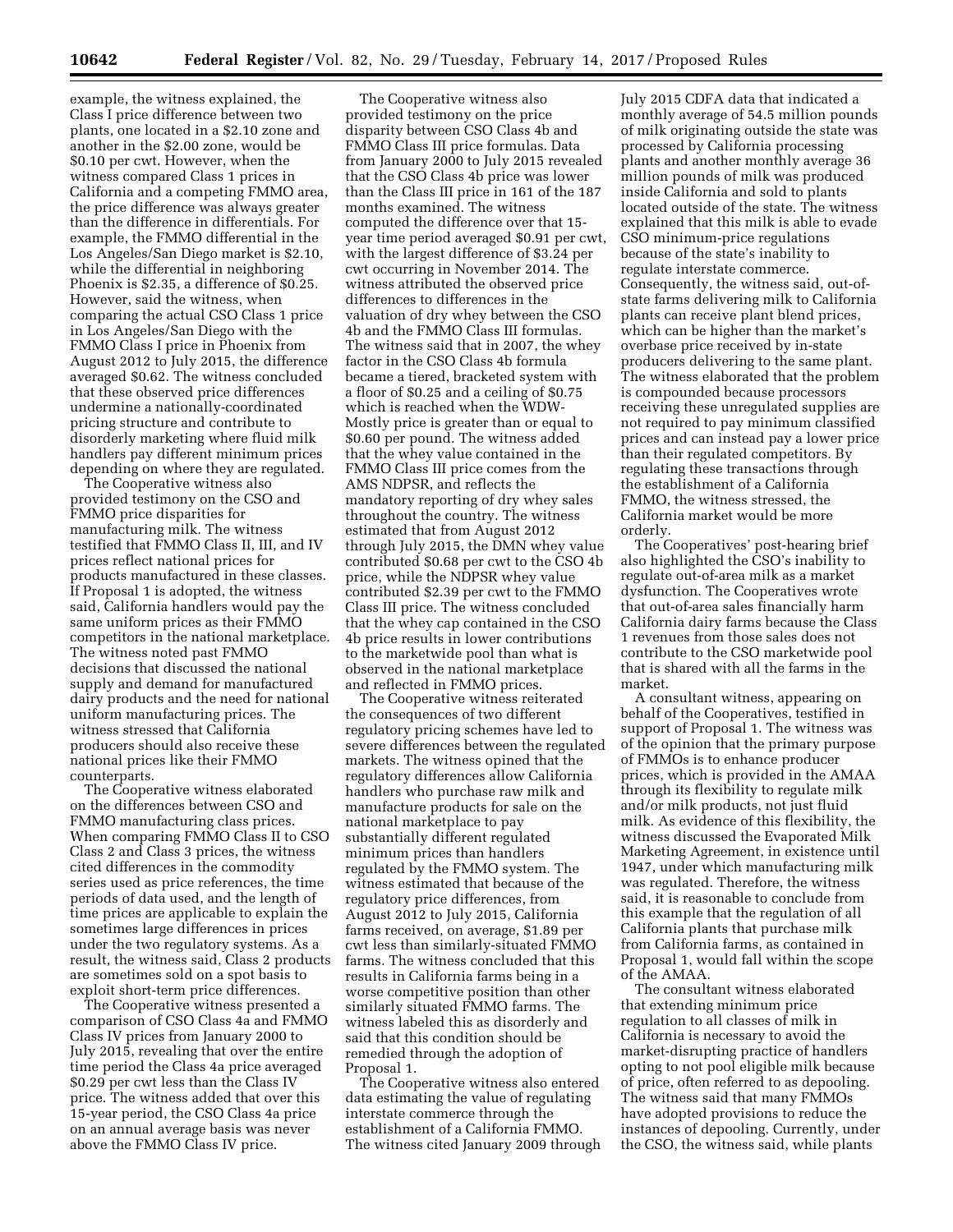example, the witness explained, the Class I price difference between two plants, one located in a \$2.10 zone and another in the \$2.00 zone, would be \$0.10 per cwt. However, when the witness compared Class 1 prices in California and a competing FMMO area, the price difference was always greater than the difference in differentials. For example, the FMMO differential in the Los Angeles/San Diego market is \$2.10, while the differential in neighboring Phoenix is \$2.35, a difference of \$0.25. However, said the witness, when comparing the actual CSO Class 1 price in Los Angeles/San Diego with the FMMO Class I price in Phoenix from August 2012 to July 2015, the difference averaged \$0.62. The witness concluded that these observed price differences undermine a nationally-coordinated pricing structure and contribute to disorderly marketing where fluid milk handlers pay different minimum prices depending on where they are regulated.

The Cooperative witness also provided testimony on the CSO and FMMO price disparities for manufacturing milk. The witness testified that FMMO Class II, III, and IV prices reflect national prices for products manufactured in these classes. If Proposal 1 is adopted, the witness said, California handlers would pay the same uniform prices as their FMMO competitors in the national marketplace. The witness noted past FMMO decisions that discussed the national supply and demand for manufactured dairy products and the need for national uniform manufacturing prices. The witness stressed that California producers should also receive these national prices like their FMMO counterparts.

The Cooperative witness elaborated on the differences between CSO and FMMO manufacturing class prices. When comparing FMMO Class II to CSO Class 2 and Class 3 prices, the witness cited differences in the commodity series used as price references, the time periods of data used, and the length of time prices are applicable to explain the sometimes large differences in prices under the two regulatory systems. As a result, the witness said, Class 2 products are sometimes sold on a spot basis to exploit short-term price differences.

The Cooperative witness presented a comparison of CSO Class 4a and FMMO Class IV prices from January 2000 to July 2015, revealing that over the entire time period the Class 4a price averaged \$0.29 per cwt less than the Class IV price. The witness added that over this 15-year period, the CSO Class 4a price on an annual average basis was never above the FMMO Class IV price.

The Cooperative witness also provided testimony on the price disparity between CSO Class 4b and FMMO Class III price formulas. Data from January 2000 to July 2015 revealed that the CSO Class 4b price was lower than the Class III price in 161 of the 187 months examined. The witness computed the difference over that 15 year time period averaged \$0.91 per cwt, with the largest difference of \$3.24 per cwt occurring in November 2014. The witness attributed the observed price differences to differences in the valuation of dry whey between the CSO 4b and the FMMO Class III formulas. The witness said that in 2007, the whey factor in the CSO Class 4b formula became a tiered, bracketed system with a floor of \$0.25 and a ceiling of \$0.75 which is reached when the WDW-Mostly price is greater than or equal to \$0.60 per pound. The witness added that the whey value contained in the FMMO Class III price comes from the AMS NDPSR, and reflects the mandatory reporting of dry whey sales throughout the country. The witness estimated that from August 2012 through July 2015, the DMN whey value contributed \$0.68 per cwt to the CSO 4b price, while the NDPSR whey value contributed \$2.39 per cwt to the FMMO Class III price. The witness concluded that the whey cap contained in the CSO 4b price results in lower contributions to the marketwide pool than what is observed in the national marketplace and reflected in FMMO prices.

The Cooperative witness reiterated the consequences of two different regulatory pricing schemes have led to severe differences between the regulated markets. The witness opined that the regulatory differences allow California handlers who purchase raw milk and manufacture products for sale on the national marketplace to pay substantially different regulated minimum prices than handlers regulated by the FMMO system. The witness estimated that because of the regulatory price differences, from August 2012 to July 2015, California farms received, on average, \$1.89 per cwt less than similarly-situated FMMO farms. The witness concluded that this results in California farms being in a worse competitive position than other similarly situated FMMO farms. The witness labeled this as disorderly and said that this condition should be remedied through the adoption of Proposal 1.

The Cooperative witness also entered data estimating the value of regulating interstate commerce through the establishment of a California FMMO. The witness cited January 2009 through

July 2015 CDFA data that indicated a monthly average of 54.5 million pounds of milk originating outside the state was processed by California processing plants and another monthly average 36 million pounds of milk was produced inside California and sold to plants located outside of the state. The witness explained that this milk is able to evade CSO minimum-price regulations because of the state's inability to regulate interstate commerce. Consequently, the witness said, out-ofstate farms delivering milk to California plants can receive plant blend prices, which can be higher than the market's overbase price received by in-state producers delivering to the same plant. The witness elaborated that the problem is compounded because processors receiving these unregulated supplies are not required to pay minimum classified prices and can instead pay a lower price than their regulated competitors. By regulating these transactions through the establishment of a California FMMO, the witness stressed, the California market would be more orderly.

The Cooperatives' post-hearing brief also highlighted the CSO's inability to regulate out-of-area milk as a market dysfunction. The Cooperatives wrote that out-of-area sales financially harm California dairy farms because the Class 1 revenues from those sales does not contribute to the CSO marketwide pool that is shared with all the farms in the market.

A consultant witness, appearing on behalf of the Cooperatives, testified in support of Proposal 1. The witness was of the opinion that the primary purpose of FMMOs is to enhance producer prices, which is provided in the AMAA through its flexibility to regulate milk and/or milk products, not just fluid milk. As evidence of this flexibility, the witness discussed the Evaporated Milk Marketing Agreement, in existence until 1947, under which manufacturing milk was regulated. Therefore, the witness said, it is reasonable to conclude from this example that the regulation of all California plants that purchase milk from California farms, as contained in Proposal 1, would fall within the scope of the AMAA.

The consultant witness elaborated that extending minimum price regulation to all classes of milk in California is necessary to avoid the market-disrupting practice of handlers opting to not pool eligible milk because of price, often referred to as depooling. The witness said that many FMMOs have adopted provisions to reduce the instances of depooling. Currently, under the CSO, the witness said, while plants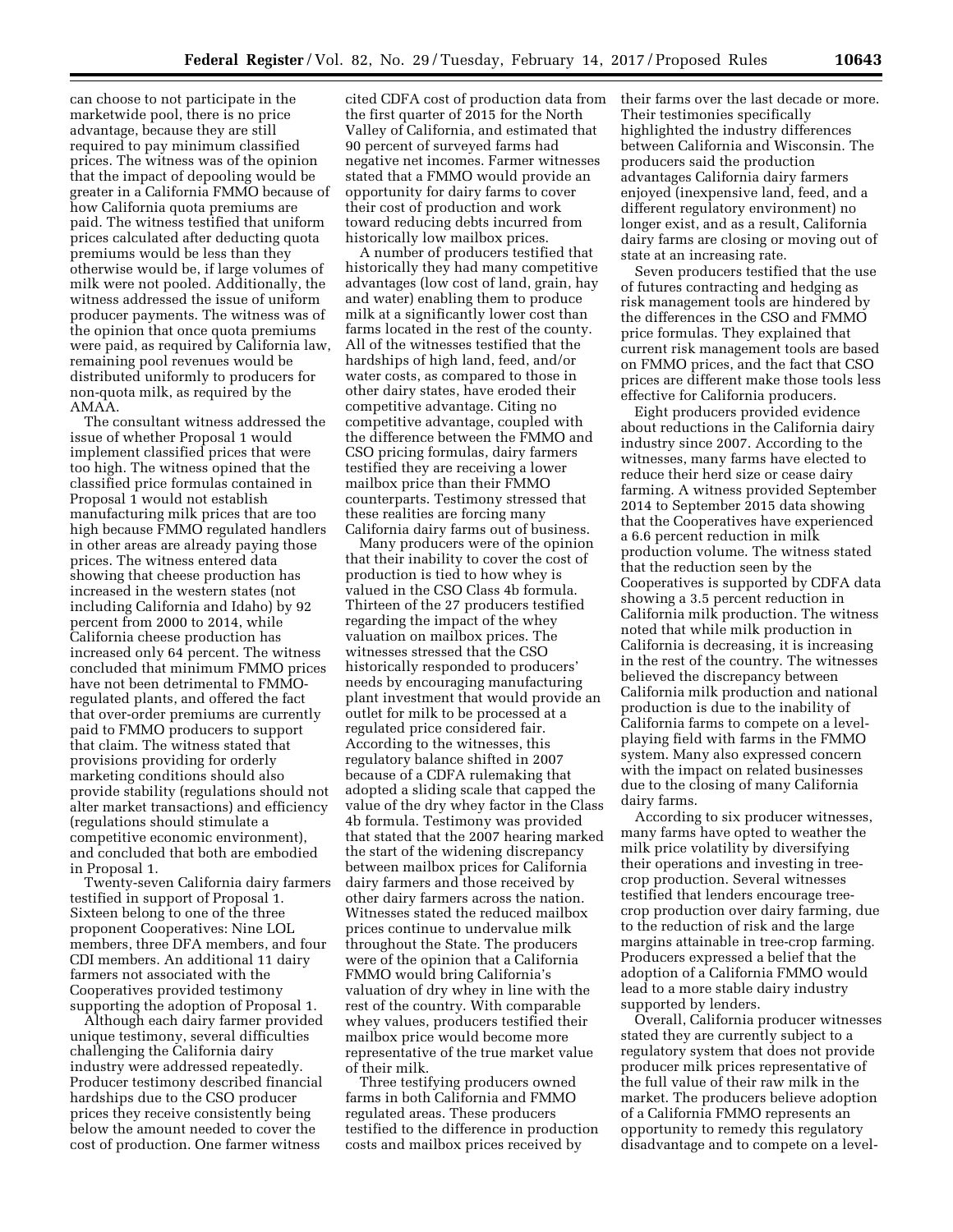can choose to not participate in the marketwide pool, there is no price advantage, because they are still required to pay minimum classified prices. The witness was of the opinion that the impact of depooling would be greater in a California FMMO because of how California quota premiums are paid. The witness testified that uniform prices calculated after deducting quota premiums would be less than they otherwise would be, if large volumes of milk were not pooled. Additionally, the witness addressed the issue of uniform producer payments. The witness was of the opinion that once quota premiums were paid, as required by California law, remaining pool revenues would be distributed uniformly to producers for non-quota milk, as required by the AMAA.

The consultant witness addressed the issue of whether Proposal 1 would implement classified prices that were too high. The witness opined that the classified price formulas contained in Proposal 1 would not establish manufacturing milk prices that are too high because FMMO regulated handlers in other areas are already paying those prices. The witness entered data showing that cheese production has increased in the western states (not including California and Idaho) by 92 percent from 2000 to 2014, while California cheese production has increased only 64 percent. The witness concluded that minimum FMMO prices have not been detrimental to FMMOregulated plants, and offered the fact that over-order premiums are currently paid to FMMO producers to support that claim. The witness stated that provisions providing for orderly marketing conditions should also provide stability (regulations should not alter market transactions) and efficiency (regulations should stimulate a competitive economic environment), and concluded that both are embodied in Proposal 1.

Twenty-seven California dairy farmers testified in support of Proposal 1. Sixteen belong to one of the three proponent Cooperatives: Nine LOL members, three DFA members, and four CDI members. An additional 11 dairy farmers not associated with the Cooperatives provided testimony supporting the adoption of Proposal 1.

Although each dairy farmer provided unique testimony, several difficulties challenging the California dairy industry were addressed repeatedly. Producer testimony described financial hardships due to the CSO producer prices they receive consistently being below the amount needed to cover the cost of production. One farmer witness

cited CDFA cost of production data from the first quarter of 2015 for the North Valley of California, and estimated that 90 percent of surveyed farms had negative net incomes. Farmer witnesses stated that a FMMO would provide an opportunity for dairy farms to cover their cost of production and work toward reducing debts incurred from historically low mailbox prices.

A number of producers testified that historically they had many competitive advantages (low cost of land, grain, hay and water) enabling them to produce milk at a significantly lower cost than farms located in the rest of the county. All of the witnesses testified that the hardships of high land, feed, and/or water costs, as compared to those in other dairy states, have eroded their competitive advantage. Citing no competitive advantage, coupled with the difference between the FMMO and CSO pricing formulas, dairy farmers testified they are receiving a lower mailbox price than their FMMO counterparts. Testimony stressed that these realities are forcing many California dairy farms out of business.

Many producers were of the opinion that their inability to cover the cost of production is tied to how whey is valued in the CSO Class 4b formula. Thirteen of the 27 producers testified regarding the impact of the whey valuation on mailbox prices. The witnesses stressed that the CSO historically responded to producers' needs by encouraging manufacturing plant investment that would provide an outlet for milk to be processed at a regulated price considered fair. According to the witnesses, this regulatory balance shifted in 2007 because of a CDFA rulemaking that adopted a sliding scale that capped the value of the dry whey factor in the Class 4b formula. Testimony was provided that stated that the 2007 hearing marked the start of the widening discrepancy between mailbox prices for California dairy farmers and those received by other dairy farmers across the nation. Witnesses stated the reduced mailbox prices continue to undervalue milk throughout the State. The producers were of the opinion that a California FMMO would bring California's valuation of dry whey in line with the rest of the country. With comparable whey values, producers testified their mailbox price would become more representative of the true market value of their milk.

Three testifying producers owned farms in both California and FMMO regulated areas. These producers testified to the difference in production costs and mailbox prices received by

their farms over the last decade or more. Their testimonies specifically highlighted the industry differences between California and Wisconsin. The producers said the production advantages California dairy farmers enjoyed (inexpensive land, feed, and a different regulatory environment) no longer exist, and as a result, California dairy farms are closing or moving out of state at an increasing rate.

Seven producers testified that the use of futures contracting and hedging as risk management tools are hindered by the differences in the CSO and FMMO price formulas. They explained that current risk management tools are based on FMMO prices, and the fact that CSO prices are different make those tools less effective for California producers.

Eight producers provided evidence about reductions in the California dairy industry since 2007. According to the witnesses, many farms have elected to reduce their herd size or cease dairy farming. A witness provided September 2014 to September 2015 data showing that the Cooperatives have experienced a 6.6 percent reduction in milk production volume. The witness stated that the reduction seen by the Cooperatives is supported by CDFA data showing a 3.5 percent reduction in California milk production. The witness noted that while milk production in California is decreasing, it is increasing in the rest of the country. The witnesses believed the discrepancy between California milk production and national production is due to the inability of California farms to compete on a levelplaying field with farms in the FMMO system. Many also expressed concern with the impact on related businesses due to the closing of many California dairy farms.

According to six producer witnesses, many farms have opted to weather the milk price volatility by diversifying their operations and investing in treecrop production. Several witnesses testified that lenders encourage treecrop production over dairy farming, due to the reduction of risk and the large margins attainable in tree-crop farming. Producers expressed a belief that the adoption of a California FMMO would lead to a more stable dairy industry supported by lenders.

Overall, California producer witnesses stated they are currently subject to a regulatory system that does not provide producer milk prices representative of the full value of their raw milk in the market. The producers believe adoption of a California FMMO represents an opportunity to remedy this regulatory disadvantage and to compete on a level-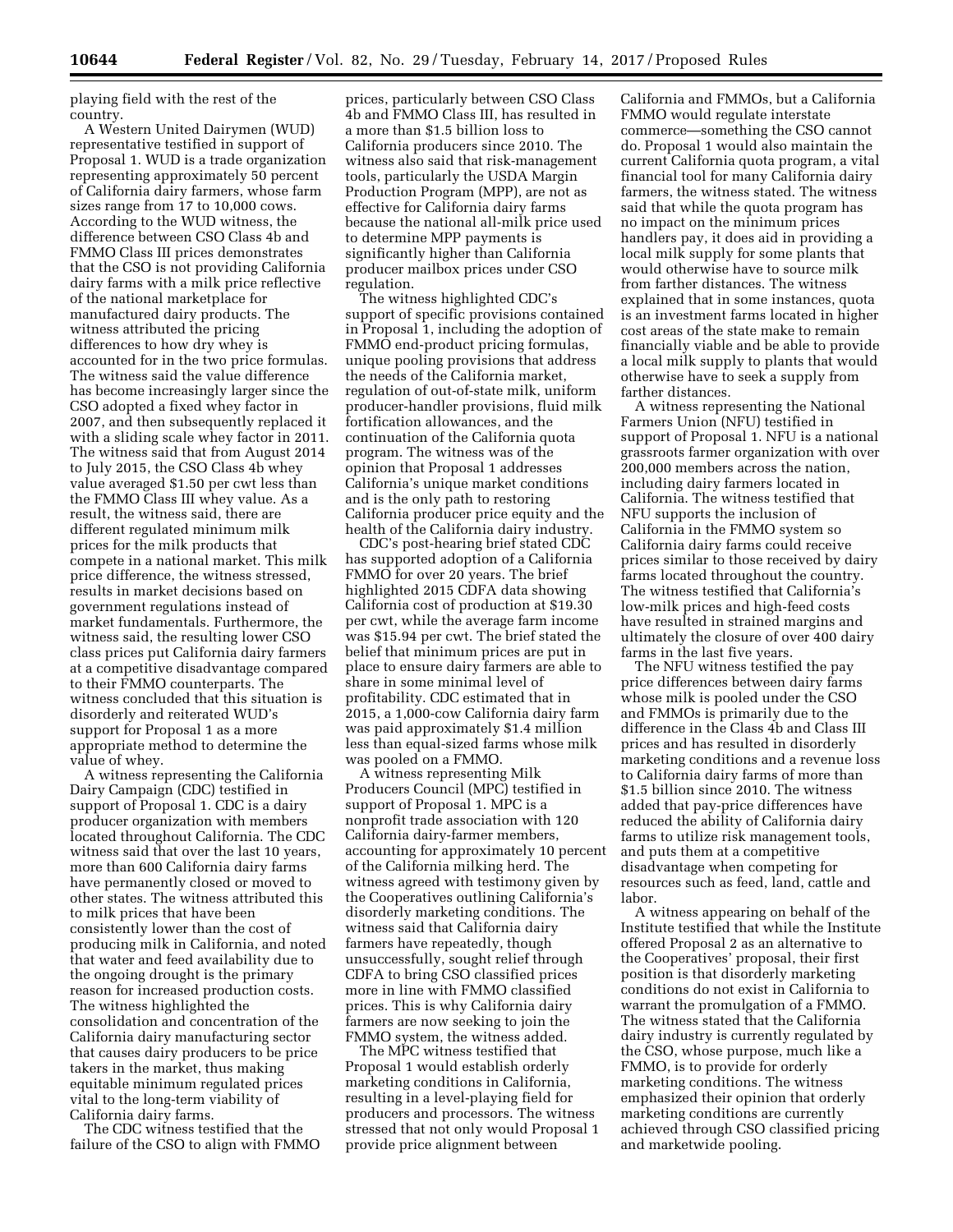playing field with the rest of the country.

A Western United Dairymen (WUD) representative testified in support of Proposal 1. WUD is a trade organization representing approximately 50 percent of California dairy farmers, whose farm sizes range from 17 to 10,000 cows. According to the WUD witness, the difference between CSO Class 4b and FMMO Class III prices demonstrates that the CSO is not providing California dairy farms with a milk price reflective of the national marketplace for manufactured dairy products. The witness attributed the pricing differences to how dry whey is accounted for in the two price formulas. The witness said the value difference has become increasingly larger since the CSO adopted a fixed whey factor in 2007, and then subsequently replaced it with a sliding scale whey factor in 2011. The witness said that from August 2014 to July 2015, the CSO Class 4b whey value averaged \$1.50 per cwt less than the FMMO Class III whey value. As a result, the witness said, there are different regulated minimum milk prices for the milk products that compete in a national market. This milk price difference, the witness stressed, results in market decisions based on government regulations instead of market fundamentals. Furthermore, the witness said, the resulting lower CSO class prices put California dairy farmers at a competitive disadvantage compared to their FMMO counterparts. The witness concluded that this situation is disorderly and reiterated WUD's support for Proposal 1 as a more appropriate method to determine the value of whey.

A witness representing the California Dairy Campaign (CDC) testified in support of Proposal 1. CDC is a dairy producer organization with members located throughout California. The CDC witness said that over the last 10 years, more than 600 California dairy farms have permanently closed or moved to other states. The witness attributed this to milk prices that have been consistently lower than the cost of producing milk in California, and noted that water and feed availability due to the ongoing drought is the primary reason for increased production costs. The witness highlighted the consolidation and concentration of the California dairy manufacturing sector that causes dairy producers to be price takers in the market, thus making equitable minimum regulated prices vital to the long-term viability of California dairy farms.

The CDC witness testified that the failure of the CSO to align with FMMO

prices, particularly between CSO Class 4b and FMMO Class III, has resulted in a more than \$1.5 billion loss to California producers since 2010. The witness also said that risk-management tools, particularly the USDA Margin Production Program (MPP), are not as effective for California dairy farms because the national all-milk price used to determine MPP payments is significantly higher than California producer mailbox prices under CSO regulation.

The witness highlighted CDC's support of specific provisions contained in Proposal 1, including the adoption of FMMO end-product pricing formulas, unique pooling provisions that address the needs of the California market, regulation of out-of-state milk, uniform producer-handler provisions, fluid milk fortification allowances, and the continuation of the California quota program. The witness was of the opinion that Proposal 1 addresses California's unique market conditions and is the only path to restoring California producer price equity and the health of the California dairy industry.

CDC's post-hearing brief stated CDC has supported adoption of a California FMMO for over 20 years. The brief highlighted 2015 CDFA data showing California cost of production at \$19.30 per cwt, while the average farm income was \$15.94 per cwt. The brief stated the belief that minimum prices are put in place to ensure dairy farmers are able to share in some minimal level of profitability. CDC estimated that in 2015, a 1,000-cow California dairy farm was paid approximately \$1.4 million less than equal-sized farms whose milk was pooled on a FMMO.

A witness representing Milk Producers Council (MPC) testified in support of Proposal 1. MPC is a nonprofit trade association with 120 California dairy-farmer members, accounting for approximately 10 percent of the California milking herd. The witness agreed with testimony given by the Cooperatives outlining California's disorderly marketing conditions. The witness said that California dairy farmers have repeatedly, though unsuccessfully, sought relief through CDFA to bring CSO classified prices more in line with FMMO classified prices. This is why California dairy farmers are now seeking to join the FMMO system, the witness added.

The MPC witness testified that Proposal 1 would establish orderly marketing conditions in California, resulting in a level-playing field for producers and processors. The witness stressed that not only would Proposal 1 provide price alignment between

California and FMMOs, but a California FMMO would regulate interstate commerce—something the CSO cannot do. Proposal 1 would also maintain the current California quota program, a vital financial tool for many California dairy farmers, the witness stated. The witness said that while the quota program has no impact on the minimum prices handlers pay, it does aid in providing a local milk supply for some plants that would otherwise have to source milk from farther distances. The witness explained that in some instances, quota is an investment farms located in higher cost areas of the state make to remain financially viable and be able to provide a local milk supply to plants that would otherwise have to seek a supply from farther distances.

A witness representing the National Farmers Union (NFU) testified in support of Proposal 1. NFU is a national grassroots farmer organization with over 200,000 members across the nation, including dairy farmers located in California. The witness testified that NFU supports the inclusion of California in the FMMO system so California dairy farms could receive prices similar to those received by dairy farms located throughout the country. The witness testified that California's low-milk prices and high-feed costs have resulted in strained margins and ultimately the closure of over 400 dairy farms in the last five years.

The NFU witness testified the pay price differences between dairy farms whose milk is pooled under the CSO and FMMOs is primarily due to the difference in the Class 4b and Class III prices and has resulted in disorderly marketing conditions and a revenue loss to California dairy farms of more than \$1.5 billion since 2010. The witness added that pay-price differences have reduced the ability of California dairy farms to utilize risk management tools, and puts them at a competitive disadvantage when competing for resources such as feed, land, cattle and labor.

A witness appearing on behalf of the Institute testified that while the Institute offered Proposal 2 as an alternative to the Cooperatives' proposal, their first position is that disorderly marketing conditions do not exist in California to warrant the promulgation of a FMMO. The witness stated that the California dairy industry is currently regulated by the CSO, whose purpose, much like a FMMO, is to provide for orderly marketing conditions. The witness emphasized their opinion that orderly marketing conditions are currently achieved through CSO classified pricing and marketwide pooling.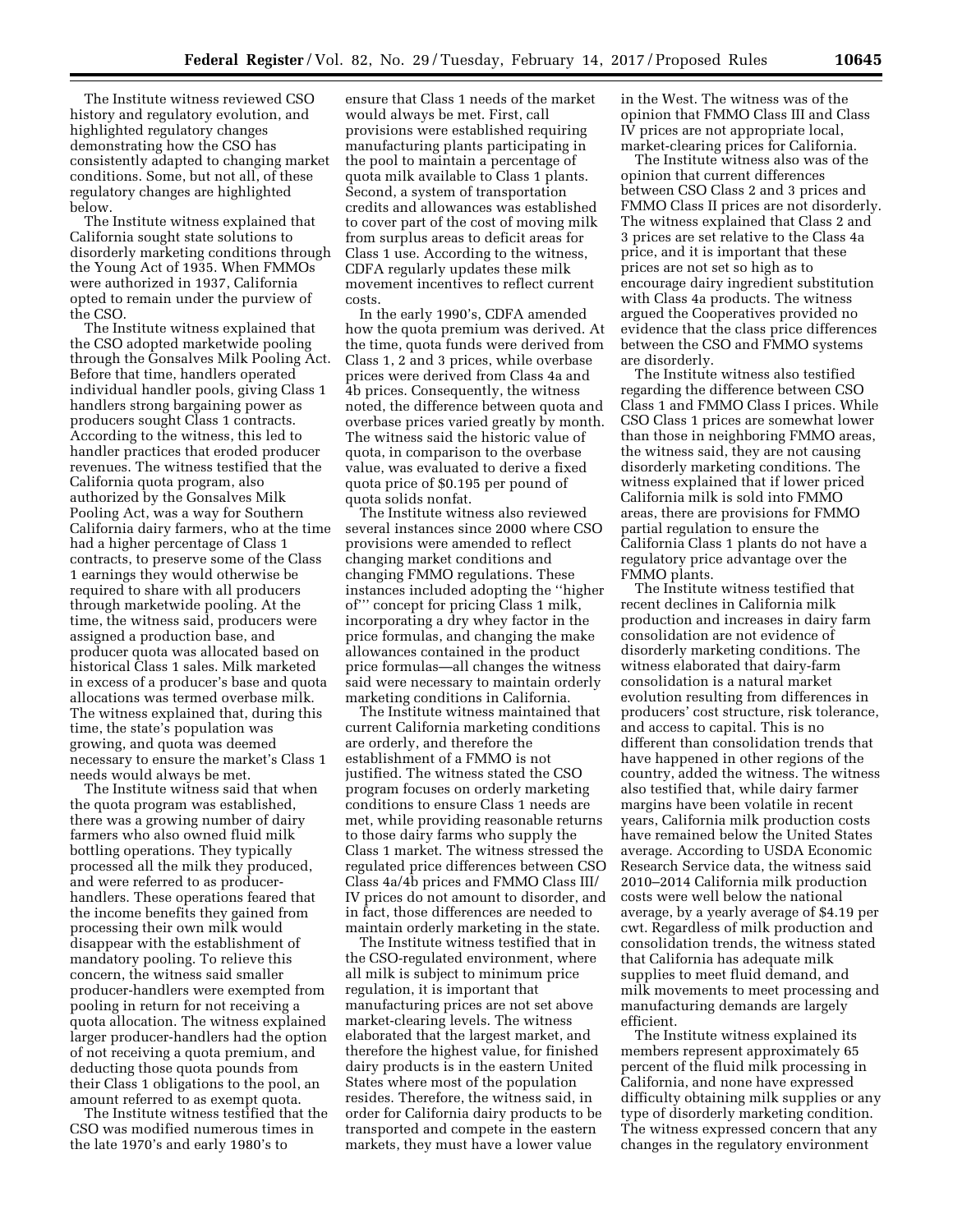The Institute witness reviewed CSO history and regulatory evolution, and highlighted regulatory changes demonstrating how the CSO has consistently adapted to changing market conditions. Some, but not all, of these regulatory changes are highlighted below.

The Institute witness explained that California sought state solutions to disorderly marketing conditions through the Young Act of 1935. When FMMOs were authorized in 1937, California opted to remain under the purview of the CSO.

The Institute witness explained that the CSO adopted marketwide pooling through the Gonsalves Milk Pooling Act. Before that time, handlers operated individual handler pools, giving Class 1 handlers strong bargaining power as producers sought Class 1 contracts. According to the witness, this led to handler practices that eroded producer revenues. The witness testified that the California quota program, also authorized by the Gonsalves Milk Pooling Act, was a way for Southern California dairy farmers, who at the time had a higher percentage of Class 1 contracts, to preserve some of the Class 1 earnings they would otherwise be required to share with all producers through marketwide pooling. At the time, the witness said, producers were assigned a production base, and producer quota was allocated based on historical Class 1 sales. Milk marketed in excess of a producer's base and quota allocations was termed overbase milk. The witness explained that, during this time, the state's population was growing, and quota was deemed necessary to ensure the market's Class 1 needs would always be met.

The Institute witness said that when the quota program was established, there was a growing number of dairy farmers who also owned fluid milk bottling operations. They typically processed all the milk they produced, and were referred to as producerhandlers. These operations feared that the income benefits they gained from processing their own milk would disappear with the establishment of mandatory pooling. To relieve this concern, the witness said smaller producer-handlers were exempted from pooling in return for not receiving a quota allocation. The witness explained larger producer-handlers had the option of not receiving a quota premium, and deducting those quota pounds from their Class 1 obligations to the pool, an amount referred to as exempt quota.

The Institute witness testified that the CSO was modified numerous times in the late 1970's and early 1980's to

ensure that Class 1 needs of the market would always be met. First, call provisions were established requiring manufacturing plants participating in the pool to maintain a percentage of quota milk available to Class 1 plants. Second, a system of transportation credits and allowances was established to cover part of the cost of moving milk from surplus areas to deficit areas for Class 1 use. According to the witness, CDFA regularly updates these milk movement incentives to reflect current costs.

In the early 1990's, CDFA amended how the quota premium was derived. At the time, quota funds were derived from Class 1, 2 and 3 prices, while overbase prices were derived from Class 4a and 4b prices. Consequently, the witness noted, the difference between quota and overbase prices varied greatly by month. The witness said the historic value of quota, in comparison to the overbase value, was evaluated to derive a fixed quota price of \$0.195 per pound of quota solids nonfat.

The Institute witness also reviewed several instances since 2000 where CSO provisions were amended to reflect changing market conditions and changing FMMO regulations. These instances included adopting the ''higher of''' concept for pricing Class 1 milk, incorporating a dry whey factor in the price formulas, and changing the make allowances contained in the product price formulas—all changes the witness said were necessary to maintain orderly marketing conditions in California.

The Institute witness maintained that current California marketing conditions are orderly, and therefore the establishment of a FMMO is not justified. The witness stated the CSO program focuses on orderly marketing conditions to ensure Class 1 needs are met, while providing reasonable returns to those dairy farms who supply the Class 1 market. The witness stressed the regulated price differences between CSO Class 4a/4b prices and FMMO Class III/ IV prices do not amount to disorder, and in fact, those differences are needed to maintain orderly marketing in the state.

The Institute witness testified that in the CSO-regulated environment, where all milk is subject to minimum price regulation, it is important that manufacturing prices are not set above market-clearing levels. The witness elaborated that the largest market, and therefore the highest value, for finished dairy products is in the eastern United States where most of the population resides. Therefore, the witness said, in order for California dairy products to be transported and compete in the eastern markets, they must have a lower value

in the West. The witness was of the opinion that FMMO Class III and Class IV prices are not appropriate local, market-clearing prices for California.

The Institute witness also was of the opinion that current differences between CSO Class 2 and 3 prices and FMMO Class II prices are not disorderly. The witness explained that Class 2 and 3 prices are set relative to the Class 4a price, and it is important that these prices are not set so high as to encourage dairy ingredient substitution with Class 4a products. The witness argued the Cooperatives provided no evidence that the class price differences between the CSO and FMMO systems are disorderly.

The Institute witness also testified regarding the difference between CSO Class 1 and FMMO Class I prices. While CSO Class 1 prices are somewhat lower than those in neighboring FMMO areas, the witness said, they are not causing disorderly marketing conditions. The witness explained that if lower priced California milk is sold into FMMO areas, there are provisions for FMMO partial regulation to ensure the California Class 1 plants do not have a regulatory price advantage over the FMMO plants.

The Institute witness testified that recent declines in California milk production and increases in dairy farm consolidation are not evidence of disorderly marketing conditions. The witness elaborated that dairy-farm consolidation is a natural market evolution resulting from differences in producers' cost structure, risk tolerance, and access to capital. This is no different than consolidation trends that have happened in other regions of the country, added the witness. The witness also testified that, while dairy farmer margins have been volatile in recent years, California milk production costs have remained below the United States average. According to USDA Economic Research Service data, the witness said 2010–2014 California milk production costs were well below the national average, by a yearly average of \$4.19 per cwt. Regardless of milk production and consolidation trends, the witness stated that California has adequate milk supplies to meet fluid demand, and milk movements to meet processing and manufacturing demands are largely efficient.

The Institute witness explained its members represent approximately 65 percent of the fluid milk processing in California, and none have expressed difficulty obtaining milk supplies or any type of disorderly marketing condition. The witness expressed concern that any changes in the regulatory environment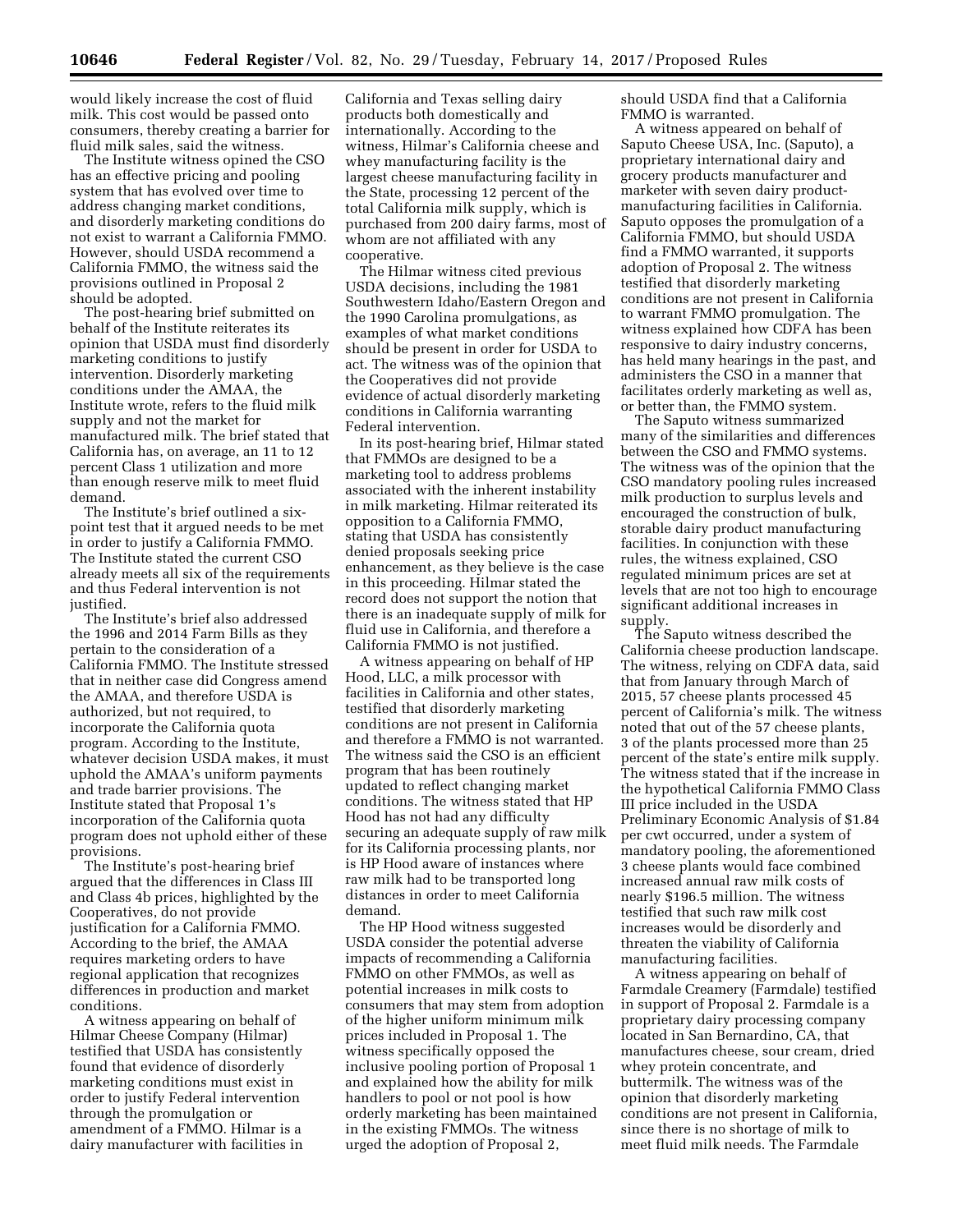would likely increase the cost of fluid milk. This cost would be passed onto consumers, thereby creating a barrier for fluid milk sales, said the witness.

The Institute witness opined the CSO has an effective pricing and pooling system that has evolved over time to address changing market conditions, and disorderly marketing conditions do not exist to warrant a California FMMO. However, should USDA recommend a California FMMO, the witness said the provisions outlined in Proposal 2 should be adopted.

The post-hearing brief submitted on behalf of the Institute reiterates its opinion that USDA must find disorderly marketing conditions to justify intervention. Disorderly marketing conditions under the AMAA, the Institute wrote, refers to the fluid milk supply and not the market for manufactured milk. The brief stated that California has, on average, an 11 to 12 percent Class 1 utilization and more than enough reserve milk to meet fluid demand.

The Institute's brief outlined a sixpoint test that it argued needs to be met in order to justify a California FMMO. The Institute stated the current CSO already meets all six of the requirements and thus Federal intervention is not justified.

The Institute's brief also addressed the 1996 and 2014 Farm Bills as they pertain to the consideration of a California FMMO. The Institute stressed that in neither case did Congress amend the AMAA, and therefore USDA is authorized, but not required, to incorporate the California quota program. According to the Institute, whatever decision USDA makes, it must uphold the AMAA's uniform payments and trade barrier provisions. The Institute stated that Proposal 1's incorporation of the California quota program does not uphold either of these provisions.

The Institute's post-hearing brief argued that the differences in Class III and Class 4b prices, highlighted by the Cooperatives, do not provide justification for a California FMMO. According to the brief, the AMAA requires marketing orders to have regional application that recognizes differences in production and market conditions.

A witness appearing on behalf of Hilmar Cheese Company (Hilmar) testified that USDA has consistently found that evidence of disorderly marketing conditions must exist in order to justify Federal intervention through the promulgation or amendment of a FMMO. Hilmar is a dairy manufacturer with facilities in California and Texas selling dairy products both domestically and internationally. According to the witness, Hilmar's California cheese and whey manufacturing facility is the largest cheese manufacturing facility in the State, processing 12 percent of the total California milk supply, which is purchased from 200 dairy farms, most of whom are not affiliated with any cooperative.

The Hilmar witness cited previous USDA decisions, including the 1981 Southwestern Idaho/Eastern Oregon and the 1990 Carolina promulgations, as examples of what market conditions should be present in order for USDA to act. The witness was of the opinion that the Cooperatives did not provide evidence of actual disorderly marketing conditions in California warranting Federal intervention.

In its post-hearing brief, Hilmar stated that FMMOs are designed to be a marketing tool to address problems associated with the inherent instability in milk marketing. Hilmar reiterated its opposition to a California FMMO, stating that USDA has consistently denied proposals seeking price enhancement, as they believe is the case in this proceeding. Hilmar stated the record does not support the notion that there is an inadequate supply of milk for fluid use in California, and therefore a California FMMO is not justified.

A witness appearing on behalf of HP Hood, LLC, a milk processor with facilities in California and other states, testified that disorderly marketing conditions are not present in California and therefore a FMMO is not warranted. The witness said the CSO is an efficient program that has been routinely updated to reflect changing market conditions. The witness stated that HP Hood has not had any difficulty securing an adequate supply of raw milk for its California processing plants, nor is HP Hood aware of instances where raw milk had to be transported long distances in order to meet California demand.

The HP Hood witness suggested USDA consider the potential adverse impacts of recommending a California FMMO on other FMMOs, as well as potential increases in milk costs to consumers that may stem from adoption of the higher uniform minimum milk prices included in Proposal 1. The witness specifically opposed the inclusive pooling portion of Proposal 1 and explained how the ability for milk handlers to pool or not pool is how orderly marketing has been maintained in the existing FMMOs. The witness urged the adoption of Proposal 2,

should USDA find that a California FMMO is warranted.

A witness appeared on behalf of Saputo Cheese USA, Inc. (Saputo), a proprietary international dairy and grocery products manufacturer and marketer with seven dairy productmanufacturing facilities in California. Saputo opposes the promulgation of a California FMMO, but should USDA find a FMMO warranted, it supports adoption of Proposal 2. The witness testified that disorderly marketing conditions are not present in California to warrant FMMO promulgation. The witness explained how CDFA has been responsive to dairy industry concerns, has held many hearings in the past, and administers the CSO in a manner that facilitates orderly marketing as well as, or better than, the FMMO system.

The Saputo witness summarized many of the similarities and differences between the CSO and FMMO systems. The witness was of the opinion that the CSO mandatory pooling rules increased milk production to surplus levels and encouraged the construction of bulk, storable dairy product manufacturing facilities. In conjunction with these rules, the witness explained, CSO regulated minimum prices are set at levels that are not too high to encourage significant additional increases in supply.

The Saputo witness described the California cheese production landscape. The witness, relying on CDFA data, said that from January through March of 2015, 57 cheese plants processed 45 percent of California's milk. The witness noted that out of the 57 cheese plants, 3 of the plants processed more than 25 percent of the state's entire milk supply. The witness stated that if the increase in the hypothetical California FMMO Class III price included in the USDA Preliminary Economic Analysis of \$1.84 per cwt occurred, under a system of mandatory pooling, the aforementioned 3 cheese plants would face combined increased annual raw milk costs of nearly \$196.5 million. The witness testified that such raw milk cost increases would be disorderly and threaten the viability of California manufacturing facilities.

A witness appearing on behalf of Farmdale Creamery (Farmdale) testified in support of Proposal 2. Farmdale is a proprietary dairy processing company located in San Bernardino, CA, that manufactures cheese, sour cream, dried whey protein concentrate, and buttermilk. The witness was of the opinion that disorderly marketing conditions are not present in California, since there is no shortage of milk to meet fluid milk needs. The Farmdale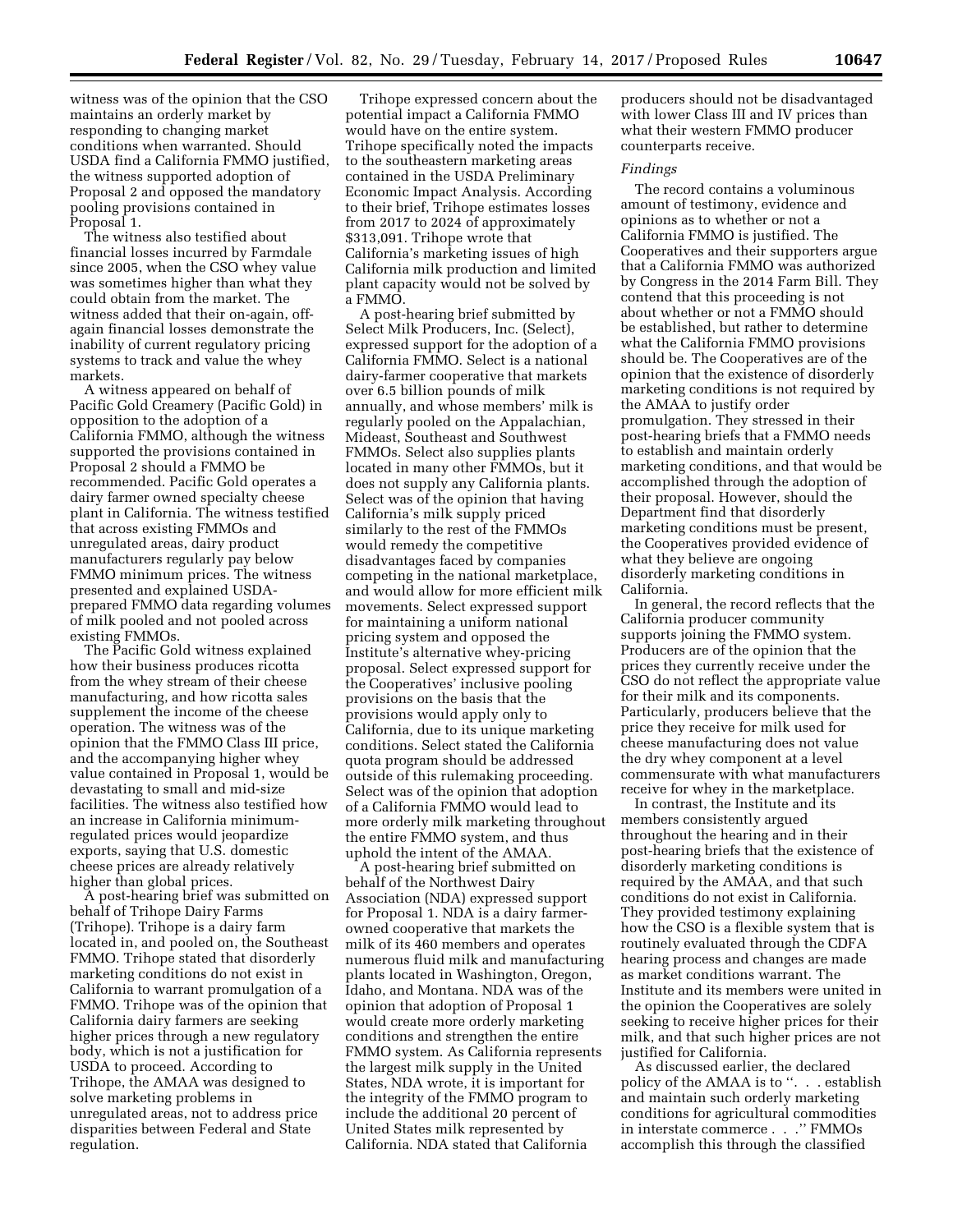witness was of the opinion that the CSO maintains an orderly market by responding to changing market conditions when warranted. Should USDA find a California FMMO justified, the witness supported adoption of Proposal 2 and opposed the mandatory pooling provisions contained in Proposal 1.

The witness also testified about financial losses incurred by Farmdale since 2005, when the CSO whey value was sometimes higher than what they could obtain from the market. The witness added that their on-again, offagain financial losses demonstrate the inability of current regulatory pricing systems to track and value the whey markets.

A witness appeared on behalf of Pacific Gold Creamery (Pacific Gold) in opposition to the adoption of a California FMMO, although the witness supported the provisions contained in Proposal 2 should a FMMO be recommended. Pacific Gold operates a dairy farmer owned specialty cheese plant in California. The witness testified that across existing FMMOs and unregulated areas, dairy product manufacturers regularly pay below FMMO minimum prices. The witness presented and explained USDAprepared FMMO data regarding volumes of milk pooled and not pooled across existing FMMOs.

The Pacific Gold witness explained how their business produces ricotta from the whey stream of their cheese manufacturing, and how ricotta sales supplement the income of the cheese operation. The witness was of the opinion that the FMMO Class III price, and the accompanying higher whey value contained in Proposal 1, would be devastating to small and mid-size facilities. The witness also testified how an increase in California minimumregulated prices would jeopardize exports, saying that U.S. domestic cheese prices are already relatively higher than global prices.

A post-hearing brief was submitted on behalf of Trihope Dairy Farms (Trihope). Trihope is a dairy farm located in, and pooled on, the Southeast FMMO. Trihope stated that disorderly marketing conditions do not exist in California to warrant promulgation of a FMMO. Trihope was of the opinion that California dairy farmers are seeking higher prices through a new regulatory body, which is not a justification for USDA to proceed. According to Trihope, the AMAA was designed to solve marketing problems in unregulated areas, not to address price disparities between Federal and State regulation.

Trihope expressed concern about the potential impact a California FMMO would have on the entire system. Trihope specifically noted the impacts to the southeastern marketing areas contained in the USDA Preliminary Economic Impact Analysis. According to their brief, Trihope estimates losses from 2017 to 2024 of approximately \$313,091. Trihope wrote that California's marketing issues of high California milk production and limited plant capacity would not be solved by a FMMO.

A post-hearing brief submitted by Select Milk Producers, Inc. (Select), expressed support for the adoption of a California FMMO. Select is a national dairy-farmer cooperative that markets over 6.5 billion pounds of milk annually, and whose members' milk is regularly pooled on the Appalachian, Mideast, Southeast and Southwest FMMOs. Select also supplies plants located in many other FMMOs, but it does not supply any California plants. Select was of the opinion that having California's milk supply priced similarly to the rest of the FMMOs would remedy the competitive disadvantages faced by companies competing in the national marketplace, and would allow for more efficient milk movements. Select expressed support for maintaining a uniform national pricing system and opposed the Institute's alternative whey-pricing proposal. Select expressed support for the Cooperatives' inclusive pooling provisions on the basis that the provisions would apply only to California, due to its unique marketing conditions. Select stated the California quota program should be addressed outside of this rulemaking proceeding. Select was of the opinion that adoption of a California FMMO would lead to more orderly milk marketing throughout the entire FMMO system, and thus uphold the intent of the AMAA.

A post-hearing brief submitted on behalf of the Northwest Dairy Association (NDA) expressed support for Proposal 1. NDA is a dairy farmerowned cooperative that markets the milk of its 460 members and operates numerous fluid milk and manufacturing plants located in Washington, Oregon, Idaho, and Montana. NDA was of the opinion that adoption of Proposal 1 would create more orderly marketing conditions and strengthen the entire FMMO system. As California represents the largest milk supply in the United States, NDA wrote, it is important for the integrity of the FMMO program to include the additional 20 percent of United States milk represented by California. NDA stated that California

producers should not be disadvantaged with lower Class III and IV prices than what their western FMMO producer counterparts receive.

#### *Findings*

The record contains a voluminous amount of testimony, evidence and opinions as to whether or not a California FMMO is justified. The Cooperatives and their supporters argue that a California FMMO was authorized by Congress in the 2014 Farm Bill. They contend that this proceeding is not about whether or not a FMMO should be established, but rather to determine what the California FMMO provisions should be. The Cooperatives are of the opinion that the existence of disorderly marketing conditions is not required by the AMAA to justify order promulgation. They stressed in their post-hearing briefs that a FMMO needs to establish and maintain orderly marketing conditions, and that would be accomplished through the adoption of their proposal. However, should the Department find that disorderly marketing conditions must be present, the Cooperatives provided evidence of what they believe are ongoing disorderly marketing conditions in California.

In general, the record reflects that the California producer community supports joining the FMMO system. Producers are of the opinion that the prices they currently receive under the CSO do not reflect the appropriate value for their milk and its components. Particularly, producers believe that the price they receive for milk used for cheese manufacturing does not value the dry whey component at a level commensurate with what manufacturers receive for whey in the marketplace.

In contrast, the Institute and its members consistently argued throughout the hearing and in their post-hearing briefs that the existence of disorderly marketing conditions is required by the AMAA, and that such conditions do not exist in California. They provided testimony explaining how the CSO is a flexible system that is routinely evaluated through the CDFA hearing process and changes are made as market conditions warrant. The Institute and its members were united in the opinion the Cooperatives are solely seeking to receive higher prices for their milk, and that such higher prices are not justified for California.

As discussed earlier, the declared policy of the AMAA is to ''. . . establish and maintain such orderly marketing conditions for agricultural commodities in interstate commerce . . .'' FMMOs accomplish this through the classified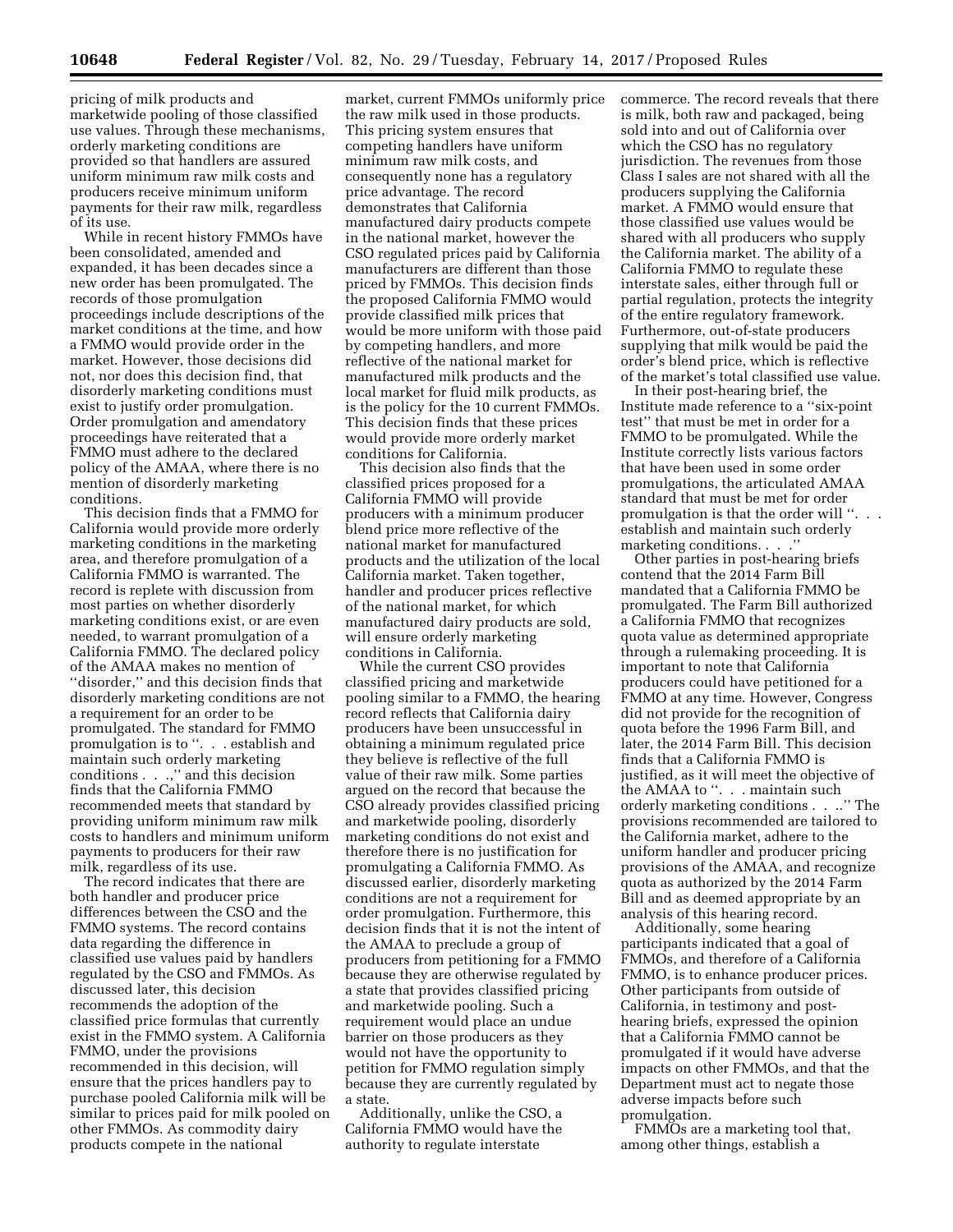pricing of milk products and marketwide pooling of those classified use values. Through these mechanisms, orderly marketing conditions are provided so that handlers are assured uniform minimum raw milk costs and producers receive minimum uniform payments for their raw milk, regardless of its use.

While in recent history FMMOs have been consolidated, amended and expanded, it has been decades since a new order has been promulgated. The records of those promulgation proceedings include descriptions of the market conditions at the time, and how a FMMO would provide order in the market. However, those decisions did not, nor does this decision find, that disorderly marketing conditions must exist to justify order promulgation. Order promulgation and amendatory proceedings have reiterated that a FMMO must adhere to the declared policy of the AMAA, where there is no mention of disorderly marketing conditions.

This decision finds that a FMMO for California would provide more orderly marketing conditions in the marketing area, and therefore promulgation of a California FMMO is warranted. The record is replete with discussion from most parties on whether disorderly marketing conditions exist, or are even needed, to warrant promulgation of a California FMMO. The declared policy of the AMAA makes no mention of ''disorder,'' and this decision finds that disorderly marketing conditions are not a requirement for an order to be promulgated. The standard for FMMO promulgation is to ''. . . establish and maintain such orderly marketing conditions . . .,'' and this decision finds that the California FMMO recommended meets that standard by providing uniform minimum raw milk costs to handlers and minimum uniform payments to producers for their raw milk, regardless of its use.

The record indicates that there are both handler and producer price differences between the CSO and the FMMO systems. The record contains data regarding the difference in classified use values paid by handlers regulated by the CSO and FMMOs. As discussed later, this decision recommends the adoption of the classified price formulas that currently exist in the FMMO system. A California FMMO, under the provisions recommended in this decision, will ensure that the prices handlers pay to purchase pooled California milk will be similar to prices paid for milk pooled on other FMMOs. As commodity dairy products compete in the national

market, current FMMOs uniformly price the raw milk used in those products. This pricing system ensures that competing handlers have uniform minimum raw milk costs, and consequently none has a regulatory price advantage. The record demonstrates that California manufactured dairy products compete in the national market, however the CSO regulated prices paid by California manufacturers are different than those priced by FMMOs. This decision finds the proposed California FMMO would provide classified milk prices that would be more uniform with those paid by competing handlers, and more reflective of the national market for manufactured milk products and the local market for fluid milk products, as is the policy for the 10 current FMMOs. This decision finds that these prices would provide more orderly market conditions for California.

This decision also finds that the classified prices proposed for a California FMMO will provide producers with a minimum producer blend price more reflective of the national market for manufactured products and the utilization of the local California market. Taken together, handler and producer prices reflective of the national market, for which manufactured dairy products are sold, will ensure orderly marketing conditions in California.

While the current CSO provides classified pricing and marketwide pooling similar to a FMMO, the hearing record reflects that California dairy producers have been unsuccessful in obtaining a minimum regulated price they believe is reflective of the full value of their raw milk. Some parties argued on the record that because the CSO already provides classified pricing and marketwide pooling, disorderly marketing conditions do not exist and therefore there is no justification for promulgating a California FMMO. As discussed earlier, disorderly marketing conditions are not a requirement for order promulgation. Furthermore, this decision finds that it is not the intent of the AMAA to preclude a group of producers from petitioning for a FMMO because they are otherwise regulated by a state that provides classified pricing and marketwide pooling. Such a requirement would place an undue barrier on those producers as they would not have the opportunity to petition for FMMO regulation simply because they are currently regulated by a state.

Additionally, unlike the CSO, a California FMMO would have the authority to regulate interstate

commerce. The record reveals that there is milk, both raw and packaged, being sold into and out of California over which the CSO has no regulatory jurisdiction. The revenues from those Class I sales are not shared with all the producers supplying the California market. A FMMO would ensure that those classified use values would be shared with all producers who supply the California market. The ability of a California FMMO to regulate these interstate sales, either through full or partial regulation, protects the integrity of the entire regulatory framework. Furthermore, out-of-state producers supplying that milk would be paid the order's blend price, which is reflective of the market's total classified use value.

In their post-hearing brief, the Institute made reference to a ''six-point test'' that must be met in order for a FMMO to be promulgated. While the Institute correctly lists various factors that have been used in some order promulgations, the articulated AMAA standard that must be met for order promulgation is that the order will ''. . . establish and maintain such orderly marketing conditions. . . .''

Other parties in post-hearing briefs contend that the 2014 Farm Bill mandated that a California FMMO be promulgated. The Farm Bill authorized a California FMMO that recognizes quota value as determined appropriate through a rulemaking proceeding. It is important to note that California producers could have petitioned for a FMMO at any time. However, Congress did not provide for the recognition of quota before the 1996 Farm Bill, and later, the 2014 Farm Bill. This decision finds that a California FMMO is justified, as it will meet the objective of the AMAA to ''. . . maintain such orderly marketing conditions . . ..'' The provisions recommended are tailored to the California market, adhere to the uniform handler and producer pricing provisions of the AMAA, and recognize quota as authorized by the 2014 Farm Bill and as deemed appropriate by an analysis of this hearing record.

Additionally, some hearing participants indicated that a goal of FMMOs, and therefore of a California FMMO, is to enhance producer prices. Other participants from outside of California, in testimony and posthearing briefs, expressed the opinion that a California FMMO cannot be promulgated if it would have adverse impacts on other FMMOs, and that the Department must act to negate those adverse impacts before such promulgation.

FMMOs are a marketing tool that, among other things, establish a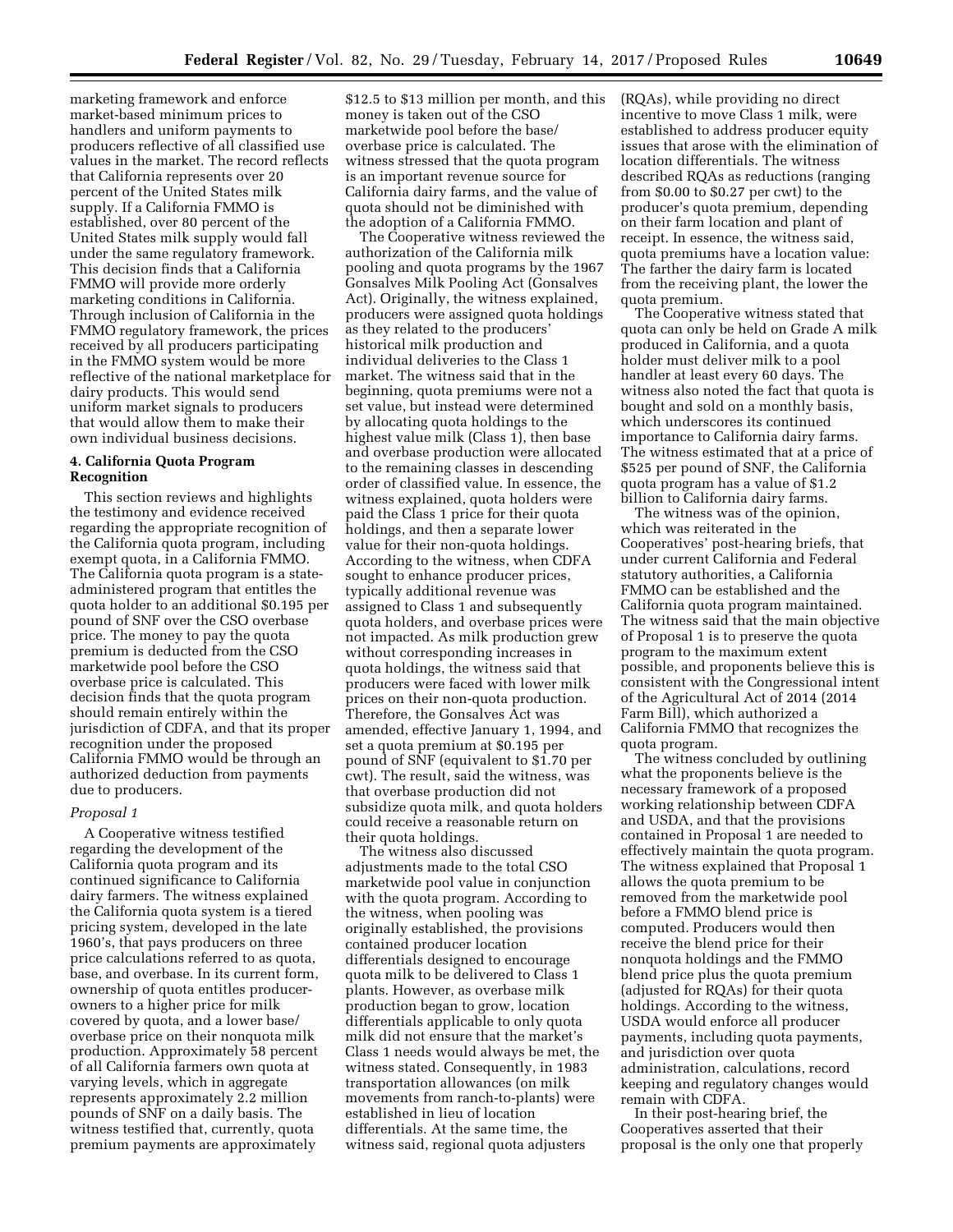marketing framework and enforce market-based minimum prices to handlers and uniform payments to producers reflective of all classified use values in the market. The record reflects that California represents over 20 percent of the United States milk supply. If a California FMMO is established, over 80 percent of the United States milk supply would fall under the same regulatory framework. This decision finds that a California FMMO will provide more orderly marketing conditions in California. Through inclusion of California in the FMMO regulatory framework, the prices received by all producers participating in the FMMO system would be more reflective of the national marketplace for dairy products. This would send uniform market signals to producers that would allow them to make their own individual business decisions.

# **4. California Quota Program Recognition**

This section reviews and highlights the testimony and evidence received regarding the appropriate recognition of the California quota program, including exempt quota, in a California FMMO. The California quota program is a stateadministered program that entitles the quota holder to an additional \$0.195 per pound of SNF over the CSO overbase price. The money to pay the quota premium is deducted from the CSO marketwide pool before the CSO overbase price is calculated. This decision finds that the quota program should remain entirely within the jurisdiction of CDFA, and that its proper recognition under the proposed California FMMO would be through an authorized deduction from payments due to producers.

## *Proposal 1*

A Cooperative witness testified regarding the development of the California quota program and its continued significance to California dairy farmers. The witness explained the California quota system is a tiered pricing system, developed in the late 1960's, that pays producers on three price calculations referred to as quota, base, and overbase. In its current form, ownership of quota entitles producerowners to a higher price for milk covered by quota, and a lower base/ overbase price on their nonquota milk production. Approximately 58 percent of all California farmers own quota at varying levels, which in aggregate represents approximately 2.2 million pounds of SNF on a daily basis. The witness testified that, currently, quota premium payments are approximately

\$12.5 to \$13 million per month, and this money is taken out of the CSO marketwide pool before the base/ overbase price is calculated. The witness stressed that the quota program is an important revenue source for California dairy farms, and the value of quota should not be diminished with the adoption of a California FMMO.

The Cooperative witness reviewed the authorization of the California milk pooling and quota programs by the 1967 Gonsalves Milk Pooling Act (Gonsalves Act). Originally, the witness explained, producers were assigned quota holdings as they related to the producers' historical milk production and individual deliveries to the Class 1 market. The witness said that in the beginning, quota premiums were not a set value, but instead were determined by allocating quota holdings to the highest value milk (Class 1), then base and overbase production were allocated to the remaining classes in descending order of classified value. In essence, the witness explained, quota holders were paid the Class 1 price for their quota holdings, and then a separate lower value for their non-quota holdings. According to the witness, when CDFA sought to enhance producer prices, typically additional revenue was assigned to Class 1 and subsequently quota holders, and overbase prices were not impacted. As milk production grew without corresponding increases in quota holdings, the witness said that producers were faced with lower milk prices on their non-quota production. Therefore, the Gonsalves Act was amended, effective January 1, 1994, and set a quota premium at \$0.195 per pound of SNF (equivalent to \$1.70 per cwt). The result, said the witness, was that overbase production did not subsidize quota milk, and quota holders could receive a reasonable return on their quota holdings.

The witness also discussed adjustments made to the total CSO marketwide pool value in conjunction with the quota program. According to the witness, when pooling was originally established, the provisions contained producer location differentials designed to encourage quota milk to be delivered to Class 1 plants. However, as overbase milk production began to grow, location differentials applicable to only quota milk did not ensure that the market's Class 1 needs would always be met, the witness stated. Consequently, in 1983 transportation allowances (on milk movements from ranch-to-plants) were established in lieu of location differentials. At the same time, the witness said, regional quota adjusters

(RQAs), while providing no direct incentive to move Class 1 milk, were established to address producer equity issues that arose with the elimination of location differentials. The witness described RQAs as reductions (ranging from \$0.00 to \$0.27 per cwt) to the producer's quota premium, depending on their farm location and plant of receipt. In essence, the witness said, quota premiums have a location value: The farther the dairy farm is located from the receiving plant, the lower the quota premium.

The Cooperative witness stated that quota can only be held on Grade A milk produced in California, and a quota holder must deliver milk to a pool handler at least every 60 days. The witness also noted the fact that quota is bought and sold on a monthly basis, which underscores its continued importance to California dairy farms. The witness estimated that at a price of \$525 per pound of SNF, the California quota program has a value of \$1.2 billion to California dairy farms.

The witness was of the opinion, which was reiterated in the Cooperatives' post-hearing briefs, that under current California and Federal statutory authorities, a California FMMO can be established and the California quota program maintained. The witness said that the main objective of Proposal 1 is to preserve the quota program to the maximum extent possible, and proponents believe this is consistent with the Congressional intent of the Agricultural Act of 2014 (2014 Farm Bill), which authorized a California FMMO that recognizes the quota program.

The witness concluded by outlining what the proponents believe is the necessary framework of a proposed working relationship between CDFA and USDA, and that the provisions contained in Proposal 1 are needed to effectively maintain the quota program. The witness explained that Proposal 1 allows the quota premium to be removed from the marketwide pool before a FMMO blend price is computed. Producers would then receive the blend price for their nonquota holdings and the FMMO blend price plus the quota premium (adjusted for RQAs) for their quota holdings. According to the witness, USDA would enforce all producer payments, including quota payments, and jurisdiction over quota administration, calculations, record keeping and regulatory changes would remain with CDFA.

In their post-hearing brief, the Cooperatives asserted that their proposal is the only one that properly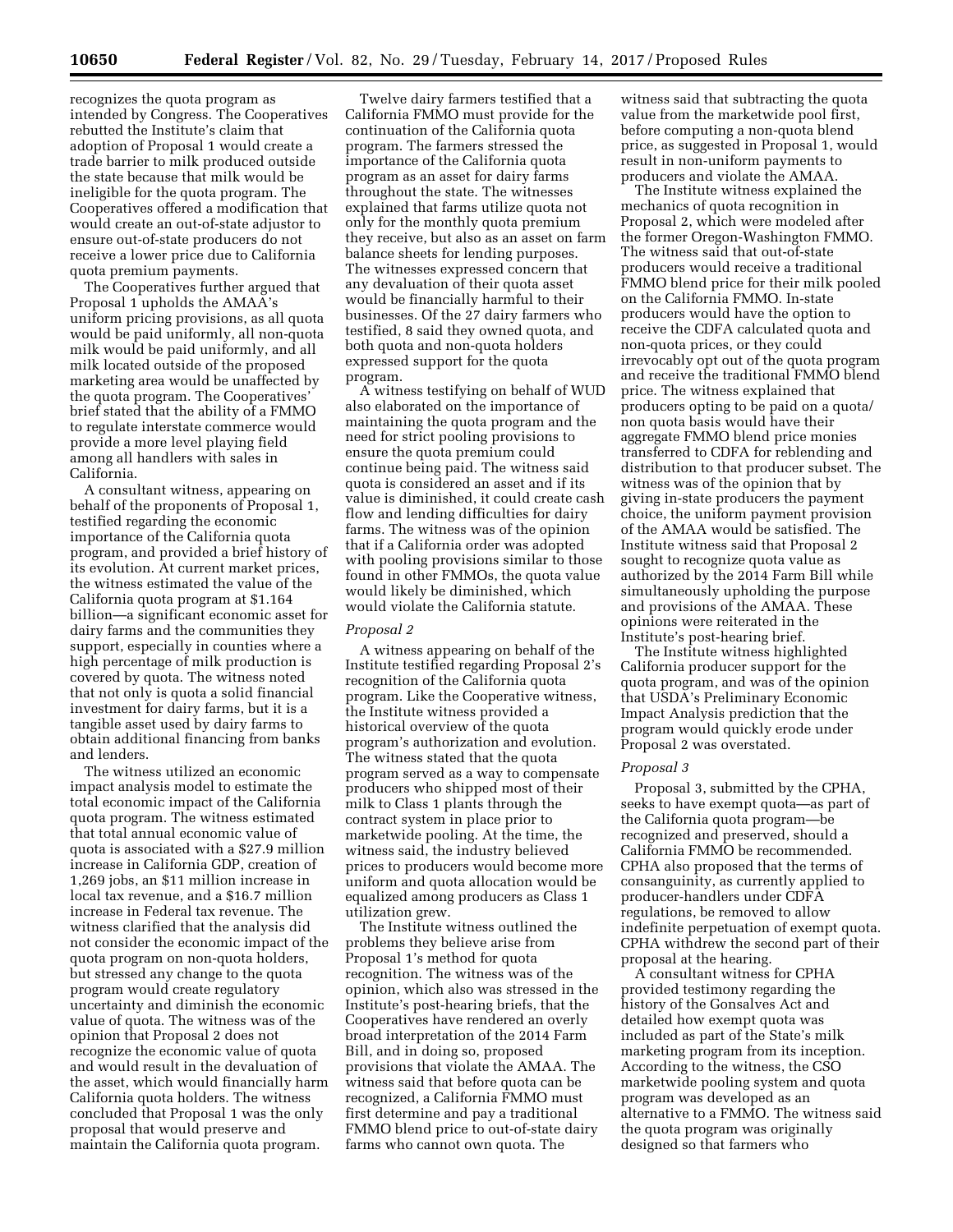recognizes the quota program as intended by Congress. The Cooperatives rebutted the Institute's claim that adoption of Proposal 1 would create a trade barrier to milk produced outside the state because that milk would be ineligible for the quota program. The Cooperatives offered a modification that would create an out-of-state adjustor to ensure out-of-state producers do not receive a lower price due to California quota premium payments.

The Cooperatives further argued that Proposal 1 upholds the AMAA's uniform pricing provisions, as all quota would be paid uniformly, all non-quota milk would be paid uniformly, and all milk located outside of the proposed marketing area would be unaffected by the quota program. The Cooperatives' brief stated that the ability of a FMMO to regulate interstate commerce would provide a more level playing field among all handlers with sales in California.

A consultant witness, appearing on behalf of the proponents of Proposal 1, testified regarding the economic importance of the California quota program, and provided a brief history of its evolution. At current market prices, the witness estimated the value of the California quota program at \$1.164 billion—a significant economic asset for dairy farms and the communities they support, especially in counties where a high percentage of milk production is covered by quota. The witness noted that not only is quota a solid financial investment for dairy farms, but it is a tangible asset used by dairy farms to obtain additional financing from banks and lenders.

The witness utilized an economic impact analysis model to estimate the total economic impact of the California quota program. The witness estimated that total annual economic value of quota is associated with a \$27.9 million increase in California GDP, creation of 1,269 jobs, an \$11 million increase in local tax revenue, and a \$16.7 million increase in Federal tax revenue. The witness clarified that the analysis did not consider the economic impact of the quota program on non-quota holders, but stressed any change to the quota program would create regulatory uncertainty and diminish the economic value of quota. The witness was of the opinion that Proposal 2 does not recognize the economic value of quota and would result in the devaluation of the asset, which would financially harm California quota holders. The witness concluded that Proposal 1 was the only proposal that would preserve and maintain the California quota program.

Twelve dairy farmers testified that a California FMMO must provide for the continuation of the California quota program. The farmers stressed the importance of the California quota program as an asset for dairy farms throughout the state. The witnesses explained that farms utilize quota not only for the monthly quota premium they receive, but also as an asset on farm balance sheets for lending purposes. The witnesses expressed concern that any devaluation of their quota asset would be financially harmful to their businesses. Of the 27 dairy farmers who testified, 8 said they owned quota, and both quota and non-quota holders expressed support for the quota program.

A witness testifying on behalf of WUD also elaborated on the importance of maintaining the quota program and the need for strict pooling provisions to ensure the quota premium could continue being paid. The witness said quota is considered an asset and if its value is diminished, it could create cash flow and lending difficulties for dairy farms. The witness was of the opinion that if a California order was adopted with pooling provisions similar to those found in other FMMOs, the quota value would likely be diminished, which would violate the California statute.

#### *Proposal 2*

A witness appearing on behalf of the Institute testified regarding Proposal 2's recognition of the California quota program. Like the Cooperative witness, the Institute witness provided a historical overview of the quota program's authorization and evolution. The witness stated that the quota program served as a way to compensate producers who shipped most of their milk to Class 1 plants through the contract system in place prior to marketwide pooling. At the time, the witness said, the industry believed prices to producers would become more uniform and quota allocation would be equalized among producers as Class 1 utilization grew.

The Institute witness outlined the problems they believe arise from Proposal 1's method for quota recognition. The witness was of the opinion, which also was stressed in the Institute's post-hearing briefs, that the Cooperatives have rendered an overly broad interpretation of the 2014 Farm Bill, and in doing so, proposed provisions that violate the AMAA. The witness said that before quota can be recognized, a California FMMO must first determine and pay a traditional FMMO blend price to out-of-state dairy farms who cannot own quota. The

witness said that subtracting the quota value from the marketwide pool first, before computing a non-quota blend price, as suggested in Proposal 1, would result in non-uniform payments to producers and violate the AMAA.

The Institute witness explained the mechanics of quota recognition in Proposal 2, which were modeled after the former Oregon-Washington FMMO. The witness said that out-of-state producers would receive a traditional FMMO blend price for their milk pooled on the California FMMO. In-state producers would have the option to receive the CDFA calculated quota and non-quota prices, or they could irrevocably opt out of the quota program and receive the traditional FMMO blend price. The witness explained that producers opting to be paid on a quota/ non quota basis would have their aggregate FMMO blend price monies transferred to CDFA for reblending and distribution to that producer subset. The witness was of the opinion that by giving in-state producers the payment choice, the uniform payment provision of the AMAA would be satisfied. The Institute witness said that Proposal 2 sought to recognize quota value as authorized by the 2014 Farm Bill while simultaneously upholding the purpose and provisions of the AMAA. These opinions were reiterated in the Institute's post-hearing brief.

The Institute witness highlighted California producer support for the quota program, and was of the opinion that USDA's Preliminary Economic Impact Analysis prediction that the program would quickly erode under Proposal 2 was overstated.

## *Proposal 3*

Proposal 3, submitted by the CPHA, seeks to have exempt quota—as part of the California quota program—be recognized and preserved, should a California FMMO be recommended. CPHA also proposed that the terms of consanguinity, as currently applied to producer-handlers under CDFA regulations, be removed to allow indefinite perpetuation of exempt quota. CPHA withdrew the second part of their proposal at the hearing.

A consultant witness for CPHA provided testimony regarding the history of the Gonsalves Act and detailed how exempt quota was included as part of the State's milk marketing program from its inception. According to the witness, the CSO marketwide pooling system and quota program was developed as an alternative to a FMMO. The witness said the quota program was originally designed so that farmers who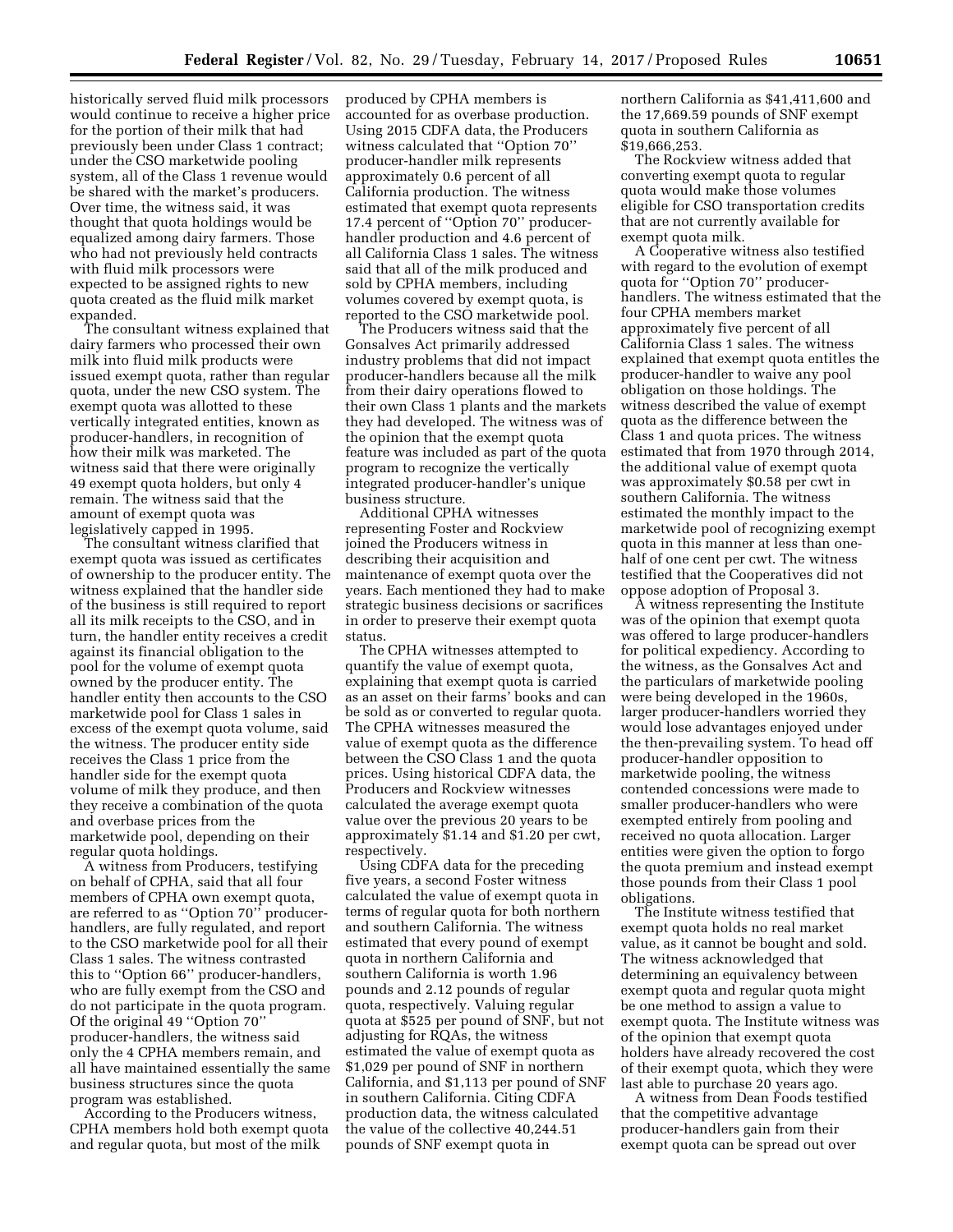historically served fluid milk processors would continue to receive a higher price for the portion of their milk that had previously been under Class 1 contract; under the CSO marketwide pooling system, all of the Class 1 revenue would be shared with the market's producers. Over time, the witness said, it was thought that quota holdings would be equalized among dairy farmers. Those who had not previously held contracts with fluid milk processors were expected to be assigned rights to new quota created as the fluid milk market expanded.

The consultant witness explained that dairy farmers who processed their own milk into fluid milk products were issued exempt quota, rather than regular quota, under the new CSO system. The exempt quota was allotted to these vertically integrated entities, known as producer-handlers, in recognition of how their milk was marketed. The witness said that there were originally 49 exempt quota holders, but only 4 remain. The witness said that the amount of exempt quota was legislatively capped in 1995.

The consultant witness clarified that exempt quota was issued as certificates of ownership to the producer entity. The witness explained that the handler side of the business is still required to report all its milk receipts to the CSO, and in turn, the handler entity receives a credit against its financial obligation to the pool for the volume of exempt quota owned by the producer entity. The handler entity then accounts to the CSO marketwide pool for Class 1 sales in excess of the exempt quota volume, said the witness. The producer entity side receives the Class 1 price from the handler side for the exempt quota volume of milk they produce, and then they receive a combination of the quota and overbase prices from the marketwide pool, depending on their regular quota holdings.

A witness from Producers, testifying on behalf of CPHA, said that all four members of CPHA own exempt quota, are referred to as ''Option 70'' producerhandlers, are fully regulated, and report to the CSO marketwide pool for all their Class 1 sales. The witness contrasted this to ''Option 66'' producer-handlers, who are fully exempt from the CSO and do not participate in the quota program. Of the original 49 ''Option 70'' producer-handlers, the witness said only the 4 CPHA members remain, and all have maintained essentially the same business structures since the quota program was established.

According to the Producers witness, CPHA members hold both exempt quota and regular quota, but most of the milk

produced by CPHA members is accounted for as overbase production. Using 2015 CDFA data, the Producers witness calculated that ''Option 70'' producer-handler milk represents approximately 0.6 percent of all California production. The witness estimated that exempt quota represents 17.4 percent of ''Option 70'' producerhandler production and 4.6 percent of all California Class 1 sales. The witness said that all of the milk produced and sold by CPHA members, including volumes covered by exempt quota, is reported to the CSO marketwide pool.

The Producers witness said that the Gonsalves Act primarily addressed industry problems that did not impact producer-handlers because all the milk from their dairy operations flowed to their own Class 1 plants and the markets they had developed. The witness was of the opinion that the exempt quota feature was included as part of the quota program to recognize the vertically integrated producer-handler's unique business structure.

Additional CPHA witnesses representing Foster and Rockview joined the Producers witness in describing their acquisition and maintenance of exempt quota over the years. Each mentioned they had to make strategic business decisions or sacrifices in order to preserve their exempt quota status.

The CPHA witnesses attempted to quantify the value of exempt quota, explaining that exempt quota is carried as an asset on their farms' books and can be sold as or converted to regular quota. The CPHA witnesses measured the value of exempt quota as the difference between the CSO Class 1 and the quota prices. Using historical CDFA data, the Producers and Rockview witnesses calculated the average exempt quota value over the previous 20 years to be approximately \$1.14 and \$1.20 per cwt, respectively.

Using CDFA data for the preceding five years, a second Foster witness calculated the value of exempt quota in terms of regular quota for both northern and southern California. The witness estimated that every pound of exempt quota in northern California and southern California is worth 1.96 pounds and 2.12 pounds of regular quota, respectively. Valuing regular quota at \$525 per pound of SNF, but not adjusting for RQAs, the witness estimated the value of exempt quota as \$1,029 per pound of SNF in northern California, and \$1,113 per pound of SNF in southern California. Citing CDFA production data, the witness calculated the value of the collective 40,244.51 pounds of SNF exempt quota in

northern California as \$41,411,600 and the 17,669.59 pounds of SNF exempt quota in southern California as \$19,666,253.

The Rockview witness added that converting exempt quota to regular quota would make those volumes eligible for CSO transportation credits that are not currently available for exempt quota milk.

A Cooperative witness also testified with regard to the evolution of exempt quota for ''Option 70'' producerhandlers. The witness estimated that the four CPHA members market approximately five percent of all California Class 1 sales. The witness explained that exempt quota entitles the producer-handler to waive any pool obligation on those holdings. The witness described the value of exempt quota as the difference between the Class 1 and quota prices. The witness estimated that from 1970 through 2014, the additional value of exempt quota was approximately \$0.58 per cwt in southern California. The witness estimated the monthly impact to the marketwide pool of recognizing exempt quota in this manner at less than onehalf of one cent per cwt. The witness testified that the Cooperatives did not oppose adoption of Proposal 3.

A witness representing the Institute was of the opinion that exempt quota was offered to large producer-handlers for political expediency. According to the witness, as the Gonsalves Act and the particulars of marketwide pooling were being developed in the 1960s, larger producer-handlers worried they would lose advantages enjoyed under the then-prevailing system. To head off producer-handler opposition to marketwide pooling, the witness contended concessions were made to smaller producer-handlers who were exempted entirely from pooling and received no quota allocation. Larger entities were given the option to forgo the quota premium and instead exempt those pounds from their Class 1 pool obligations.

The Institute witness testified that exempt quota holds no real market value, as it cannot be bought and sold. The witness acknowledged that determining an equivalency between exempt quota and regular quota might be one method to assign a value to exempt quota. The Institute witness was of the opinion that exempt quota holders have already recovered the cost of their exempt quota, which they were last able to purchase 20 years ago.

A witness from Dean Foods testified that the competitive advantage producer-handlers gain from their exempt quota can be spread out over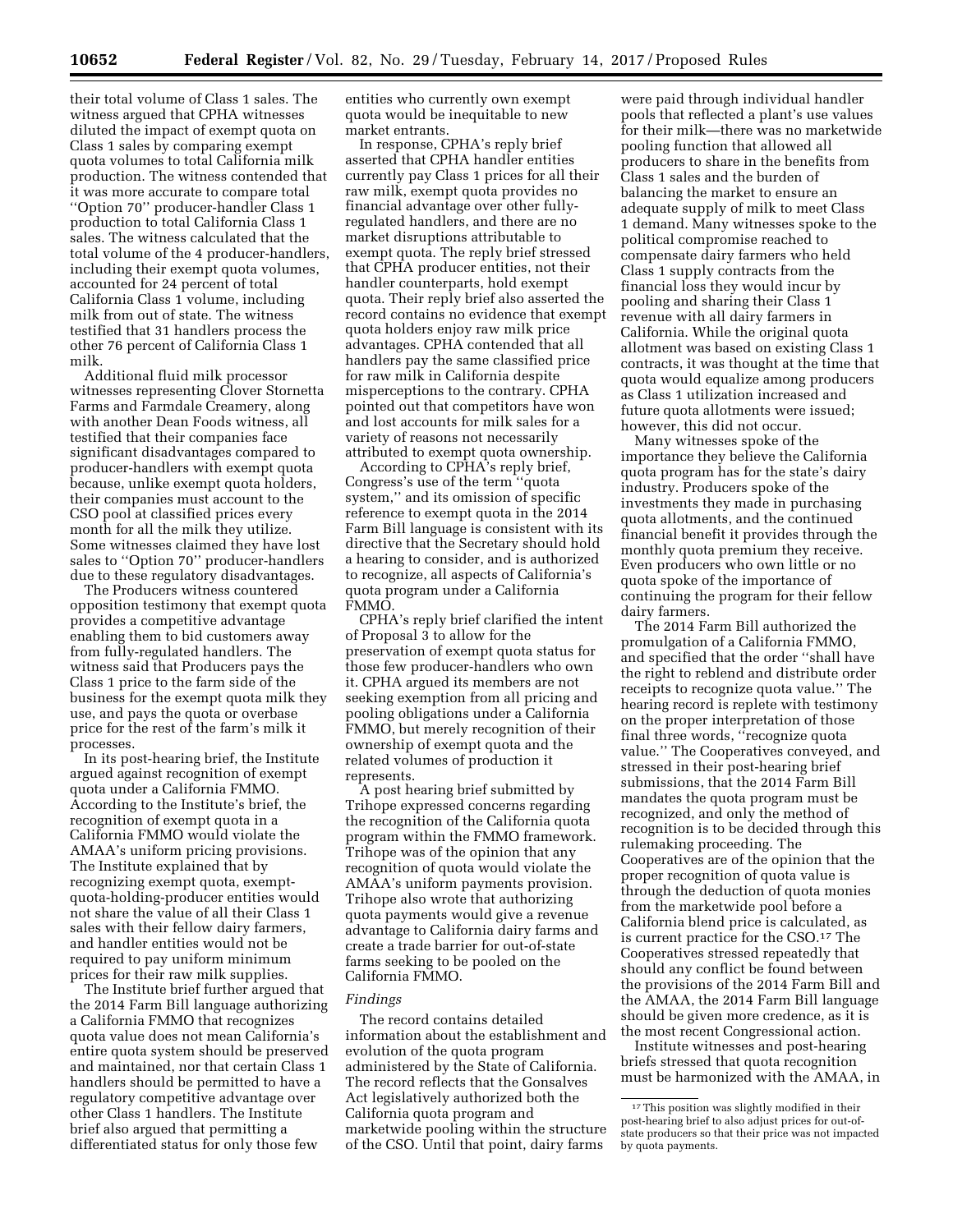their total volume of Class 1 sales. The witness argued that CPHA witnesses diluted the impact of exempt quota on Class 1 sales by comparing exempt quota volumes to total California milk production. The witness contended that it was more accurate to compare total ''Option 70'' producer-handler Class 1 production to total California Class 1 sales. The witness calculated that the total volume of the 4 producer-handlers, including their exempt quota volumes, accounted for 24 percent of total California Class 1 volume, including milk from out of state. The witness testified that 31 handlers process the other 76 percent of California Class 1 milk.

Additional fluid milk processor witnesses representing Clover Stornetta Farms and Farmdale Creamery, along with another Dean Foods witness, all testified that their companies face significant disadvantages compared to producer-handlers with exempt quota because, unlike exempt quota holders, their companies must account to the CSO pool at classified prices every month for all the milk they utilize. Some witnesses claimed they have lost sales to ''Option 70'' producer-handlers due to these regulatory disadvantages.

The Producers witness countered opposition testimony that exempt quota provides a competitive advantage enabling them to bid customers away from fully-regulated handlers. The witness said that Producers pays the Class 1 price to the farm side of the business for the exempt quota milk they use, and pays the quota or overbase price for the rest of the farm's milk it processes.

In its post-hearing brief, the Institute argued against recognition of exempt quota under a California FMMO. According to the Institute's brief, the recognition of exempt quota in a California FMMO would violate the AMAA's uniform pricing provisions. The Institute explained that by recognizing exempt quota, exemptquota-holding-producer entities would not share the value of all their Class 1 sales with their fellow dairy farmers, and handler entities would not be required to pay uniform minimum prices for their raw milk supplies.

The Institute brief further argued that the 2014 Farm Bill language authorizing a California FMMO that recognizes quota value does not mean California's entire quota system should be preserved and maintained, nor that certain Class 1 handlers should be permitted to have a regulatory competitive advantage over other Class 1 handlers. The Institute brief also argued that permitting a differentiated status for only those few

entities who currently own exempt quota would be inequitable to new market entrants.

In response, CPHA's reply brief asserted that CPHA handler entities currently pay Class 1 prices for all their raw milk, exempt quota provides no financial advantage over other fullyregulated handlers, and there are no market disruptions attributable to exempt quota. The reply brief stressed that CPHA producer entities, not their handler counterparts, hold exempt quota. Their reply brief also asserted the record contains no evidence that exempt quota holders enjoy raw milk price advantages. CPHA contended that all handlers pay the same classified price for raw milk in California despite misperceptions to the contrary. CPHA pointed out that competitors have won and lost accounts for milk sales for a variety of reasons not necessarily attributed to exempt quota ownership.

According to CPHA's reply brief, Congress's use of the term ''quota system,'' and its omission of specific reference to exempt quota in the 2014 Farm Bill language is consistent with its directive that the Secretary should hold a hearing to consider, and is authorized to recognize, all aspects of California's quota program under a California FMMO.

CPHA's reply brief clarified the intent of Proposal 3 to allow for the preservation of exempt quota status for those few producer-handlers who own it. CPHA argued its members are not seeking exemption from all pricing and pooling obligations under a California FMMO, but merely recognition of their ownership of exempt quota and the related volumes of production it represents.

A post hearing brief submitted by Trihope expressed concerns regarding the recognition of the California quota program within the FMMO framework. Trihope was of the opinion that any recognition of quota would violate the AMAA's uniform payments provision. Trihope also wrote that authorizing quota payments would give a revenue advantage to California dairy farms and create a trade barrier for out-of-state farms seeking to be pooled on the California FMMO.

#### *Findings*

The record contains detailed information about the establishment and evolution of the quota program administered by the State of California. The record reflects that the Gonsalves Act legislatively authorized both the California quota program and marketwide pooling within the structure of the CSO. Until that point, dairy farms

were paid through individual handler pools that reflected a plant's use values for their milk—there was no marketwide pooling function that allowed all producers to share in the benefits from Class 1 sales and the burden of balancing the market to ensure an adequate supply of milk to meet Class 1 demand. Many witnesses spoke to the political compromise reached to compensate dairy farmers who held Class 1 supply contracts from the financial loss they would incur by pooling and sharing their Class 1 revenue with all dairy farmers in California. While the original quota allotment was based on existing Class 1 contracts, it was thought at the time that quota would equalize among producers as Class 1 utilization increased and future quota allotments were issued; however, this did not occur.

Many witnesses spoke of the importance they believe the California quota program has for the state's dairy industry. Producers spoke of the investments they made in purchasing quota allotments, and the continued financial benefit it provides through the monthly quota premium they receive. Even producers who own little or no quota spoke of the importance of continuing the program for their fellow dairy farmers.

The 2014 Farm Bill authorized the promulgation of a California FMMO, and specified that the order ''shall have the right to reblend and distribute order receipts to recognize quota value.'' The hearing record is replete with testimony on the proper interpretation of those final three words, ''recognize quota value.'' The Cooperatives conveyed, and stressed in their post-hearing brief submissions, that the 2014 Farm Bill mandates the quota program must be recognized, and only the method of recognition is to be decided through this rulemaking proceeding. The Cooperatives are of the opinion that the proper recognition of quota value is through the deduction of quota monies from the marketwide pool before a California blend price is calculated, as is current practice for the CSO.17 The Cooperatives stressed repeatedly that should any conflict be found between the provisions of the 2014 Farm Bill and the AMAA, the 2014 Farm Bill language should be given more credence, as it is the most recent Congressional action.

Institute witnesses and post-hearing briefs stressed that quota recognition must be harmonized with the AMAA, in

<sup>17</sup>This position was slightly modified in their post-hearing brief to also adjust prices for out-ofstate producers so that their price was not impacted by quota payments.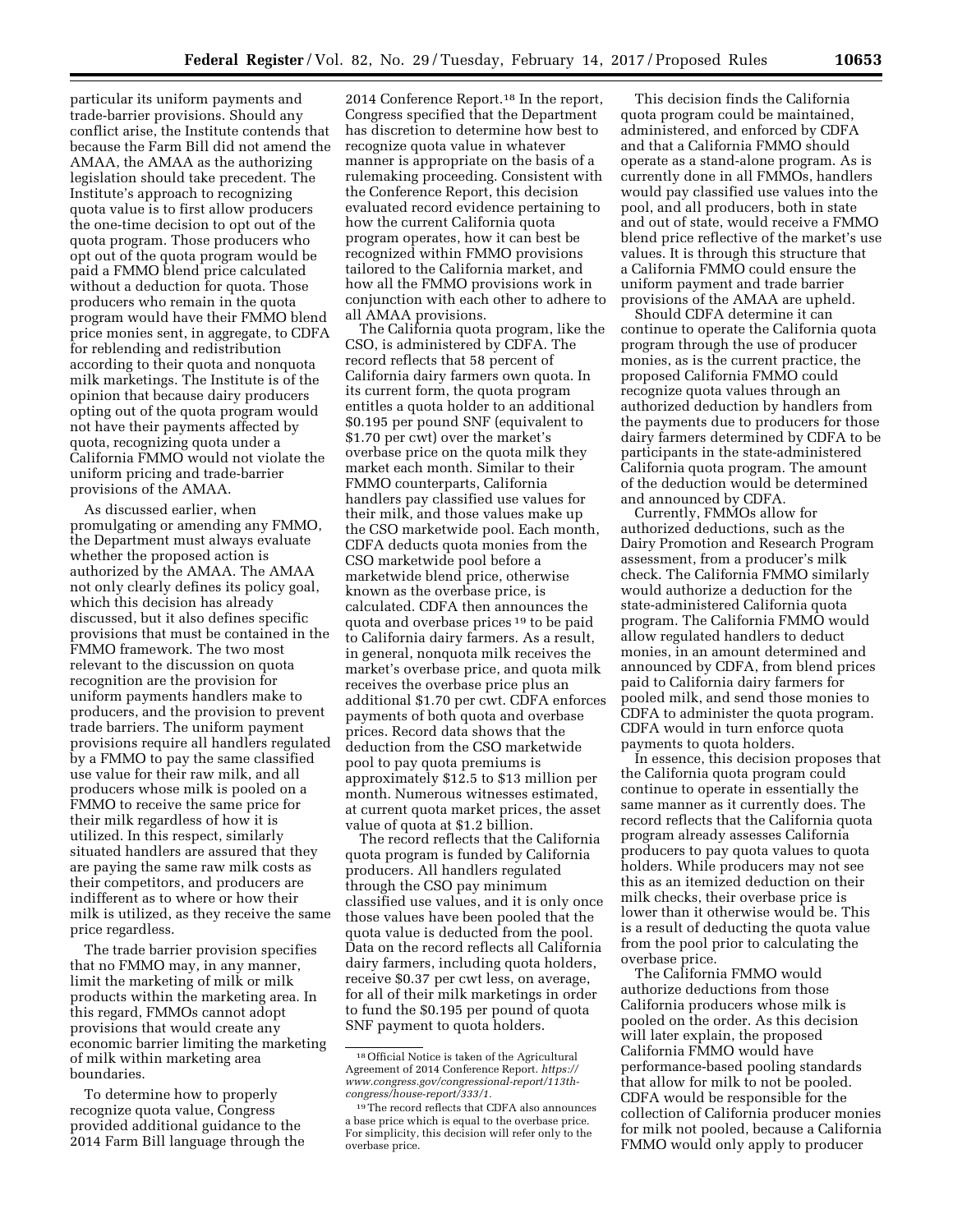particular its uniform payments and trade-barrier provisions. Should any conflict arise, the Institute contends that because the Farm Bill did not amend the AMAA, the AMAA as the authorizing legislation should take precedent. The Institute's approach to recognizing quota value is to first allow producers the one-time decision to opt out of the quota program. Those producers who opt out of the quota program would be paid a FMMO blend price calculated without a deduction for quota. Those producers who remain in the quota program would have their FMMO blend price monies sent, in aggregate, to CDFA for reblending and redistribution according to their quota and nonquota milk marketings. The Institute is of the opinion that because dairy producers opting out of the quota program would not have their payments affected by quota, recognizing quota under a California FMMO would not violate the uniform pricing and trade-barrier provisions of the AMAA.

As discussed earlier, when promulgating or amending any FMMO, the Department must always evaluate whether the proposed action is authorized by the AMAA. The AMAA not only clearly defines its policy goal, which this decision has already discussed, but it also defines specific provisions that must be contained in the FMMO framework. The two most relevant to the discussion on quota recognition are the provision for uniform payments handlers make to producers, and the provision to prevent trade barriers. The uniform payment provisions require all handlers regulated by a FMMO to pay the same classified use value for their raw milk, and all producers whose milk is pooled on a FMMO to receive the same price for their milk regardless of how it is utilized. In this respect, similarly situated handlers are assured that they are paying the same raw milk costs as their competitors, and producers are indifferent as to where or how their milk is utilized, as they receive the same price regardless.

The trade barrier provision specifies that no FMMO may, in any manner, limit the marketing of milk or milk products within the marketing area. In this regard, FMMOs cannot adopt provisions that would create any economic barrier limiting the marketing of milk within marketing area boundaries.

To determine how to properly recognize quota value, Congress provided additional guidance to the 2014 Farm Bill language through the

2014 Conference Report.18 In the report, Congress specified that the Department has discretion to determine how best to recognize quota value in whatever manner is appropriate on the basis of a rulemaking proceeding. Consistent with the Conference Report, this decision evaluated record evidence pertaining to how the current California quota program operates, how it can best be recognized within FMMO provisions tailored to the California market, and how all the FMMO provisions work in conjunction with each other to adhere to all AMAA provisions.

The California quota program, like the CSO, is administered by CDFA. The record reflects that 58 percent of California dairy farmers own quota. In its current form, the quota program entitles a quota holder to an additional \$0.195 per pound SNF (equivalent to \$1.70 per cwt) over the market's overbase price on the quota milk they market each month. Similar to their FMMO counterparts, California handlers pay classified use values for their milk, and those values make up the CSO marketwide pool. Each month, CDFA deducts quota monies from the CSO marketwide pool before a marketwide blend price, otherwise known as the overbase price, is calculated. CDFA then announces the quota and overbase prices 19 to be paid to California dairy farmers. As a result, in general, nonquota milk receives the market's overbase price, and quota milk receives the overbase price plus an additional \$1.70 per cwt. CDFA enforces payments of both quota and overbase prices. Record data shows that the deduction from the CSO marketwide pool to pay quota premiums is approximately \$12.5 to \$13 million per month. Numerous witnesses estimated, at current quota market prices, the asset value of quota at \$1.2 billion.

The record reflects that the California quota program is funded by California producers. All handlers regulated through the CSO pay minimum classified use values, and it is only once those values have been pooled that the quota value is deducted from the pool. Data on the record reflects all California dairy farmers, including quota holders, receive \$0.37 per cwt less, on average, for all of their milk marketings in order to fund the \$0.195 per pound of quota SNF payment to quota holders.

This decision finds the California quota program could be maintained, administered, and enforced by CDFA and that a California FMMO should operate as a stand-alone program. As is currently done in all FMMOs, handlers would pay classified use values into the pool, and all producers, both in state and out of state, would receive a FMMO blend price reflective of the market's use values. It is through this structure that a California FMMO could ensure the uniform payment and trade barrier provisions of the AMAA are upheld.

Should CDFA determine it can continue to operate the California quota program through the use of producer monies, as is the current practice, the proposed California FMMO could recognize quota values through an authorized deduction by handlers from the payments due to producers for those dairy farmers determined by CDFA to be participants in the state-administered California quota program. The amount of the deduction would be determined and announced by CDFA.

Currently, FMMOs allow for authorized deductions, such as the Dairy Promotion and Research Program assessment, from a producer's milk check. The California FMMO similarly would authorize a deduction for the state-administered California quota program. The California FMMO would allow regulated handlers to deduct monies, in an amount determined and announced by CDFA, from blend prices paid to California dairy farmers for pooled milk, and send those monies to CDFA to administer the quota program. CDFA would in turn enforce quota payments to quota holders.

In essence, this decision proposes that the California quota program could continue to operate in essentially the same manner as it currently does. The record reflects that the California quota program already assesses California producers to pay quota values to quota holders. While producers may not see this as an itemized deduction on their milk checks, their overbase price is lower than it otherwise would be. This is a result of deducting the quota value from the pool prior to calculating the overbase price.

The California FMMO would authorize deductions from those California producers whose milk is pooled on the order. As this decision will later explain, the proposed California FMMO would have performance-based pooling standards that allow for milk to not be pooled. CDFA would be responsible for the collection of California producer monies for milk not pooled, because a California FMMO would only apply to producer

<sup>18</sup>Official Notice is taken of the Agricultural Agreement of 2014 Conference Report. *[https://](https://www.congress.gov/congressional-report/113th-congress/house-report/333/1) [www.congress.gov/congressional-report/113th](https://www.congress.gov/congressional-report/113th-congress/house-report/333/1)[congress/house-report/333/1.](https://www.congress.gov/congressional-report/113th-congress/house-report/333/1)* 

<sup>19</sup>The record reflects that CDFA also announces a base price which is equal to the overbase price. For simplicity, this decision will refer only to the overbase price.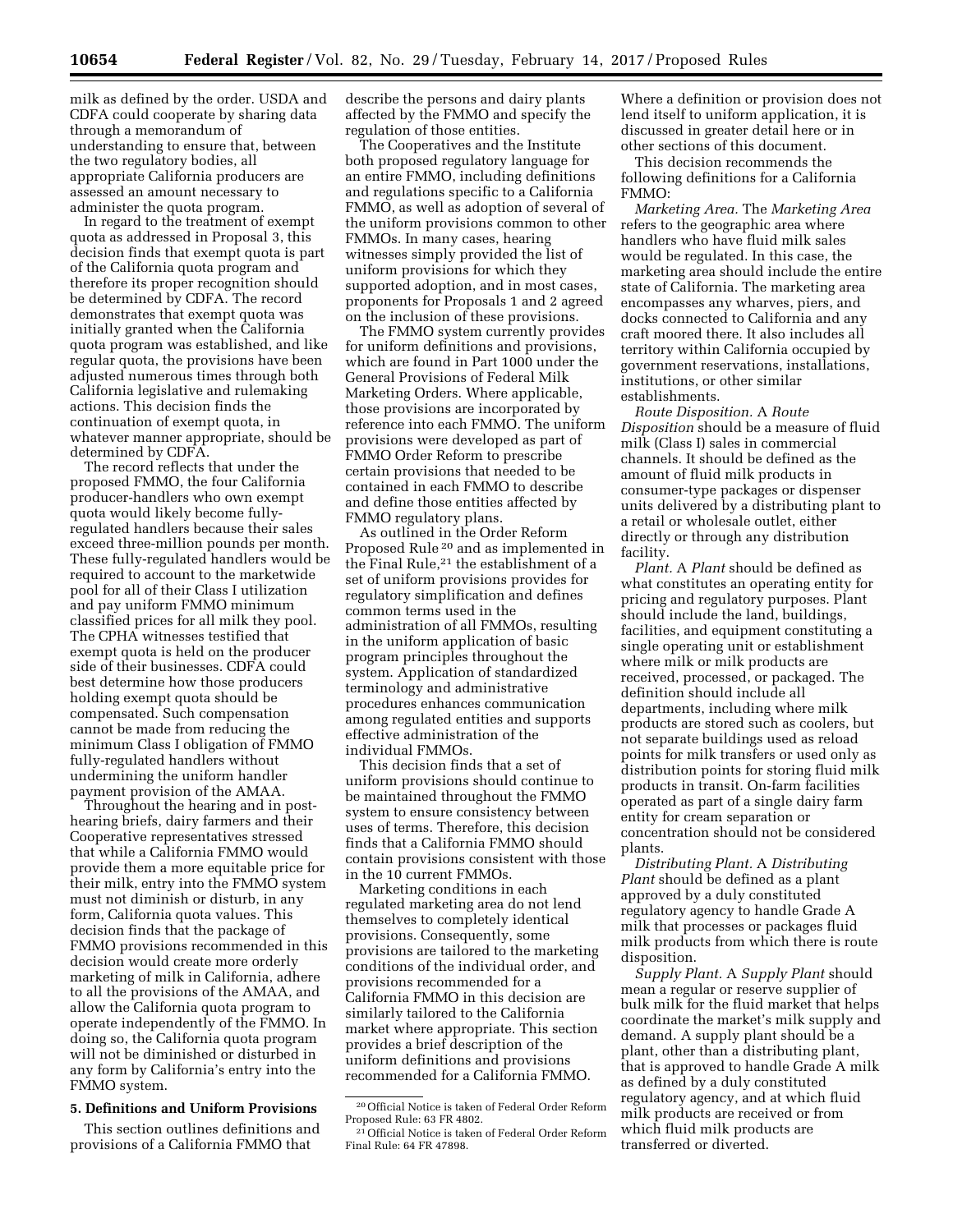milk as defined by the order. USDA and CDFA could cooperate by sharing data through a memorandum of understanding to ensure that, between the two regulatory bodies, all appropriate California producers are assessed an amount necessary to administer the quota program.

In regard to the treatment of exempt quota as addressed in Proposal 3, this decision finds that exempt quota is part of the California quota program and therefore its proper recognition should be determined by CDFA. The record demonstrates that exempt quota was initially granted when the California quota program was established, and like regular quota, the provisions have been adjusted numerous times through both California legislative and rulemaking actions. This decision finds the continuation of exempt quota, in whatever manner appropriate, should be determined by CDFA.

The record reflects that under the proposed FMMO, the four California producer-handlers who own exempt quota would likely become fullyregulated handlers because their sales exceed three-million pounds per month. These fully-regulated handlers would be required to account to the marketwide pool for all of their Class I utilization and pay uniform FMMO minimum classified prices for all milk they pool. The CPHA witnesses testified that exempt quota is held on the producer side of their businesses. CDFA could best determine how those producers holding exempt quota should be compensated. Such compensation cannot be made from reducing the minimum Class I obligation of FMMO fully-regulated handlers without undermining the uniform handler payment provision of the AMAA.

Throughout the hearing and in posthearing briefs, dairy farmers and their Cooperative representatives stressed that while a California FMMO would provide them a more equitable price for their milk, entry into the FMMO system must not diminish or disturb, in any form, California quota values. This decision finds that the package of FMMO provisions recommended in this decision would create more orderly marketing of milk in California, adhere to all the provisions of the AMAA, and allow the California quota program to operate independently of the FMMO. In doing so, the California quota program will not be diminished or disturbed in any form by California's entry into the FMMO system.

#### **5. Definitions and Uniform Provisions**

This section outlines definitions and provisions of a California FMMO that

describe the persons and dairy plants affected by the FMMO and specify the regulation of those entities.

The Cooperatives and the Institute both proposed regulatory language for an entire FMMO, including definitions and regulations specific to a California FMMO, as well as adoption of several of the uniform provisions common to other FMMOs. In many cases, hearing witnesses simply provided the list of uniform provisions for which they supported adoption, and in most cases, proponents for Proposals 1 and 2 agreed on the inclusion of these provisions.

The FMMO system currently provides for uniform definitions and provisions, which are found in Part 1000 under the General Provisions of Federal Milk Marketing Orders. Where applicable, those provisions are incorporated by reference into each FMMO. The uniform provisions were developed as part of FMMO Order Reform to prescribe certain provisions that needed to be contained in each FMMO to describe and define those entities affected by FMMO regulatory plans.

As outlined in the Order Reform Proposed Rule 20 and as implemented in the Final Rule,<sup>21</sup> the establishment of a set of uniform provisions provides for regulatory simplification and defines common terms used in the administration of all FMMOs, resulting in the uniform application of basic program principles throughout the system. Application of standardized terminology and administrative procedures enhances communication among regulated entities and supports effective administration of the individual FMMOs.

This decision finds that a set of uniform provisions should continue to be maintained throughout the FMMO system to ensure consistency between uses of terms. Therefore, this decision finds that a California FMMO should contain provisions consistent with those in the 10 current FMMOs.

Marketing conditions in each regulated marketing area do not lend themselves to completely identical provisions. Consequently, some provisions are tailored to the marketing conditions of the individual order, and provisions recommended for a California FMMO in this decision are similarly tailored to the California market where appropriate. This section provides a brief description of the uniform definitions and provisions recommended for a California FMMO.

Where a definition or provision does not lend itself to uniform application, it is discussed in greater detail here or in other sections of this document.

This decision recommends the following definitions for a California FMMO:

*Marketing Area.* The *Marketing Area*  refers to the geographic area where handlers who have fluid milk sales would be regulated. In this case, the marketing area should include the entire state of California. The marketing area encompasses any wharves, piers, and docks connected to California and any craft moored there. It also includes all territory within California occupied by government reservations, installations, institutions, or other similar establishments.

*Route Disposition.* A *Route Disposition* should be a measure of fluid milk (Class I) sales in commercial channels. It should be defined as the amount of fluid milk products in consumer-type packages or dispenser units delivered by a distributing plant to a retail or wholesale outlet, either directly or through any distribution facility.

*Plant.* A *Plant* should be defined as what constitutes an operating entity for pricing and regulatory purposes. Plant should include the land, buildings, facilities, and equipment constituting a single operating unit or establishment where milk or milk products are received, processed, or packaged. The definition should include all departments, including where milk products are stored such as coolers, but not separate buildings used as reload points for milk transfers or used only as distribution points for storing fluid milk products in transit. On-farm facilities operated as part of a single dairy farm entity for cream separation or concentration should not be considered plants.

*Distributing Plant.* A *Distributing Plant* should be defined as a plant approved by a duly constituted regulatory agency to handle Grade A milk that processes or packages fluid milk products from which there is route disposition.

*Supply Plant.* A *Supply Plant* should mean a regular or reserve supplier of bulk milk for the fluid market that helps coordinate the market's milk supply and demand. A supply plant should be a plant, other than a distributing plant, that is approved to handle Grade A milk as defined by a duly constituted regulatory agency, and at which fluid milk products are received or from which fluid milk products are transferred or diverted.

 $^{\rm 20}\,$  Official Notice is taken of Federal Order Reform Proposed Rule: 63 FR 4802.

<sup>21</sup>Official Notice is taken of Federal Order Reform Final Rule: 64 FR 47898.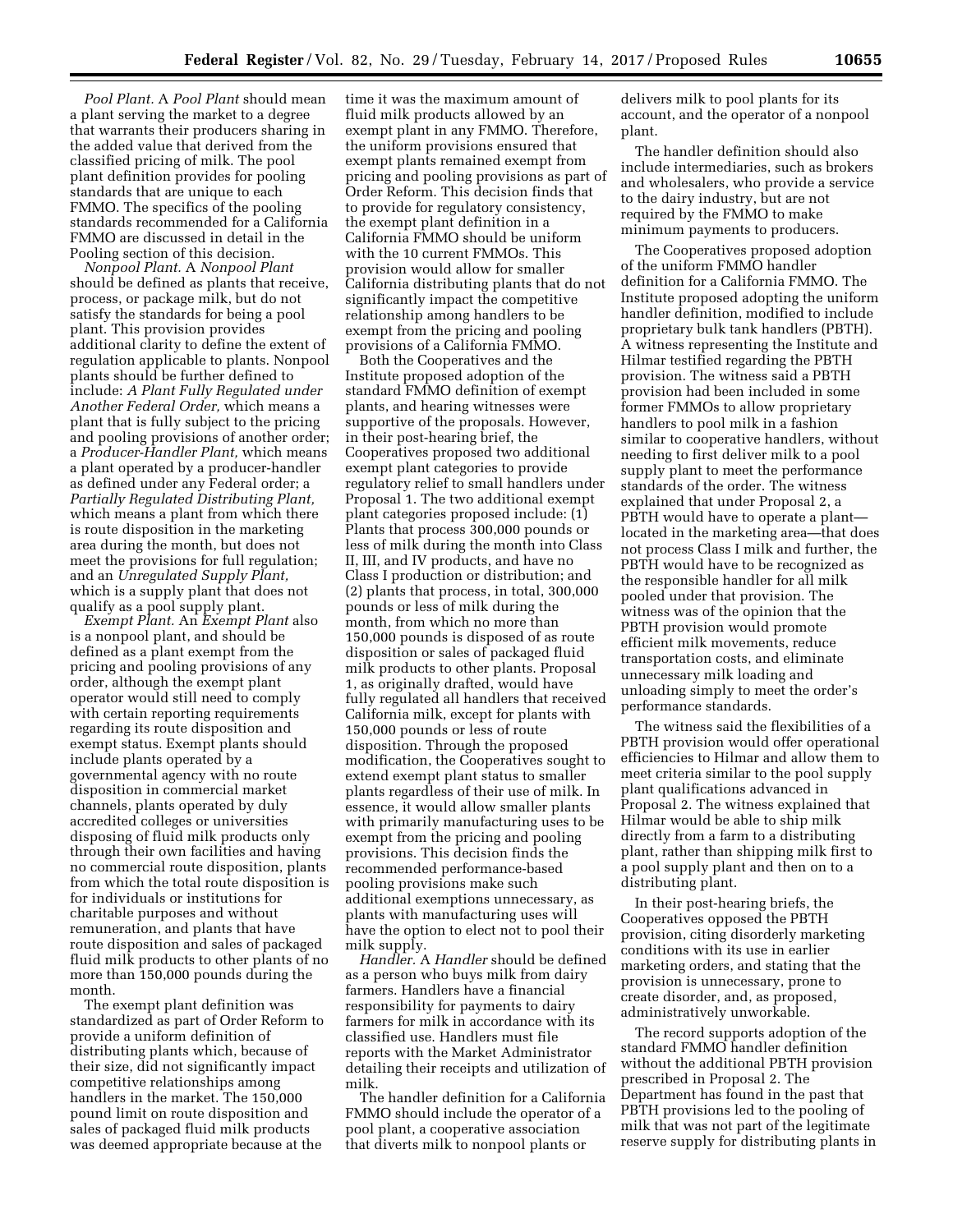*Pool Plant.* A *Pool Plant* should mean a plant serving the market to a degree that warrants their producers sharing in the added value that derived from the classified pricing of milk. The pool plant definition provides for pooling standards that are unique to each FMMO. The specifics of the pooling standards recommended for a California FMMO are discussed in detail in the Pooling section of this decision.

*Nonpool Plant.* A *Nonpool Plant*  should be defined as plants that receive, process, or package milk, but do not satisfy the standards for being a pool plant. This provision provides additional clarity to define the extent of regulation applicable to plants. Nonpool plants should be further defined to include: *A Plant Fully Regulated under Another Federal Order,* which means a plant that is fully subject to the pricing and pooling provisions of another order; a *Producer-Handler Plant,* which means a plant operated by a producer-handler as defined under any Federal order; a *Partially Regulated Distributing Plant,*  which means a plant from which there is route disposition in the marketing area during the month, but does not meet the provisions for full regulation; and an *Unregulated Supply Plant,*  which is a supply plant that does not qualify as a pool supply plant.

*Exempt Plant.* An *Exempt Plant* also is a nonpool plant, and should be defined as a plant exempt from the pricing and pooling provisions of any order, although the exempt plant operator would still need to comply with certain reporting requirements regarding its route disposition and exempt status. Exempt plants should include plants operated by a governmental agency with no route disposition in commercial market channels, plants operated by duly accredited colleges or universities disposing of fluid milk products only through their own facilities and having no commercial route disposition, plants from which the total route disposition is for individuals or institutions for charitable purposes and without remuneration, and plants that have route disposition and sales of packaged fluid milk products to other plants of no more than 150,000 pounds during the month.

The exempt plant definition was standardized as part of Order Reform to provide a uniform definition of distributing plants which, because of their size, did not significantly impact competitive relationships among handlers in the market. The 150,000 pound limit on route disposition and sales of packaged fluid milk products was deemed appropriate because at the

time it was the maximum amount of fluid milk products allowed by an exempt plant in any FMMO. Therefore, the uniform provisions ensured that exempt plants remained exempt from pricing and pooling provisions as part of Order Reform. This decision finds that to provide for regulatory consistency, the exempt plant definition in a California FMMO should be uniform with the 10 current FMMOs. This provision would allow for smaller California distributing plants that do not significantly impact the competitive relationship among handlers to be exempt from the pricing and pooling provisions of a California FMMO.

Both the Cooperatives and the Institute proposed adoption of the standard FMMO definition of exempt plants, and hearing witnesses were supportive of the proposals. However, in their post-hearing brief, the Cooperatives proposed two additional exempt plant categories to provide regulatory relief to small handlers under Proposal 1. The two additional exempt plant categories proposed include: (1) Plants that process 300,000 pounds or less of milk during the month into Class II, III, and IV products, and have no Class I production or distribution; and (2) plants that process, in total, 300,000 pounds or less of milk during the month, from which no more than 150,000 pounds is disposed of as route disposition or sales of packaged fluid milk products to other plants. Proposal 1, as originally drafted, would have fully regulated all handlers that received California milk, except for plants with 150,000 pounds or less of route disposition. Through the proposed modification, the Cooperatives sought to extend exempt plant status to smaller plants regardless of their use of milk. In essence, it would allow smaller plants with primarily manufacturing uses to be exempt from the pricing and pooling provisions. This decision finds the recommended performance-based pooling provisions make such additional exemptions unnecessary, as plants with manufacturing uses will have the option to elect not to pool their milk supply.

*Handler.* A *Handler* should be defined as a person who buys milk from dairy farmers. Handlers have a financial responsibility for payments to dairy farmers for milk in accordance with its classified use. Handlers must file reports with the Market Administrator detailing their receipts and utilization of milk.

The handler definition for a California FMMO should include the operator of a pool plant, a cooperative association that diverts milk to nonpool plants or

delivers milk to pool plants for its account, and the operator of a nonpool plant.

The handler definition should also include intermediaries, such as brokers and wholesalers, who provide a service to the dairy industry, but are not required by the FMMO to make minimum payments to producers.

The Cooperatives proposed adoption of the uniform FMMO handler definition for a California FMMO. The Institute proposed adopting the uniform handler definition, modified to include proprietary bulk tank handlers (PBTH). A witness representing the Institute and Hilmar testified regarding the PBTH provision. The witness said a PBTH provision had been included in some former FMMOs to allow proprietary handlers to pool milk in a fashion similar to cooperative handlers, without needing to first deliver milk to a pool supply plant to meet the performance standards of the order. The witness explained that under Proposal 2, a PBTH would have to operate a plant located in the marketing area—that does not process Class I milk and further, the PBTH would have to be recognized as the responsible handler for all milk pooled under that provision. The witness was of the opinion that the PBTH provision would promote efficient milk movements, reduce transportation costs, and eliminate unnecessary milk loading and unloading simply to meet the order's performance standards.

The witness said the flexibilities of a PBTH provision would offer operational efficiencies to Hilmar and allow them to meet criteria similar to the pool supply plant qualifications advanced in Proposal 2. The witness explained that Hilmar would be able to ship milk directly from a farm to a distributing plant, rather than shipping milk first to a pool supply plant and then on to a distributing plant.

In their post-hearing briefs, the Cooperatives opposed the PBTH provision, citing disorderly marketing conditions with its use in earlier marketing orders, and stating that the provision is unnecessary, prone to create disorder, and, as proposed, administratively unworkable.

The record supports adoption of the standard FMMO handler definition without the additional PBTH provision prescribed in Proposal 2. The Department has found in the past that PBTH provisions led to the pooling of milk that was not part of the legitimate reserve supply for distributing plants in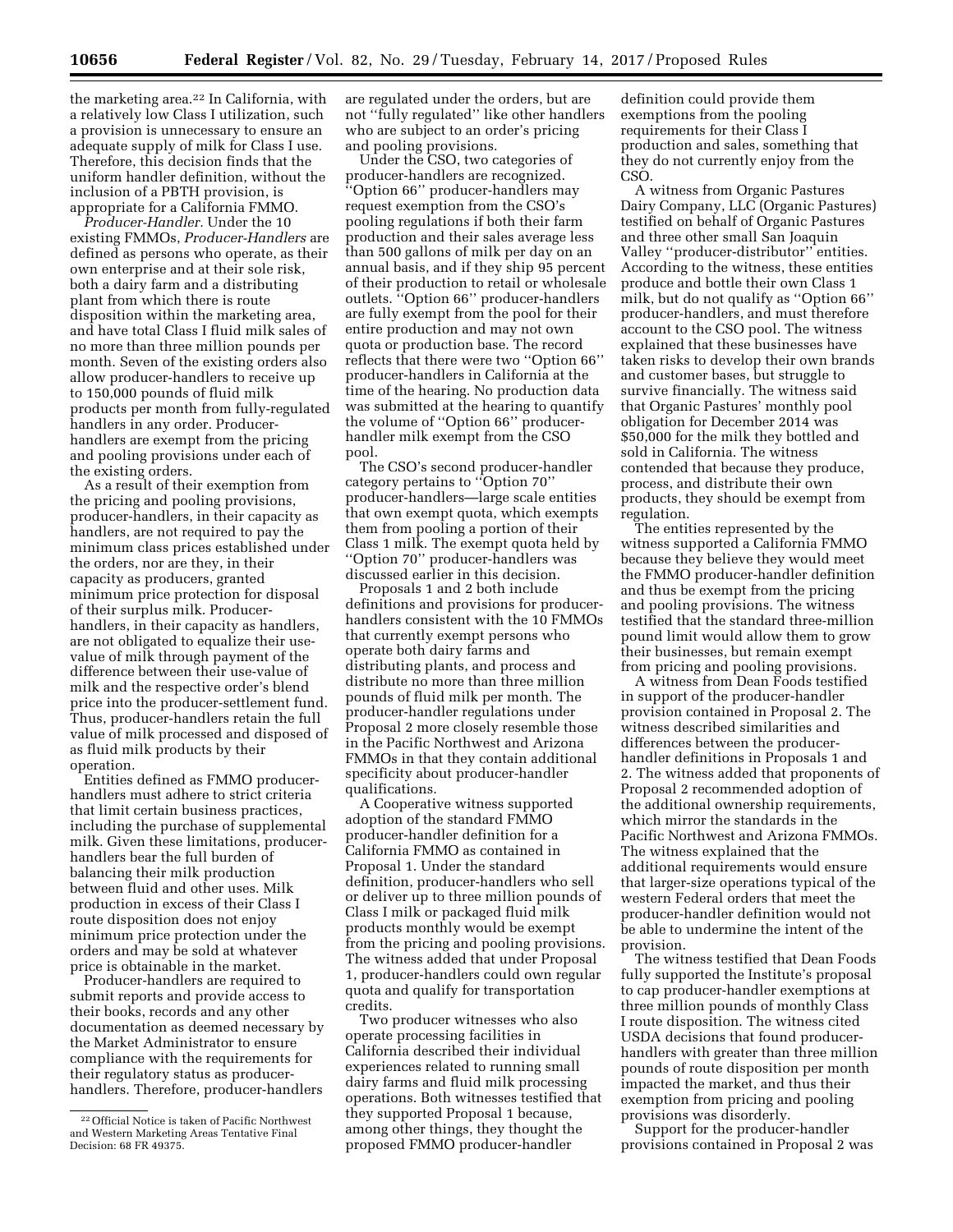the marketing area.22 In California, with a relatively low Class I utilization, such a provision is unnecessary to ensure an

adequate supply of milk for Class I use. Therefore, this decision finds that the uniform handler definition, without the inclusion of a PBTH provision, is appropriate for a California FMMO.

*Producer-Handler.* Under the 10 existing FMMOs, *Producer-Handlers* are defined as persons who operate, as their own enterprise and at their sole risk, both a dairy farm and a distributing plant from which there is route disposition within the marketing area, and have total Class I fluid milk sales of no more than three million pounds per month. Seven of the existing orders also allow producer-handlers to receive up to 150,000 pounds of fluid milk products per month from fully-regulated handlers in any order. Producerhandlers are exempt from the pricing and pooling provisions under each of the existing orders.

As a result of their exemption from the pricing and pooling provisions, producer-handlers, in their capacity as handlers, are not required to pay the minimum class prices established under the orders, nor are they, in their capacity as producers, granted minimum price protection for disposal of their surplus milk. Producerhandlers, in their capacity as handlers, are not obligated to equalize their usevalue of milk through payment of the difference between their use-value of milk and the respective order's blend price into the producer-settlement fund. Thus, producer-handlers retain the full value of milk processed and disposed of as fluid milk products by their operation.

Entities defined as FMMO producerhandlers must adhere to strict criteria that limit certain business practices, including the purchase of supplemental milk. Given these limitations, producerhandlers bear the full burden of balancing their milk production between fluid and other uses. Milk production in excess of their Class I route disposition does not enjoy minimum price protection under the orders and may be sold at whatever price is obtainable in the market.

Producer-handlers are required to submit reports and provide access to their books, records and any other documentation as deemed necessary by the Market Administrator to ensure compliance with the requirements for their regulatory status as producerhandlers. Therefore, producer-handlers

are regulated under the orders, but are not ''fully regulated'' like other handlers who are subject to an order's pricing and pooling provisions.

Under the CSO, two categories of producer-handlers are recognized. ''Option 66'' producer-handlers may request exemption from the CSO's pooling regulations if both their farm production and their sales average less than 500 gallons of milk per day on an annual basis, and if they ship 95 percent of their production to retail or wholesale outlets. ''Option 66'' producer-handlers are fully exempt from the pool for their entire production and may not own quota or production base. The record reflects that there were two ''Option 66'' producer-handlers in California at the time of the hearing. No production data was submitted at the hearing to quantify the volume of ''Option 66'' producerhandler milk exempt from the CSO pool.

The CSO's second producer-handler category pertains to ''Option 70'' producer-handlers—large scale entities that own exempt quota, which exempts them from pooling a portion of their Class 1 milk. The exempt quota held by ''Option 70'' producer-handlers was discussed earlier in this decision.

Proposals 1 and 2 both include definitions and provisions for producerhandlers consistent with the 10 FMMOs that currently exempt persons who operate both dairy farms and distributing plants, and process and distribute no more than three million pounds of fluid milk per month. The producer-handler regulations under Proposal 2 more closely resemble those in the Pacific Northwest and Arizona FMMOs in that they contain additional specificity about producer-handler qualifications.

A Cooperative witness supported adoption of the standard FMMO producer-handler definition for a California FMMO as contained in Proposal 1. Under the standard definition, producer-handlers who sell or deliver up to three million pounds of Class I milk or packaged fluid milk products monthly would be exempt from the pricing and pooling provisions. The witness added that under Proposal 1, producer-handlers could own regular quota and qualify for transportation credits.

Two producer witnesses who also operate processing facilities in California described their individual experiences related to running small dairy farms and fluid milk processing operations. Both witnesses testified that they supported Proposal 1 because, among other things, they thought the proposed FMMO producer-handler

definition could provide them exemptions from the pooling requirements for their Class I production and sales, something that they do not currently enjoy from the CSO.

A witness from Organic Pastures Dairy Company, LLC (Organic Pastures) testified on behalf of Organic Pastures and three other small San Joaquin Valley ''producer-distributor'' entities. According to the witness, these entities produce and bottle their own Class 1 milk, but do not qualify as ''Option 66'' producer-handlers, and must therefore account to the CSO pool. The witness explained that these businesses have taken risks to develop their own brands and customer bases, but struggle to survive financially. The witness said that Organic Pastures' monthly pool obligation for December 2014 was \$50,000 for the milk they bottled and sold in California. The witness contended that because they produce, process, and distribute their own products, they should be exempt from regulation.

The entities represented by the witness supported a California FMMO because they believe they would meet the FMMO producer-handler definition and thus be exempt from the pricing and pooling provisions. The witness testified that the standard three-million pound limit would allow them to grow their businesses, but remain exempt from pricing and pooling provisions.

A witness from Dean Foods testified in support of the producer-handler provision contained in Proposal 2. The witness described similarities and differences between the producerhandler definitions in Proposals 1 and 2. The witness added that proponents of Proposal 2 recommended adoption of the additional ownership requirements, which mirror the standards in the Pacific Northwest and Arizona FMMOs. The witness explained that the additional requirements would ensure that larger-size operations typical of the western Federal orders that meet the producer-handler definition would not be able to undermine the intent of the provision.

The witness testified that Dean Foods fully supported the Institute's proposal to cap producer-handler exemptions at three million pounds of monthly Class I route disposition. The witness cited USDA decisions that found producerhandlers with greater than three million pounds of route disposition per month impacted the market, and thus their exemption from pricing and pooling provisions was disorderly.

Support for the producer-handler provisions contained in Proposal 2 was

<sup>22</sup>Official Notice is taken of Pacific Northwest and Western Marketing Areas Tentative Final Decision: 68 FR 49375.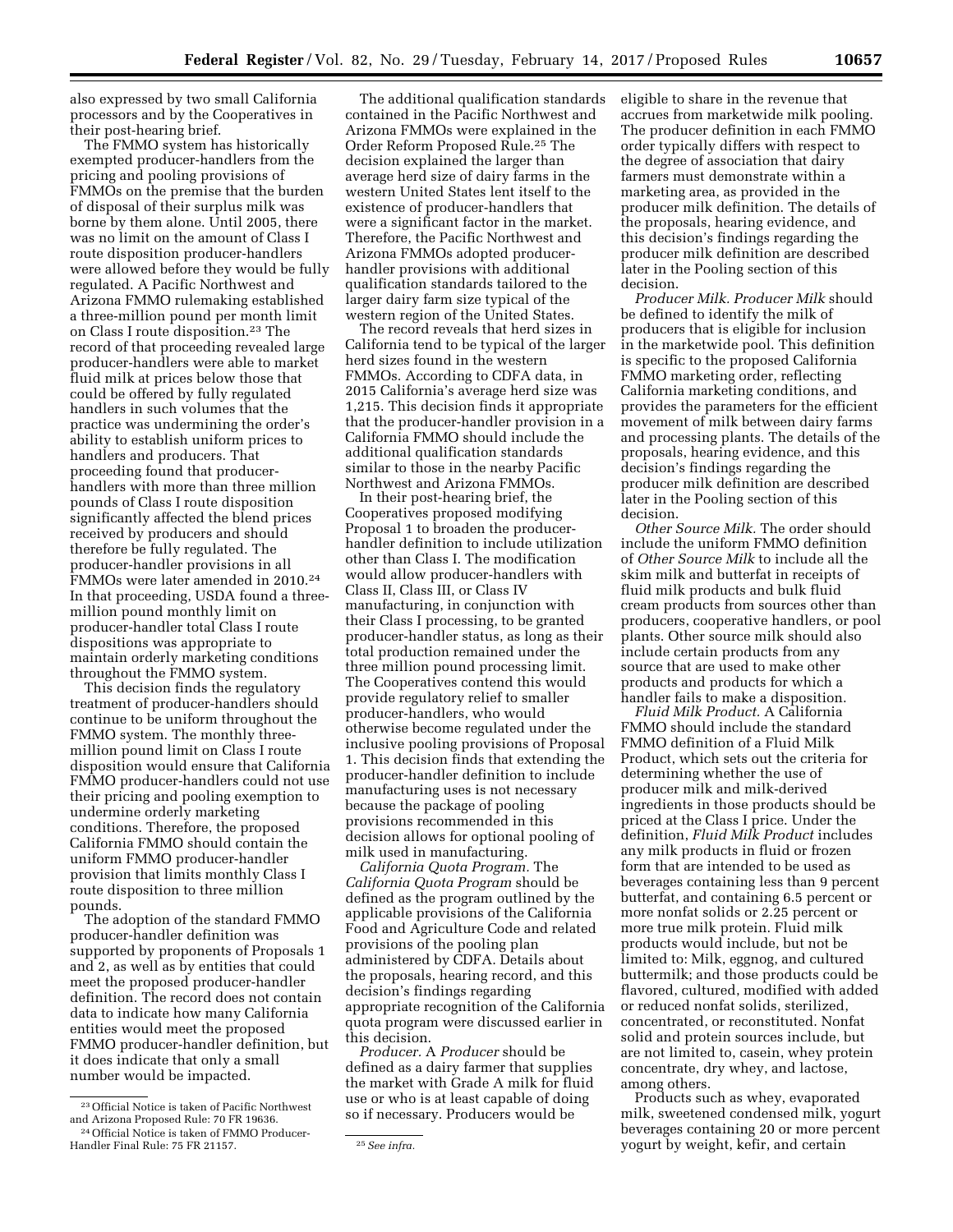also expressed by two small California processors and by the Cooperatives in their post-hearing brief.

The FMMO system has historically exempted producer-handlers from the pricing and pooling provisions of FMMOs on the premise that the burden of disposal of their surplus milk was borne by them alone. Until 2005, there was no limit on the amount of Class I route disposition producer-handlers were allowed before they would be fully regulated. A Pacific Northwest and Arizona FMMO rulemaking established a three-million pound per month limit on Class I route disposition.23 The record of that proceeding revealed large producer-handlers were able to market fluid milk at prices below those that could be offered by fully regulated handlers in such volumes that the practice was undermining the order's ability to establish uniform prices to handlers and producers. That proceeding found that producerhandlers with more than three million pounds of Class I route disposition significantly affected the blend prices received by producers and should therefore be fully regulated. The producer-handler provisions in all FMMOs were later amended in 2010.24 In that proceeding, USDA found a threemillion pound monthly limit on producer-handler total Class I route dispositions was appropriate to maintain orderly marketing conditions throughout the FMMO system.

This decision finds the regulatory treatment of producer-handlers should continue to be uniform throughout the FMMO system. The monthly threemillion pound limit on Class I route disposition would ensure that California FMMO producer-handlers could not use their pricing and pooling exemption to undermine orderly marketing conditions. Therefore, the proposed California FMMO should contain the uniform FMMO producer-handler provision that limits monthly Class I route disposition to three million pounds.

The adoption of the standard FMMO producer-handler definition was supported by proponents of Proposals 1 and 2, as well as by entities that could meet the proposed producer-handler definition. The record does not contain data to indicate how many California entities would meet the proposed FMMO producer-handler definition, but it does indicate that only a small number would be impacted.

The additional qualification standards contained in the Pacific Northwest and Arizona FMMOs were explained in the Order Reform Proposed Rule.25 The decision explained the larger than average herd size of dairy farms in the western United States lent itself to the existence of producer-handlers that were a significant factor in the market. Therefore, the Pacific Northwest and Arizona FMMOs adopted producerhandler provisions with additional qualification standards tailored to the larger dairy farm size typical of the western region of the United States.

The record reveals that herd sizes in California tend to be typical of the larger herd sizes found in the western FMMOs. According to CDFA data, in 2015 California's average herd size was 1,215. This decision finds it appropriate that the producer-handler provision in a California FMMO should include the additional qualification standards similar to those in the nearby Pacific Northwest and Arizona FMMOs.

In their post-hearing brief, the Cooperatives proposed modifying Proposal 1 to broaden the producerhandler definition to include utilization other than Class I. The modification would allow producer-handlers with Class II, Class III, or Class IV manufacturing, in conjunction with their Class I processing, to be granted producer-handler status, as long as their total production remained under the three million pound processing limit. The Cooperatives contend this would provide regulatory relief to smaller producer-handlers, who would otherwise become regulated under the inclusive pooling provisions of Proposal 1. This decision finds that extending the producer-handler definition to include manufacturing uses is not necessary because the package of pooling provisions recommended in this decision allows for optional pooling of milk used in manufacturing.

*California Quota Program.* The *California Quota Program* should be defined as the program outlined by the applicable provisions of the California Food and Agriculture Code and related provisions of the pooling plan administered by CDFA. Details about the proposals, hearing record, and this decision's findings regarding appropriate recognition of the California quota program were discussed earlier in this decision.

*Producer.* A *Producer* should be defined as a dairy farmer that supplies the market with Grade A milk for fluid use or who is at least capable of doing so if necessary. Producers would be

eligible to share in the revenue that accrues from marketwide milk pooling. The producer definition in each FMMO order typically differs with respect to the degree of association that dairy farmers must demonstrate within a marketing area, as provided in the producer milk definition. The details of the proposals, hearing evidence, and this decision's findings regarding the producer milk definition are described later in the Pooling section of this decision.

*Producer Milk. Producer Milk* should be defined to identify the milk of producers that is eligible for inclusion in the marketwide pool. This definition is specific to the proposed California FMMO marketing order, reflecting California marketing conditions, and provides the parameters for the efficient movement of milk between dairy farms and processing plants. The details of the proposals, hearing evidence, and this decision's findings regarding the producer milk definition are described later in the Pooling section of this decision.

*Other Source Milk.* The order should include the uniform FMMO definition of *Other Source Milk* to include all the skim milk and butterfat in receipts of fluid milk products and bulk fluid cream products from sources other than producers, cooperative handlers, or pool plants. Other source milk should also include certain products from any source that are used to make other products and products for which a handler fails to make a disposition.

*Fluid Milk Product.* A California FMMO should include the standard FMMO definition of a Fluid Milk Product, which sets out the criteria for determining whether the use of producer milk and milk-derived ingredients in those products should be priced at the Class I price. Under the definition, *Fluid Milk Product* includes any milk products in fluid or frozen form that are intended to be used as beverages containing less than 9 percent butterfat, and containing 6.5 percent or more nonfat solids or 2.25 percent or more true milk protein. Fluid milk products would include, but not be limited to: Milk, eggnog, and cultured buttermilk; and those products could be flavored, cultured, modified with added or reduced nonfat solids, sterilized, concentrated, or reconstituted. Nonfat solid and protein sources include, but are not limited to, casein, whey protein concentrate, dry whey, and lactose, among others.

Products such as whey, evaporated milk, sweetened condensed milk, yogurt beverages containing 20 or more percent yogurt by weight, kefir, and certain

<sup>23</sup>Official Notice is taken of Pacific Northwest and Arizona Proposed Rule: 70 FR 19636. 24Official Notice is taken of FMMO Producer-

Handler Final Rule: 75 FR 21157. 25*See infra.*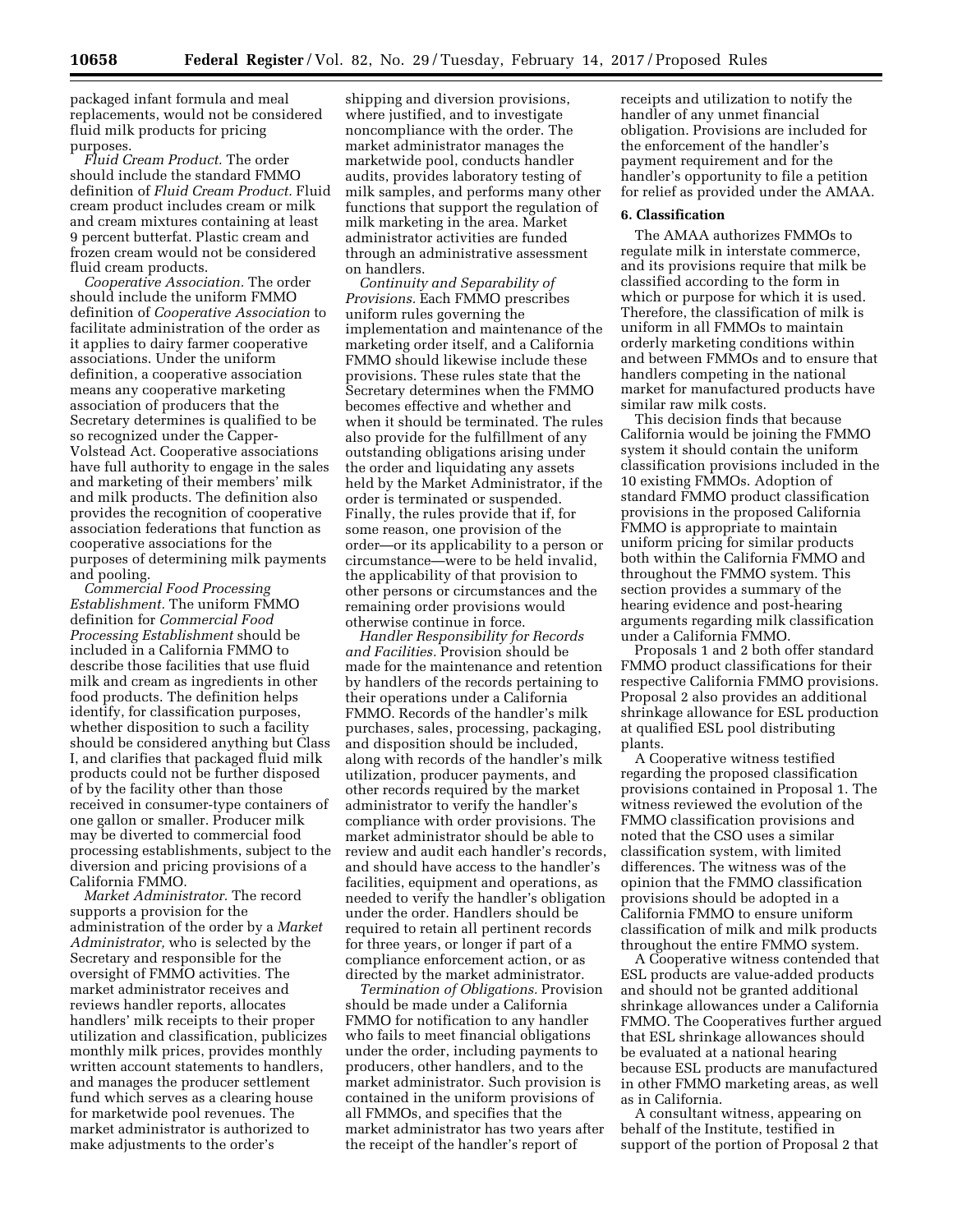packaged infant formula and meal replacements, would not be considered fluid milk products for pricing purposes.

*Fluid Cream Product.* The order should include the standard FMMO definition of *Fluid Cream Product.* Fluid cream product includes cream or milk and cream mixtures containing at least 9 percent butterfat. Plastic cream and frozen cream would not be considered fluid cream products.

*Cooperative Association.* The order should include the uniform FMMO definition of *Cooperative Association* to facilitate administration of the order as it applies to dairy farmer cooperative associations. Under the uniform definition, a cooperative association means any cooperative marketing association of producers that the Secretary determines is qualified to be so recognized under the Capper-Volstead Act. Cooperative associations have full authority to engage in the sales and marketing of their members' milk and milk products. The definition also provides the recognition of cooperative association federations that function as cooperative associations for the purposes of determining milk payments and pooling.

*Commercial Food Processing Establishment.* The uniform FMMO definition for *Commercial Food Processing Establishment* should be included in a California FMMO to describe those facilities that use fluid milk and cream as ingredients in other food products. The definition helps identify, for classification purposes, whether disposition to such a facility should be considered anything but Class I, and clarifies that packaged fluid milk products could not be further disposed of by the facility other than those received in consumer-type containers of one gallon or smaller. Producer milk may be diverted to commercial food processing establishments, subject to the diversion and pricing provisions of a California FMMO.

*Market Administrator.* The record supports a provision for the administration of the order by a *Market Administrator,* who is selected by the Secretary and responsible for the oversight of FMMO activities. The market administrator receives and reviews handler reports, allocates handlers' milk receipts to their proper utilization and classification, publicizes monthly milk prices, provides monthly written account statements to handlers, and manages the producer settlement fund which serves as a clearing house for marketwide pool revenues. The market administrator is authorized to make adjustments to the order's

shipping and diversion provisions, where justified, and to investigate noncompliance with the order. The market administrator manages the marketwide pool, conducts handler audits, provides laboratory testing of milk samples, and performs many other functions that support the regulation of milk marketing in the area. Market administrator activities are funded through an administrative assessment on handlers.

*Continuity and Separability of Provisions.* Each FMMO prescribes uniform rules governing the implementation and maintenance of the marketing order itself, and a California FMMO should likewise include these provisions. These rules state that the Secretary determines when the FMMO becomes effective and whether and when it should be terminated. The rules also provide for the fulfillment of any outstanding obligations arising under the order and liquidating any assets held by the Market Administrator, if the order is terminated or suspended. Finally, the rules provide that if, for some reason, one provision of the order—or its applicability to a person or circumstance—were to be held invalid, the applicability of that provision to other persons or circumstances and the remaining order provisions would otherwise continue in force.

*Handler Responsibility for Records and Facilities.* Provision should be made for the maintenance and retention by handlers of the records pertaining to their operations under a California FMMO. Records of the handler's milk purchases, sales, processing, packaging, and disposition should be included, along with records of the handler's milk utilization, producer payments, and other records required by the market administrator to verify the handler's compliance with order provisions. The market administrator should be able to review and audit each handler's records, and should have access to the handler's facilities, equipment and operations, as needed to verify the handler's obligation under the order. Handlers should be required to retain all pertinent records for three years, or longer if part of a compliance enforcement action, or as directed by the market administrator.

*Termination of Obligations.* Provision should be made under a California FMMO for notification to any handler who fails to meet financial obligations under the order, including payments to producers, other handlers, and to the market administrator. Such provision is contained in the uniform provisions of all FMMOs, and specifies that the market administrator has two years after the receipt of the handler's report of

receipts and utilization to notify the handler of any unmet financial obligation. Provisions are included for the enforcement of the handler's payment requirement and for the handler's opportunity to file a petition for relief as provided under the AMAA.

### **6. Classification**

The AMAA authorizes FMMOs to regulate milk in interstate commerce, and its provisions require that milk be classified according to the form in which or purpose for which it is used. Therefore, the classification of milk is uniform in all FMMOs to maintain orderly marketing conditions within and between FMMOs and to ensure that handlers competing in the national market for manufactured products have similar raw milk costs.

This decision finds that because California would be joining the FMMO system it should contain the uniform classification provisions included in the 10 existing FMMOs. Adoption of standard FMMO product classification provisions in the proposed California FMMO is appropriate to maintain uniform pricing for similar products both within the California FMMO and throughout the FMMO system. This section provides a summary of the hearing evidence and post-hearing arguments regarding milk classification under a California FMMO.

Proposals 1 and 2 both offer standard FMMO product classifications for their respective California FMMO provisions. Proposal 2 also provides an additional shrinkage allowance for ESL production at qualified ESL pool distributing plants.

A Cooperative witness testified regarding the proposed classification provisions contained in Proposal 1. The witness reviewed the evolution of the FMMO classification provisions and noted that the CSO uses a similar classification system, with limited differences. The witness was of the opinion that the FMMO classification provisions should be adopted in a California FMMO to ensure uniform classification of milk and milk products throughout the entire FMMO system.

A Cooperative witness contended that ESL products are value-added products and should not be granted additional shrinkage allowances under a California FMMO. The Cooperatives further argued that ESL shrinkage allowances should be evaluated at a national hearing because ESL products are manufactured in other FMMO marketing areas, as well as in California.

A consultant witness, appearing on behalf of the Institute, testified in support of the portion of Proposal 2 that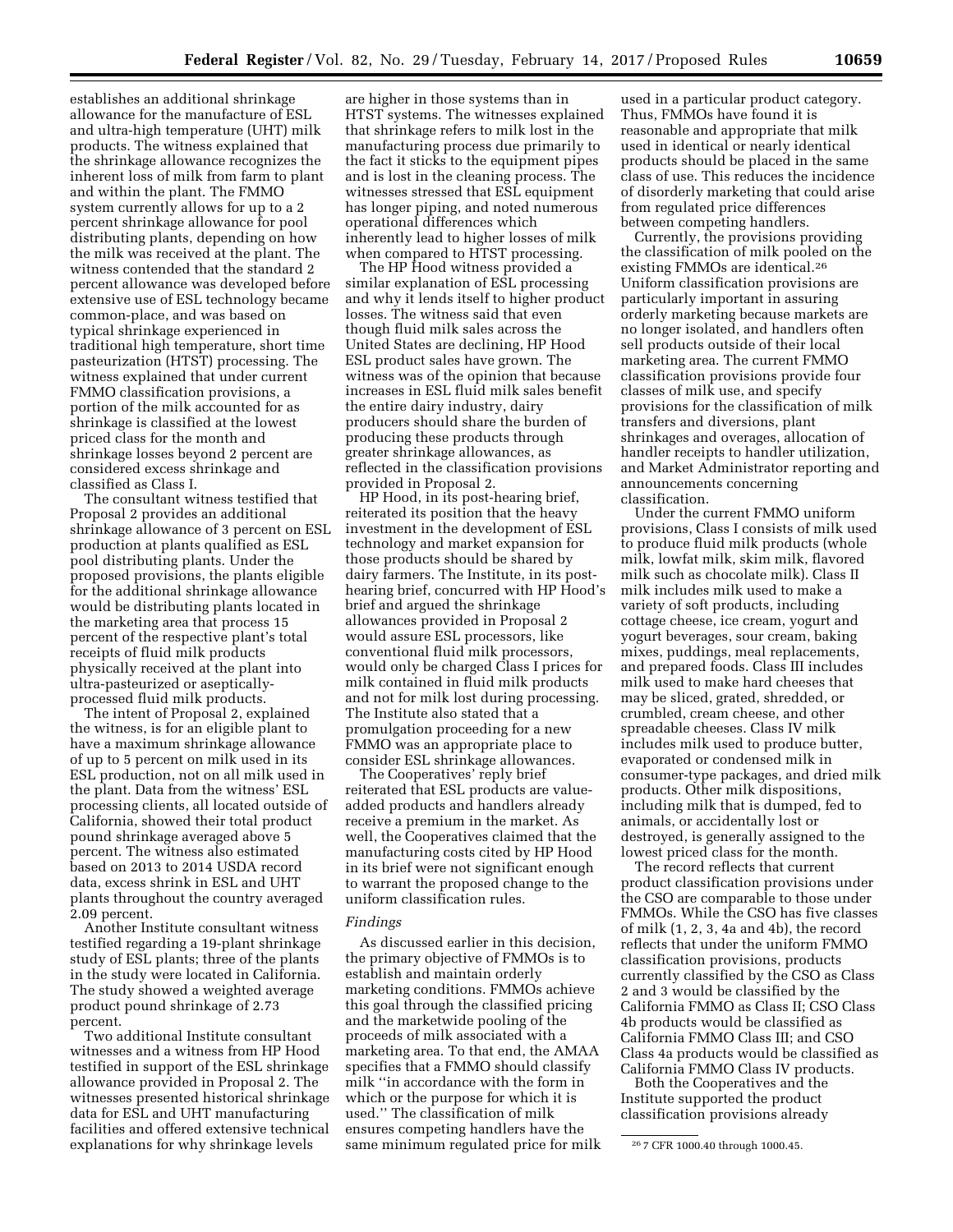establishes an additional shrinkage allowance for the manufacture of ESL and ultra-high temperature (UHT) milk products. The witness explained that the shrinkage allowance recognizes the inherent loss of milk from farm to plant and within the plant. The FMMO system currently allows for up to a 2 percent shrinkage allowance for pool distributing plants, depending on how the milk was received at the plant. The witness contended that the standard 2 percent allowance was developed before extensive use of ESL technology became common-place, and was based on typical shrinkage experienced in traditional high temperature, short time pasteurization (HTST) processing. The witness explained that under current FMMO classification provisions, a portion of the milk accounted for as shrinkage is classified at the lowest priced class for the month and shrinkage losses beyond 2 percent are considered excess shrinkage and classified as Class I.

The consultant witness testified that Proposal 2 provides an additional shrinkage allowance of 3 percent on ESL production at plants qualified as ESL pool distributing plants. Under the proposed provisions, the plants eligible for the additional shrinkage allowance would be distributing plants located in the marketing area that process 15 percent of the respective plant's total receipts of fluid milk products physically received at the plant into ultra-pasteurized or asepticallyprocessed fluid milk products.

The intent of Proposal 2, explained the witness, is for an eligible plant to have a maximum shrinkage allowance of up to 5 percent on milk used in its ESL production, not on all milk used in the plant. Data from the witness' ESL processing clients, all located outside of California, showed their total product pound shrinkage averaged above 5 percent. The witness also estimated based on 2013 to 2014 USDA record data, excess shrink in ESL and UHT plants throughout the country averaged 2.09 percent.

Another Institute consultant witness testified regarding a 19-plant shrinkage study of ESL plants; three of the plants in the study were located in California. The study showed a weighted average product pound shrinkage of 2.73 percent.

Two additional Institute consultant witnesses and a witness from HP Hood testified in support of the ESL shrinkage allowance provided in Proposal 2. The witnesses presented historical shrinkage data for ESL and UHT manufacturing facilities and offered extensive technical explanations for why shrinkage levels

are higher in those systems than in HTST systems. The witnesses explained that shrinkage refers to milk lost in the manufacturing process due primarily to the fact it sticks to the equipment pipes and is lost in the cleaning process. The witnesses stressed that ESL equipment has longer piping, and noted numerous operational differences which inherently lead to higher losses of milk when compared to HTST processing.

The HP Hood witness provided a similar explanation of ESL processing and why it lends itself to higher product losses. The witness said that even though fluid milk sales across the United States are declining, HP Hood ESL product sales have grown. The witness was of the opinion that because increases in ESL fluid milk sales benefit the entire dairy industry, dairy producers should share the burden of producing these products through greater shrinkage allowances, as reflected in the classification provisions provided in Proposal 2.

HP Hood, in its post-hearing brief, reiterated its position that the heavy investment in the development of ESL technology and market expansion for those products should be shared by dairy farmers. The Institute, in its posthearing brief, concurred with HP Hood's brief and argued the shrinkage allowances provided in Proposal 2 would assure ESL processors, like conventional fluid milk processors, would only be charged Class I prices for milk contained in fluid milk products and not for milk lost during processing. The Institute also stated that a promulgation proceeding for a new FMMO was an appropriate place to consider ESL shrinkage allowances.

The Cooperatives' reply brief reiterated that ESL products are valueadded products and handlers already receive a premium in the market. As well, the Cooperatives claimed that the manufacturing costs cited by HP Hood in its brief were not significant enough to warrant the proposed change to the uniform classification rules.

## *Findings*

As discussed earlier in this decision, the primary objective of FMMOs is to establish and maintain orderly marketing conditions. FMMOs achieve this goal through the classified pricing and the marketwide pooling of the proceeds of milk associated with a marketing area. To that end, the AMAA specifies that a FMMO should classify milk ''in accordance with the form in which or the purpose for which it is used.'' The classification of milk ensures competing handlers have the same minimum regulated price for milk

used in a particular product category. Thus, FMMOs have found it is reasonable and appropriate that milk used in identical or nearly identical products should be placed in the same class of use. This reduces the incidence of disorderly marketing that could arise from regulated price differences between competing handlers.

Currently, the provisions providing the classification of milk pooled on the existing FMMOs are identical.26 Uniform classification provisions are particularly important in assuring orderly marketing because markets are no longer isolated, and handlers often sell products outside of their local marketing area. The current FMMO classification provisions provide four classes of milk use, and specify provisions for the classification of milk transfers and diversions, plant shrinkages and overages, allocation of handler receipts to handler utilization, and Market Administrator reporting and announcements concerning classification.

Under the current FMMO uniform provisions, Class I consists of milk used to produce fluid milk products (whole milk, lowfat milk, skim milk, flavored milk such as chocolate milk). Class II milk includes milk used to make a variety of soft products, including cottage cheese, ice cream, yogurt and yogurt beverages, sour cream, baking mixes, puddings, meal replacements, and prepared foods. Class III includes milk used to make hard cheeses that may be sliced, grated, shredded, or crumbled, cream cheese, and other spreadable cheeses. Class IV milk includes milk used to produce butter, evaporated or condensed milk in consumer-type packages, and dried milk products. Other milk dispositions, including milk that is dumped, fed to animals, or accidentally lost or destroyed, is generally assigned to the lowest priced class for the month.

The record reflects that current product classification provisions under the CSO are comparable to those under FMMOs. While the CSO has five classes of milk (1, 2, 3, 4a and 4b), the record reflects that under the uniform FMMO classification provisions, products currently classified by the CSO as Class 2 and 3 would be classified by the California FMMO as Class II; CSO Class 4b products would be classified as California FMMO Class III; and CSO Class 4a products would be classified as California FMMO Class IV products.

Both the Cooperatives and the Institute supported the product classification provisions already

<sup>26</sup> 7 CFR 1000.40 through 1000.45.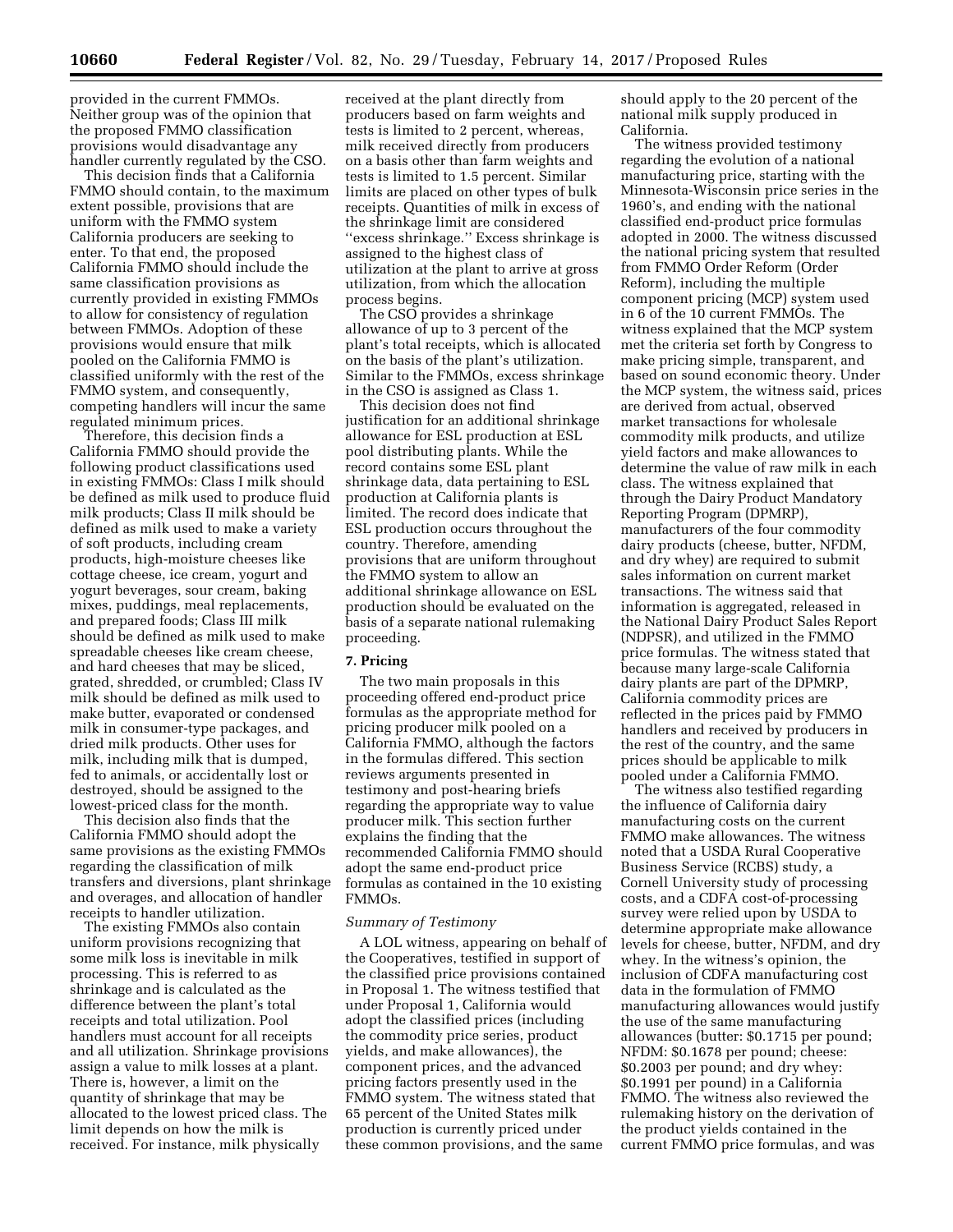provided in the current FMMOs. Neither group was of the opinion that the proposed FMMO classification provisions would disadvantage any handler currently regulated by the CSO.

This decision finds that a California FMMO should contain, to the maximum extent possible, provisions that are uniform with the FMMO system California producers are seeking to enter. To that end, the proposed California FMMO should include the same classification provisions as currently provided in existing FMMOs to allow for consistency of regulation between FMMOs. Adoption of these provisions would ensure that milk pooled on the California FMMO is classified uniformly with the rest of the FMMO system, and consequently, competing handlers will incur the same regulated minimum prices.

Therefore, this decision finds a California FMMO should provide the following product classifications used in existing FMMOs: Class I milk should be defined as milk used to produce fluid milk products; Class II milk should be defined as milk used to make a variety of soft products, including cream products, high-moisture cheeses like cottage cheese, ice cream, yogurt and yogurt beverages, sour cream, baking mixes, puddings, meal replacements, and prepared foods; Class III milk should be defined as milk used to make spreadable cheeses like cream cheese, and hard cheeses that may be sliced, grated, shredded, or crumbled; Class IV milk should be defined as milk used to make butter, evaporated or condensed milk in consumer-type packages, and dried milk products. Other uses for milk, including milk that is dumped, fed to animals, or accidentally lost or destroyed, should be assigned to the lowest-priced class for the month.

This decision also finds that the California FMMO should adopt the same provisions as the existing FMMOs regarding the classification of milk transfers and diversions, plant shrinkage and overages, and allocation of handler receipts to handler utilization.

The existing FMMOs also contain uniform provisions recognizing that some milk loss is inevitable in milk processing. This is referred to as shrinkage and is calculated as the difference between the plant's total receipts and total utilization. Pool handlers must account for all receipts and all utilization. Shrinkage provisions assign a value to milk losses at a plant. There is, however, a limit on the quantity of shrinkage that may be allocated to the lowest priced class. The limit depends on how the milk is received. For instance, milk physically

received at the plant directly from producers based on farm weights and tests is limited to 2 percent, whereas, milk received directly from producers on a basis other than farm weights and tests is limited to 1.5 percent. Similar limits are placed on other types of bulk receipts. Quantities of milk in excess of the shrinkage limit are considered ''excess shrinkage.'' Excess shrinkage is assigned to the highest class of utilization at the plant to arrive at gross utilization, from which the allocation process begins.

The CSO provides a shrinkage allowance of up to 3 percent of the plant's total receipts, which is allocated on the basis of the plant's utilization. Similar to the FMMOs, excess shrinkage in the CSO is assigned as Class 1.

This decision does not find justification for an additional shrinkage allowance for ESL production at ESL pool distributing plants. While the record contains some ESL plant shrinkage data, data pertaining to ESL production at California plants is limited. The record does indicate that ESL production occurs throughout the country. Therefore, amending provisions that are uniform throughout the FMMO system to allow an additional shrinkage allowance on ESL production should be evaluated on the basis of a separate national rulemaking proceeding.

## **7. Pricing**

The two main proposals in this proceeding offered end-product price formulas as the appropriate method for pricing producer milk pooled on a California FMMO, although the factors in the formulas differed. This section reviews arguments presented in testimony and post-hearing briefs regarding the appropriate way to value producer milk. This section further explains the finding that the recommended California FMMO should adopt the same end-product price formulas as contained in the 10 existing FMMOs.

#### *Summary of Testimony*

A LOL witness, appearing on behalf of the Cooperatives, testified in support of the classified price provisions contained in Proposal 1. The witness testified that under Proposal 1, California would adopt the classified prices (including the commodity price series, product yields, and make allowances), the component prices, and the advanced pricing factors presently used in the FMMO system. The witness stated that 65 percent of the United States milk production is currently priced under these common provisions, and the same

should apply to the 20 percent of the national milk supply produced in California.

The witness provided testimony regarding the evolution of a national manufacturing price, starting with the Minnesota-Wisconsin price series in the 1960's, and ending with the national classified end-product price formulas adopted in 2000. The witness discussed the national pricing system that resulted from FMMO Order Reform (Order Reform), including the multiple component pricing (MCP) system used in 6 of the 10 current FMMOs. The witness explained that the MCP system met the criteria set forth by Congress to make pricing simple, transparent, and based on sound economic theory. Under the MCP system, the witness said, prices are derived from actual, observed market transactions for wholesale commodity milk products, and utilize yield factors and make allowances to determine the value of raw milk in each class. The witness explained that through the Dairy Product Mandatory Reporting Program (DPMRP), manufacturers of the four commodity dairy products (cheese, butter, NFDM, and dry whey) are required to submit sales information on current market transactions. The witness said that information is aggregated, released in the National Dairy Product Sales Report (NDPSR), and utilized in the FMMO price formulas. The witness stated that because many large-scale California dairy plants are part of the DPMRP, California commodity prices are reflected in the prices paid by FMMO handlers and received by producers in the rest of the country, and the same prices should be applicable to milk pooled under a California FMMO.

The witness also testified regarding the influence of California dairy manufacturing costs on the current FMMO make allowances. The witness noted that a USDA Rural Cooperative Business Service (RCBS) study, a Cornell University study of processing costs, and a CDFA cost-of-processing survey were relied upon by USDA to determine appropriate make allowance levels for cheese, butter, NFDM, and dry whey. In the witness's opinion, the inclusion of CDFA manufacturing cost data in the formulation of FMMO manufacturing allowances would justify the use of the same manufacturing allowances (butter: \$0.1715 per pound; NFDM: \$0.1678 per pound; cheese: \$0.2003 per pound; and dry whey: \$0.1991 per pound) in a California FMMO. The witness also reviewed the rulemaking history on the derivation of the product yields contained in the current FMMO price formulas, and was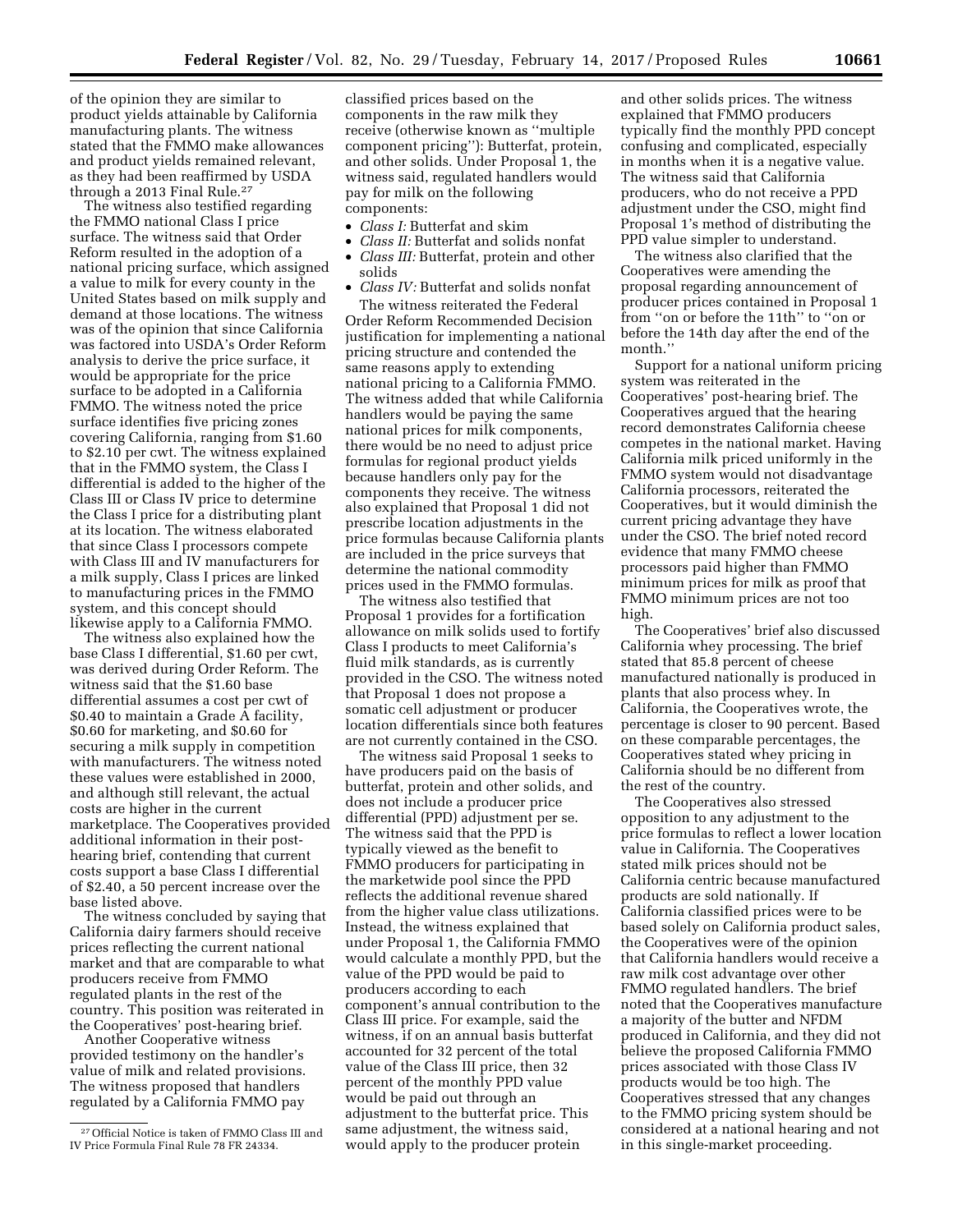of the opinion they are similar to product yields attainable by California manufacturing plants. The witness stated that the FMMO make allowances and product yields remained relevant, as they had been reaffirmed by USDA through a 2013 Final Rule.27

The witness also testified regarding the FMMO national Class I price surface. The witness said that Order Reform resulted in the adoption of a national pricing surface, which assigned a value to milk for every county in the United States based on milk supply and demand at those locations. The witness was of the opinion that since California was factored into USDA's Order Reform analysis to derive the price surface, it would be appropriate for the price surface to be adopted in a California FMMO. The witness noted the price surface identifies five pricing zones covering California, ranging from \$1.60 to \$2.10 per cwt. The witness explained that in the FMMO system, the Class I differential is added to the higher of the Class III or Class IV price to determine the Class I price for a distributing plant at its location. The witness elaborated that since Class I processors compete with Class III and IV manufacturers for a milk supply, Class I prices are linked to manufacturing prices in the FMMO system, and this concept should likewise apply to a California FMMO.

The witness also explained how the base Class I differential, \$1.60 per cwt, was derived during Order Reform. The witness said that the \$1.60 base differential assumes a cost per cwt of \$0.40 to maintain a Grade A facility, \$0.60 for marketing, and \$0.60 for securing a milk supply in competition with manufacturers. The witness noted these values were established in 2000, and although still relevant, the actual costs are higher in the current marketplace. The Cooperatives provided additional information in their posthearing brief, contending that current costs support a base Class I differential of \$2.40, a 50 percent increase over the base listed above.

The witness concluded by saying that California dairy farmers should receive prices reflecting the current national market and that are comparable to what producers receive from FMMO regulated plants in the rest of the country. This position was reiterated in the Cooperatives' post-hearing brief.

Another Cooperative witness provided testimony on the handler's value of milk and related provisions. The witness proposed that handlers regulated by a California FMMO pay

classified prices based on the components in the raw milk they receive (otherwise known as ''multiple component pricing''): Butterfat, protein, and other solids. Under Proposal 1, the witness said, regulated handlers would pay for milk on the following components:

- *Class I:* Butterfat and skim
- *Class II:* Butterfat and solids nonfat
- *Class III:* Butterfat, protein and other solids
- *Class IV:* Butterfat and solids nonfat

The witness reiterated the Federal Order Reform Recommended Decision justification for implementing a national pricing structure and contended the same reasons apply to extending national pricing to a California FMMO. The witness added that while California handlers would be paying the same national prices for milk components, there would be no need to adjust price formulas for regional product yields because handlers only pay for the components they receive. The witness also explained that Proposal 1 did not prescribe location adjustments in the price formulas because California plants are included in the price surveys that determine the national commodity prices used in the FMMO formulas.

The witness also testified that Proposal 1 provides for a fortification allowance on milk solids used to fortify Class I products to meet California's fluid milk standards, as is currently provided in the CSO. The witness noted that Proposal 1 does not propose a somatic cell adjustment or producer location differentials since both features are not currently contained in the CSO.

The witness said Proposal 1 seeks to have producers paid on the basis of butterfat, protein and other solids, and does not include a producer price differential (PPD) adjustment per se. The witness said that the PPD is typically viewed as the benefit to FMMO producers for participating in the marketwide pool since the PPD reflects the additional revenue shared from the higher value class utilizations. Instead, the witness explained that under Proposal 1, the California FMMO would calculate a monthly PPD, but the value of the PPD would be paid to producers according to each component's annual contribution to the Class III price. For example, said the witness, if on an annual basis butterfat accounted for 32 percent of the total value of the Class III price, then 32 percent of the monthly PPD value would be paid out through an adjustment to the butterfat price. This same adjustment, the witness said, would apply to the producer protein

and other solids prices. The witness explained that FMMO producers typically find the monthly PPD concept confusing and complicated, especially in months when it is a negative value. The witness said that California producers, who do not receive a PPD adjustment under the CSO, might find Proposal 1's method of distributing the PPD value simpler to understand.

The witness also clarified that the Cooperatives were amending the proposal regarding announcement of producer prices contained in Proposal 1 from ''on or before the 11th'' to ''on or before the 14th day after the end of the month.''

Support for a national uniform pricing system was reiterated in the Cooperatives' post-hearing brief. The Cooperatives argued that the hearing record demonstrates California cheese competes in the national market. Having California milk priced uniformly in the FMMO system would not disadvantage California processors, reiterated the Cooperatives, but it would diminish the current pricing advantage they have under the CSO. The brief noted record evidence that many FMMO cheese processors paid higher than FMMO minimum prices for milk as proof that FMMO minimum prices are not too high.

The Cooperatives' brief also discussed California whey processing. The brief stated that 85.8 percent of cheese manufactured nationally is produced in plants that also process whey. In California, the Cooperatives wrote, the percentage is closer to 90 percent. Based on these comparable percentages, the Cooperatives stated whey pricing in California should be no different from the rest of the country.

The Cooperatives also stressed opposition to any adjustment to the price formulas to reflect a lower location value in California. The Cooperatives stated milk prices should not be California centric because manufactured products are sold nationally. If California classified prices were to be based solely on California product sales, the Cooperatives were of the opinion that California handlers would receive a raw milk cost advantage over other FMMO regulated handlers. The brief noted that the Cooperatives manufacture a majority of the butter and NFDM produced in California, and they did not believe the proposed California FMMO prices associated with those Class IV products would be too high. The Cooperatives stressed that any changes to the FMMO pricing system should be considered at a national hearing and not in this single-market proceeding.

<sup>27</sup>Official Notice is taken of FMMO Class III and IV Price Formula Final Rule 78 FR 24334.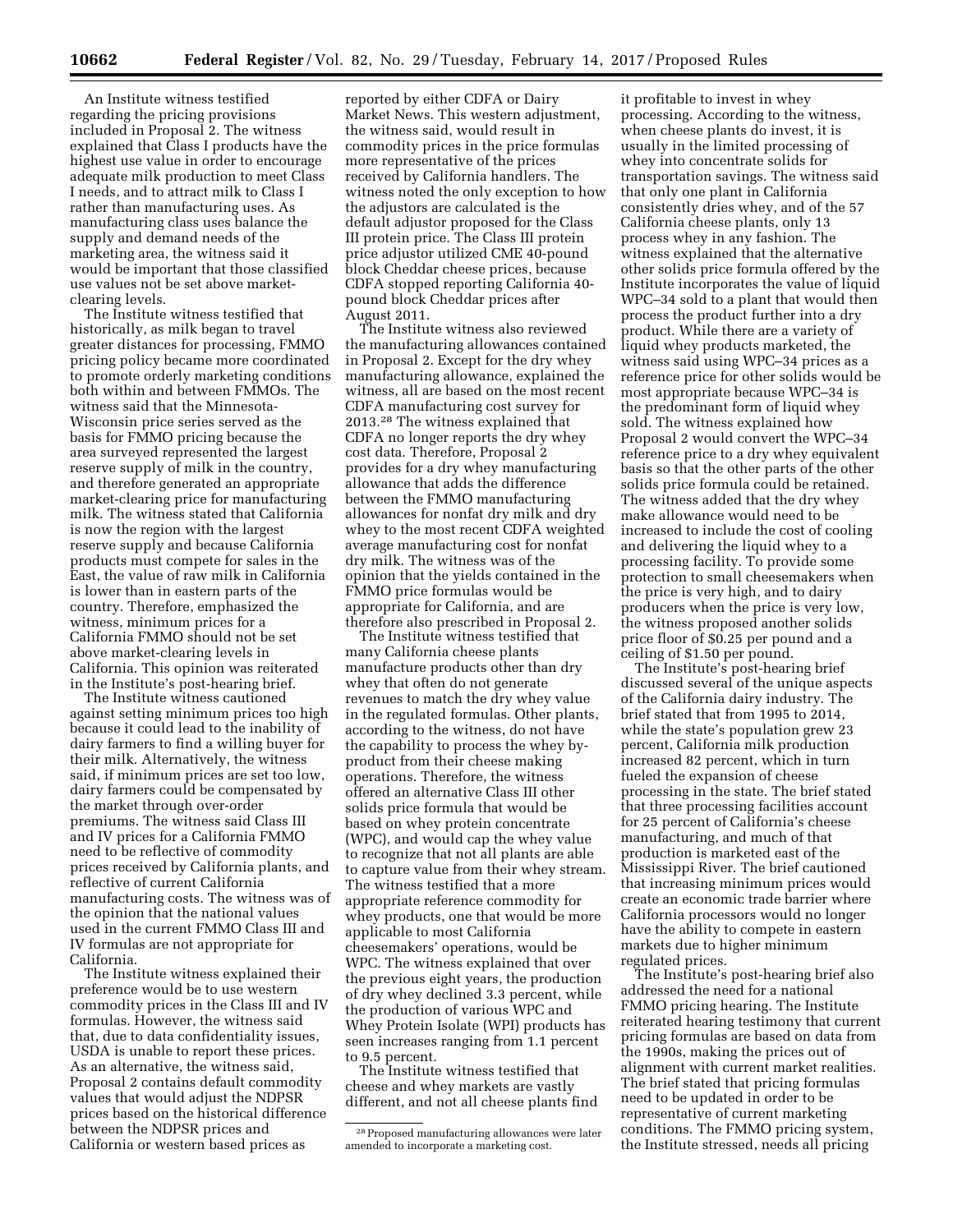An Institute witness testified regarding the pricing provisions included in Proposal 2. The witness explained that Class I products have the highest use value in order to encourage adequate milk production to meet Class I needs, and to attract milk to Class I rather than manufacturing uses. As manufacturing class uses balance the supply and demand needs of the marketing area, the witness said it would be important that those classified use values not be set above marketclearing levels.

The Institute witness testified that historically, as milk began to travel greater distances for processing, FMMO pricing policy became more coordinated to promote orderly marketing conditions both within and between FMMOs. The witness said that the Minnesota-Wisconsin price series served as the basis for FMMO pricing because the area surveyed represented the largest reserve supply of milk in the country, and therefore generated an appropriate market-clearing price for manufacturing milk. The witness stated that California is now the region with the largest reserve supply and because California products must compete for sales in the East, the value of raw milk in California is lower than in eastern parts of the country. Therefore, emphasized the witness, minimum prices for a California FMMO should not be set above market-clearing levels in California. This opinion was reiterated in the Institute's post-hearing brief.

The Institute witness cautioned against setting minimum prices too high because it could lead to the inability of dairy farmers to find a willing buyer for their milk. Alternatively, the witness said, if minimum prices are set too low, dairy farmers could be compensated by the market through over-order premiums. The witness said Class III and IV prices for a California FMMO need to be reflective of commodity prices received by California plants, and reflective of current California manufacturing costs. The witness was of the opinion that the national values used in the current FMMO Class III and IV formulas are not appropriate for California.

The Institute witness explained their preference would be to use western commodity prices in the Class III and IV formulas. However, the witness said that, due to data confidentiality issues, USDA is unable to report these prices. As an alternative, the witness said, Proposal 2 contains default commodity values that would adjust the NDPSR prices based on the historical difference between the NDPSR prices and California or western based prices as

reported by either CDFA or Dairy Market News. This western adjustment, the witness said, would result in commodity prices in the price formulas more representative of the prices received by California handlers. The witness noted the only exception to how the adjustors are calculated is the default adjustor proposed for the Class III protein price. The Class III protein price adjustor utilized CME 40-pound block Cheddar cheese prices, because CDFA stopped reporting California 40 pound block Cheddar prices after August 2011.

The Institute witness also reviewed the manufacturing allowances contained in Proposal 2. Except for the dry whey manufacturing allowance, explained the witness, all are based on the most recent CDFA manufacturing cost survey for 2013.28 The witness explained that CDFA no longer reports the dry whey cost data. Therefore, Proposal 2 provides for a dry whey manufacturing allowance that adds the difference between the FMMO manufacturing allowances for nonfat dry milk and dry whey to the most recent CDFA weighted average manufacturing cost for nonfat dry milk. The witness was of the opinion that the yields contained in the FMMO price formulas would be appropriate for California, and are therefore also prescribed in Proposal 2.

The Institute witness testified that many California cheese plants manufacture products other than dry whey that often do not generate revenues to match the dry whey value in the regulated formulas. Other plants, according to the witness, do not have the capability to process the whey byproduct from their cheese making operations. Therefore, the witness offered an alternative Class III other solids price formula that would be based on whey protein concentrate (WPC), and would cap the whey value to recognize that not all plants are able to capture value from their whey stream. The witness testified that a more appropriate reference commodity for whey products, one that would be more applicable to most California cheesemakers' operations, would be WPC. The witness explained that over the previous eight years, the production of dry whey declined 3.3 percent, while the production of various WPC and Whey Protein Isolate (WPI) products has seen increases ranging from 1.1 percent to 9.5 percent.

The Institute witness testified that cheese and whey markets are vastly different, and not all cheese plants find it profitable to invest in whey processing. According to the witness, when cheese plants do invest, it is usually in the limited processing of whey into concentrate solids for transportation savings. The witness said that only one plant in California consistently dries whey, and of the 57 California cheese plants, only 13 process whey in any fashion. The witness explained that the alternative other solids price formula offered by the Institute incorporates the value of liquid WPC–34 sold to a plant that would then process the product further into a dry product. While there are a variety of liquid whey products marketed, the witness said using WPC–34 prices as a reference price for other solids would be most appropriate because WPC–34 is the predominant form of liquid whey sold. The witness explained how Proposal 2 would convert the WPC–34 reference price to a dry whey equivalent basis so that the other parts of the other solids price formula could be retained. The witness added that the dry whey make allowance would need to be increased to include the cost of cooling and delivering the liquid whey to a processing facility. To provide some protection to small cheesemakers when the price is very high, and to dairy producers when the price is very low, the witness proposed another solids price floor of \$0.25 per pound and a ceiling of \$1.50 per pound.

The Institute's post-hearing brief discussed several of the unique aspects of the California dairy industry. The brief stated that from 1995 to 2014, while the state's population grew 23 percent, California milk production increased 82 percent, which in turn fueled the expansion of cheese processing in the state. The brief stated that three processing facilities account for 25 percent of California's cheese manufacturing, and much of that production is marketed east of the Mississippi River. The brief cautioned that increasing minimum prices would create an economic trade barrier where California processors would no longer have the ability to compete in eastern markets due to higher minimum regulated prices.

The Institute's post-hearing brief also addressed the need for a national FMMO pricing hearing. The Institute reiterated hearing testimony that current pricing formulas are based on data from the 1990s, making the prices out of alignment with current market realities. The brief stated that pricing formulas need to be updated in order to be representative of current marketing conditions. The FMMO pricing system, the Institute stressed, needs all pricing

<sup>28</sup>Proposed manufacturing allowances were later amended to incorporate a marketing cost.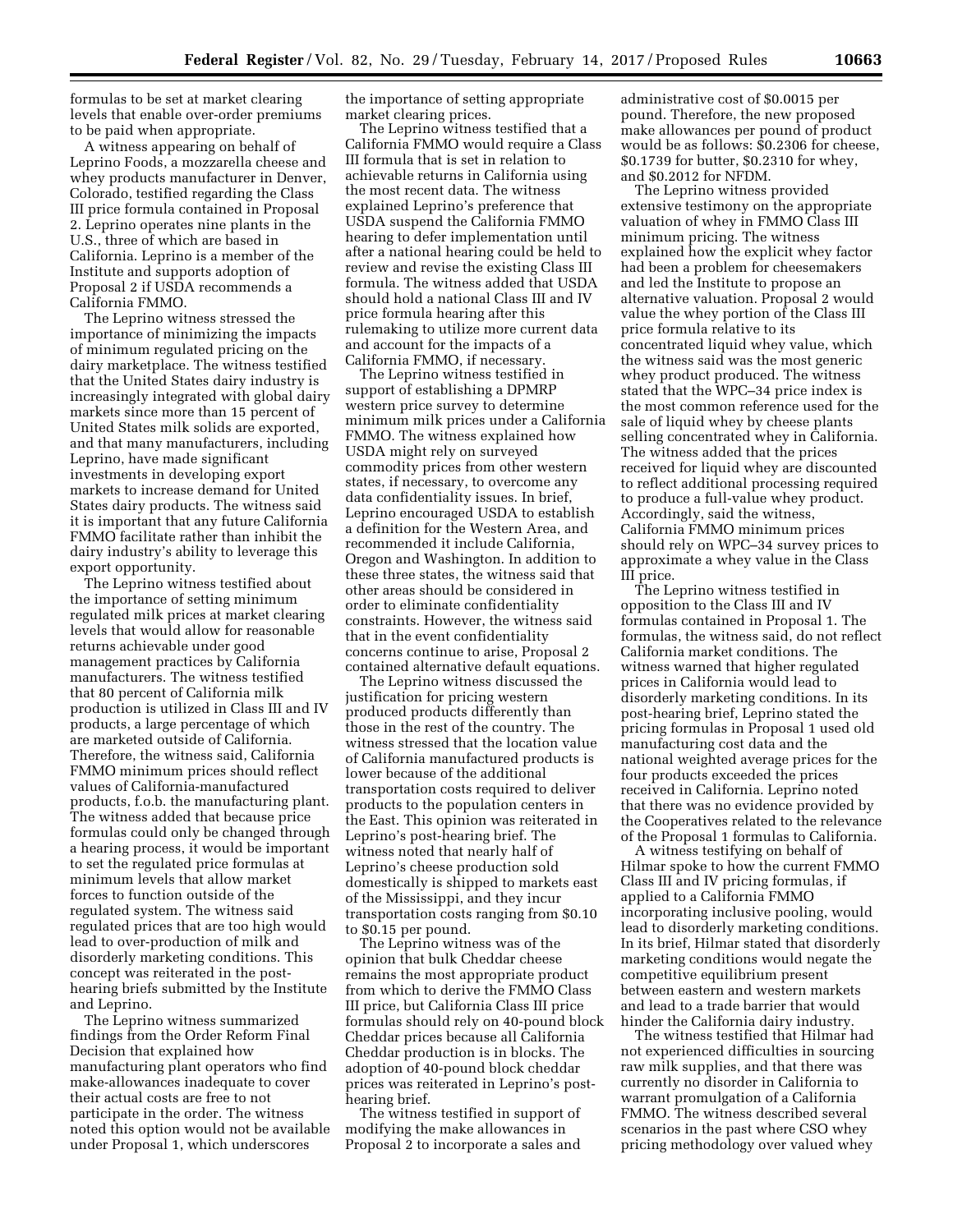formulas to be set at market clearing levels that enable over-order premiums to be paid when appropriate.

A witness appearing on behalf of Leprino Foods, a mozzarella cheese and whey products manufacturer in Denver, Colorado, testified regarding the Class III price formula contained in Proposal 2. Leprino operates nine plants in the U.S., three of which are based in California. Leprino is a member of the Institute and supports adoption of Proposal 2 if USDA recommends a California FMMO.

The Leprino witness stressed the importance of minimizing the impacts of minimum regulated pricing on the dairy marketplace. The witness testified that the United States dairy industry is increasingly integrated with global dairy markets since more than 15 percent of United States milk solids are exported, and that many manufacturers, including Leprino, have made significant investments in developing export markets to increase demand for United States dairy products. The witness said it is important that any future California FMMO facilitate rather than inhibit the dairy industry's ability to leverage this export opportunity.

The Leprino witness testified about the importance of setting minimum regulated milk prices at market clearing levels that would allow for reasonable returns achievable under good management practices by California manufacturers. The witness testified that 80 percent of California milk production is utilized in Class III and IV products, a large percentage of which are marketed outside of California. Therefore, the witness said, California FMMO minimum prices should reflect values of California-manufactured products, f.o.b. the manufacturing plant. The witness added that because price formulas could only be changed through a hearing process, it would be important to set the regulated price formulas at minimum levels that allow market forces to function outside of the regulated system. The witness said regulated prices that are too high would lead to over-production of milk and disorderly marketing conditions. This concept was reiterated in the posthearing briefs submitted by the Institute and Leprino.

The Leprino witness summarized findings from the Order Reform Final Decision that explained how manufacturing plant operators who find make-allowances inadequate to cover their actual costs are free to not participate in the order. The witness noted this option would not be available under Proposal 1, which underscores

the importance of setting appropriate market clearing prices.

The Leprino witness testified that a California FMMO would require a Class III formula that is set in relation to achievable returns in California using the most recent data. The witness explained Leprino's preference that USDA suspend the California FMMO hearing to defer implementation until after a national hearing could be held to review and revise the existing Class III formula. The witness added that USDA should hold a national Class III and IV price formula hearing after this rulemaking to utilize more current data and account for the impacts of a California FMMO, if necessary.

The Leprino witness testified in support of establishing a DPMRP western price survey to determine minimum milk prices under a California FMMO. The witness explained how USDA might rely on surveyed commodity prices from other western states, if necessary, to overcome any data confidentiality issues. In brief, Leprino encouraged USDA to establish a definition for the Western Area, and recommended it include California, Oregon and Washington. In addition to these three states, the witness said that other areas should be considered in order to eliminate confidentiality constraints. However, the witness said that in the event confidentiality concerns continue to arise, Proposal 2 contained alternative default equations.

The Leprino witness discussed the justification for pricing western produced products differently than those in the rest of the country. The witness stressed that the location value of California manufactured products is lower because of the additional transportation costs required to deliver products to the population centers in the East. This opinion was reiterated in Leprino's post-hearing brief. The witness noted that nearly half of Leprino's cheese production sold domestically is shipped to markets east of the Mississippi, and they incur transportation costs ranging from \$0.10 to \$0.15 per pound.

The Leprino witness was of the opinion that bulk Cheddar cheese remains the most appropriate product from which to derive the FMMO Class III price, but California Class III price formulas should rely on 40-pound block Cheddar prices because all California Cheddar production is in blocks. The adoption of 40-pound block cheddar prices was reiterated in Leprino's posthearing brief.

The witness testified in support of modifying the make allowances in Proposal 2 to incorporate a sales and administrative cost of \$0.0015 per pound. Therefore, the new proposed make allowances per pound of product would be as follows: \$0.2306 for cheese, \$0.1739 for butter, \$0.2310 for whey, and \$0.2012 for NFDM.

The Leprino witness provided extensive testimony on the appropriate valuation of whey in FMMO Class III minimum pricing. The witness explained how the explicit whey factor had been a problem for cheesemakers and led the Institute to propose an alternative valuation. Proposal 2 would value the whey portion of the Class III price formula relative to its concentrated liquid whey value, which the witness said was the most generic whey product produced. The witness stated that the WPC–34 price index is the most common reference used for the sale of liquid whey by cheese plants selling concentrated whey in California. The witness added that the prices received for liquid whey are discounted to reflect additional processing required to produce a full-value whey product. Accordingly, said the witness, California FMMO minimum prices should rely on WPC–34 survey prices to approximate a whey value in the Class III price.

The Leprino witness testified in opposition to the Class III and IV formulas contained in Proposal 1. The formulas, the witness said, do not reflect California market conditions. The witness warned that higher regulated prices in California would lead to disorderly marketing conditions. In its post-hearing brief, Leprino stated the pricing formulas in Proposal 1 used old manufacturing cost data and the national weighted average prices for the four products exceeded the prices received in California. Leprino noted that there was no evidence provided by the Cooperatives related to the relevance of the Proposal 1 formulas to California.

A witness testifying on behalf of Hilmar spoke to how the current FMMO Class III and IV pricing formulas, if applied to a California FMMO incorporating inclusive pooling, would lead to disorderly marketing conditions. In its brief, Hilmar stated that disorderly marketing conditions would negate the competitive equilibrium present between eastern and western markets and lead to a trade barrier that would hinder the California dairy industry.

The witness testified that Hilmar had not experienced difficulties in sourcing raw milk supplies, and that there was currently no disorder in California to warrant promulgation of a California FMMO. The witness described several scenarios in the past where CSO whey pricing methodology over valued whey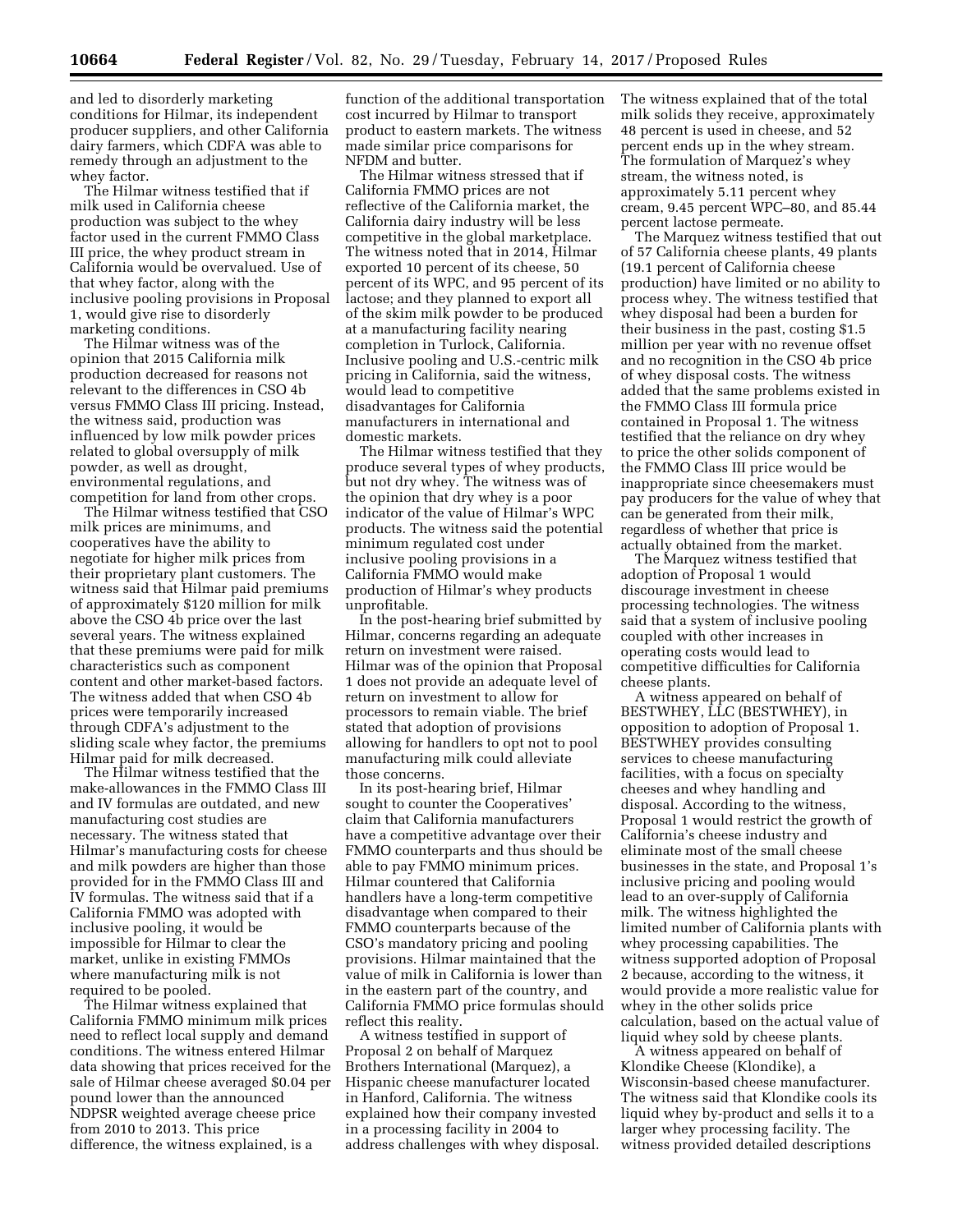and led to disorderly marketing conditions for Hilmar, its independent producer suppliers, and other California dairy farmers, which CDFA was able to remedy through an adjustment to the whey factor.

The Hilmar witness testified that if milk used in California cheese production was subject to the whey factor used in the current FMMO Class III price, the whey product stream in California would be overvalued. Use of that whey factor, along with the inclusive pooling provisions in Proposal 1, would give rise to disorderly marketing conditions.

The Hilmar witness was of the opinion that 2015 California milk production decreased for reasons not relevant to the differences in CSO 4b versus FMMO Class III pricing. Instead, the witness said, production was influenced by low milk powder prices related to global oversupply of milk powder, as well as drought, environmental regulations, and competition for land from other crops.

The Hilmar witness testified that CSO milk prices are minimums, and cooperatives have the ability to negotiate for higher milk prices from their proprietary plant customers. The witness said that Hilmar paid premiums of approximately \$120 million for milk above the CSO 4b price over the last several years. The witness explained that these premiums were paid for milk characteristics such as component content and other market-based factors. The witness added that when CSO 4b prices were temporarily increased through CDFA's adjustment to the sliding scale whey factor, the premiums Hilmar paid for milk decreased.

The Hilmar witness testified that the make-allowances in the FMMO Class III and IV formulas are outdated, and new manufacturing cost studies are necessary. The witness stated that Hilmar's manufacturing costs for cheese and milk powders are higher than those provided for in the FMMO Class III and IV formulas. The witness said that if a California FMMO was adopted with inclusive pooling, it would be impossible for Hilmar to clear the market, unlike in existing FMMOs where manufacturing milk is not required to be pooled.

The Hilmar witness explained that California FMMO minimum milk prices need to reflect local supply and demand conditions. The witness entered Hilmar data showing that prices received for the sale of Hilmar cheese averaged \$0.04 per pound lower than the announced NDPSR weighted average cheese price from 2010 to 2013. This price difference, the witness explained, is a

function of the additional transportation cost incurred by Hilmar to transport product to eastern markets. The witness made similar price comparisons for NFDM and butter.

The Hilmar witness stressed that if California FMMO prices are not reflective of the California market, the California dairy industry will be less competitive in the global marketplace. The witness noted that in 2014, Hilmar exported 10 percent of its cheese, 50 percent of its WPC, and 95 percent of its lactose; and they planned to export all of the skim milk powder to be produced at a manufacturing facility nearing completion in Turlock, California. Inclusive pooling and U.S.-centric milk pricing in California, said the witness, would lead to competitive disadvantages for California manufacturers in international and domestic markets.

The Hilmar witness testified that they produce several types of whey products, but not dry whey. The witness was of the opinion that dry whey is a poor indicator of the value of Hilmar's WPC products. The witness said the potential minimum regulated cost under inclusive pooling provisions in a California FMMO would make production of Hilmar's whey products unprofitable.

In the post-hearing brief submitted by Hilmar, concerns regarding an adequate return on investment were raised. Hilmar was of the opinion that Proposal 1 does not provide an adequate level of return on investment to allow for processors to remain viable. The brief stated that adoption of provisions allowing for handlers to opt not to pool manufacturing milk could alleviate those concerns.

In its post-hearing brief, Hilmar sought to counter the Cooperatives' claim that California manufacturers have a competitive advantage over their FMMO counterparts and thus should be able to pay FMMO minimum prices. Hilmar countered that California handlers have a long-term competitive disadvantage when compared to their FMMO counterparts because of the CSO's mandatory pricing and pooling provisions. Hilmar maintained that the value of milk in California is lower than in the eastern part of the country, and California FMMO price formulas should reflect this reality.

A witness testified in support of Proposal 2 on behalf of Marquez Brothers International (Marquez), a Hispanic cheese manufacturer located in Hanford, California. The witness explained how their company invested in a processing facility in 2004 to address challenges with whey disposal. The witness explained that of the total milk solids they receive, approximately 48 percent is used in cheese, and 52 percent ends up in the whey stream. The formulation of Marquez's whey stream, the witness noted, is approximately 5.11 percent whey cream, 9.45 percent WPC–80, and 85.44 percent lactose permeate.

The Marquez witness testified that out of 57 California cheese plants, 49 plants (19.1 percent of California cheese production) have limited or no ability to process whey. The witness testified that whey disposal had been a burden for their business in the past, costing \$1.5 million per year with no revenue offset and no recognition in the CSO 4b price of whey disposal costs. The witness added that the same problems existed in the FMMO Class III formula price contained in Proposal 1. The witness testified that the reliance on dry whey to price the other solids component of the FMMO Class III price would be inappropriate since cheesemakers must pay producers for the value of whey that can be generated from their milk, regardless of whether that price is actually obtained from the market.

The Marquez witness testified that adoption of Proposal 1 would discourage investment in cheese processing technologies. The witness said that a system of inclusive pooling coupled with other increases in operating costs would lead to competitive difficulties for California cheese plants.

A witness appeared on behalf of BESTWHEY, LLC (BESTWHEY), in opposition to adoption of Proposal 1. BESTWHEY provides consulting services to cheese manufacturing facilities, with a focus on specialty cheeses and whey handling and disposal. According to the witness, Proposal 1 would restrict the growth of California's cheese industry and eliminate most of the small cheese businesses in the state, and Proposal 1's inclusive pricing and pooling would lead to an over-supply of California milk. The witness highlighted the limited number of California plants with whey processing capabilities. The witness supported adoption of Proposal 2 because, according to the witness, it would provide a more realistic value for whey in the other solids price calculation, based on the actual value of liquid whey sold by cheese plants.

A witness appeared on behalf of Klondike Cheese (Klondike), a Wisconsin-based cheese manufacturer. The witness said that Klondike cools its liquid whey by-product and sells it to a larger whey processing facility. The witness provided detailed descriptions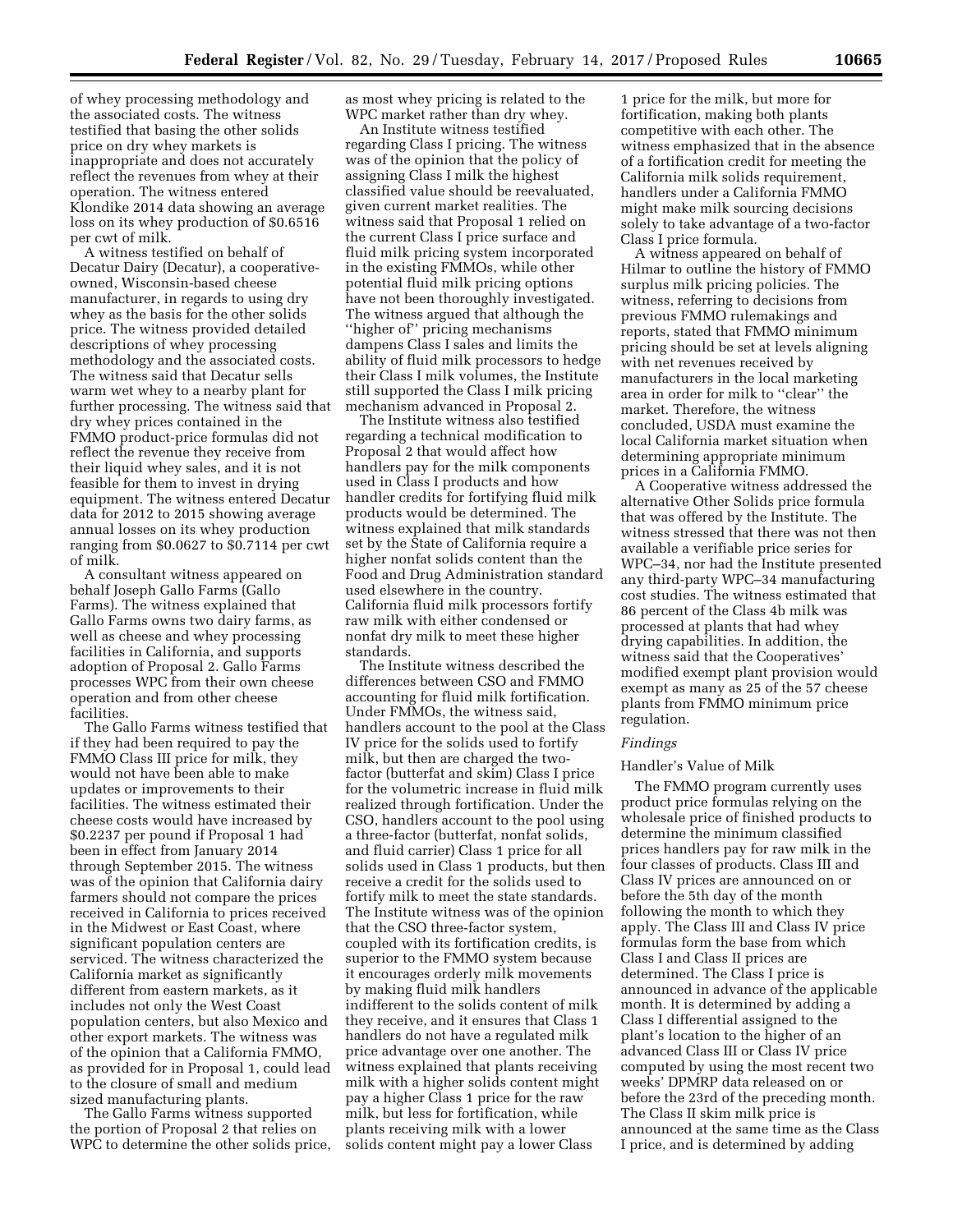of whey processing methodology and the associated costs. The witness testified that basing the other solids price on dry whey markets is inappropriate and does not accurately reflect the revenues from whey at their operation. The witness entered Klondike 2014 data showing an average loss on its whey production of \$0.6516 per cwt of milk.

A witness testified on behalf of Decatur Dairy (Decatur), a cooperativeowned, Wisconsin-based cheese manufacturer, in regards to using dry whey as the basis for the other solids price. The witness provided detailed descriptions of whey processing methodology and the associated costs. The witness said that Decatur sells warm wet whey to a nearby plant for further processing. The witness said that dry whey prices contained in the FMMO product-price formulas did not reflect the revenue they receive from their liquid whey sales, and it is not feasible for them to invest in drying equipment. The witness entered Decatur data for 2012 to 2015 showing average annual losses on its whey production ranging from \$0.0627 to \$0.7114 per cwt of milk.

A consultant witness appeared on behalf Joseph Gallo Farms (Gallo Farms). The witness explained that Gallo Farms owns two dairy farms, as well as cheese and whey processing facilities in California, and supports adoption of Proposal 2. Gallo Farms processes WPC from their own cheese operation and from other cheese facilities.

The Gallo Farms witness testified that if they had been required to pay the FMMO Class III price for milk, they would not have been able to make updates or improvements to their facilities. The witness estimated their cheese costs would have increased by \$0.2237 per pound if Proposal 1 had been in effect from January 2014 through September 2015. The witness was of the opinion that California dairy farmers should not compare the prices received in California to prices received in the Midwest or East Coast, where significant population centers are serviced. The witness characterized the California market as significantly different from eastern markets, as it includes not only the West Coast population centers, but also Mexico and other export markets. The witness was of the opinion that a California FMMO, as provided for in Proposal 1, could lead to the closure of small and medium sized manufacturing plants.

The Gallo Farms witness supported the portion of Proposal 2 that relies on WPC to determine the other solids price, as most whey pricing is related to the WPC market rather than dry whey.

An Institute witness testified regarding Class I pricing. The witness was of the opinion that the policy of assigning Class I milk the highest classified value should be reevaluated, given current market realities. The witness said that Proposal 1 relied on the current Class I price surface and fluid milk pricing system incorporated in the existing FMMOs, while other potential fluid milk pricing options have not been thoroughly investigated. The witness argued that although the ''higher of'' pricing mechanisms dampens Class I sales and limits the ability of fluid milk processors to hedge their Class I milk volumes, the Institute still supported the Class I milk pricing mechanism advanced in Proposal 2.

The Institute witness also testified regarding a technical modification to Proposal 2 that would affect how handlers pay for the milk components used in Class I products and how handler credits for fortifying fluid milk products would be determined. The witness explained that milk standards set by the State of California require a higher nonfat solids content than the Food and Drug Administration standard used elsewhere in the country. California fluid milk processors fortify raw milk with either condensed or nonfat dry milk to meet these higher standards.

The Institute witness described the differences between CSO and FMMO accounting for fluid milk fortification. Under FMMOs, the witness said, handlers account to the pool at the Class IV price for the solids used to fortify milk, but then are charged the twofactor (butterfat and skim) Class I price for the volumetric increase in fluid milk realized through fortification. Under the CSO, handlers account to the pool using a three-factor (butterfat, nonfat solids, and fluid carrier) Class 1 price for all solids used in Class 1 products, but then receive a credit for the solids used to fortify milk to meet the state standards. The Institute witness was of the opinion that the CSO three-factor system, coupled with its fortification credits, is superior to the FMMO system because it encourages orderly milk movements by making fluid milk handlers indifferent to the solids content of milk they receive, and it ensures that Class 1 handlers do not have a regulated milk price advantage over one another. The witness explained that plants receiving milk with a higher solids content might pay a higher Class 1 price for the raw milk, but less for fortification, while plants receiving milk with a lower solids content might pay a lower Class

1 price for the milk, but more for fortification, making both plants competitive with each other. The witness emphasized that in the absence of a fortification credit for meeting the California milk solids requirement, handlers under a California FMMO might make milk sourcing decisions solely to take advantage of a two-factor Class I price formula.

A witness appeared on behalf of Hilmar to outline the history of FMMO surplus milk pricing policies. The witness, referring to decisions from previous FMMO rulemakings and reports, stated that FMMO minimum pricing should be set at levels aligning with net revenues received by manufacturers in the local marketing area in order for milk to ''clear'' the market. Therefore, the witness concluded, USDA must examine the local California market situation when determining appropriate minimum prices in a California FMMO.

A Cooperative witness addressed the alternative Other Solids price formula that was offered by the Institute. The witness stressed that there was not then available a verifiable price series for WPC–34, nor had the Institute presented any third-party WPC–34 manufacturing cost studies. The witness estimated that 86 percent of the Class 4b milk was processed at plants that had whey drying capabilities. In addition, the witness said that the Cooperatives' modified exempt plant provision would exempt as many as 25 of the 57 cheese plants from FMMO minimum price regulation.

# *Findings*

## Handler's Value of Milk

The FMMO program currently uses product price formulas relying on the wholesale price of finished products to determine the minimum classified prices handlers pay for raw milk in the four classes of products. Class III and Class IV prices are announced on or before the 5th day of the month following the month to which they apply. The Class III and Class IV price formulas form the base from which Class I and Class II prices are determined. The Class I price is announced in advance of the applicable month. It is determined by adding a Class I differential assigned to the plant's location to the higher of an advanced Class III or Class IV price computed by using the most recent two weeks' DPMRP data released on or before the 23rd of the preceding month. The Class II skim milk price is announced at the same time as the Class I price, and is determined by adding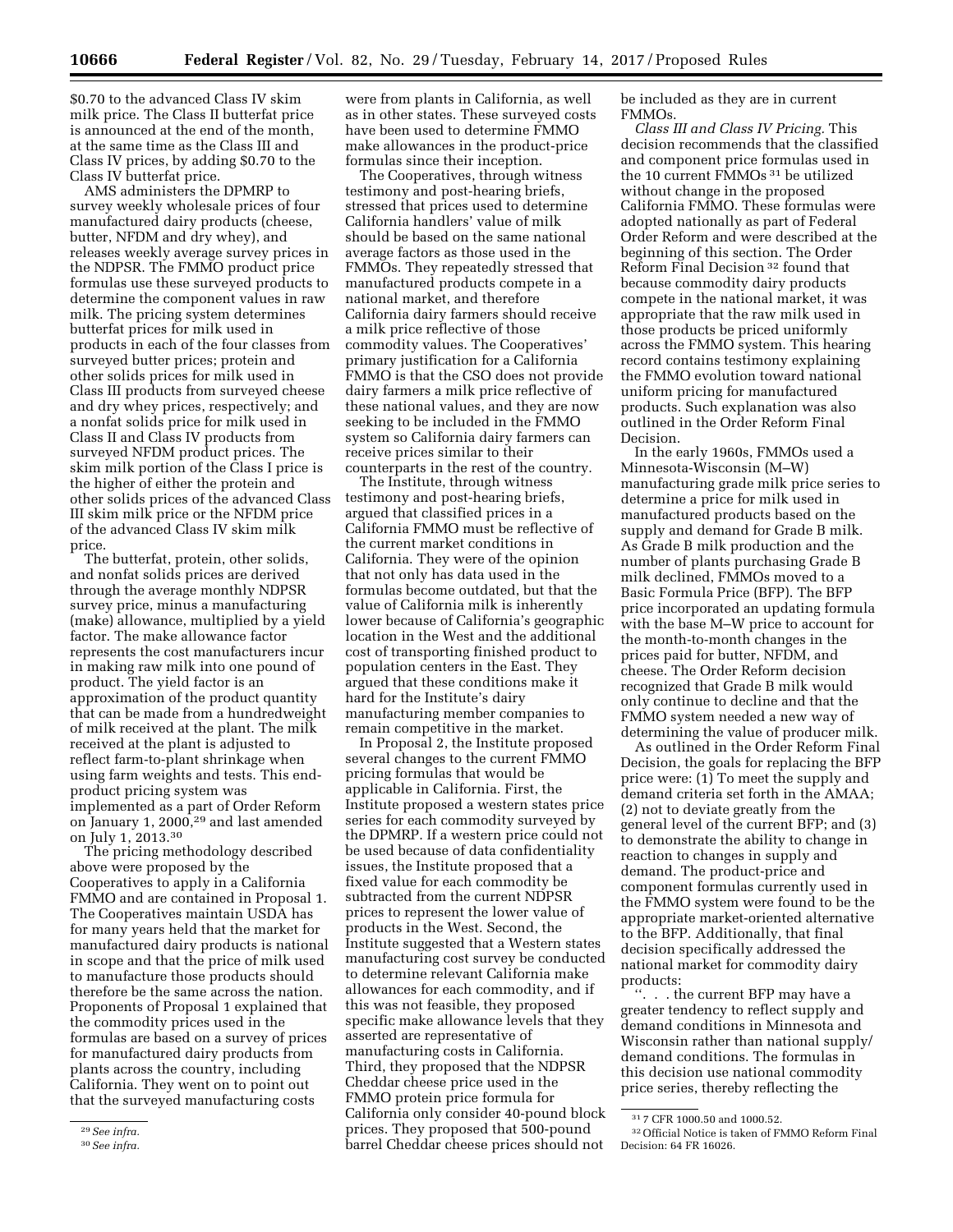\$0.70 to the advanced Class IV skim milk price. The Class II butterfat price is announced at the end of the month, at the same time as the Class III and Class IV prices, by adding \$0.70 to the Class IV butterfat price.

AMS administers the DPMRP to survey weekly wholesale prices of four manufactured dairy products (cheese, butter, NFDM and dry whey), and releases weekly average survey prices in the NDPSR. The FMMO product price formulas use these surveyed products to determine the component values in raw milk. The pricing system determines butterfat prices for milk used in products in each of the four classes from surveyed butter prices; protein and other solids prices for milk used in Class III products from surveyed cheese and dry whey prices, respectively; and a nonfat solids price for milk used in Class II and Class IV products from surveyed NFDM product prices. The skim milk portion of the Class I price is the higher of either the protein and other solids prices of the advanced Class III skim milk price or the NFDM price of the advanced Class IV skim milk price.

The butterfat, protein, other solids, and nonfat solids prices are derived through the average monthly NDPSR survey price, minus a manufacturing (make) allowance, multiplied by a yield factor. The make allowance factor represents the cost manufacturers incur in making raw milk into one pound of product. The yield factor is an approximation of the product quantity that can be made from a hundredweight of milk received at the plant. The milk received at the plant is adjusted to reflect farm-to-plant shrinkage when using farm weights and tests. This endproduct pricing system was implemented as a part of Order Reform on January 1, 2000,29 and last amended on July 1, 2013.30

The pricing methodology described above were proposed by the Cooperatives to apply in a California FMMO and are contained in Proposal 1. The Cooperatives maintain USDA has for many years held that the market for manufactured dairy products is national in scope and that the price of milk used to manufacture those products should therefore be the same across the nation. Proponents of Proposal 1 explained that the commodity prices used in the formulas are based on a survey of prices for manufactured dairy products from plants across the country, including California. They went on to point out that the surveyed manufacturing costs

were from plants in California, as well as in other states. These surveyed costs have been used to determine FMMO make allowances in the product-price formulas since their inception.

The Cooperatives, through witness testimony and post-hearing briefs, stressed that prices used to determine California handlers' value of milk should be based on the same national average factors as those used in the FMMOs. They repeatedly stressed that manufactured products compete in a national market, and therefore California dairy farmers should receive a milk price reflective of those commodity values. The Cooperatives' primary justification for a California FMMO is that the CSO does not provide dairy farmers a milk price reflective of these national values, and they are now seeking to be included in the FMMO system so California dairy farmers can receive prices similar to their counterparts in the rest of the country.

The Institute, through witness testimony and post-hearing briefs, argued that classified prices in a California FMMO must be reflective of the current market conditions in California. They were of the opinion that not only has data used in the formulas become outdated, but that the value of California milk is inherently lower because of California's geographic location in the West and the additional cost of transporting finished product to population centers in the East. They argued that these conditions make it hard for the Institute's dairy manufacturing member companies to remain competitive in the market.

In Proposal 2, the Institute proposed several changes to the current FMMO pricing formulas that would be applicable in California. First, the Institute proposed a western states price series for each commodity surveyed by the DPMRP. If a western price could not be used because of data confidentiality issues, the Institute proposed that a fixed value for each commodity be subtracted from the current NDPSR prices to represent the lower value of products in the West. Second, the Institute suggested that a Western states manufacturing cost survey be conducted to determine relevant California make allowances for each commodity, and if this was not feasible, they proposed specific make allowance levels that they asserted are representative of manufacturing costs in California. Third, they proposed that the NDPSR Cheddar cheese price used in the FMMO protein price formula for California only consider 40-pound block prices. They proposed that 500-pound barrel Cheddar cheese prices should not

be included as they are in current FMMOs.

*Class III and Class IV Pricing.* This decision recommends that the classified and component price formulas used in the 10 current FMMOs 31 be utilized without change in the proposed California FMMO. These formulas were adopted nationally as part of Federal Order Reform and were described at the beginning of this section. The Order Reform Final Decision 32 found that because commodity dairy products compete in the national market, it was appropriate that the raw milk used in those products be priced uniformly across the FMMO system. This hearing record contains testimony explaining the FMMO evolution toward national uniform pricing for manufactured products. Such explanation was also outlined in the Order Reform Final Decision.

In the early 1960s, FMMOs used a Minnesota-Wisconsin (M–W) manufacturing grade milk price series to determine a price for milk used in manufactured products based on the supply and demand for Grade B milk. As Grade B milk production and the number of plants purchasing Grade B milk declined, FMMOs moved to a Basic Formula Price (BFP). The BFP price incorporated an updating formula with the base M–W price to account for the month-to-month changes in the prices paid for butter, NFDM, and cheese. The Order Reform decision recognized that Grade B milk would only continue to decline and that the FMMO system needed a new way of determining the value of producer milk.

As outlined in the Order Reform Final Decision, the goals for replacing the BFP price were: (1) To meet the supply and demand criteria set forth in the AMAA; (2) not to deviate greatly from the general level of the current BFP; and (3) to demonstrate the ability to change in reaction to changes in supply and demand. The product-price and component formulas currently used in the FMMO system were found to be the appropriate market-oriented alternative to the BFP. Additionally, that final decision specifically addressed the national market for commodity dairy products:

''. . . the current BFP may have a greater tendency to reflect supply and demand conditions in Minnesota and Wisconsin rather than national supply/ demand conditions. The formulas in this decision use national commodity price series, thereby reflecting the

<sup>29</sup>*See infra.* 

<sup>30</sup>*See infra.* 

<sup>31</sup> 7 CFR 1000.50 and 1000.52.

<sup>32</sup>Official Notice is taken of FMMO Reform Final Decision: 64 FR 16026.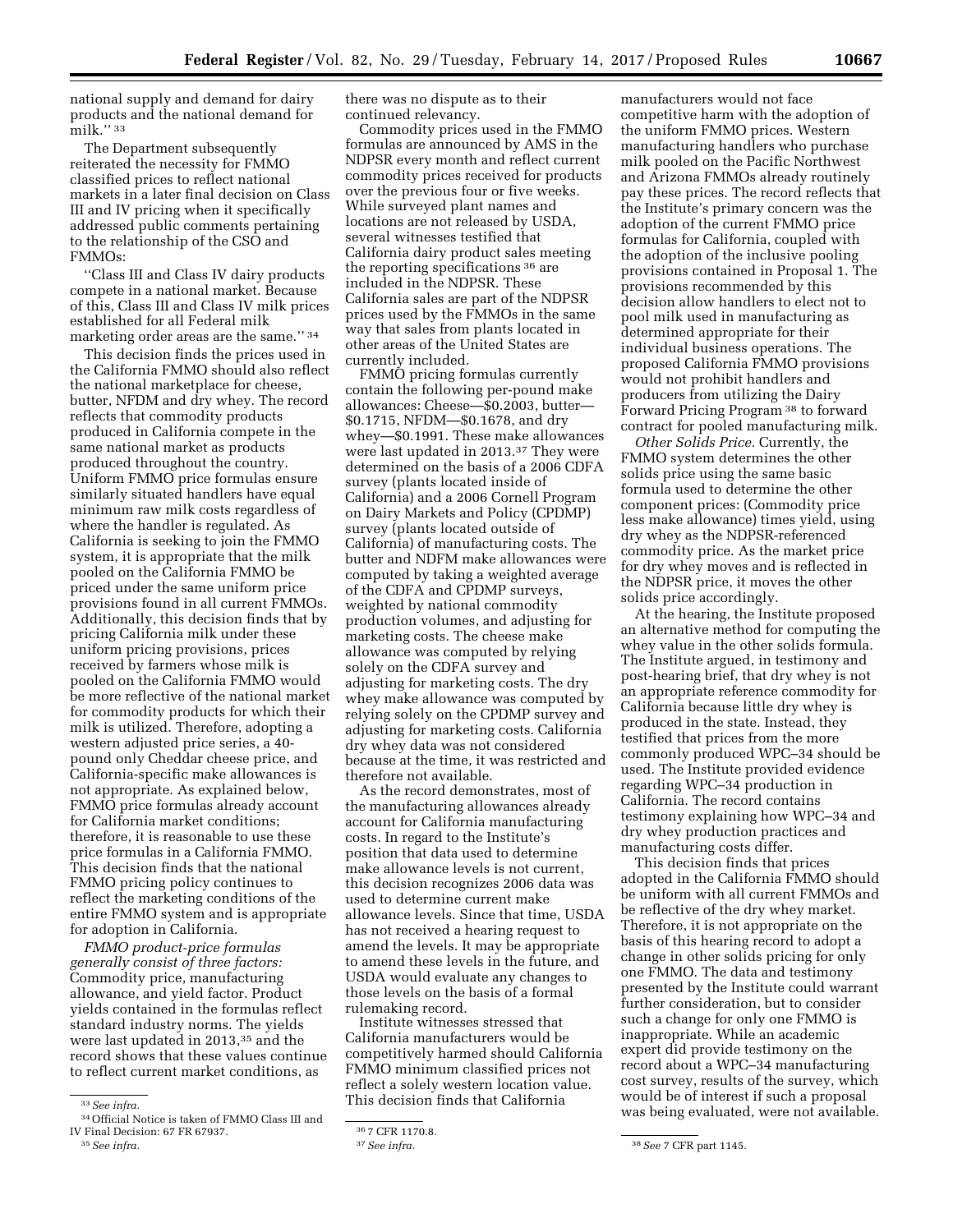national supply and demand for dairy products and the national demand for milk.'' 33

The Department subsequently reiterated the necessity for FMMO classified prices to reflect national markets in a later final decision on Class III and IV pricing when it specifically addressed public comments pertaining to the relationship of the CSO and FMMOs:

''Class III and Class IV dairy products compete in a national market. Because of this, Class III and Class IV milk prices established for all Federal milk marketing order areas are the same.'' 34

This decision finds the prices used in the California FMMO should also reflect the national marketplace for cheese, butter, NFDM and dry whey. The record reflects that commodity products produced in California compete in the same national market as products produced throughout the country. Uniform FMMO price formulas ensure similarly situated handlers have equal minimum raw milk costs regardless of where the handler is regulated. As California is seeking to join the FMMO system, it is appropriate that the milk pooled on the California FMMO be priced under the same uniform price provisions found in all current FMMOs. Additionally, this decision finds that by pricing California milk under these uniform pricing provisions, prices received by farmers whose milk is pooled on the California FMMO would be more reflective of the national market for commodity products for which their milk is utilized. Therefore, adopting a western adjusted price series, a 40 pound only Cheddar cheese price, and California-specific make allowances is not appropriate. As explained below, FMMO price formulas already account for California market conditions; therefore, it is reasonable to use these price formulas in a California FMMO. This decision finds that the national FMMO pricing policy continues to reflect the marketing conditions of the entire FMMO system and is appropriate for adoption in California.

*FMMO product-price formulas generally consist of three factors:*  Commodity price, manufacturing allowance, and yield factor. Product yields contained in the formulas reflect standard industry norms. The yields were last updated in 2013,35 and the record shows that these values continue to reflect current market conditions, as

there was no dispute as to their continued relevancy.

Commodity prices used in the FMMO formulas are announced by AMS in the NDPSR every month and reflect current commodity prices received for products over the previous four or five weeks. While surveyed plant names and locations are not released by USDA, several witnesses testified that California dairy product sales meeting the reporting specifications 36 are included in the NDPSR. These California sales are part of the NDPSR prices used by the FMMOs in the same way that sales from plants located in other areas of the United States are currently included.

FMMO pricing formulas currently contain the following per-pound make allowances: Cheese—\$0.2003, butter— \$0.1715, NFDM—\$0.1678, and dry whey—\$0.1991. These make allowances were last updated in 2013.37 They were determined on the basis of a 2006 CDFA survey (plants located inside of California) and a 2006 Cornell Program on Dairy Markets and Policy (CPDMP) survey (plants located outside of California) of manufacturing costs. The butter and NDFM make allowances were computed by taking a weighted average of the CDFA and CPDMP surveys, weighted by national commodity production volumes, and adjusting for marketing costs. The cheese make allowance was computed by relying solely on the CDFA survey and adjusting for marketing costs. The dry whey make allowance was computed by relying solely on the CPDMP survey and adjusting for marketing costs. California dry whey data was not considered because at the time, it was restricted and therefore not available.

As the record demonstrates, most of the manufacturing allowances already account for California manufacturing costs. In regard to the Institute's position that data used to determine make allowance levels is not current, this decision recognizes 2006 data was used to determine current make allowance levels. Since that time, USDA has not received a hearing request to amend the levels. It may be appropriate to amend these levels in the future, and USDA would evaluate any changes to those levels on the basis of a formal rulemaking record.

Institute witnesses stressed that California manufacturers would be competitively harmed should California FMMO minimum classified prices not reflect a solely western location value. This decision finds that California

manufacturers would not face competitive harm with the adoption of the uniform FMMO prices. Western manufacturing handlers who purchase milk pooled on the Pacific Northwest and Arizona FMMOs already routinely pay these prices. The record reflects that the Institute's primary concern was the adoption of the current FMMO price formulas for California, coupled with the adoption of the inclusive pooling provisions contained in Proposal 1. The provisions recommended by this decision allow handlers to elect not to pool milk used in manufacturing as determined appropriate for their individual business operations. The proposed California FMMO provisions would not prohibit handlers and producers from utilizing the Dairy Forward Pricing Program 38 to forward contract for pooled manufacturing milk.

*Other Solids Price.* Currently, the FMMO system determines the other solids price using the same basic formula used to determine the other component prices: (Commodity price less make allowance) times yield, using dry whey as the NDPSR-referenced commodity price. As the market price for dry whey moves and is reflected in the NDPSR price, it moves the other solids price accordingly.

At the hearing, the Institute proposed an alternative method for computing the whey value in the other solids formula. The Institute argued, in testimony and post-hearing brief, that dry whey is not an appropriate reference commodity for California because little dry whey is produced in the state. Instead, they testified that prices from the more commonly produced WPC–34 should be used. The Institute provided evidence regarding WPC–34 production in California. The record contains testimony explaining how WPC–34 and dry whey production practices and manufacturing costs differ.

This decision finds that prices adopted in the California FMMO should be uniform with all current FMMOs and be reflective of the dry whey market. Therefore, it is not appropriate on the basis of this hearing record to adopt a change in other solids pricing for only one FMMO. The data and testimony presented by the Institute could warrant further consideration, but to consider such a change for only one FMMO is inappropriate. While an academic expert did provide testimony on the record about a WPC–34 manufacturing cost survey, results of the survey, which would be of interest if such a proposal was being evaluated, were not available.

<sup>33</sup>*See infra.* 

<sup>34</sup>Official Notice is taken of FMMO Class III and IV Final Decision: 67 FR 67937.

<sup>35</sup>*See infra.* 

<sup>36</sup> 7 CFR 1170.8.

<sup>37</sup>*See infra.* 38*See* 7 CFR part 1145.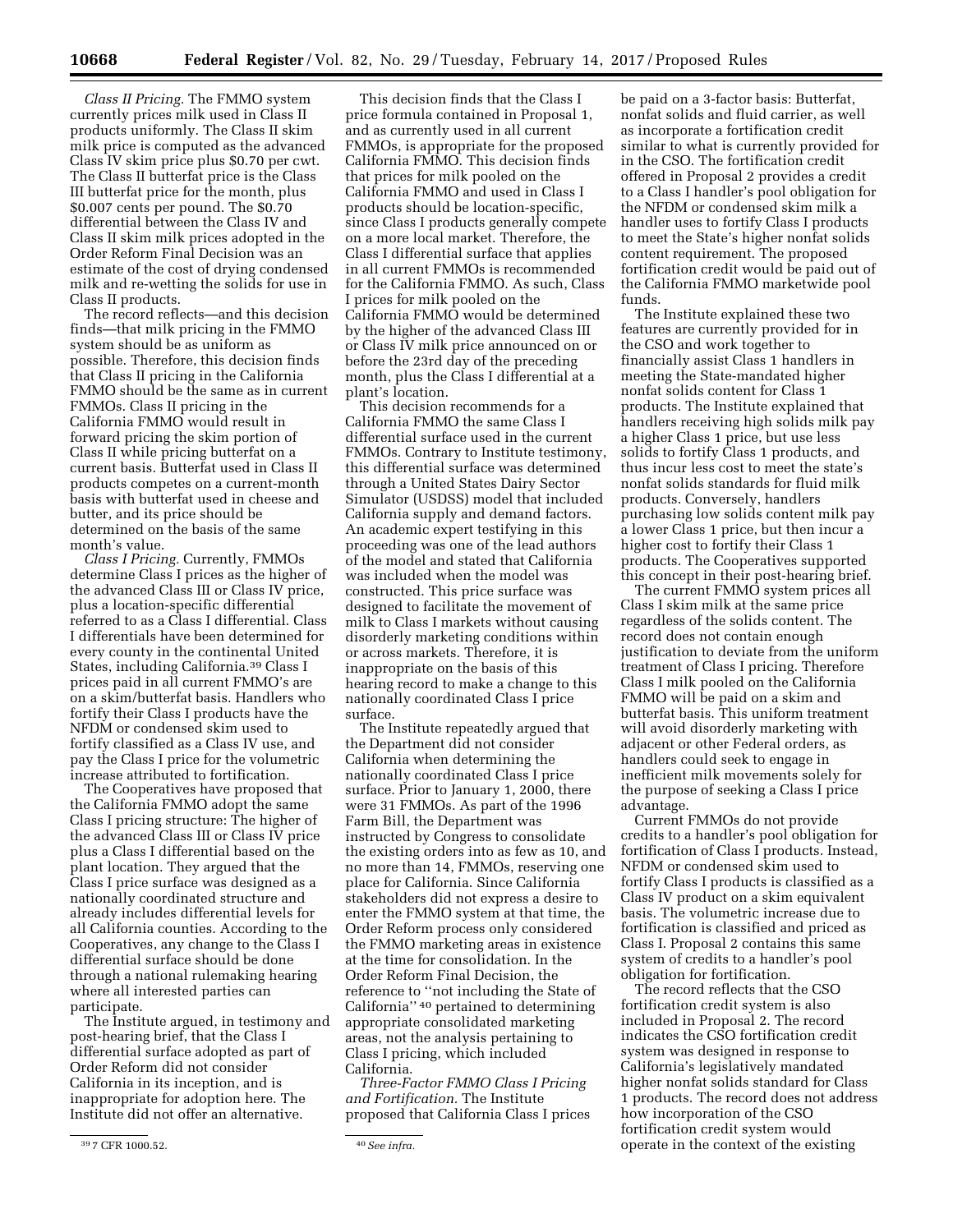*Class II Pricing.* The FMMO system currently prices milk used in Class II products uniformly. The Class II skim milk price is computed as the advanced Class IV skim price plus \$0.70 per cwt. The Class II butterfat price is the Class III butterfat price for the month, plus \$0.007 cents per pound. The \$0.70 differential between the Class IV and Class II skim milk prices adopted in the Order Reform Final Decision was an estimate of the cost of drying condensed milk and re-wetting the solids for use in Class II products.

The record reflects—and this decision finds—that milk pricing in the FMMO system should be as uniform as possible. Therefore, this decision finds that Class II pricing in the California FMMO should be the same as in current FMMOs. Class II pricing in the California FMMO would result in forward pricing the skim portion of Class II while pricing butterfat on a current basis. Butterfat used in Class II products competes on a current-month basis with butterfat used in cheese and butter, and its price should be determined on the basis of the same month's value.

*Class I Pricing.* Currently, FMMOs determine Class I prices as the higher of the advanced Class III or Class IV price, plus a location-specific differential referred to as a Class I differential. Class I differentials have been determined for every county in the continental United States, including California.39 Class I prices paid in all current FMMO's are on a skim/butterfat basis. Handlers who fortify their Class I products have the NFDM or condensed skim used to fortify classified as a Class IV use, and pay the Class I price for the volumetric increase attributed to fortification.

The Cooperatives have proposed that the California FMMO adopt the same Class I pricing structure: The higher of the advanced Class III or Class IV price plus a Class I differential based on the plant location. They argued that the Class I price surface was designed as a nationally coordinated structure and already includes differential levels for all California counties. According to the Cooperatives, any change to the Class I differential surface should be done through a national rulemaking hearing where all interested parties can participate.

The Institute argued, in testimony and post-hearing brief, that the Class I differential surface adopted as part of Order Reform did not consider California in its inception, and is inappropriate for adoption here. The Institute did not offer an alternative.

This decision finds that the Class I price formula contained in Proposal 1, and as currently used in all current FMMOs, is appropriate for the proposed California FMMO. This decision finds that prices for milk pooled on the California FMMO and used in Class I products should be location-specific, since Class I products generally compete on a more local market. Therefore, the Class I differential surface that applies in all current FMMOs is recommended for the California FMMO. As such, Class I prices for milk pooled on the California FMMO would be determined by the higher of the advanced Class III or Class IV milk price announced on or before the 23rd day of the preceding month, plus the Class I differential at a plant's location.

This decision recommends for a California FMMO the same Class I differential surface used in the current FMMOs. Contrary to Institute testimony, this differential surface was determined through a United States Dairy Sector Simulator (USDSS) model that included California supply and demand factors. An academic expert testifying in this proceeding was one of the lead authors of the model and stated that California was included when the model was constructed. This price surface was designed to facilitate the movement of milk to Class I markets without causing disorderly marketing conditions within or across markets. Therefore, it is inappropriate on the basis of this hearing record to make a change to this nationally coordinated Class I price surface.

The Institute repeatedly argued that the Department did not consider California when determining the nationally coordinated Class I price surface. Prior to January 1, 2000, there were 31 FMMOs. As part of the 1996 Farm Bill, the Department was instructed by Congress to consolidate the existing orders into as few as 10, and no more than 14, FMMOs, reserving one place for California. Since California stakeholders did not express a desire to enter the FMMO system at that time, the Order Reform process only considered the FMMO marketing areas in existence at the time for consolidation. In the Order Reform Final Decision, the reference to ''not including the State of California'' 40 pertained to determining appropriate consolidated marketing areas, not the analysis pertaining to Class I pricing, which included California.

*Three-Factor FMMO Class I Pricing and Fortification.* The Institute proposed that California Class I prices

be paid on a 3-factor basis: Butterfat, nonfat solids and fluid carrier, as well as incorporate a fortification credit similar to what is currently provided for in the CSO. The fortification credit offered in Proposal 2 provides a credit to a Class I handler's pool obligation for the NFDM or condensed skim milk a handler uses to fortify Class I products to meet the State's higher nonfat solids content requirement. The proposed fortification credit would be paid out of the California FMMO marketwide pool funds.

The Institute explained these two features are currently provided for in the CSO and work together to financially assist Class 1 handlers in meeting the State-mandated higher nonfat solids content for Class 1 products. The Institute explained that handlers receiving high solids milk pay a higher Class 1 price, but use less solids to fortify Class 1 products, and thus incur less cost to meet the state's nonfat solids standards for fluid milk products. Conversely, handlers purchasing low solids content milk pay a lower Class 1 price, but then incur a higher cost to fortify their Class 1 products. The Cooperatives supported this concept in their post-hearing brief.

The current FMMO system prices all Class I skim milk at the same price regardless of the solids content. The record does not contain enough justification to deviate from the uniform treatment of Class I pricing. Therefore Class I milk pooled on the California FMMO will be paid on a skim and butterfat basis. This uniform treatment will avoid disorderly marketing with adjacent or other Federal orders, as handlers could seek to engage in inefficient milk movements solely for the purpose of seeking a Class I price advantage.

Current FMMOs do not provide credits to a handler's pool obligation for fortification of Class I products. Instead, NFDM or condensed skim used to fortify Class I products is classified as a Class IV product on a skim equivalent basis. The volumetric increase due to fortification is classified and priced as Class I. Proposal 2 contains this same system of credits to a handler's pool obligation for fortification.

The record reflects that the CSO fortification credit system is also included in Proposal 2. The record indicates the CSO fortification credit system was designed in response to California's legislatively mandated higher nonfat solids standard for Class 1 products. The record does not address how incorporation of the CSO fortification credit system would operate in the context of the existing

<sup>39</sup> 7 CFR 1000.52. 40*See infra.*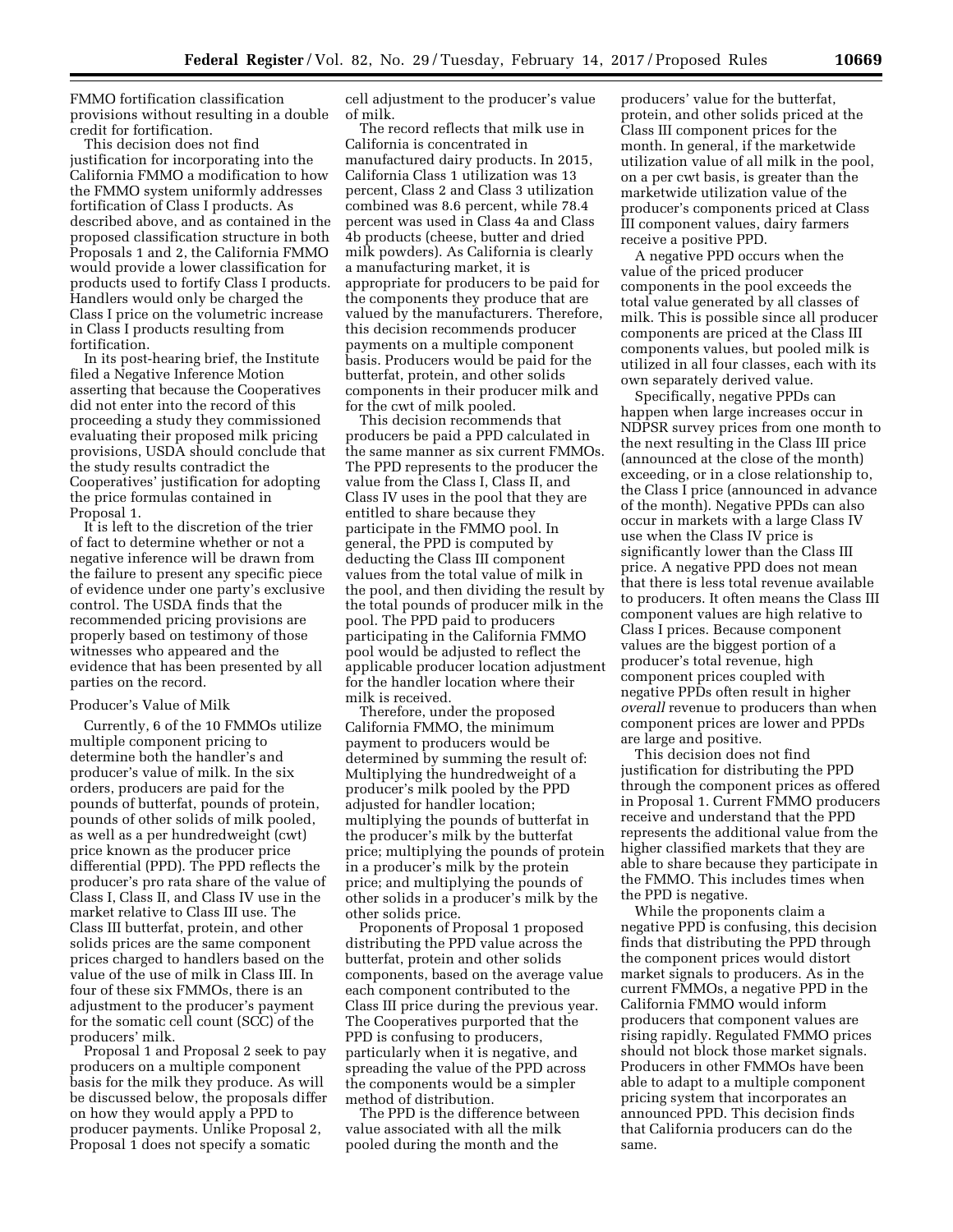FMMO fortification classification provisions without resulting in a double credit for fortification.

This decision does not find justification for incorporating into the California FMMO a modification to how the FMMO system uniformly addresses fortification of Class I products. As described above, and as contained in the proposed classification structure in both Proposals 1 and 2, the California FMMO would provide a lower classification for products used to fortify Class I products. Handlers would only be charged the Class I price on the volumetric increase in Class I products resulting from fortification.

In its post-hearing brief, the Institute filed a Negative Inference Motion asserting that because the Cooperatives did not enter into the record of this proceeding a study they commissioned evaluating their proposed milk pricing provisions, USDA should conclude that the study results contradict the Cooperatives' justification for adopting the price formulas contained in Proposal 1.

It is left to the discretion of the trier of fact to determine whether or not a negative inference will be drawn from the failure to present any specific piece of evidence under one party's exclusive control. The USDA finds that the recommended pricing provisions are properly based on testimony of those witnesses who appeared and the evidence that has been presented by all parties on the record.

### Producer's Value of Milk

Currently, 6 of the 10 FMMOs utilize multiple component pricing to determine both the handler's and producer's value of milk. In the six orders, producers are paid for the pounds of butterfat, pounds of protein, pounds of other solids of milk pooled, as well as a per hundredweight (cwt) price known as the producer price differential (PPD). The PPD reflects the producer's pro rata share of the value of Class I, Class II, and Class IV use in the market relative to Class III use. The Class III butterfat, protein, and other solids prices are the same component prices charged to handlers based on the value of the use of milk in Class III. In four of these six FMMOs, there is an adjustment to the producer's payment for the somatic cell count (SCC) of the producers' milk.

Proposal 1 and Proposal 2 seek to pay producers on a multiple component basis for the milk they produce. As will be discussed below, the proposals differ on how they would apply a PPD to producer payments. Unlike Proposal 2, Proposal 1 does not specify a somatic

cell adjustment to the producer's value of milk.

The record reflects that milk use in California is concentrated in manufactured dairy products. In 2015, California Class 1 utilization was 13 percent, Class 2 and Class 3 utilization combined was 8.6 percent, while 78.4 percent was used in Class 4a and Class 4b products (cheese, butter and dried milk powders). As California is clearly a manufacturing market, it is appropriate for producers to be paid for the components they produce that are valued by the manufacturers. Therefore, this decision recommends producer payments on a multiple component basis. Producers would be paid for the butterfat, protein, and other solids components in their producer milk and for the cwt of milk pooled.

This decision recommends that producers be paid a PPD calculated in the same manner as six current FMMOs. The PPD represents to the producer the value from the Class I, Class II, and Class IV uses in the pool that they are entitled to share because they participate in the FMMO pool. In general, the PPD is computed by deducting the Class III component values from the total value of milk in the pool, and then dividing the result by the total pounds of producer milk in the pool. The PPD paid to producers participating in the California FMMO pool would be adjusted to reflect the applicable producer location adjustment for the handler location where their milk is received.

Therefore, under the proposed California FMMO, the minimum payment to producers would be determined by summing the result of: Multiplying the hundredweight of a producer's milk pooled by the PPD adjusted for handler location; multiplying the pounds of butterfat in the producer's milk by the butterfat price; multiplying the pounds of protein in a producer's milk by the protein price; and multiplying the pounds of other solids in a producer's milk by the other solids price.

Proponents of Proposal 1 proposed distributing the PPD value across the butterfat, protein and other solids components, based on the average value each component contributed to the Class III price during the previous year. The Cooperatives purported that the PPD is confusing to producers, particularly when it is negative, and spreading the value of the PPD across the components would be a simpler method of distribution.

The PPD is the difference between value associated with all the milk pooled during the month and the

producers' value for the butterfat, protein, and other solids priced at the Class III component prices for the month. In general, if the marketwide utilization value of all milk in the pool, on a per cwt basis, is greater than the marketwide utilization value of the producer's components priced at Class III component values, dairy farmers receive a positive PPD.

A negative PPD occurs when the value of the priced producer components in the pool exceeds the total value generated by all classes of milk. This is possible since all producer components are priced at the Class III components values, but pooled milk is utilized in all four classes, each with its own separately derived value.

Specifically, negative PPDs can happen when large increases occur in NDPSR survey prices from one month to the next resulting in the Class III price (announced at the close of the month) exceeding, or in a close relationship to, the Class I price (announced in advance of the month). Negative PPDs can also occur in markets with a large Class IV use when the Class IV price is significantly lower than the Class III price. A negative PPD does not mean that there is less total revenue available to producers. It often means the Class III component values are high relative to Class I prices. Because component values are the biggest portion of a producer's total revenue, high component prices coupled with negative PPDs often result in higher *overall* revenue to producers than when component prices are lower and PPDs are large and positive.

This decision does not find justification for distributing the PPD through the component prices as offered in Proposal 1. Current FMMO producers receive and understand that the PPD represents the additional value from the higher classified markets that they are able to share because they participate in the FMMO. This includes times when the PPD is negative.

While the proponents claim a negative PPD is confusing, this decision finds that distributing the PPD through the component prices would distort market signals to producers. As in the current FMMOs, a negative PPD in the California FMMO would inform producers that component values are rising rapidly. Regulated FMMO prices should not block those market signals. Producers in other FMMOs have been able to adapt to a multiple component pricing system that incorporates an announced PPD. This decision finds that California producers can do the same.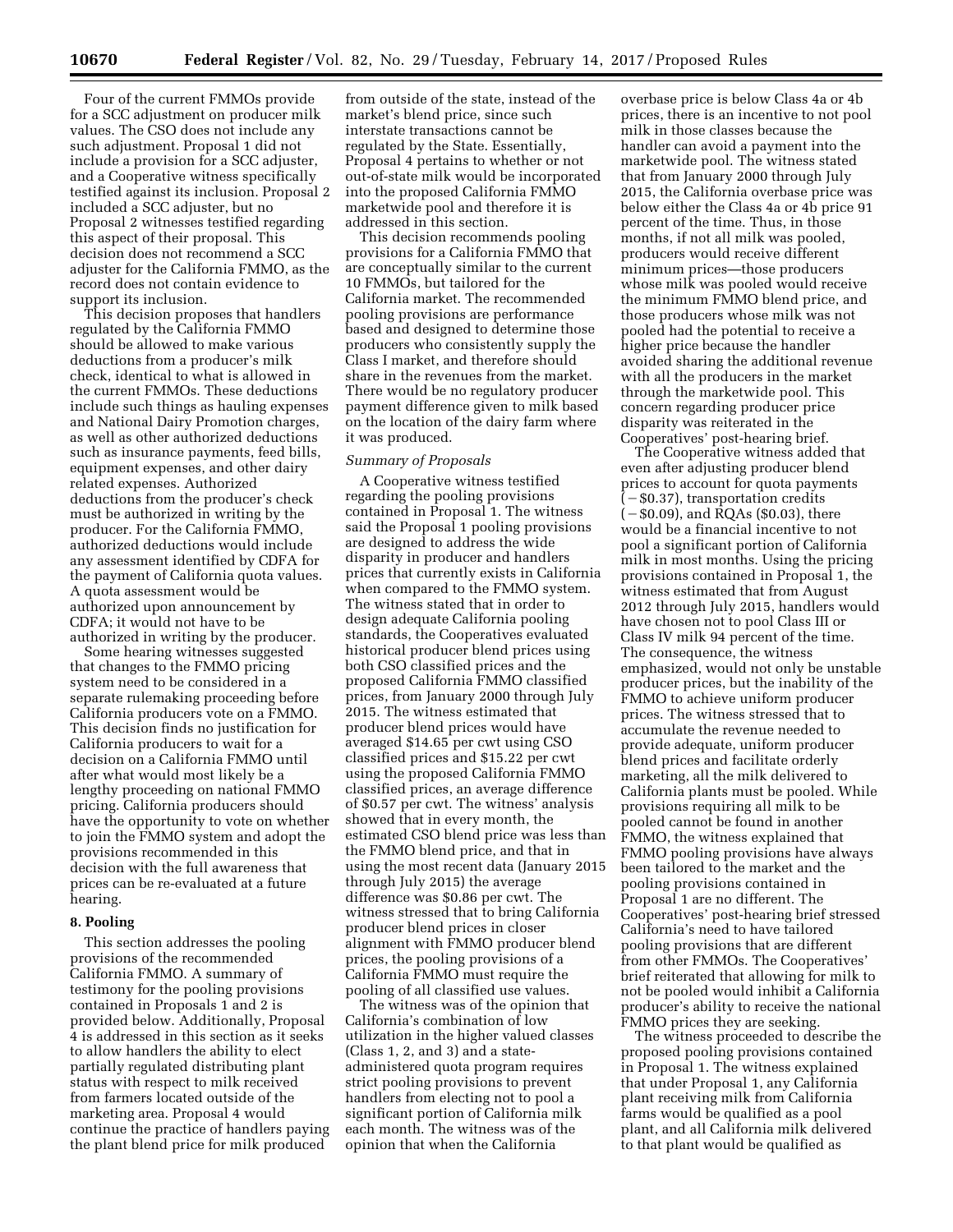Four of the current FMMOs provide for a SCC adjustment on producer milk values. The CSO does not include any such adjustment. Proposal 1 did not include a provision for a SCC adjuster, and a Cooperative witness specifically testified against its inclusion. Proposal 2 included a SCC adjuster, but no Proposal 2 witnesses testified regarding this aspect of their proposal. This decision does not recommend a SCC adjuster for the California FMMO, as the record does not contain evidence to support its inclusion.

This decision proposes that handlers regulated by the California FMMO should be allowed to make various deductions from a producer's milk check, identical to what is allowed in the current FMMOs. These deductions include such things as hauling expenses and National Dairy Promotion charges, as well as other authorized deductions such as insurance payments, feed bills, equipment expenses, and other dairy related expenses. Authorized deductions from the producer's check must be authorized in writing by the producer. For the California FMMO, authorized deductions would include any assessment identified by CDFA for the payment of California quota values. A quota assessment would be authorized upon announcement by CDFA; it would not have to be authorized in writing by the producer.

Some hearing witnesses suggested that changes to the FMMO pricing system need to be considered in a separate rulemaking proceeding before California producers vote on a FMMO. This decision finds no justification for California producers to wait for a decision on a California FMMO until after what would most likely be a lengthy proceeding on national FMMO pricing. California producers should have the opportunity to vote on whether to join the FMMO system and adopt the provisions recommended in this decision with the full awareness that prices can be re-evaluated at a future hearing.

## **8. Pooling**

This section addresses the pooling provisions of the recommended California FMMO. A summary of testimony for the pooling provisions contained in Proposals 1 and 2 is provided below. Additionally, Proposal 4 is addressed in this section as it seeks to allow handlers the ability to elect partially regulated distributing plant status with respect to milk received from farmers located outside of the marketing area. Proposal 4 would continue the practice of handlers paying the plant blend price for milk produced

from outside of the state, instead of the market's blend price, since such interstate transactions cannot be regulated by the State. Essentially, Proposal 4 pertains to whether or not out-of-state milk would be incorporated into the proposed California FMMO marketwide pool and therefore it is addressed in this section.

This decision recommends pooling provisions for a California FMMO that are conceptually similar to the current 10 FMMOs, but tailored for the California market. The recommended pooling provisions are performance based and designed to determine those producers who consistently supply the Class I market, and therefore should share in the revenues from the market. There would be no regulatory producer payment difference given to milk based on the location of the dairy farm where it was produced.

# *Summary of Proposals*

A Cooperative witness testified regarding the pooling provisions contained in Proposal 1. The witness said the Proposal 1 pooling provisions are designed to address the wide disparity in producer and handlers prices that currently exists in California when compared to the FMMO system. The witness stated that in order to design adequate California pooling standards, the Cooperatives evaluated historical producer blend prices using both CSO classified prices and the proposed California FMMO classified prices, from January 2000 through July 2015. The witness estimated that producer blend prices would have averaged \$14.65 per cwt using CSO classified prices and \$15.22 per cwt using the proposed California FMMO classified prices, an average difference of \$0.57 per cwt. The witness' analysis showed that in every month, the estimated CSO blend price was less than the FMMO blend price, and that in using the most recent data (January 2015 through July 2015) the average difference was \$0.86 per cwt. The witness stressed that to bring California producer blend prices in closer alignment with FMMO producer blend prices, the pooling provisions of a California FMMO must require the pooling of all classified use values.

The witness was of the opinion that California's combination of low utilization in the higher valued classes (Class 1, 2, and 3) and a stateadministered quota program requires strict pooling provisions to prevent handlers from electing not to pool a significant portion of California milk each month. The witness was of the opinion that when the California

overbase price is below Class 4a or 4b prices, there is an incentive to not pool milk in those classes because the handler can avoid a payment into the marketwide pool. The witness stated that from January 2000 through July 2015, the California overbase price was below either the Class 4a or 4b price 91 percent of the time. Thus, in those months, if not all milk was pooled, producers would receive different minimum prices—those producers whose milk was pooled would receive the minimum FMMO blend price, and those producers whose milk was not pooled had the potential to receive a higher price because the handler avoided sharing the additional revenue with all the producers in the market through the marketwide pool. This concern regarding producer price disparity was reiterated in the Cooperatives' post-hearing brief.

The Cooperative witness added that even after adjusting producer blend prices to account for quota payments  $(-\$0.37)$ , transportation credits  $(-\$0.09)$ , and RQAs (\$0.03), there would be a financial incentive to not pool a significant portion of California milk in most months. Using the pricing provisions contained in Proposal 1, the witness estimated that from August 2012 through July 2015, handlers would have chosen not to pool Class III or Class IV milk 94 percent of the time. The consequence, the witness emphasized, would not only be unstable producer prices, but the inability of the FMMO to achieve uniform producer prices. The witness stressed that to accumulate the revenue needed to provide adequate, uniform producer blend prices and facilitate orderly marketing, all the milk delivered to California plants must be pooled. While provisions requiring all milk to be pooled cannot be found in another FMMO, the witness explained that FMMO pooling provisions have always been tailored to the market and the pooling provisions contained in Proposal 1 are no different. The Cooperatives' post-hearing brief stressed California's need to have tailored pooling provisions that are different from other FMMOs. The Cooperatives' brief reiterated that allowing for milk to not be pooled would inhibit a California producer's ability to receive the national FMMO prices they are seeking.

The witness proceeded to describe the proposed pooling provisions contained in Proposal 1. The witness explained that under Proposal 1, any California plant receiving milk from California farms would be qualified as a pool plant, and all California milk delivered to that plant would be qualified as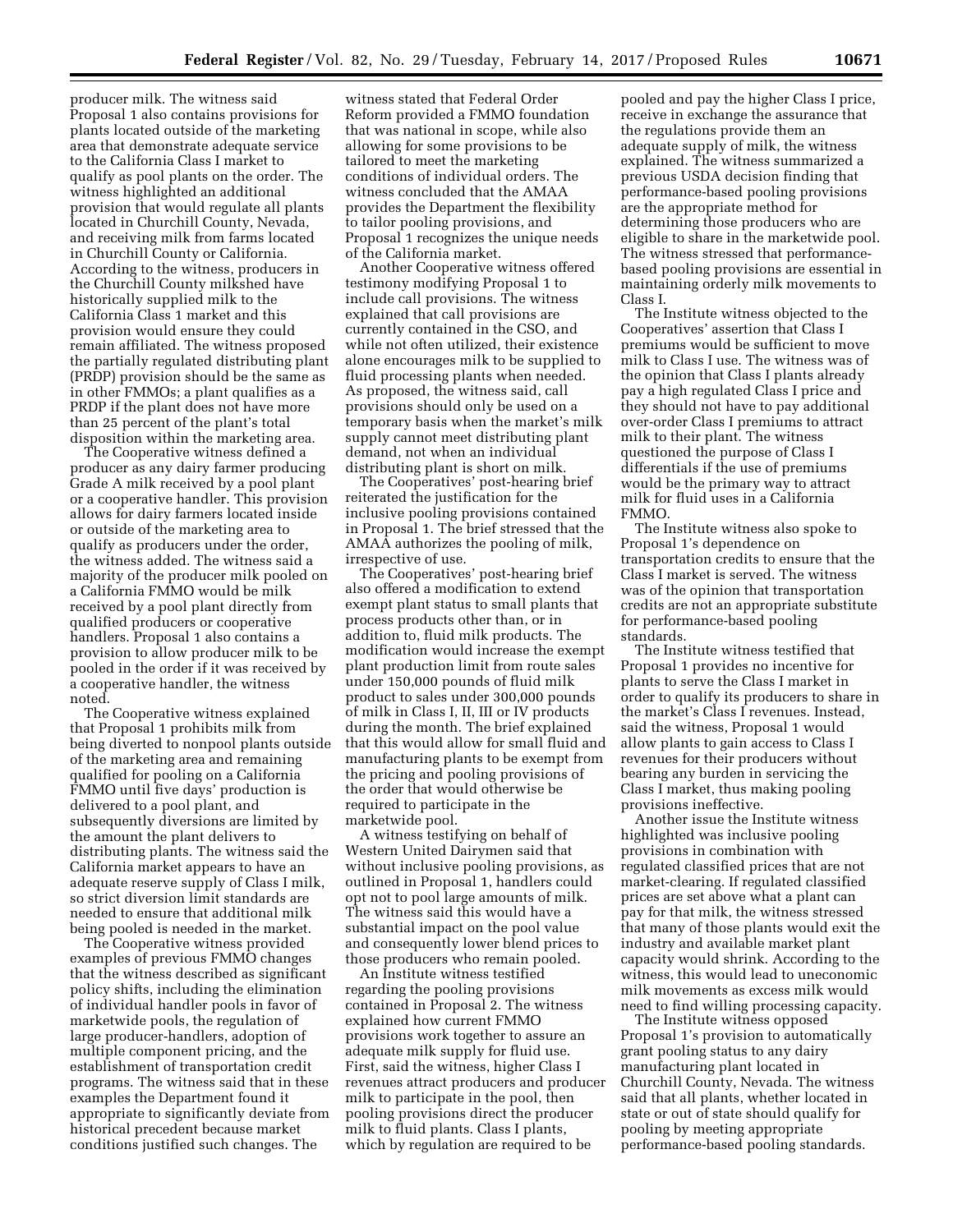producer milk. The witness said Proposal 1 also contains provisions for plants located outside of the marketing area that demonstrate adequate service to the California Class I market to qualify as pool plants on the order. The witness highlighted an additional provision that would regulate all plants located in Churchill County, Nevada, and receiving milk from farms located in Churchill County or California. According to the witness, producers in the Churchill County milkshed have historically supplied milk to the California Class 1 market and this provision would ensure they could remain affiliated. The witness proposed the partially regulated distributing plant (PRDP) provision should be the same as in other FMMOs; a plant qualifies as a PRDP if the plant does not have more than 25 percent of the plant's total disposition within the marketing area.

The Cooperative witness defined a producer as any dairy farmer producing Grade A milk received by a pool plant or a cooperative handler. This provision allows for dairy farmers located inside or outside of the marketing area to qualify as producers under the order, the witness added. The witness said a majority of the producer milk pooled on a California FMMO would be milk received by a pool plant directly from qualified producers or cooperative handlers. Proposal 1 also contains a provision to allow producer milk to be pooled in the order if it was received by a cooperative handler, the witness noted.

The Cooperative witness explained that Proposal 1 prohibits milk from being diverted to nonpool plants outside of the marketing area and remaining qualified for pooling on a California FMMO until five days' production is delivered to a pool plant, and subsequently diversions are limited by the amount the plant delivers to distributing plants. The witness said the California market appears to have an adequate reserve supply of Class I milk, so strict diversion limit standards are needed to ensure that additional milk being pooled is needed in the market.

The Cooperative witness provided examples of previous FMMO changes that the witness described as significant policy shifts, including the elimination of individual handler pools in favor of marketwide pools, the regulation of large producer-handlers, adoption of multiple component pricing, and the establishment of transportation credit programs. The witness said that in these examples the Department found it appropriate to significantly deviate from historical precedent because market conditions justified such changes. The

witness stated that Federal Order Reform provided a FMMO foundation that was national in scope, while also allowing for some provisions to be tailored to meet the marketing conditions of individual orders. The witness concluded that the AMAA provides the Department the flexibility to tailor pooling provisions, and Proposal 1 recognizes the unique needs of the California market.

Another Cooperative witness offered testimony modifying Proposal 1 to include call provisions. The witness explained that call provisions are currently contained in the CSO, and while not often utilized, their existence alone encourages milk to be supplied to fluid processing plants when needed. As proposed, the witness said, call provisions should only be used on a temporary basis when the market's milk supply cannot meet distributing plant demand, not when an individual distributing plant is short on milk.

The Cooperatives' post-hearing brief reiterated the justification for the inclusive pooling provisions contained in Proposal 1. The brief stressed that the AMAA authorizes the pooling of milk, irrespective of use.

The Cooperatives' post-hearing brief also offered a modification to extend exempt plant status to small plants that process products other than, or in addition to, fluid milk products. The modification would increase the exempt plant production limit from route sales under 150,000 pounds of fluid milk product to sales under 300,000 pounds of milk in Class I, II, III or IV products during the month. The brief explained that this would allow for small fluid and manufacturing plants to be exempt from the pricing and pooling provisions of the order that would otherwise be required to participate in the marketwide pool.

A witness testifying on behalf of Western United Dairymen said that without inclusive pooling provisions, as outlined in Proposal 1, handlers could opt not to pool large amounts of milk. The witness said this would have a substantial impact on the pool value and consequently lower blend prices to those producers who remain pooled.

An Institute witness testified regarding the pooling provisions contained in Proposal 2. The witness explained how current FMMO provisions work together to assure an adequate milk supply for fluid use. First, said the witness, higher Class I revenues attract producers and producer milk to participate in the pool, then pooling provisions direct the producer milk to fluid plants. Class I plants, which by regulation are required to be

pooled and pay the higher Class I price, receive in exchange the assurance that the regulations provide them an adequate supply of milk, the witness explained. The witness summarized a previous USDA decision finding that performance-based pooling provisions are the appropriate method for determining those producers who are eligible to share in the marketwide pool. The witness stressed that performancebased pooling provisions are essential in maintaining orderly milk movements to Class I.

The Institute witness objected to the Cooperatives' assertion that Class I premiums would be sufficient to move milk to Class I use. The witness was of the opinion that Class I plants already pay a high regulated Class I price and they should not have to pay additional over-order Class I premiums to attract milk to their plant. The witness questioned the purpose of Class I differentials if the use of premiums would be the primary way to attract milk for fluid uses in a California FMMO.

The Institute witness also spoke to Proposal 1's dependence on transportation credits to ensure that the Class I market is served. The witness was of the opinion that transportation credits are not an appropriate substitute for performance-based pooling standards.

The Institute witness testified that Proposal 1 provides no incentive for plants to serve the Class I market in order to qualify its producers to share in the market's Class I revenues. Instead, said the witness, Proposal 1 would allow plants to gain access to Class I revenues for their producers without bearing any burden in servicing the Class I market, thus making pooling provisions ineffective.

Another issue the Institute witness highlighted was inclusive pooling provisions in combination with regulated classified prices that are not market-clearing. If regulated classified prices are set above what a plant can pay for that milk, the witness stressed that many of those plants would exit the industry and available market plant capacity would shrink. According to the witness, this would lead to uneconomic milk movements as excess milk would need to find willing processing capacity.

The Institute witness opposed Proposal 1's provision to automatically grant pooling status to any dairy manufacturing plant located in Churchill County, Nevada. The witness said that all plants, whether located in state or out of state should qualify for pooling by meeting appropriate performance-based pooling standards.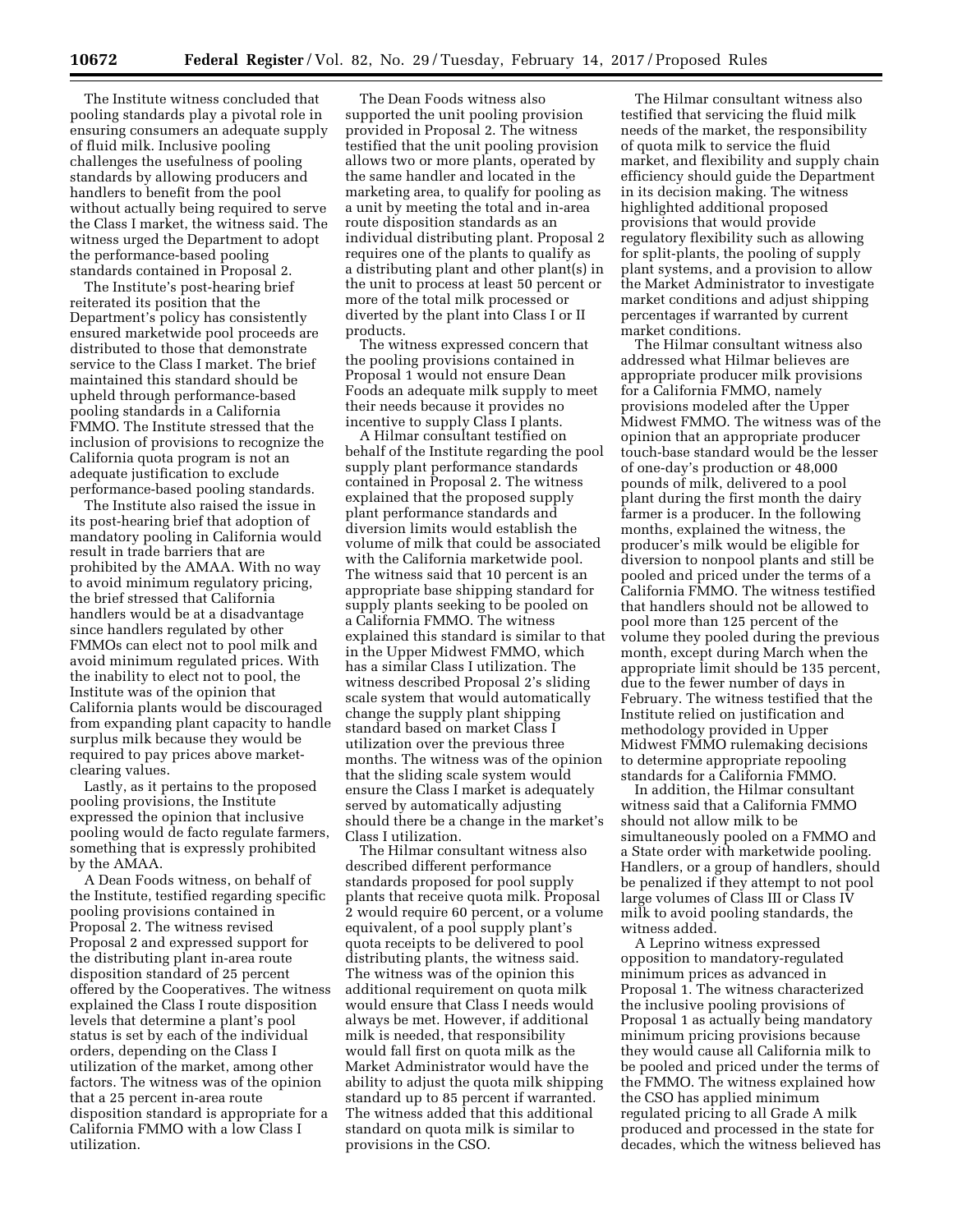The Institute witness concluded that pooling standards play a pivotal role in ensuring consumers an adequate supply of fluid milk. Inclusive pooling challenges the usefulness of pooling standards by allowing producers and handlers to benefit from the pool without actually being required to serve the Class I market, the witness said. The witness urged the Department to adopt the performance-based pooling standards contained in Proposal 2.

The Institute's post-hearing brief reiterated its position that the Department's policy has consistently ensured marketwide pool proceeds are distributed to those that demonstrate service to the Class I market. The brief maintained this standard should be upheld through performance-based pooling standards in a California FMMO. The Institute stressed that the inclusion of provisions to recognize the California quota program is not an adequate justification to exclude performance-based pooling standards.

The Institute also raised the issue in its post-hearing brief that adoption of mandatory pooling in California would result in trade barriers that are prohibited by the AMAA. With no way to avoid minimum regulatory pricing, the brief stressed that California handlers would be at a disadvantage since handlers regulated by other FMMOs can elect not to pool milk and avoid minimum regulated prices. With the inability to elect not to pool, the Institute was of the opinion that California plants would be discouraged from expanding plant capacity to handle surplus milk because they would be required to pay prices above marketclearing values.

Lastly, as it pertains to the proposed pooling provisions, the Institute expressed the opinion that inclusive pooling would de facto regulate farmers, something that is expressly prohibited by the AMAA.

A Dean Foods witness, on behalf of the Institute, testified regarding specific pooling provisions contained in Proposal 2. The witness revised Proposal 2 and expressed support for the distributing plant in-area route disposition standard of 25 percent offered by the Cooperatives. The witness explained the Class I route disposition levels that determine a plant's pool status is set by each of the individual orders, depending on the Class I utilization of the market, among other factors. The witness was of the opinion that a 25 percent in-area route disposition standard is appropriate for a California FMMO with a low Class I utilization.

The Dean Foods witness also supported the unit pooling provision provided in Proposal 2. The witness testified that the unit pooling provision allows two or more plants, operated by the same handler and located in the marketing area, to qualify for pooling as a unit by meeting the total and in-area route disposition standards as an individual distributing plant. Proposal 2 requires one of the plants to qualify as a distributing plant and other plant(s) in the unit to process at least 50 percent or more of the total milk processed or diverted by the plant into Class I or II products.

The witness expressed concern that the pooling provisions contained in Proposal 1 would not ensure Dean Foods an adequate milk supply to meet their needs because it provides no incentive to supply Class I plants.

A Hilmar consultant testified on behalf of the Institute regarding the pool supply plant performance standards contained in Proposal 2. The witness explained that the proposed supply plant performance standards and diversion limits would establish the volume of milk that could be associated with the California marketwide pool. The witness said that 10 percent is an appropriate base shipping standard for supply plants seeking to be pooled on a California FMMO. The witness explained this standard is similar to that in the Upper Midwest FMMO, which has a similar Class I utilization. The witness described Proposal 2's sliding scale system that would automatically change the supply plant shipping standard based on market Class I utilization over the previous three months. The witness was of the opinion that the sliding scale system would ensure the Class I market is adequately served by automatically adjusting should there be a change in the market's Class I utilization.

The Hilmar consultant witness also described different performance standards proposed for pool supply plants that receive quota milk. Proposal 2 would require 60 percent, or a volume equivalent, of a pool supply plant's quota receipts to be delivered to pool distributing plants, the witness said. The witness was of the opinion this additional requirement on quota milk would ensure that Class I needs would always be met. However, if additional milk is needed, that responsibility would fall first on quota milk as the Market Administrator would have the ability to adjust the quota milk shipping standard up to 85 percent if warranted. The witness added that this additional standard on quota milk is similar to provisions in the CSO.

The Hilmar consultant witness also testified that servicing the fluid milk needs of the market, the responsibility of quota milk to service the fluid market, and flexibility and supply chain efficiency should guide the Department in its decision making. The witness highlighted additional proposed provisions that would provide regulatory flexibility such as allowing for split-plants, the pooling of supply plant systems, and a provision to allow the Market Administrator to investigate market conditions and adjust shipping percentages if warranted by current market conditions.

The Hilmar consultant witness also addressed what Hilmar believes are appropriate producer milk provisions for a California FMMO, namely provisions modeled after the Upper Midwest FMMO. The witness was of the opinion that an appropriate producer touch-base standard would be the lesser of one-day's production or 48,000 pounds of milk, delivered to a pool plant during the first month the dairy farmer is a producer. In the following months, explained the witness, the producer's milk would be eligible for diversion to nonpool plants and still be pooled and priced under the terms of a California FMMO. The witness testified that handlers should not be allowed to pool more than 125 percent of the volume they pooled during the previous month, except during March when the appropriate limit should be 135 percent, due to the fewer number of days in February. The witness testified that the Institute relied on justification and methodology provided in Upper Midwest FMMO rulemaking decisions to determine appropriate repooling standards for a California FMMO.

In addition, the Hilmar consultant witness said that a California FMMO should not allow milk to be simultaneously pooled on a FMMO and a State order with marketwide pooling. Handlers, or a group of handlers, should be penalized if they attempt to not pool large volumes of Class III or Class IV milk to avoid pooling standards, the witness added.

A Leprino witness expressed opposition to mandatory-regulated minimum prices as advanced in Proposal 1. The witness characterized the inclusive pooling provisions of Proposal 1 as actually being mandatory minimum pricing provisions because they would cause all California milk to be pooled and priced under the terms of the FMMO. The witness explained how the CSO has applied minimum regulated pricing to all Grade A milk produced and processed in the state for decades, which the witness believed has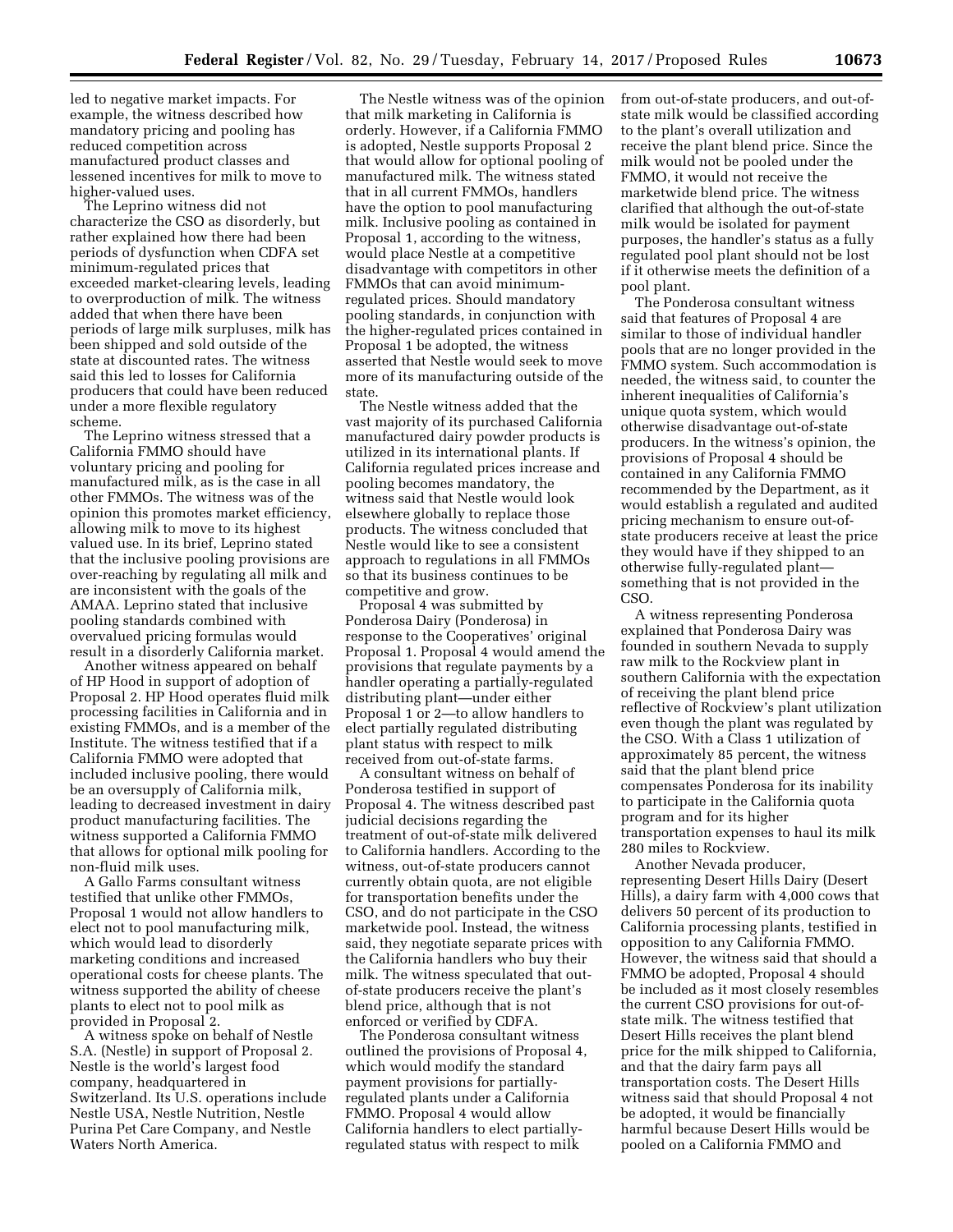led to negative market impacts. For example, the witness described how mandatory pricing and pooling has reduced competition across manufactured product classes and lessened incentives for milk to move to higher-valued uses.

The Leprino witness did not characterize the CSO as disorderly, but rather explained how there had been periods of dysfunction when CDFA set minimum-regulated prices that exceeded market-clearing levels, leading to overproduction of milk. The witness added that when there have been periods of large milk surpluses, milk has been shipped and sold outside of the state at discounted rates. The witness said this led to losses for California producers that could have been reduced under a more flexible regulatory scheme.

The Leprino witness stressed that a California FMMO should have voluntary pricing and pooling for manufactured milk, as is the case in all other FMMOs. The witness was of the opinion this promotes market efficiency, allowing milk to move to its highest valued use. In its brief, Leprino stated that the inclusive pooling provisions are over-reaching by regulating all milk and are inconsistent with the goals of the AMAA. Leprino stated that inclusive pooling standards combined with overvalued pricing formulas would result in a disorderly California market.

Another witness appeared on behalf of HP Hood in support of adoption of Proposal 2. HP Hood operates fluid milk processing facilities in California and in existing FMMOs, and is a member of the Institute. The witness testified that if a California FMMO were adopted that included inclusive pooling, there would be an oversupply of California milk, leading to decreased investment in dairy product manufacturing facilities. The witness supported a California FMMO that allows for optional milk pooling for non-fluid milk uses.

A Gallo Farms consultant witness testified that unlike other FMMOs, Proposal 1 would not allow handlers to elect not to pool manufacturing milk, which would lead to disorderly marketing conditions and increased operational costs for cheese plants. The witness supported the ability of cheese plants to elect not to pool milk as provided in Proposal 2.

A witness spoke on behalf of Nestle S.A. (Nestle) in support of Proposal 2. Nestle is the world's largest food company, headquartered in Switzerland. Its U.S. operations include Nestle USA, Nestle Nutrition, Nestle Purina Pet Care Company, and Nestle Waters North America.

The Nestle witness was of the opinion that milk marketing in California is orderly. However, if a California FMMO is adopted, Nestle supports Proposal 2 that would allow for optional pooling of manufactured milk. The witness stated that in all current FMMOs, handlers have the option to pool manufacturing milk. Inclusive pooling as contained in Proposal 1, according to the witness, would place Nestle at a competitive disadvantage with competitors in other FMMOs that can avoid minimumregulated prices. Should mandatory pooling standards, in conjunction with the higher-regulated prices contained in Proposal 1 be adopted, the witness asserted that Nestle would seek to move more of its manufacturing outside of the state.

The Nestle witness added that the vast majority of its purchased California manufactured dairy powder products is utilized in its international plants. If California regulated prices increase and pooling becomes mandatory, the witness said that Nestle would look elsewhere globally to replace those products. The witness concluded that Nestle would like to see a consistent approach to regulations in all FMMOs so that its business continues to be competitive and grow.

Proposal 4 was submitted by Ponderosa Dairy (Ponderosa) in response to the Cooperatives' original Proposal 1. Proposal 4 would amend the provisions that regulate payments by a handler operating a partially-regulated distributing plant—under either Proposal 1 or 2—to allow handlers to elect partially regulated distributing plant status with respect to milk received from out-of-state farms.

A consultant witness on behalf of Ponderosa testified in support of Proposal 4. The witness described past judicial decisions regarding the treatment of out-of-state milk delivered to California handlers. According to the witness, out-of-state producers cannot currently obtain quota, are not eligible for transportation benefits under the CSO, and do not participate in the CSO marketwide pool. Instead, the witness said, they negotiate separate prices with the California handlers who buy their milk. The witness speculated that outof-state producers receive the plant's blend price, although that is not enforced or verified by CDFA.

The Ponderosa consultant witness outlined the provisions of Proposal 4, which would modify the standard payment provisions for partiallyregulated plants under a California FMMO. Proposal 4 would allow California handlers to elect partiallyregulated status with respect to milk

from out-of-state producers, and out-ofstate milk would be classified according to the plant's overall utilization and receive the plant blend price. Since the milk would not be pooled under the FMMO, it would not receive the marketwide blend price. The witness clarified that although the out-of-state milk would be isolated for payment purposes, the handler's status as a fully regulated pool plant should not be lost if it otherwise meets the definition of a pool plant.

The Ponderosa consultant witness said that features of Proposal 4 are similar to those of individual handler pools that are no longer provided in the FMMO system. Such accommodation is needed, the witness said, to counter the inherent inequalities of California's unique quota system, which would otherwise disadvantage out-of-state producers. In the witness's opinion, the provisions of Proposal 4 should be contained in any California FMMO recommended by the Department, as it would establish a regulated and audited pricing mechanism to ensure out-ofstate producers receive at least the price they would have if they shipped to an otherwise fully-regulated plant something that is not provided in the CSO.

A witness representing Ponderosa explained that Ponderosa Dairy was founded in southern Nevada to supply raw milk to the Rockview plant in southern California with the expectation of receiving the plant blend price reflective of Rockview's plant utilization even though the plant was regulated by the CSO. With a Class 1 utilization of approximately 85 percent, the witness said that the plant blend price compensates Ponderosa for its inability to participate in the California quota program and for its higher transportation expenses to haul its milk 280 miles to Rockview.

Another Nevada producer, representing Desert Hills Dairy (Desert Hills), a dairy farm with 4,000 cows that delivers 50 percent of its production to California processing plants, testified in opposition to any California FMMO. However, the witness said that should a FMMO be adopted, Proposal 4 should be included as it most closely resembles the current CSO provisions for out-ofstate milk. The witness testified that Desert Hills receives the plant blend price for the milk shipped to California, and that the dairy farm pays all transportation costs. The Desert Hills witness said that should Proposal 4 not be adopted, it would be financially harmful because Desert Hills would be pooled on a California FMMO and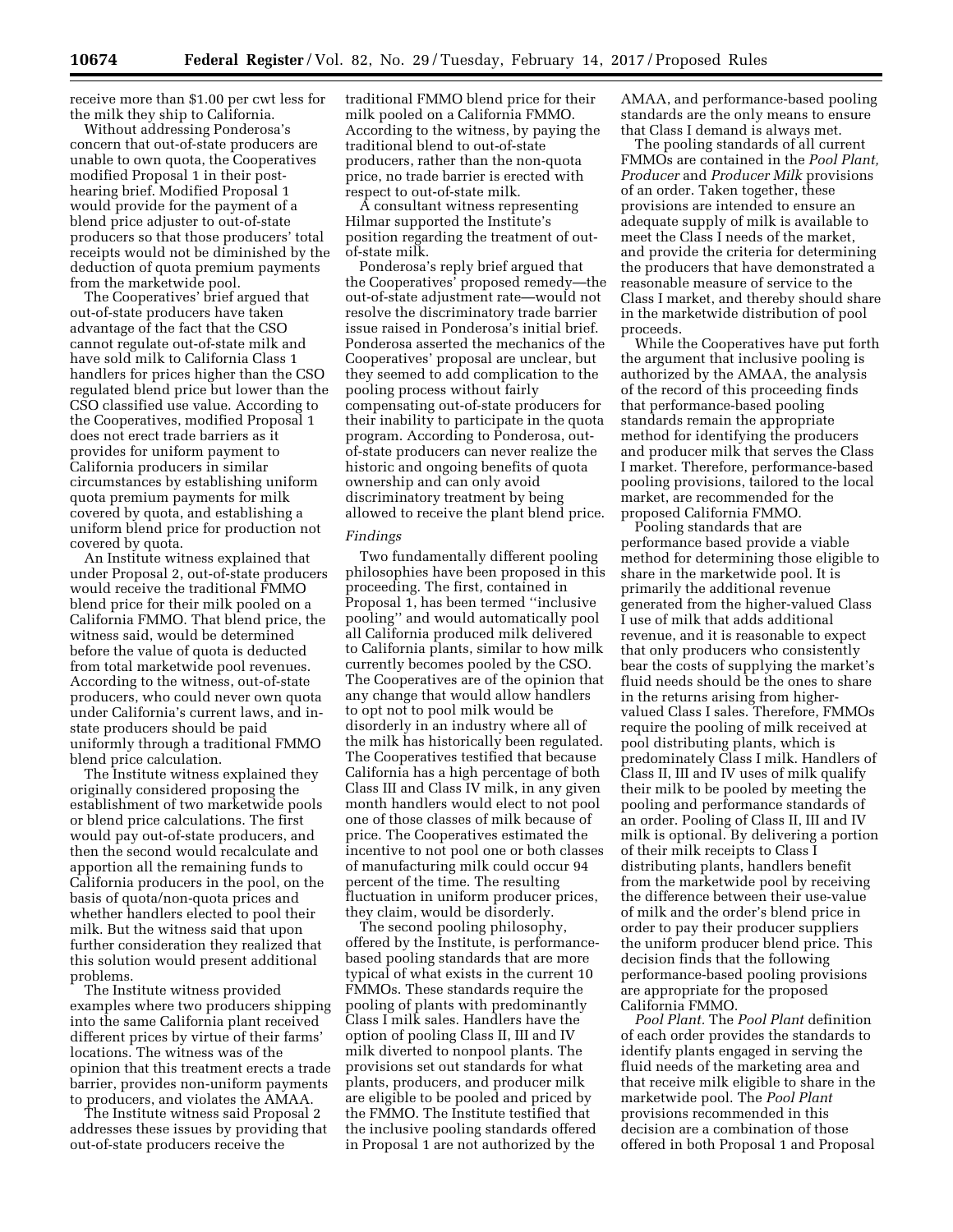receive more than \$1.00 per cwt less for the milk they ship to California.

Without addressing Ponderosa's concern that out-of-state producers are unable to own quota, the Cooperatives modified Proposal 1 in their posthearing brief. Modified Proposal 1 would provide for the payment of a blend price adjuster to out-of-state producers so that those producers' total receipts would not be diminished by the deduction of quota premium payments from the marketwide pool.

The Cooperatives' brief argued that out-of-state producers have taken advantage of the fact that the CSO cannot regulate out-of-state milk and have sold milk to California Class 1 handlers for prices higher than the CSO regulated blend price but lower than the CSO classified use value. According to the Cooperatives, modified Proposal 1 does not erect trade barriers as it provides for uniform payment to California producers in similar circumstances by establishing uniform quota premium payments for milk covered by quota, and establishing a uniform blend price for production not covered by quota.

An Institute witness explained that under Proposal 2, out-of-state producers would receive the traditional FMMO blend price for their milk pooled on a California FMMO. That blend price, the witness said, would be determined before the value of quota is deducted from total marketwide pool revenues. According to the witness, out-of-state producers, who could never own quota under California's current laws, and instate producers should be paid uniformly through a traditional FMMO blend price calculation.

The Institute witness explained they originally considered proposing the establishment of two marketwide pools or blend price calculations. The first would pay out-of-state producers, and then the second would recalculate and apportion all the remaining funds to California producers in the pool, on the basis of quota/non-quota prices and whether handlers elected to pool their milk. But the witness said that upon further consideration they realized that this solution would present additional problems.

The Institute witness provided examples where two producers shipping into the same California plant received different prices by virtue of their farms' locations. The witness was of the opinion that this treatment erects a trade barrier, provides non-uniform payments to producers, and violates the AMAA.

The Institute witness said Proposal 2 addresses these issues by providing that out-of-state producers receive the

traditional FMMO blend price for their milk pooled on a California FMMO. According to the witness, by paying the traditional blend to out-of-state producers, rather than the non-quota price, no trade barrier is erected with respect to out-of-state milk.

A consultant witness representing Hilmar supported the Institute's position regarding the treatment of outof-state milk.

Ponderosa's reply brief argued that the Cooperatives' proposed remedy—the out-of-state adjustment rate—would not resolve the discriminatory trade barrier issue raised in Ponderosa's initial brief. Ponderosa asserted the mechanics of the Cooperatives' proposal are unclear, but they seemed to add complication to the pooling process without fairly compensating out-of-state producers for their inability to participate in the quota program. According to Ponderosa, outof-state producers can never realize the historic and ongoing benefits of quota ownership and can only avoid discriminatory treatment by being allowed to receive the plant blend price.

### *Findings*

Two fundamentally different pooling philosophies have been proposed in this proceeding. The first, contained in Proposal 1, has been termed ''inclusive pooling'' and would automatically pool all California produced milk delivered to California plants, similar to how milk currently becomes pooled by the CSO. The Cooperatives are of the opinion that any change that would allow handlers to opt not to pool milk would be disorderly in an industry where all of the milk has historically been regulated. The Cooperatives testified that because California has a high percentage of both Class III and Class IV milk, in any given month handlers would elect to not pool one of those classes of milk because of price. The Cooperatives estimated the incentive to not pool one or both classes of manufacturing milk could occur 94 percent of the time. The resulting fluctuation in uniform producer prices, they claim, would be disorderly.

The second pooling philosophy, offered by the Institute, is performancebased pooling standards that are more typical of what exists in the current 10 FMMOs. These standards require the pooling of plants with predominantly Class I milk sales. Handlers have the option of pooling Class II, III and IV milk diverted to nonpool plants. The provisions set out standards for what plants, producers, and producer milk are eligible to be pooled and priced by the FMMO. The Institute testified that the inclusive pooling standards offered in Proposal 1 are not authorized by the

AMAA, and performance-based pooling standards are the only means to ensure that Class I demand is always met.

The pooling standards of all current FMMOs are contained in the *Pool Plant, Producer* and *Producer Milk* provisions of an order. Taken together, these provisions are intended to ensure an adequate supply of milk is available to meet the Class I needs of the market, and provide the criteria for determining the producers that have demonstrated a reasonable measure of service to the Class I market, and thereby should share in the marketwide distribution of pool proceeds.

While the Cooperatives have put forth the argument that inclusive pooling is authorized by the AMAA, the analysis of the record of this proceeding finds that performance-based pooling standards remain the appropriate method for identifying the producers and producer milk that serves the Class I market. Therefore, performance-based pooling provisions, tailored to the local market, are recommended for the proposed California FMMO.

Pooling standards that are performance based provide a viable method for determining those eligible to share in the marketwide pool. It is primarily the additional revenue generated from the higher-valued Class I use of milk that adds additional revenue, and it is reasonable to expect that only producers who consistently bear the costs of supplying the market's fluid needs should be the ones to share in the returns arising from highervalued Class I sales. Therefore, FMMOs require the pooling of milk received at pool distributing plants, which is predominately Class I milk. Handlers of Class II, III and IV uses of milk qualify their milk to be pooled by meeting the pooling and performance standards of an order. Pooling of Class II, III and IV milk is optional. By delivering a portion of their milk receipts to Class I distributing plants, handlers benefit from the marketwide pool by receiving the difference between their use-value of milk and the order's blend price in order to pay their producer suppliers the uniform producer blend price. This decision finds that the following performance-based pooling provisions are appropriate for the proposed California FMMO.

*Pool Plant.* The *Pool Plant* definition of each order provides the standards to identify plants engaged in serving the fluid needs of the marketing area and that receive milk eligible to share in the marketwide pool. The *Pool Plant*  provisions recommended in this decision are a combination of those offered in both Proposal 1 and Proposal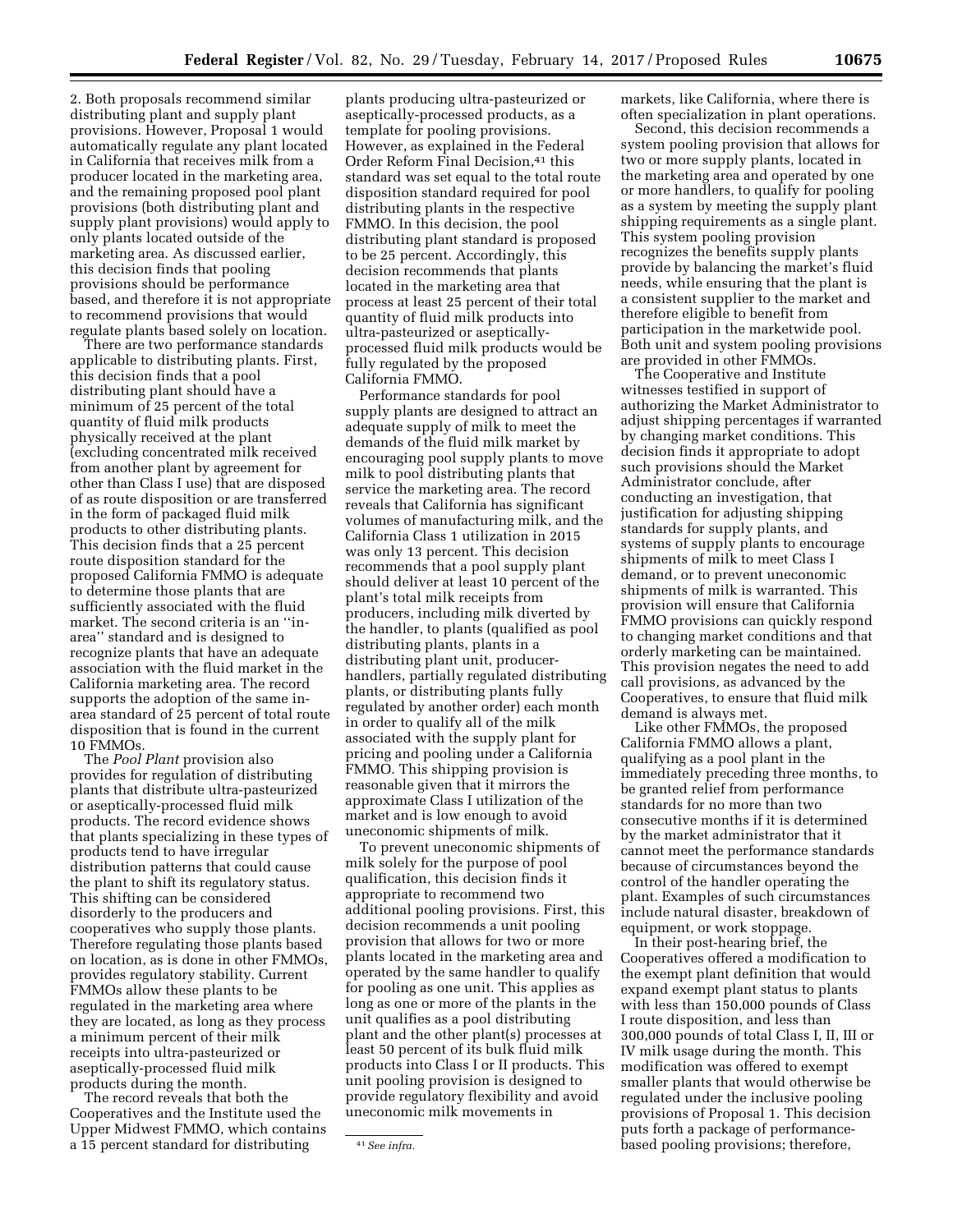2. Both proposals recommend similar distributing plant and supply plant provisions. However, Proposal 1 would automatically regulate any plant located in California that receives milk from a producer located in the marketing area, and the remaining proposed pool plant provisions (both distributing plant and supply plant provisions) would apply to only plants located outside of the marketing area. As discussed earlier, this decision finds that pooling provisions should be performance based, and therefore it is not appropriate to recommend provisions that would regulate plants based solely on location.

There are two performance standards applicable to distributing plants. First, this decision finds that a pool distributing plant should have a minimum of 25 percent of the total quantity of fluid milk products physically received at the plant (excluding concentrated milk received from another plant by agreement for other than Class I use) that are disposed of as route disposition or are transferred in the form of packaged fluid milk products to other distributing plants. This decision finds that a 25 percent route disposition standard for the proposed California FMMO is adequate to determine those plants that are sufficiently associated with the fluid market. The second criteria is an ''inarea'' standard and is designed to recognize plants that have an adequate association with the fluid market in the California marketing area. The record supports the adoption of the same inarea standard of 25 percent of total route disposition that is found in the current 10 FMMOs.

The *Pool Plant* provision also provides for regulation of distributing plants that distribute ultra-pasteurized or aseptically-processed fluid milk products. The record evidence shows that plants specializing in these types of products tend to have irregular distribution patterns that could cause the plant to shift its regulatory status. This shifting can be considered disorderly to the producers and cooperatives who supply those plants. Therefore regulating those plants based on location, as is done in other FMMOs, provides regulatory stability. Current FMMOs allow these plants to be regulated in the marketing area where they are located, as long as they process a minimum percent of their milk receipts into ultra-pasteurized or aseptically-processed fluid milk products during the month.

The record reveals that both the Cooperatives and the Institute used the Upper Midwest FMMO, which contains a 15 percent standard for distributing

plants producing ultra-pasteurized or aseptically-processed products, as a template for pooling provisions. However, as explained in the Federal Order Reform Final Decision,41 this standard was set equal to the total route disposition standard required for pool distributing plants in the respective FMMO. In this decision, the pool distributing plant standard is proposed to be 25 percent. Accordingly, this decision recommends that plants located in the marketing area that process at least 25 percent of their total quantity of fluid milk products into ultra-pasteurized or asepticallyprocessed fluid milk products would be fully regulated by the proposed California FMMO.

Performance standards for pool supply plants are designed to attract an adequate supply of milk to meet the demands of the fluid milk market by encouraging pool supply plants to move milk to pool distributing plants that service the marketing area. The record reveals that California has significant volumes of manufacturing milk, and the California Class 1 utilization in 2015 was only 13 percent. This decision recommends that a pool supply plant should deliver at least 10 percent of the plant's total milk receipts from producers, including milk diverted by the handler, to plants (qualified as pool distributing plants, plants in a distributing plant unit, producerhandlers, partially regulated distributing plants, or distributing plants fully regulated by another order) each month in order to qualify all of the milk associated with the supply plant for pricing and pooling under a California FMMO. This shipping provision is reasonable given that it mirrors the approximate Class I utilization of the market and is low enough to avoid uneconomic shipments of milk.

To prevent uneconomic shipments of milk solely for the purpose of pool qualification, this decision finds it appropriate to recommend two additional pooling provisions. First, this decision recommends a unit pooling provision that allows for two or more plants located in the marketing area and operated by the same handler to qualify for pooling as one unit. This applies as long as one or more of the plants in the unit qualifies as a pool distributing plant and the other plant(s) processes at least 50 percent of its bulk fluid milk products into Class I or II products. This unit pooling provision is designed to provide regulatory flexibility and avoid uneconomic milk movements in

markets, like California, where there is often specialization in plant operations.

Second, this decision recommends a system pooling provision that allows for two or more supply plants, located in the marketing area and operated by one or more handlers, to qualify for pooling as a system by meeting the supply plant shipping requirements as a single plant. This system pooling provision recognizes the benefits supply plants provide by balancing the market's fluid needs, while ensuring that the plant is a consistent supplier to the market and therefore eligible to benefit from participation in the marketwide pool. Both unit and system pooling provisions are provided in other FMMOs.

The Cooperative and Institute witnesses testified in support of authorizing the Market Administrator to adjust shipping percentages if warranted by changing market conditions. This decision finds it appropriate to adopt such provisions should the Market Administrator conclude, after conducting an investigation, that justification for adjusting shipping standards for supply plants, and systems of supply plants to encourage shipments of milk to meet Class I demand, or to prevent uneconomic shipments of milk is warranted. This provision will ensure that California FMMO provisions can quickly respond to changing market conditions and that orderly marketing can be maintained. This provision negates the need to add call provisions, as advanced by the Cooperatives, to ensure that fluid milk demand is always met.

Like other FMMOs, the proposed California FMMO allows a plant, qualifying as a pool plant in the immediately preceding three months, to be granted relief from performance standards for no more than two consecutive months if it is determined by the market administrator that it cannot meet the performance standards because of circumstances beyond the control of the handler operating the plant. Examples of such circumstances include natural disaster, breakdown of equipment, or work stoppage.

In their post-hearing brief, the Cooperatives offered a modification to the exempt plant definition that would expand exempt plant status to plants with less than 150,000 pounds of Class I route disposition, and less than 300,000 pounds of total Class I, II, III or IV milk usage during the month. This modification was offered to exempt smaller plants that would otherwise be regulated under the inclusive pooling provisions of Proposal 1. This decision puts forth a package of performancebased pooling provisions; therefore,

<sup>41</sup>*See infra.*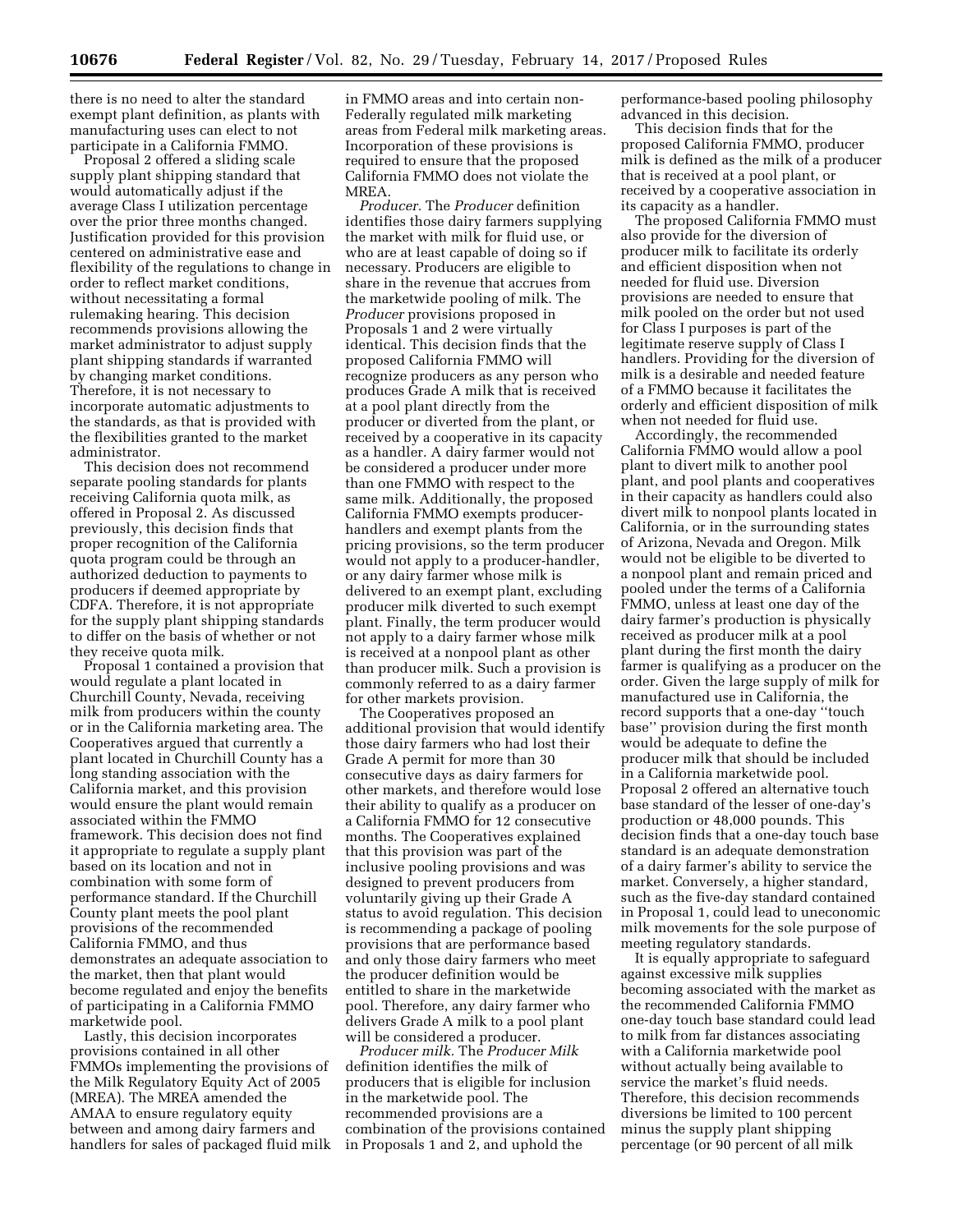there is no need to alter the standard exempt plant definition, as plants with manufacturing uses can elect to not participate in a California FMMO.

Proposal 2 offered a sliding scale supply plant shipping standard that would automatically adjust if the average Class I utilization percentage over the prior three months changed. Justification provided for this provision centered on administrative ease and flexibility of the regulations to change in order to reflect market conditions, without necessitating a formal rulemaking hearing. This decision recommends provisions allowing the market administrator to adjust supply plant shipping standards if warranted by changing market conditions. Therefore, it is not necessary to incorporate automatic adjustments to the standards, as that is provided with the flexibilities granted to the market administrator.

This decision does not recommend separate pooling standards for plants receiving California quota milk, as offered in Proposal 2. As discussed previously, this decision finds that proper recognition of the California quota program could be through an authorized deduction to payments to producers if deemed appropriate by CDFA. Therefore, it is not appropriate for the supply plant shipping standards to differ on the basis of whether or not they receive quota milk.

Proposal 1 contained a provision that would regulate a plant located in Churchill County, Nevada, receiving milk from producers within the county or in the California marketing area. The Cooperatives argued that currently a plant located in Churchill County has a long standing association with the California market, and this provision would ensure the plant would remain associated within the FMMO framework. This decision does not find it appropriate to regulate a supply plant based on its location and not in combination with some form of performance standard. If the Churchill County plant meets the pool plant provisions of the recommended California FMMO, and thus demonstrates an adequate association to the market, then that plant would become regulated and enjoy the benefits of participating in a California FMMO marketwide pool.

Lastly, this decision incorporates provisions contained in all other FMMOs implementing the provisions of the Milk Regulatory Equity Act of 2005 (MREA). The MREA amended the AMAA to ensure regulatory equity between and among dairy farmers and handlers for sales of packaged fluid milk

in FMMO areas and into certain non-Federally regulated milk marketing areas from Federal milk marketing areas. Incorporation of these provisions is required to ensure that the proposed California FMMO does not violate the MREA.

*Producer.* The *Producer* definition identifies those dairy farmers supplying the market with milk for fluid use, or who are at least capable of doing so if necessary. Producers are eligible to share in the revenue that accrues from the marketwide pooling of milk. The *Producer* provisions proposed in Proposals 1 and 2 were virtually identical. This decision finds that the proposed California FMMO will recognize producers as any person who produces Grade A milk that is received at a pool plant directly from the producer or diverted from the plant, or received by a cooperative in its capacity as a handler. A dairy farmer would not be considered a producer under more than one FMMO with respect to the same milk. Additionally, the proposed California FMMO exempts producerhandlers and exempt plants from the pricing provisions, so the term producer would not apply to a producer-handler, or any dairy farmer whose milk is delivered to an exempt plant, excluding producer milk diverted to such exempt plant. Finally, the term producer would not apply to a dairy farmer whose milk is received at a nonpool plant as other than producer milk. Such a provision is commonly referred to as a dairy farmer for other markets provision.

The Cooperatives proposed an additional provision that would identify those dairy farmers who had lost their Grade A permit for more than 30 consecutive days as dairy farmers for other markets, and therefore would lose their ability to qualify as a producer on a California FMMO for 12 consecutive months. The Cooperatives explained that this provision was part of the inclusive pooling provisions and was designed to prevent producers from voluntarily giving up their Grade A status to avoid regulation. This decision is recommending a package of pooling provisions that are performance based and only those dairy farmers who meet the producer definition would be entitled to share in the marketwide pool. Therefore, any dairy farmer who delivers Grade A milk to a pool plant will be considered a producer.

*Producer milk.* The *Producer Milk*  definition identifies the milk of producers that is eligible for inclusion in the marketwide pool. The recommended provisions are a combination of the provisions contained in Proposals 1 and 2, and uphold the

performance-based pooling philosophy advanced in this decision.

This decision finds that for the proposed California FMMO, producer milk is defined as the milk of a producer that is received at a pool plant, or received by a cooperative association in its capacity as a handler.

The proposed California FMMO must also provide for the diversion of producer milk to facilitate its orderly and efficient disposition when not needed for fluid use. Diversion provisions are needed to ensure that milk pooled on the order but not used for Class I purposes is part of the legitimate reserve supply of Class I handlers. Providing for the diversion of milk is a desirable and needed feature of a FMMO because it facilitates the orderly and efficient disposition of milk when not needed for fluid use.

Accordingly, the recommended California FMMO would allow a pool plant to divert milk to another pool plant, and pool plants and cooperatives in their capacity as handlers could also divert milk to nonpool plants located in California, or in the surrounding states of Arizona, Nevada and Oregon. Milk would not be eligible to be diverted to a nonpool plant and remain priced and pooled under the terms of a California FMMO, unless at least one day of the dairy farmer's production is physically received as producer milk at a pool plant during the first month the dairy farmer is qualifying as a producer on the order. Given the large supply of milk for manufactured use in California, the record supports that a one-day ''touch base'' provision during the first month would be adequate to define the producer milk that should be included in a California marketwide pool. Proposal 2 offered an alternative touch base standard of the lesser of one-day's production or 48,000 pounds. This decision finds that a one-day touch base standard is an adequate demonstration of a dairy farmer's ability to service the market. Conversely, a higher standard, such as the five-day standard contained in Proposal 1, could lead to uneconomic milk movements for the sole purpose of meeting regulatory standards.

It is equally appropriate to safeguard against excessive milk supplies becoming associated with the market as the recommended California FMMO one-day touch base standard could lead to milk from far distances associating with a California marketwide pool without actually being available to service the market's fluid needs. Therefore, this decision recommends diversions be limited to 100 percent minus the supply plant shipping percentage (or 90 percent of all milk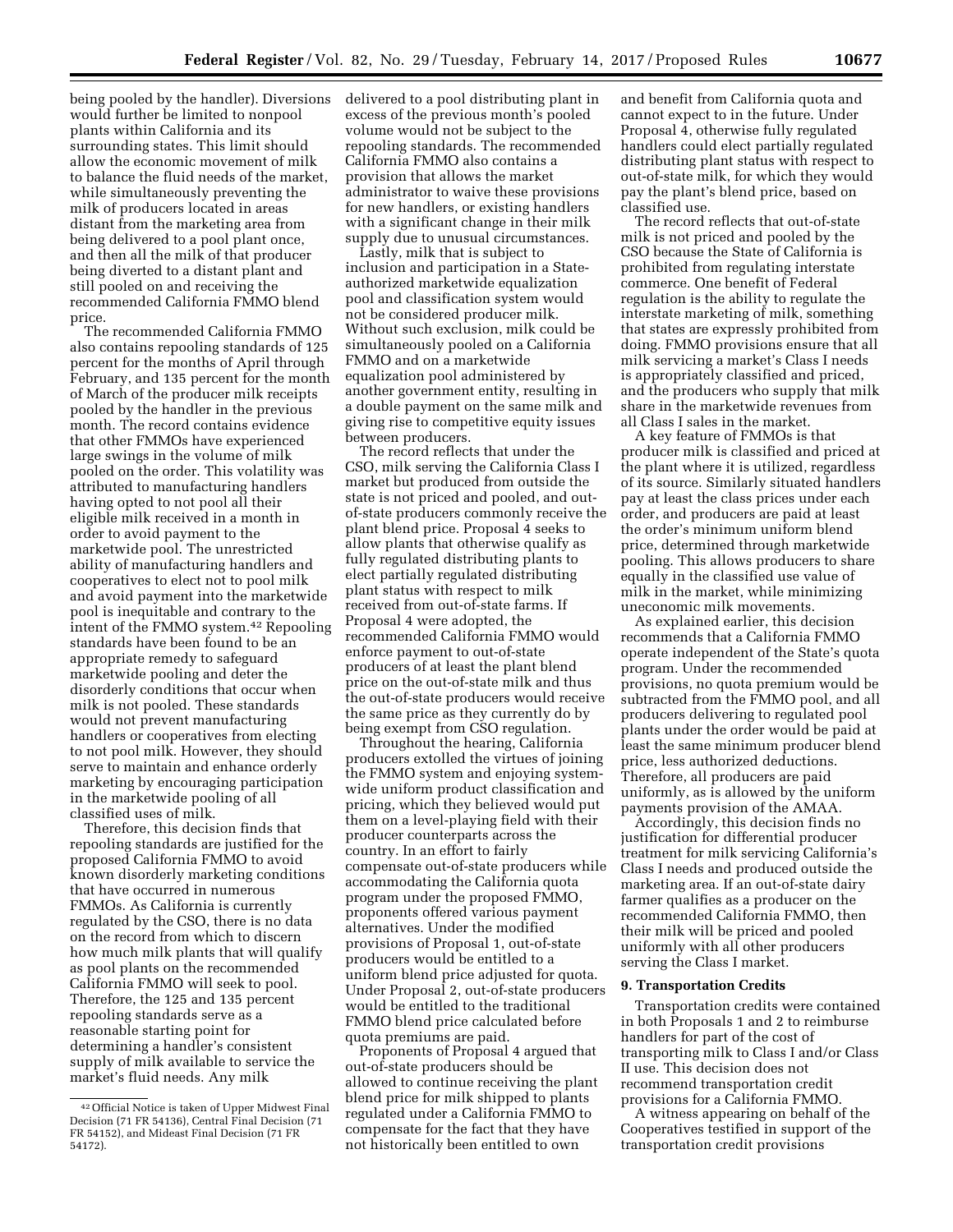being pooled by the handler). Diversions would further be limited to nonpool plants within California and its surrounding states. This limit should allow the economic movement of milk to balance the fluid needs of the market, while simultaneously preventing the milk of producers located in areas distant from the marketing area from being delivered to a pool plant once, and then all the milk of that producer being diverted to a distant plant and still pooled on and receiving the recommended California FMMO blend price.

The recommended California FMMO also contains repooling standards of 125 percent for the months of April through February, and 135 percent for the month of March of the producer milk receipts pooled by the handler in the previous month. The record contains evidence that other FMMOs have experienced large swings in the volume of milk pooled on the order. This volatility was attributed to manufacturing handlers having opted to not pool all their eligible milk received in a month in order to avoid payment to the marketwide pool. The unrestricted ability of manufacturing handlers and cooperatives to elect not to pool milk and avoid payment into the marketwide pool is inequitable and contrary to the intent of the FMMO system.42 Repooling standards have been found to be an appropriate remedy to safeguard marketwide pooling and deter the disorderly conditions that occur when milk is not pooled. These standards would not prevent manufacturing handlers or cooperatives from electing to not pool milk. However, they should serve to maintain and enhance orderly marketing by encouraging participation in the marketwide pooling of all classified uses of milk.

Therefore, this decision finds that repooling standards are justified for the proposed California FMMO to avoid known disorderly marketing conditions that have occurred in numerous FMMOs. As California is currently regulated by the CSO, there is no data on the record from which to discern how much milk plants that will qualify as pool plants on the recommended California FMMO will seek to pool. Therefore, the 125 and 135 percent repooling standards serve as a reasonable starting point for determining a handler's consistent supply of milk available to service the market's fluid needs. Any milk

delivered to a pool distributing plant in excess of the previous month's pooled volume would not be subject to the repooling standards. The recommended California FMMO also contains a provision that allows the market administrator to waive these provisions for new handlers, or existing handlers with a significant change in their milk supply due to unusual circumstances.

Lastly, milk that is subject to inclusion and participation in a Stateauthorized marketwide equalization pool and classification system would not be considered producer milk. Without such exclusion, milk could be simultaneously pooled on a California FMMO and on a marketwide equalization pool administered by another government entity, resulting in a double payment on the same milk and giving rise to competitive equity issues between producers.

The record reflects that under the CSO, milk serving the California Class I market but produced from outside the state is not priced and pooled, and outof-state producers commonly receive the plant blend price. Proposal 4 seeks to allow plants that otherwise qualify as fully regulated distributing plants to elect partially regulated distributing plant status with respect to milk received from out-of-state farms. If Proposal 4 were adopted, the recommended California FMMO would enforce payment to out-of-state producers of at least the plant blend price on the out-of-state milk and thus the out-of-state producers would receive the same price as they currently do by being exempt from CSO regulation.

Throughout the hearing, California producers extolled the virtues of joining the FMMO system and enjoying systemwide uniform product classification and pricing, which they believed would put them on a level-playing field with their producer counterparts across the country. In an effort to fairly compensate out-of-state producers while accommodating the California quota program under the proposed FMMO, proponents offered various payment alternatives. Under the modified provisions of Proposal 1, out-of-state producers would be entitled to a uniform blend price adjusted for quota. Under Proposal 2, out-of-state producers would be entitled to the traditional FMMO blend price calculated before quota premiums are paid.

Proponents of Proposal 4 argued that out-of-state producers should be allowed to continue receiving the plant blend price for milk shipped to plants regulated under a California FMMO to compensate for the fact that they have not historically been entitled to own

and benefit from California quota and cannot expect to in the future. Under Proposal 4, otherwise fully regulated handlers could elect partially regulated distributing plant status with respect to out-of-state milk, for which they would pay the plant's blend price, based on classified use.

The record reflects that out-of-state milk is not priced and pooled by the CSO because the State of California is prohibited from regulating interstate commerce. One benefit of Federal regulation is the ability to regulate the interstate marketing of milk, something that states are expressly prohibited from doing. FMMO provisions ensure that all milk servicing a market's Class I needs is appropriately classified and priced, and the producers who supply that milk share in the marketwide revenues from all Class I sales in the market.

A key feature of FMMOs is that producer milk is classified and priced at the plant where it is utilized, regardless of its source. Similarly situated handlers pay at least the class prices under each order, and producers are paid at least the order's minimum uniform blend price, determined through marketwide pooling. This allows producers to share equally in the classified use value of milk in the market, while minimizing uneconomic milk movements.

As explained earlier, this decision recommends that a California FMMO operate independent of the State's quota program. Under the recommended provisions, no quota premium would be subtracted from the FMMO pool, and all producers delivering to regulated pool plants under the order would be paid at least the same minimum producer blend price, less authorized deductions. Therefore, all producers are paid uniformly, as is allowed by the uniform payments provision of the AMAA.

Accordingly, this decision finds no justification for differential producer treatment for milk servicing California's Class I needs and produced outside the marketing area. If an out-of-state dairy farmer qualifies as a producer on the recommended California FMMO, then their milk will be priced and pooled uniformly with all other producers serving the Class I market.

## **9. Transportation Credits**

Transportation credits were contained in both Proposals 1 and 2 to reimburse handlers for part of the cost of transporting milk to Class I and/or Class II use. This decision does not recommend transportation credit provisions for a California FMMO.

A witness appearing on behalf of the Cooperatives testified in support of the transportation credit provisions

<sup>42</sup>Official Notice is taken of Upper Midwest Final Decision (71 FR 54136), Central Final Decision (71 FR 54152), and Mideast Final Decision (71 FR 54172).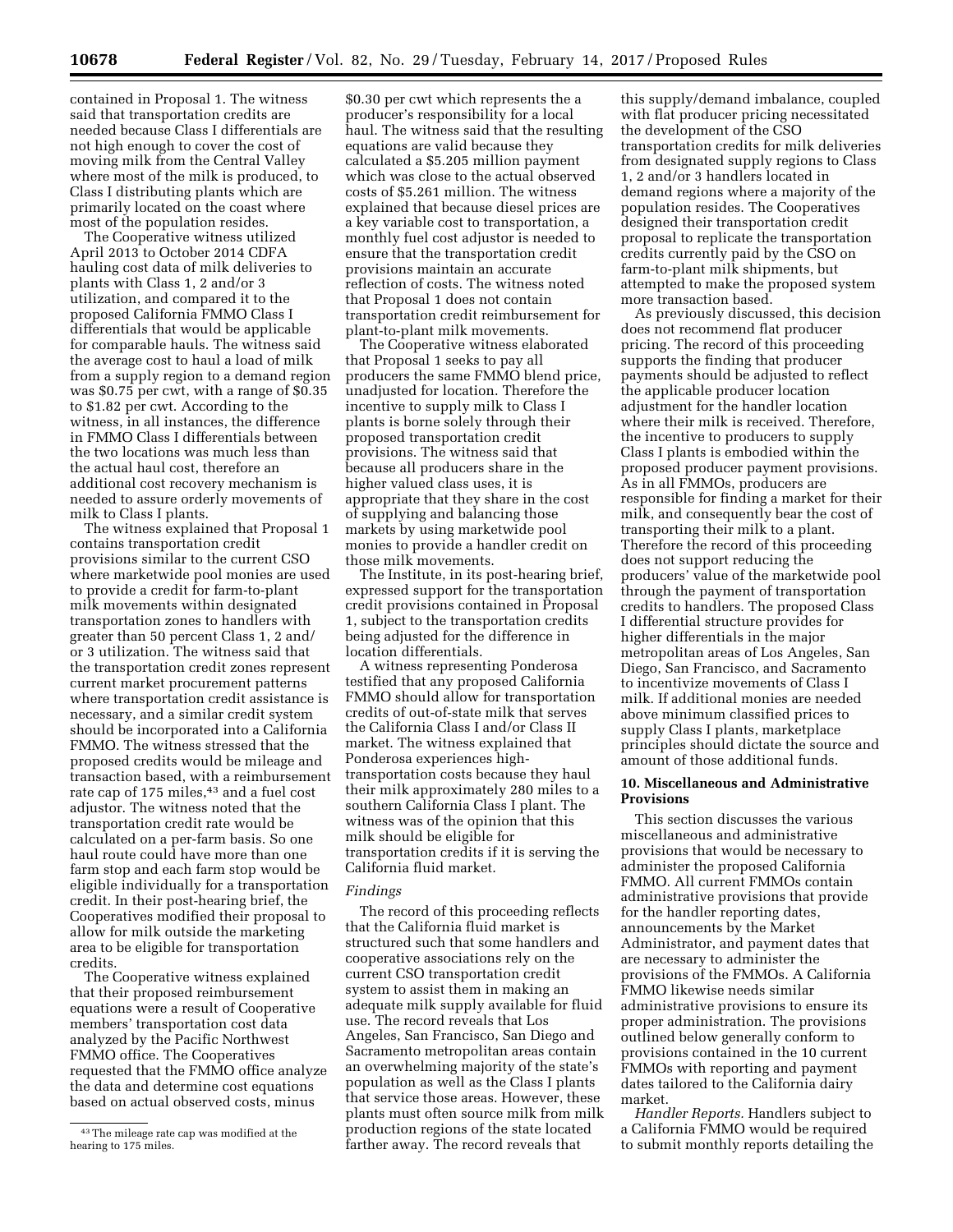contained in Proposal 1. The witness said that transportation credits are needed because Class I differentials are not high enough to cover the cost of moving milk from the Central Valley where most of the milk is produced, to Class I distributing plants which are primarily located on the coast where most of the population resides.

The Cooperative witness utilized April 2013 to October 2014 CDFA hauling cost data of milk deliveries to plants with Class 1, 2 and/or 3 utilization, and compared it to the proposed California FMMO Class I differentials that would be applicable for comparable hauls. The witness said the average cost to haul a load of milk from a supply region to a demand region was \$0.75 per cwt, with a range of \$0.35 to \$1.82 per cwt. According to the witness, in all instances, the difference in FMMO Class I differentials between the two locations was much less than the actual haul cost, therefore an additional cost recovery mechanism is needed to assure orderly movements of milk to Class I plants.

The witness explained that Proposal 1 contains transportation credit provisions similar to the current CSO where marketwide pool monies are used to provide a credit for farm-to-plant milk movements within designated transportation zones to handlers with greater than 50 percent Class 1, 2 and/ or 3 utilization. The witness said that the transportation credit zones represent current market procurement patterns where transportation credit assistance is necessary, and a similar credit system should be incorporated into a California FMMO. The witness stressed that the proposed credits would be mileage and transaction based, with a reimbursement rate cap of 175 miles,<sup>43</sup> and a fuel cost adjustor. The witness noted that the transportation credit rate would be calculated on a per-farm basis. So one haul route could have more than one farm stop and each farm stop would be eligible individually for a transportation credit. In their post-hearing brief, the Cooperatives modified their proposal to allow for milk outside the marketing area to be eligible for transportation credits.

The Cooperative witness explained that their proposed reimbursement equations were a result of Cooperative members' transportation cost data analyzed by the Pacific Northwest FMMO office. The Cooperatives requested that the FMMO office analyze the data and determine cost equations based on actual observed costs, minus

\$0.30 per cwt which represents the a producer's responsibility for a local haul. The witness said that the resulting equations are valid because they calculated a \$5.205 million payment which was close to the actual observed costs of \$5.261 million. The witness explained that because diesel prices are a key variable cost to transportation, a monthly fuel cost adjustor is needed to ensure that the transportation credit provisions maintain an accurate reflection of costs. The witness noted that Proposal 1 does not contain transportation credit reimbursement for plant-to-plant milk movements.

The Cooperative witness elaborated that Proposal 1 seeks to pay all producers the same FMMO blend price, unadjusted for location. Therefore the incentive to supply milk to Class I plants is borne solely through their proposed transportation credit provisions. The witness said that because all producers share in the higher valued class uses, it is appropriate that they share in the cost of supplying and balancing those markets by using marketwide pool monies to provide a handler credit on those milk movements.

The Institute, in its post-hearing brief, expressed support for the transportation credit provisions contained in Proposal 1, subject to the transportation credits being adjusted for the difference in location differentials.

A witness representing Ponderosa testified that any proposed California FMMO should allow for transportation credits of out-of-state milk that serves the California Class I and/or Class II market. The witness explained that Ponderosa experiences hightransportation costs because they haul their milk approximately 280 miles to a southern California Class I plant. The witness was of the opinion that this milk should be eligible for transportation credits if it is serving the California fluid market.

## *Findings*

The record of this proceeding reflects that the California fluid market is structured such that some handlers and cooperative associations rely on the current CSO transportation credit system to assist them in making an adequate milk supply available for fluid use. The record reveals that Los Angeles, San Francisco, San Diego and Sacramento metropolitan areas contain an overwhelming majority of the state's population as well as the Class I plants that service those areas. However, these plants must often source milk from milk production regions of the state located farther away. The record reveals that

this supply/demand imbalance, coupled with flat producer pricing necessitated the development of the CSO transportation credits for milk deliveries from designated supply regions to Class 1, 2 and/or 3 handlers located in demand regions where a majority of the population resides. The Cooperatives designed their transportation credit proposal to replicate the transportation credits currently paid by the CSO on farm-to-plant milk shipments, but attempted to make the proposed system more transaction based.

As previously discussed, this decision does not recommend flat producer pricing. The record of this proceeding supports the finding that producer payments should be adjusted to reflect the applicable producer location adjustment for the handler location where their milk is received. Therefore, the incentive to producers to supply Class I plants is embodied within the proposed producer payment provisions. As in all FMMOs, producers are responsible for finding a market for their milk, and consequently bear the cost of transporting their milk to a plant. Therefore the record of this proceeding does not support reducing the producers' value of the marketwide pool through the payment of transportation credits to handlers. The proposed Class I differential structure provides for higher differentials in the major metropolitan areas of Los Angeles, San Diego, San Francisco, and Sacramento to incentivize movements of Class I milk. If additional monies are needed above minimum classified prices to supply Class I plants, marketplace principles should dictate the source and amount of those additional funds.

# **10. Miscellaneous and Administrative Provisions**

This section discusses the various miscellaneous and administrative provisions that would be necessary to administer the proposed California FMMO. All current FMMOs contain administrative provisions that provide for the handler reporting dates, announcements by the Market Administrator, and payment dates that are necessary to administer the provisions of the FMMOs. A California FMMO likewise needs similar administrative provisions to ensure its proper administration. The provisions outlined below generally conform to provisions contained in the 10 current FMMOs with reporting and payment dates tailored to the California dairy market.

*Handler Reports.* Handlers subject to a California FMMO would be required to submit monthly reports detailing the

<sup>43</sup>The mileage rate cap was modified at the hearing to 175 miles.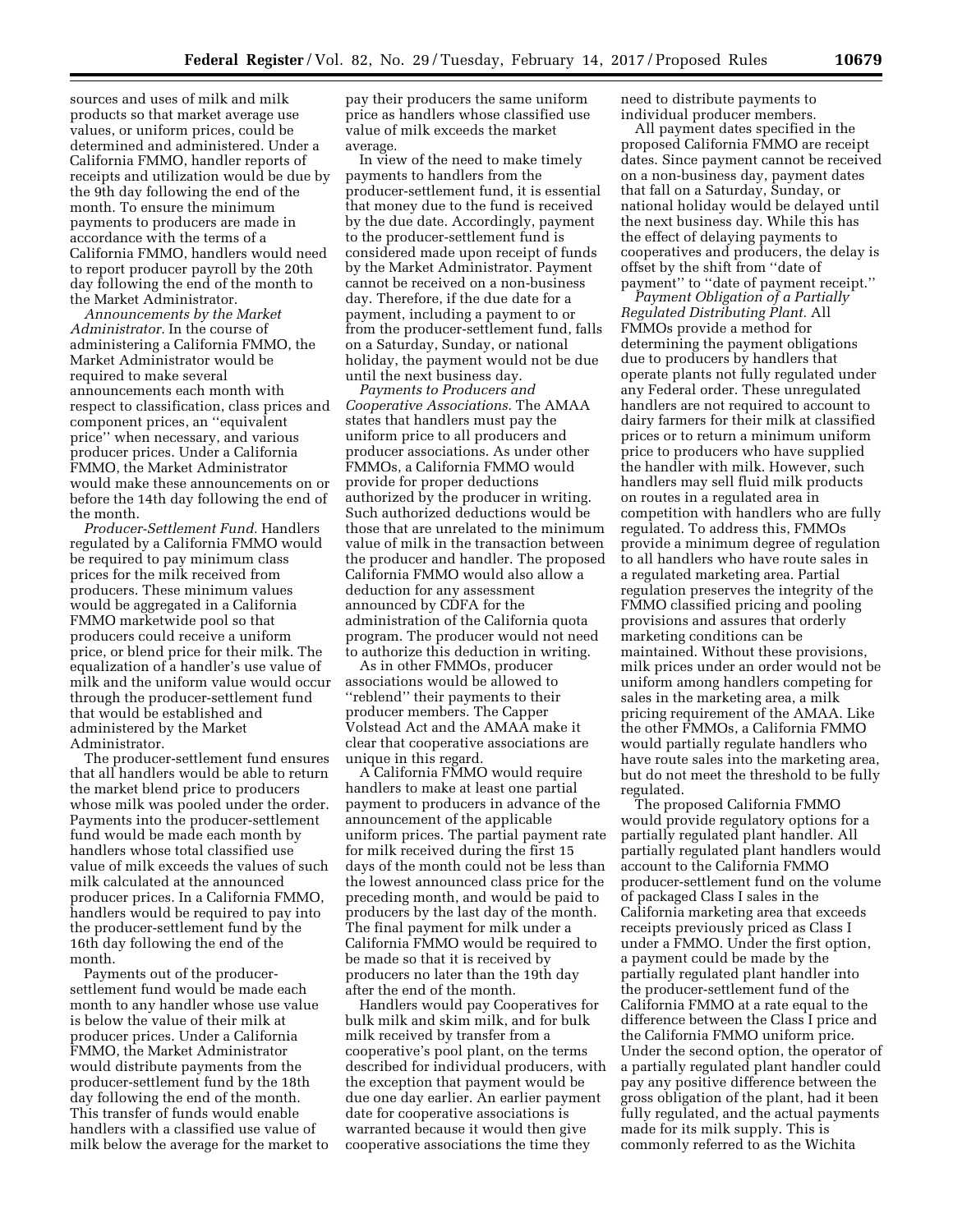sources and uses of milk and milk products so that market average use values, or uniform prices, could be determined and administered. Under a California FMMO, handler reports of receipts and utilization would be due by the 9th day following the end of the month. To ensure the minimum payments to producers are made in accordance with the terms of a California FMMO, handlers would need to report producer payroll by the 20th day following the end of the month to the Market Administrator.

*Announcements by the Market Administrator.* In the course of administering a California FMMO, the Market Administrator would be required to make several announcements each month with respect to classification, class prices and component prices, an ''equivalent price'' when necessary, and various producer prices. Under a California FMMO, the Market Administrator would make these announcements on or before the 14th day following the end of the month.

*Producer-Settlement Fund.* Handlers regulated by a California FMMO would be required to pay minimum class prices for the milk received from producers. These minimum values would be aggregated in a California FMMO marketwide pool so that producers could receive a uniform price, or blend price for their milk. The equalization of a handler's use value of milk and the uniform value would occur through the producer-settlement fund that would be established and administered by the Market Administrator.

The producer-settlement fund ensures that all handlers would be able to return the market blend price to producers whose milk was pooled under the order. Payments into the producer-settlement fund would be made each month by handlers whose total classified use value of milk exceeds the values of such milk calculated at the announced producer prices. In a California FMMO, handlers would be required to pay into the producer-settlement fund by the 16th day following the end of the month.

Payments out of the producersettlement fund would be made each month to any handler whose use value is below the value of their milk at producer prices. Under a California FMMO, the Market Administrator would distribute payments from the producer-settlement fund by the 18th day following the end of the month. This transfer of funds would enable handlers with a classified use value of milk below the average for the market to pay their producers the same uniform price as handlers whose classified use value of milk exceeds the market average.

In view of the need to make timely payments to handlers from the producer-settlement fund, it is essential that money due to the fund is received by the due date. Accordingly, payment to the producer-settlement fund is considered made upon receipt of funds by the Market Administrator. Payment cannot be received on a non-business day. Therefore, if the due date for a payment, including a payment to or from the producer-settlement fund, falls on a Saturday, Sunday, or national holiday, the payment would not be due until the next business day.

*Payments to Producers and Cooperative Associations.* The AMAA states that handlers must pay the uniform price to all producers and producer associations. As under other FMMOs, a California FMMO would provide for proper deductions authorized by the producer in writing. Such authorized deductions would be those that are unrelated to the minimum value of milk in the transaction between the producer and handler. The proposed California FMMO would also allow a deduction for any assessment announced by CDFA for the administration of the California quota program. The producer would not need to authorize this deduction in writing.

As in other FMMOs, producer associations would be allowed to ''reblend'' their payments to their producer members. The Capper Volstead Act and the AMAA make it clear that cooperative associations are unique in this regard.

A California FMMO would require handlers to make at least one partial payment to producers in advance of the announcement of the applicable uniform prices. The partial payment rate for milk received during the first 15 days of the month could not be less than the lowest announced class price for the preceding month, and would be paid to producers by the last day of the month. The final payment for milk under a California FMMO would be required to be made so that it is received by producers no later than the 19th day after the end of the month.

Handlers would pay Cooperatives for bulk milk and skim milk, and for bulk milk received by transfer from a cooperative's pool plant, on the terms described for individual producers, with the exception that payment would be due one day earlier. An earlier payment date for cooperative associations is warranted because it would then give cooperative associations the time they

need to distribute payments to individual producer members.

All payment dates specified in the proposed California FMMO are receipt dates. Since payment cannot be received on a non-business day, payment dates that fall on a Saturday, Sunday, or national holiday would be delayed until the next business day. While this has the effect of delaying payments to cooperatives and producers, the delay is offset by the shift from ''date of payment'' to ''date of payment receipt.''

*Payment Obligation of a Partially Regulated Distributing Plant.* All FMMOs provide a method for determining the payment obligations due to producers by handlers that operate plants not fully regulated under any Federal order. These unregulated handlers are not required to account to dairy farmers for their milk at classified prices or to return a minimum uniform price to producers who have supplied the handler with milk. However, such handlers may sell fluid milk products on routes in a regulated area in competition with handlers who are fully regulated. To address this, FMMOs provide a minimum degree of regulation to all handlers who have route sales in a regulated marketing area. Partial regulation preserves the integrity of the FMMO classified pricing and pooling provisions and assures that orderly marketing conditions can be maintained. Without these provisions, milk prices under an order would not be uniform among handlers competing for sales in the marketing area, a milk pricing requirement of the AMAA. Like the other FMMOs, a California FMMO would partially regulate handlers who have route sales into the marketing area, but do not meet the threshold to be fully regulated.

The proposed California FMMO would provide regulatory options for a partially regulated plant handler. All partially regulated plant handlers would account to the California FMMO producer-settlement fund on the volume of packaged Class I sales in the California marketing area that exceeds receipts previously priced as Class I under a FMMO. Under the first option, a payment could be made by the partially regulated plant handler into the producer-settlement fund of the California FMMO at a rate equal to the difference between the Class I price and the California FMMO uniform price. Under the second option, the operator of a partially regulated plant handler could pay any positive difference between the gross obligation of the plant, had it been fully regulated, and the actual payments made for its milk supply. This is commonly referred to as the Wichita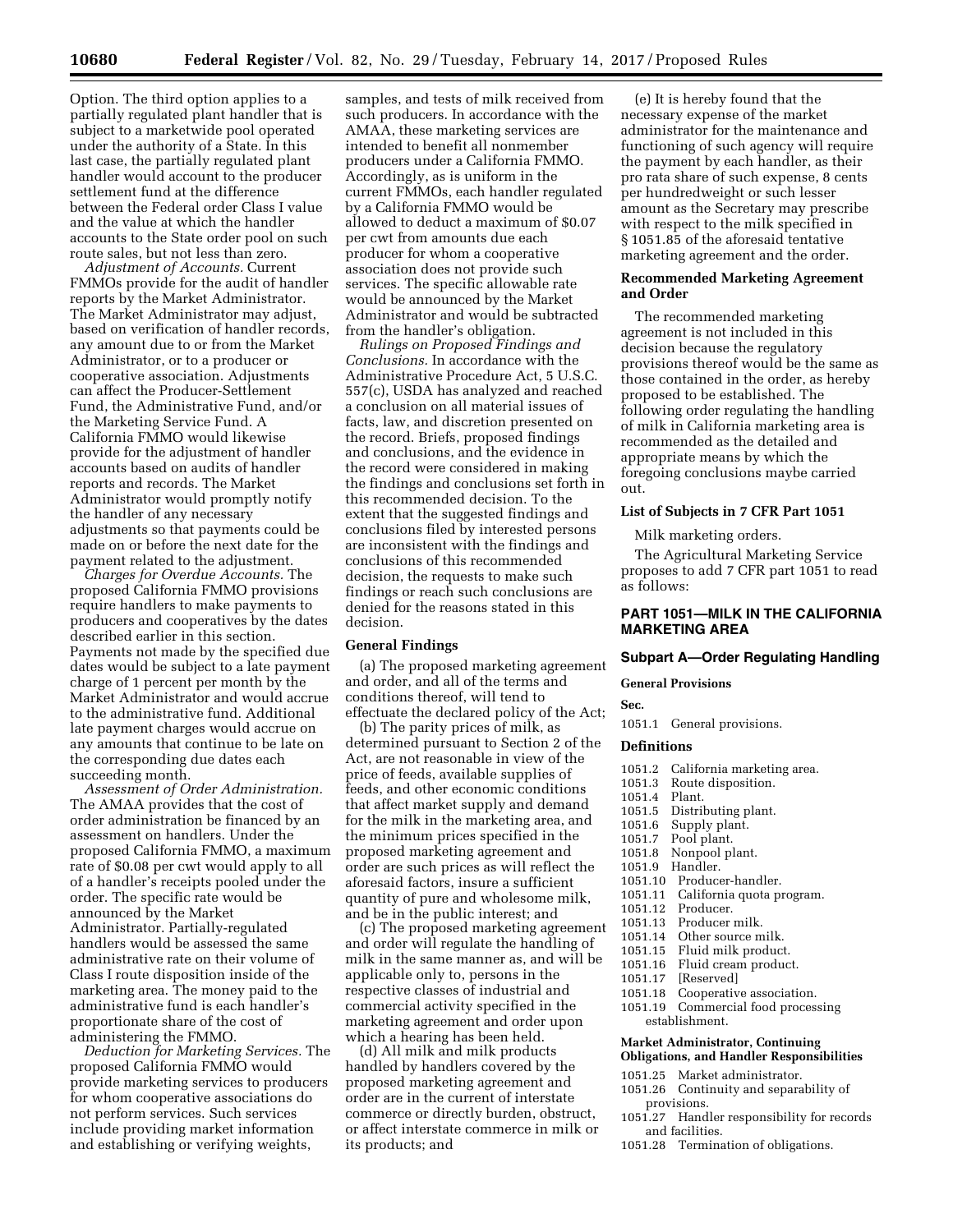Option. The third option applies to a partially regulated plant handler that is subject to a marketwide pool operated under the authority of a State. In this last case, the partially regulated plant handler would account to the producer settlement fund at the difference between the Federal order Class I value and the value at which the handler accounts to the State order pool on such route sales, but not less than zero.

*Adjustment of Accounts.* Current FMMOs provide for the audit of handler reports by the Market Administrator. The Market Administrator may adjust, based on verification of handler records, any amount due to or from the Market Administrator, or to a producer or cooperative association. Adjustments can affect the Producer-Settlement Fund, the Administrative Fund, and/or the Marketing Service Fund. A California FMMO would likewise provide for the adjustment of handler accounts based on audits of handler reports and records. The Market Administrator would promptly notify the handler of any necessary adjustments so that payments could be made on or before the next date for the payment related to the adjustment.

*Charges for Overdue Accounts.* The proposed California FMMO provisions require handlers to make payments to producers and cooperatives by the dates described earlier in this section. Payments not made by the specified due dates would be subject to a late payment charge of 1 percent per month by the Market Administrator and would accrue to the administrative fund. Additional late payment charges would accrue on any amounts that continue to be late on the corresponding due dates each succeeding month.

*Assessment of Order Administration.*  The AMAA provides that the cost of order administration be financed by an assessment on handlers. Under the proposed California FMMO, a maximum rate of \$0.08 per cwt would apply to all of a handler's receipts pooled under the order. The specific rate would be announced by the Market Administrator. Partially-regulated handlers would be assessed the same administrative rate on their volume of Class I route disposition inside of the marketing area. The money paid to the administrative fund is each handler's proportionate share of the cost of administering the FMMO.

*Deduction for Marketing Services.* The proposed California FMMO would provide marketing services to producers for whom cooperative associations do not perform services. Such services include providing market information and establishing or verifying weights,

samples, and tests of milk received from such producers. In accordance with the AMAA, these marketing services are intended to benefit all nonmember producers under a California FMMO. Accordingly, as is uniform in the current FMMOs, each handler regulated by a California FMMO would be allowed to deduct a maximum of \$0.07 per cwt from amounts due each producer for whom a cooperative association does not provide such services. The specific allowable rate would be announced by the Market Administrator and would be subtracted from the handler's obligation.

*Rulings on Proposed Findings and Conclusions.* In accordance with the Administrative Procedure Act, 5 U.S.C. 557(c), USDA has analyzed and reached a conclusion on all material issues of facts, law, and discretion presented on the record. Briefs, proposed findings and conclusions, and the evidence in the record were considered in making the findings and conclusions set forth in this recommended decision. To the extent that the suggested findings and conclusions filed by interested persons are inconsistent with the findings and conclusions of this recommended decision, the requests to make such findings or reach such conclusions are denied for the reasons stated in this decision.

#### **General Findings**

(a) The proposed marketing agreement and order, and all of the terms and conditions thereof, will tend to effectuate the declared policy of the Act;

(b) The parity prices of milk, as determined pursuant to Section 2 of the Act, are not reasonable in view of the price of feeds, available supplies of feeds, and other economic conditions that affect market supply and demand for the milk in the marketing area, and the minimum prices specified in the proposed marketing agreement and order are such prices as will reflect the aforesaid factors, insure a sufficient quantity of pure and wholesome milk, and be in the public interest; and

(c) The proposed marketing agreement and order will regulate the handling of milk in the same manner as, and will be applicable only to, persons in the respective classes of industrial and commercial activity specified in the marketing agreement and order upon which a hearing has been held.

(d) All milk and milk products handled by handlers covered by the proposed marketing agreement and order are in the current of interstate commerce or directly burden, obstruct, or affect interstate commerce in milk or its products; and

(e) It is hereby found that the necessary expense of the market administrator for the maintenance and functioning of such agency will require the payment by each handler, as their pro rata share of such expense, 8 cents per hundredweight or such lesser amount as the Secretary may prescribe with respect to the milk specified in § 1051.85 of the aforesaid tentative marketing agreement and the order.

## **Recommended Marketing Agreement and Order**

The recommended marketing agreement is not included in this decision because the regulatory provisions thereof would be the same as those contained in the order, as hereby proposed to be established. The following order regulating the handling of milk in California marketing area is recommended as the detailed and appropriate means by which the foregoing conclusions maybe carried out.

### **List of Subjects in 7 CFR Part 1051**

Milk marketing orders.

The Agricultural Marketing Service proposes to add 7 CFR part 1051 to read as follows:

## **PART 1051—MILK IN THE CALIFORNIA MARKETING AREA**

# **Subpart A—Order Regulating Handling**

## **General Provisions**

**Sec.** 

1051.1 General provisions.

### **Definitions**

- 1051.2 California marketing area.
- 1051.3 Route disposition.
- 1051.4 Plant.
- 1051.5 Distributing plant.
- 1051.6 Supply plant.
- 1051.7 Pool plant.<br>1051.8 Nonpool p
- Nonpool plant.
- 1051.9 Handler.
- 1051.10 Producer-handler.<br>1051.11 California quota pi
- California quota program.
- 1051.12 Producer.<br>1051.13 Producer
	- Producer milk.
- 1051.14 Other source milk.
- 1051.15 Fluid milk product.
- Fluid cream product.
- 1051.17 [Reserved]
- 1051.18 Cooperative association.<br>1051.19 Commercial food proces.
- Commercial food processing establishment.

### **Market Administrator, Continuing Obligations, and Handler Responsibilities**

- 1051.25 Market administrator.
- 1051.26 Continuity and separability of provisions.
- 1051.27 Handler responsibility for records and facilities.
- 1051.28 Termination of obligations.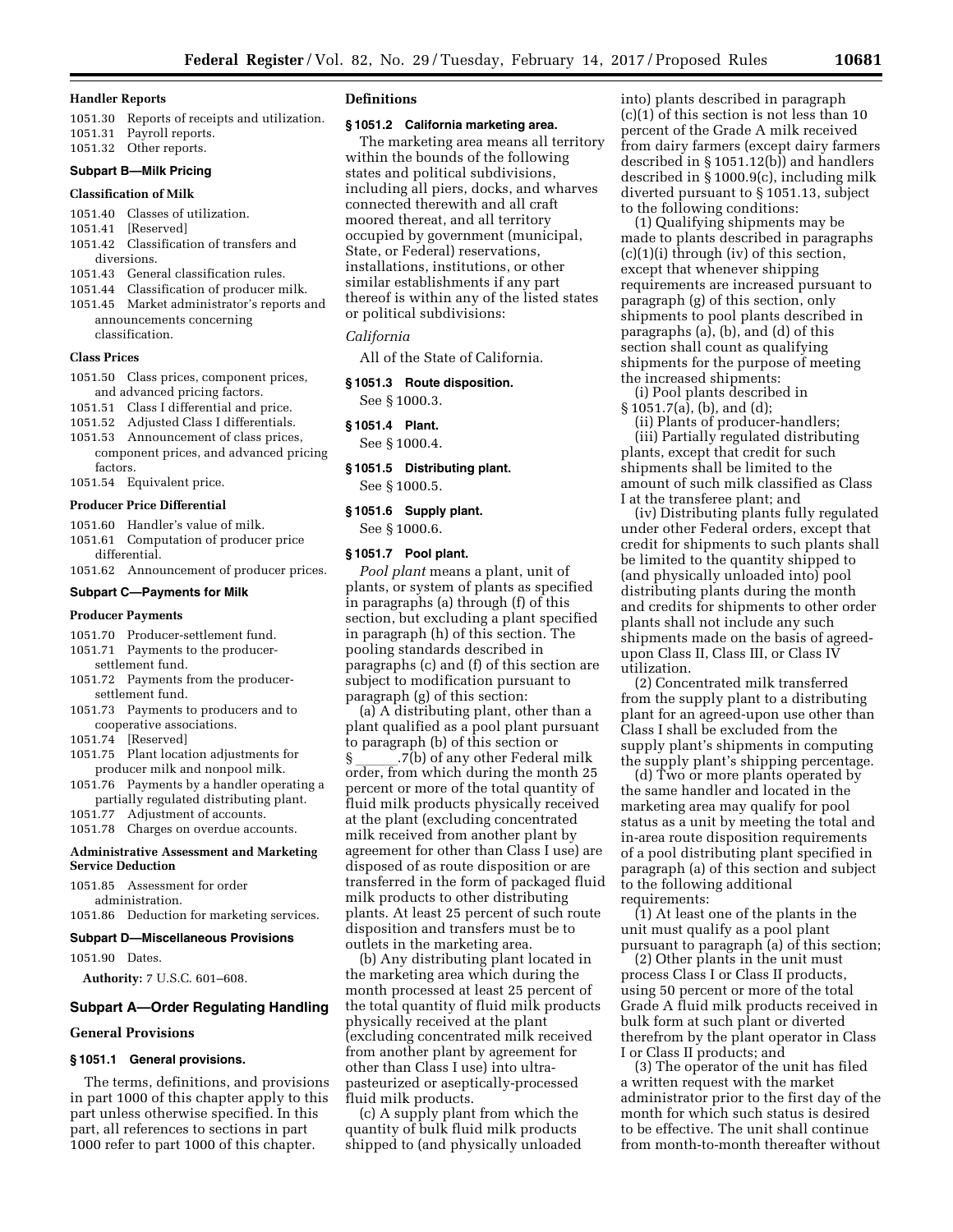#### **Handler Reports**

1051.30 Reports of receipts and utilization. 1051.31 Payroll reports. 1051.32 Other reports.

### **Subpart B—Milk Pricing**

### **Classification of Milk**

- 1051.40 Classes of utilization.
- 1051.41 [Reserved]
- 1051.42 Classification of transfers and diversions.
- 1051.43 General classification rules.
- 1051.44 Classification of producer milk.
- 1051.45 Market administrator's reports and announcements concerning classification.

# **Class Prices**

- 1051.50 Class prices, component prices, and advanced pricing factors.
- 1051.51 Class I differential and price.
- 1051.52 Adjusted Class I differentials.
- 1051.53 Announcement of class prices, component prices, and advanced pricing factors.
- 1051.54 Equivalent price.

# **Producer Price Differential**

- 1051.60 Handler's value of milk.
- 1051.61 Computation of producer price differential.
- 1051.62 Announcement of producer prices.

# **Subpart C—Payments for Milk**

# **Producer Payments**

- 1051.70 Producer-settlement fund. 1051.71 Payments to the producersettlement fund.
- 1051.72 Payments from the producersettlement fund.
- 1051.73 Payments to producers and to cooperative associations.
- 1051.74 [Reserved]
- 1051.75 Plant location adjustments for producer milk and nonpool milk.
- 1051.76 Payments by a handler operating a partially regulated distributing plant.
- 1051.77 Adjustment of accounts.
- 1051.78 Charges on overdue accounts.

## **Administrative Assessment and Marketing Service Deduction**

- 1051.85 Assessment for order administration.
- 1051.86 Deduction for marketing services.

### **Subpart D—Miscellaneous Provisions**

1051.90 Dates.

**Authority:** 7 U.S.C. 601–608.

## **Subpart A—Order Regulating Handling**

### **General Provisions**

#### **§ 1051.1 General provisions.**

The terms, definitions, and provisions in part 1000 of this chapter apply to this part unless otherwise specified. In this part, all references to sections in part 1000 refer to part 1000 of this chapter.

## **Definitions**

# **§ 1051.2 California marketing area.**

The marketing area means all territory within the bounds of the following states and political subdivisions, including all piers, docks, and wharves connected therewith and all craft moored thereat, and all territory occupied by government (municipal, State, or Federal) reservations, installations, institutions, or other similar establishments if any part thereof is within any of the listed states or political subdivisions:

## *California*

All of the State of California.

**§ 1051.3 Route disposition.**  See § 1000.3.

#### **§ 1051.4 Plant.**

See § 1000.4.

**§ 1051.5 Distributing plant.**  See § 1000.5.

**§ 1051.6 Supply plant.**  See § 1000.6.

#### **§ 1051.7 Pool plant.**

*Pool plant* means a plant, unit of plants, or system of plants as specified in paragraphs (a) through (f) of this section, but excluding a plant specified in paragraph (h) of this section. The pooling standards described in paragraphs (c) and (f) of this section are subject to modification pursuant to paragraph (g) of this section:

(a) A distributing plant, other than a plant qualified as a pool plant pursuant to paragraph (b) of this section or § .7(b) of any other Federal milk order, from which during the month 25 percent or more of the total quantity of fluid milk products physically received at the plant (excluding concentrated milk received from another plant by agreement for other than Class I use) are disposed of as route disposition or are transferred in the form of packaged fluid milk products to other distributing plants. At least 25 percent of such route disposition and transfers must be to outlets in the marketing area.

(b) Any distributing plant located in the marketing area which during the month processed at least 25 percent of the total quantity of fluid milk products physically received at the plant (excluding concentrated milk received from another plant by agreement for other than Class I use) into ultrapasteurized or aseptically-processed fluid milk products.

(c) A supply plant from which the quantity of bulk fluid milk products shipped to (and physically unloaded into) plants described in paragraph (c)(1) of this section is not less than 10 percent of the Grade A milk received from dairy farmers (except dairy farmers described in § 1051.12(b)) and handlers described in § 1000.9(c), including milk diverted pursuant to § 1051.13, subject to the following conditions:

(1) Qualifying shipments may be made to plants described in paragraphs  $(c)(1)(i)$  through  $(iv)$  of this section, except that whenever shipping requirements are increased pursuant to paragraph (g) of this section, only shipments to pool plants described in paragraphs (a), (b), and (d) of this section shall count as qualifying shipments for the purpose of meeting the increased shipments:

(i) Pool plants described in § 1051.7(a), (b), and (d);

(ii) Plants of producer-handlers; (iii) Partially regulated distributing plants, except that credit for such shipments shall be limited to the amount of such milk classified as Class I at the transferee plant; and

(iv) Distributing plants fully regulated under other Federal orders, except that credit for shipments to such plants shall be limited to the quantity shipped to (and physically unloaded into) pool distributing plants during the month and credits for shipments to other order plants shall not include any such shipments made on the basis of agreedupon Class II, Class III, or Class IV utilization.

(2) Concentrated milk transferred from the supply plant to a distributing plant for an agreed-upon use other than Class I shall be excluded from the supply plant's shipments in computing the supply plant's shipping percentage.

(d) Two or more plants operated by the same handler and located in the marketing area may qualify for pool status as a unit by meeting the total and in-area route disposition requirements of a pool distributing plant specified in paragraph (a) of this section and subject to the following additional requirements:

(1) At least one of the plants in the unit must qualify as a pool plant pursuant to paragraph (a) of this section;

(2) Other plants in the unit must process Class I or Class II products, using 50 percent or more of the total Grade A fluid milk products received in bulk form at such plant or diverted therefrom by the plant operator in Class I or Class II products; and

(3) The operator of the unit has filed a written request with the market administrator prior to the first day of the month for which such status is desired to be effective. The unit shall continue from month-to-month thereafter without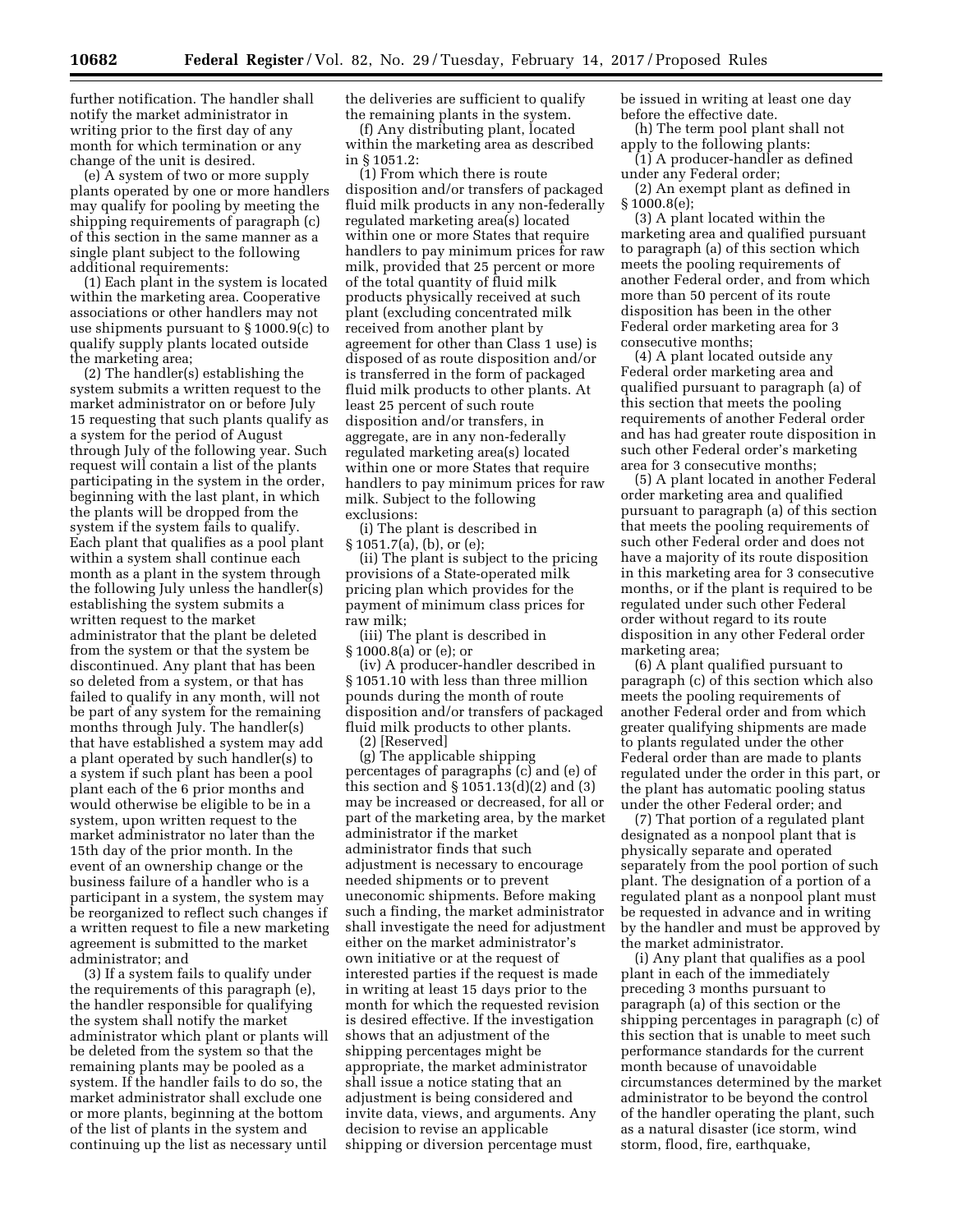further notification. The handler shall notify the market administrator in writing prior to the first day of any month for which termination or any change of the unit is desired.

(e) A system of two or more supply plants operated by one or more handlers may qualify for pooling by meeting the shipping requirements of paragraph (c) of this section in the same manner as a single plant subject to the following additional requirements:

(1) Each plant in the system is located within the marketing area. Cooperative associations or other handlers may not use shipments pursuant to § 1000.9(c) to qualify supply plants located outside the marketing area;

(2) The handler(s) establishing the system submits a written request to the market administrator on or before July 15 requesting that such plants qualify as a system for the period of August through July of the following year. Such request will contain a list of the plants participating in the system in the order, beginning with the last plant, in which the plants will be dropped from the system if the system fails to qualify. Each plant that qualifies as a pool plant within a system shall continue each month as a plant in the system through the following July unless the handler(s) establishing the system submits a written request to the market administrator that the plant be deleted from the system or that the system be discontinued. Any plant that has been so deleted from a system, or that has failed to qualify in any month, will not be part of any system for the remaining months through July. The handler(s) that have established a system may add a plant operated by such handler(s) to a system if such plant has been a pool plant each of the 6 prior months and would otherwise be eligible to be in a system, upon written request to the market administrator no later than the 15th day of the prior month. In the event of an ownership change or the business failure of a handler who is a participant in a system, the system may be reorganized to reflect such changes if a written request to file a new marketing agreement is submitted to the market administrator; and

(3) If a system fails to qualify under the requirements of this paragraph (e), the handler responsible for qualifying the system shall notify the market administrator which plant or plants will be deleted from the system so that the remaining plants may be pooled as a system. If the handler fails to do so, the market administrator shall exclude one or more plants, beginning at the bottom of the list of plants in the system and continuing up the list as necessary until

the deliveries are sufficient to qualify the remaining plants in the system.

(f) Any distributing plant, located within the marketing area as described in § 1051.2:

(1) From which there is route disposition and/or transfers of packaged fluid milk products in any non-federally regulated marketing area(s) located within one or more States that require handlers to pay minimum prices for raw milk, provided that 25 percent or more of the total quantity of fluid milk products physically received at such plant (excluding concentrated milk received from another plant by agreement for other than Class 1 use) is disposed of as route disposition and/or is transferred in the form of packaged fluid milk products to other plants. At least 25 percent of such route disposition and/or transfers, in aggregate, are in any non-federally regulated marketing area(s) located within one or more States that require handlers to pay minimum prices for raw milk. Subject to the following exclusions:

(i) The plant is described in § 1051.7(a), (b), or (e);

(ii) The plant is subject to the pricing provisions of a State-operated milk pricing plan which provides for the payment of minimum class prices for raw milk;

(iii) The plant is described in § 1000.8(a) or (e); or

(iv) A producer-handler described in § 1051.10 with less than three million pounds during the month of route disposition and/or transfers of packaged fluid milk products to other plants.

(2) [Reserved]

(g) The applicable shipping percentages of paragraphs (c) and (e) of this section and  $\S 1051.13(d)(2)$  and  $(3)$ may be increased or decreased, for all or part of the marketing area, by the market administrator if the market administrator finds that such adjustment is necessary to encourage needed shipments or to prevent uneconomic shipments. Before making such a finding, the market administrator shall investigate the need for adjustment either on the market administrator's own initiative or at the request of interested parties if the request is made in writing at least 15 days prior to the month for which the requested revision is desired effective. If the investigation shows that an adjustment of the shipping percentages might be appropriate, the market administrator shall issue a notice stating that an adjustment is being considered and invite data, views, and arguments. Any decision to revise an applicable shipping or diversion percentage must

be issued in writing at least one day before the effective date.

(h) The term pool plant shall not apply to the following plants:

(1) A producer-handler as defined under any Federal order;

(2) An exempt plant as defined in § 1000.8(e);

(3) A plant located within the marketing area and qualified pursuant to paragraph (a) of this section which meets the pooling requirements of another Federal order, and from which more than 50 percent of its route disposition has been in the other Federal order marketing area for 3 consecutive months;

(4) A plant located outside any Federal order marketing area and qualified pursuant to paragraph (a) of this section that meets the pooling requirements of another Federal order and has had greater route disposition in such other Federal order's marketing area for 3 consecutive months;

(5) A plant located in another Federal order marketing area and qualified pursuant to paragraph (a) of this section that meets the pooling requirements of such other Federal order and does not have a majority of its route disposition in this marketing area for 3 consecutive months, or if the plant is required to be regulated under such other Federal order without regard to its route disposition in any other Federal order marketing area;

(6) A plant qualified pursuant to paragraph (c) of this section which also meets the pooling requirements of another Federal order and from which greater qualifying shipments are made to plants regulated under the other Federal order than are made to plants regulated under the order in this part, or the plant has automatic pooling status under the other Federal order; and

(7) That portion of a regulated plant designated as a nonpool plant that is physically separate and operated separately from the pool portion of such plant. The designation of a portion of a regulated plant as a nonpool plant must be requested in advance and in writing by the handler and must be approved by the market administrator.

(i) Any plant that qualifies as a pool plant in each of the immediately preceding 3 months pursuant to paragraph (a) of this section or the shipping percentages in paragraph (c) of this section that is unable to meet such performance standards for the current month because of unavoidable circumstances determined by the market administrator to be beyond the control of the handler operating the plant, such as a natural disaster (ice storm, wind storm, flood, fire, earthquake,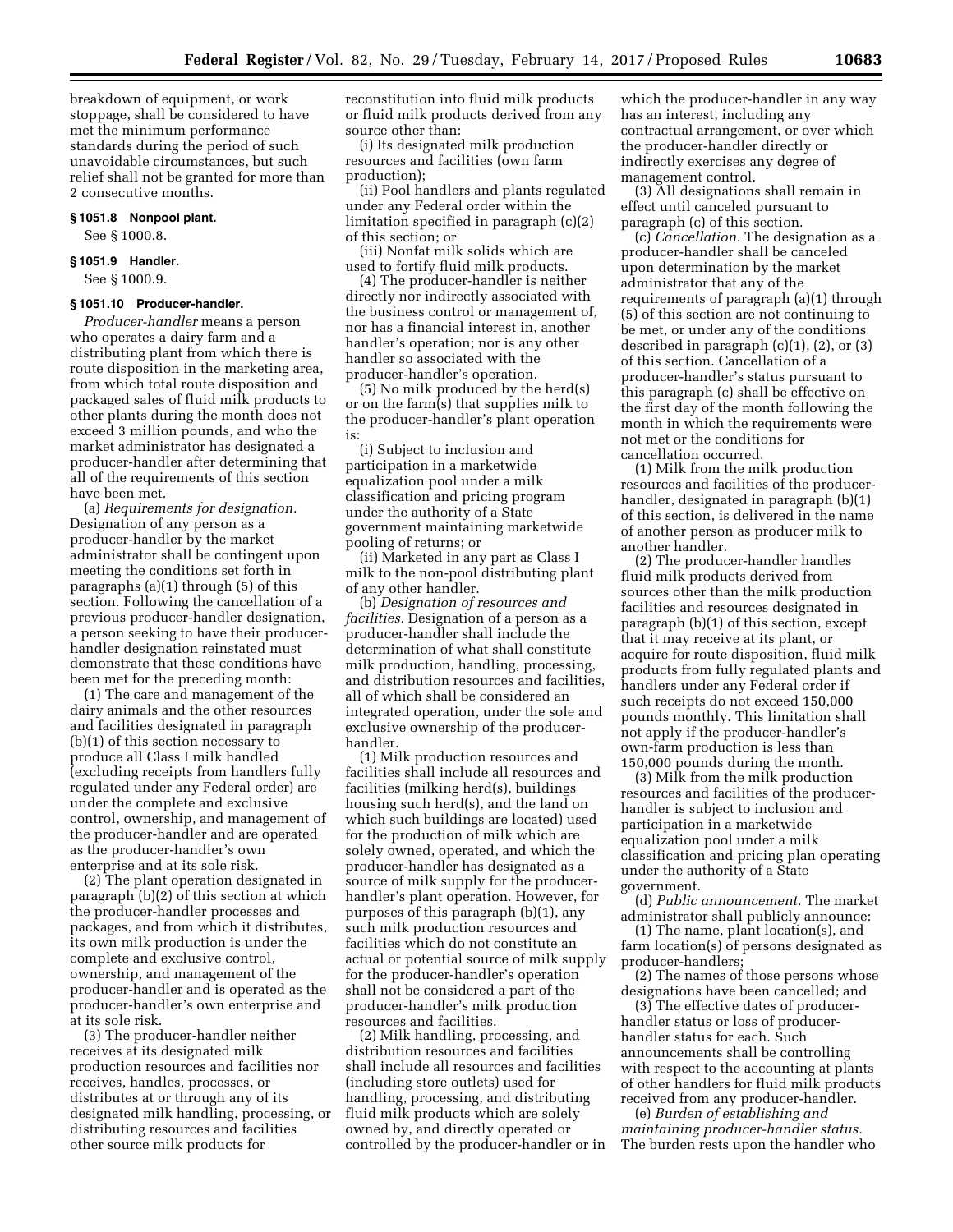breakdown of equipment, or work stoppage, shall be considered to have met the minimum performance standards during the period of such unavoidable circumstances, but such relief shall not be granted for more than 2 consecutive months.

# **§ 1051.8 Nonpool plant.**

See § 1000.8.

#### **§ 1051.9 Handler.**

See § 1000.9.

# **§ 1051.10 Producer-handler.**

*Producer-handler* means a person who operates a dairy farm and a distributing plant from which there is route disposition in the marketing area, from which total route disposition and packaged sales of fluid milk products to other plants during the month does not exceed 3 million pounds, and who the market administrator has designated a producer-handler after determining that all of the requirements of this section have been met.

(a) *Requirements for designation.*  Designation of any person as a producer-handler by the market administrator shall be contingent upon meeting the conditions set forth in paragraphs (a)(1) through (5) of this section. Following the cancellation of a previous producer-handler designation, a person seeking to have their producerhandler designation reinstated must demonstrate that these conditions have been met for the preceding month:

(1) The care and management of the dairy animals and the other resources and facilities designated in paragraph (b)(1) of this section necessary to produce all Class I milk handled (excluding receipts from handlers fully regulated under any Federal order) are under the complete and exclusive control, ownership, and management of the producer-handler and are operated as the producer-handler's own enterprise and at its sole risk.

(2) The plant operation designated in paragraph (b)(2) of this section at which the producer-handler processes and packages, and from which it distributes, its own milk production is under the complete and exclusive control, ownership, and management of the producer-handler and is operated as the producer-handler's own enterprise and at its sole risk.

(3) The producer-handler neither receives at its designated milk production resources and facilities nor receives, handles, processes, or distributes at or through any of its designated milk handling, processing, or distributing resources and facilities other source milk products for

reconstitution into fluid milk products or fluid milk products derived from any source other than:

(i) Its designated milk production resources and facilities (own farm production);

(ii) Pool handlers and plants regulated under any Federal order within the limitation specified in paragraph (c)(2) of this section; or

(iii) Nonfat milk solids which are used to fortify fluid milk products.

(4) The producer-handler is neither directly nor indirectly associated with the business control or management of, nor has a financial interest in, another handler's operation; nor is any other handler so associated with the producer-handler's operation.

(5) No milk produced by the herd(s) or on the farm(s) that supplies milk to the producer-handler's plant operation is:

(i) Subject to inclusion and participation in a marketwide equalization pool under a milk classification and pricing program under the authority of a State government maintaining marketwide pooling of returns; or

(ii) Marketed in any part as Class I milk to the non-pool distributing plant of any other handler.

(b) *Designation of resources and facilities.* Designation of a person as a producer-handler shall include the determination of what shall constitute milk production, handling, processing, and distribution resources and facilities, all of which shall be considered an integrated operation, under the sole and exclusive ownership of the producerhandler.

(1) Milk production resources and facilities shall include all resources and facilities (milking herd(s), buildings housing such herd(s), and the land on which such buildings are located) used for the production of milk which are solely owned, operated, and which the producer-handler has designated as a source of milk supply for the producerhandler's plant operation. However, for purposes of this paragraph (b)(1), any such milk production resources and facilities which do not constitute an actual or potential source of milk supply for the producer-handler's operation shall not be considered a part of the producer-handler's milk production resources and facilities.

(2) Milk handling, processing, and distribution resources and facilities shall include all resources and facilities (including store outlets) used for handling, processing, and distributing fluid milk products which are solely owned by, and directly operated or controlled by the producer-handler or in

which the producer-handler in any way has an interest, including any contractual arrangement, or over which the producer-handler directly or indirectly exercises any degree of management control.

(3) All designations shall remain in effect until canceled pursuant to paragraph (c) of this section.

(c) *Cancellation.* The designation as a producer-handler shall be canceled upon determination by the market administrator that any of the requirements of paragraph (a)(1) through (5) of this section are not continuing to be met, or under any of the conditions described in paragraph  $(c)(1)$ ,  $(2)$ , or  $(3)$ of this section. Cancellation of a producer-handler's status pursuant to this paragraph (c) shall be effective on the first day of the month following the month in which the requirements were not met or the conditions for cancellation occurred.

(1) Milk from the milk production resources and facilities of the producerhandler, designated in paragraph (b)(1) of this section, is delivered in the name of another person as producer milk to another handler.

(2) The producer-handler handles fluid milk products derived from sources other than the milk production facilities and resources designated in paragraph (b)(1) of this section, except that it may receive at its plant, or acquire for route disposition, fluid milk products from fully regulated plants and handlers under any Federal order if such receipts do not exceed 150,000 pounds monthly. This limitation shall not apply if the producer-handler's own-farm production is less than 150,000 pounds during the month.

(3) Milk from the milk production resources and facilities of the producerhandler is subject to inclusion and participation in a marketwide equalization pool under a milk classification and pricing plan operating under the authority of a State government.

(d) *Public announcement.* The market administrator shall publicly announce:

(1) The name, plant location(s), and farm location(s) of persons designated as producer-handlers;

(2) The names of those persons whose designations have been cancelled; and

(3) The effective dates of producerhandler status or loss of producerhandler status for each. Such announcements shall be controlling with respect to the accounting at plants of other handlers for fluid milk products received from any producer-handler.

(e) *Burden of establishing and maintaining producer-handler status.*  The burden rests upon the handler who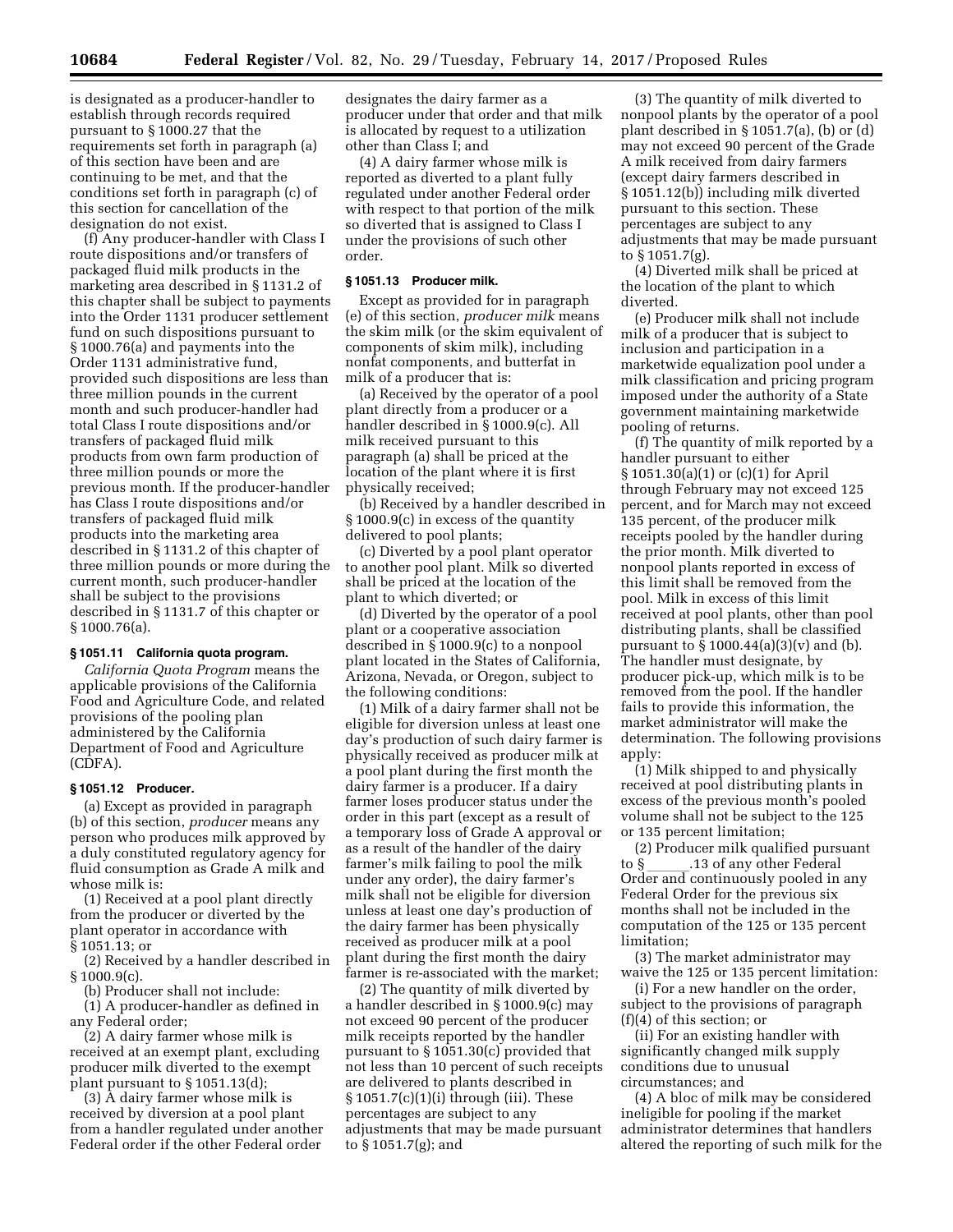is designated as a producer-handler to establish through records required pursuant to § 1000.27 that the requirements set forth in paragraph (a) of this section have been and are continuing to be met, and that the conditions set forth in paragraph (c) of this section for cancellation of the designation do not exist.

(f) Any producer-handler with Class I route dispositions and/or transfers of packaged fluid milk products in the marketing area described in § 1131.2 of this chapter shall be subject to payments into the Order 1131 producer settlement fund on such dispositions pursuant to § 1000.76(a) and payments into the Order 1131 administrative fund, provided such dispositions are less than three million pounds in the current month and such producer-handler had total Class I route dispositions and/or transfers of packaged fluid milk products from own farm production of three million pounds or more the previous month. If the producer-handler has Class I route dispositions and/or transfers of packaged fluid milk products into the marketing area described in § 1131.2 of this chapter of three million pounds or more during the current month, such producer-handler shall be subject to the provisions described in § 1131.7 of this chapter or § 1000.76(a).

# **§ 1051.11 California quota program.**

*California Quota Program* means the applicable provisions of the California Food and Agriculture Code, and related provisions of the pooling plan administered by the California Department of Food and Agriculture (CDFA).

### **§ 1051.12 Producer.**

(a) Except as provided in paragraph (b) of this section, *producer* means any person who produces milk approved by a duly constituted regulatory agency for fluid consumption as Grade A milk and whose milk is:

(1) Received at a pool plant directly from the producer or diverted by the plant operator in accordance with § 1051.13; or

(2) Received by a handler described in  $§ 1000.9(c).$ 

(b) Producer shall not include:

(1) A producer-handler as defined in any Federal order;

(2) A dairy farmer whose milk is received at an exempt plant, excluding producer milk diverted to the exempt plant pursuant to § 1051.13(d);

(3) A dairy farmer whose milk is received by diversion at a pool plant from a handler regulated under another Federal order if the other Federal order

designates the dairy farmer as a producer under that order and that milk is allocated by request to a utilization other than Class I; and

(4) A dairy farmer whose milk is reported as diverted to a plant fully regulated under another Federal order with respect to that portion of the milk so diverted that is assigned to Class I under the provisions of such other order.

## **§ 1051.13 Producer milk.**

Except as provided for in paragraph (e) of this section, *producer milk* means the skim milk (or the skim equivalent of components of skim milk), including nonfat components, and butterfat in milk of a producer that is:

(a) Received by the operator of a pool plant directly from a producer or a handler described in § 1000.9(c). All milk received pursuant to this paragraph (a) shall be priced at the location of the plant where it is first physically received;

(b) Received by a handler described in § 1000.9(c) in excess of the quantity delivered to pool plants;

(c) Diverted by a pool plant operator to another pool plant. Milk so diverted shall be priced at the location of the plant to which diverted; or

(d) Diverted by the operator of a pool plant or a cooperative association described in § 1000.9(c) to a nonpool plant located in the States of California, Arizona, Nevada, or Oregon, subject to the following conditions:

(1) Milk of a dairy farmer shall not be eligible for diversion unless at least one day's production of such dairy farmer is physically received as producer milk at a pool plant during the first month the dairy farmer is a producer. If a dairy farmer loses producer status under the order in this part (except as a result of a temporary loss of Grade A approval or as a result of the handler of the dairy farmer's milk failing to pool the milk under any order), the dairy farmer's milk shall not be eligible for diversion unless at least one day's production of the dairy farmer has been physically received as producer milk at a pool plant during the first month the dairy farmer is re-associated with the market;

(2) The quantity of milk diverted by a handler described in § 1000.9(c) may not exceed 90 percent of the producer milk receipts reported by the handler pursuant to § 1051.30(c) provided that not less than 10 percent of such receipts are delivered to plants described in § 1051.7(c)(1)(i) through (iii). These percentages are subject to any adjustments that may be made pursuant to § 1051.7(g); and

(3) The quantity of milk diverted to nonpool plants by the operator of a pool plant described in § 1051.7(a), (b) or (d) may not exceed 90 percent of the Grade A milk received from dairy farmers (except dairy farmers described in § 1051.12(b)) including milk diverted pursuant to this section. These percentages are subject to any adjustments that may be made pursuant to § 1051.7(g).

(4) Diverted milk shall be priced at the location of the plant to which diverted.

(e) Producer milk shall not include milk of a producer that is subject to inclusion and participation in a marketwide equalization pool under a milk classification and pricing program imposed under the authority of a State government maintaining marketwide pooling of returns.

(f) The quantity of milk reported by a handler pursuant to either § 1051.30(a)(1) or (c)(1) for April through February may not exceed 125 percent, and for March may not exceed 135 percent, of the producer milk receipts pooled by the handler during the prior month. Milk diverted to nonpool plants reported in excess of this limit shall be removed from the pool. Milk in excess of this limit received at pool plants, other than pool distributing plants, shall be classified pursuant to  $\S 1000.44(a)(3)(v)$  and (b). The handler must designate, by producer pick-up, which milk is to be removed from the pool. If the handler fails to provide this information, the market administrator will make the determination. The following provisions apply:

(1) Milk shipped to and physically received at pool distributing plants in excess of the previous month's pooled volume shall not be subject to the 125 or 135 percent limitation;

(2) Producer milk qualified pursuant<br>§ .13 of any other Federal to § \_\_\_\_\_\_.13 of any other Federal<br>Order and continuously pooled in any Federal Order for the previous six months shall not be included in the computation of the 125 or 135 percent limitation;

(3) The market administrator may waive the 125 or 135 percent limitation:

(i) For a new handler on the order, subject to the provisions of paragraph (f)(4) of this section; or

(ii) For an existing handler with significantly changed milk supply conditions due to unusual circumstances; and

(4) A bloc of milk may be considered ineligible for pooling if the market administrator determines that handlers altered the reporting of such milk for the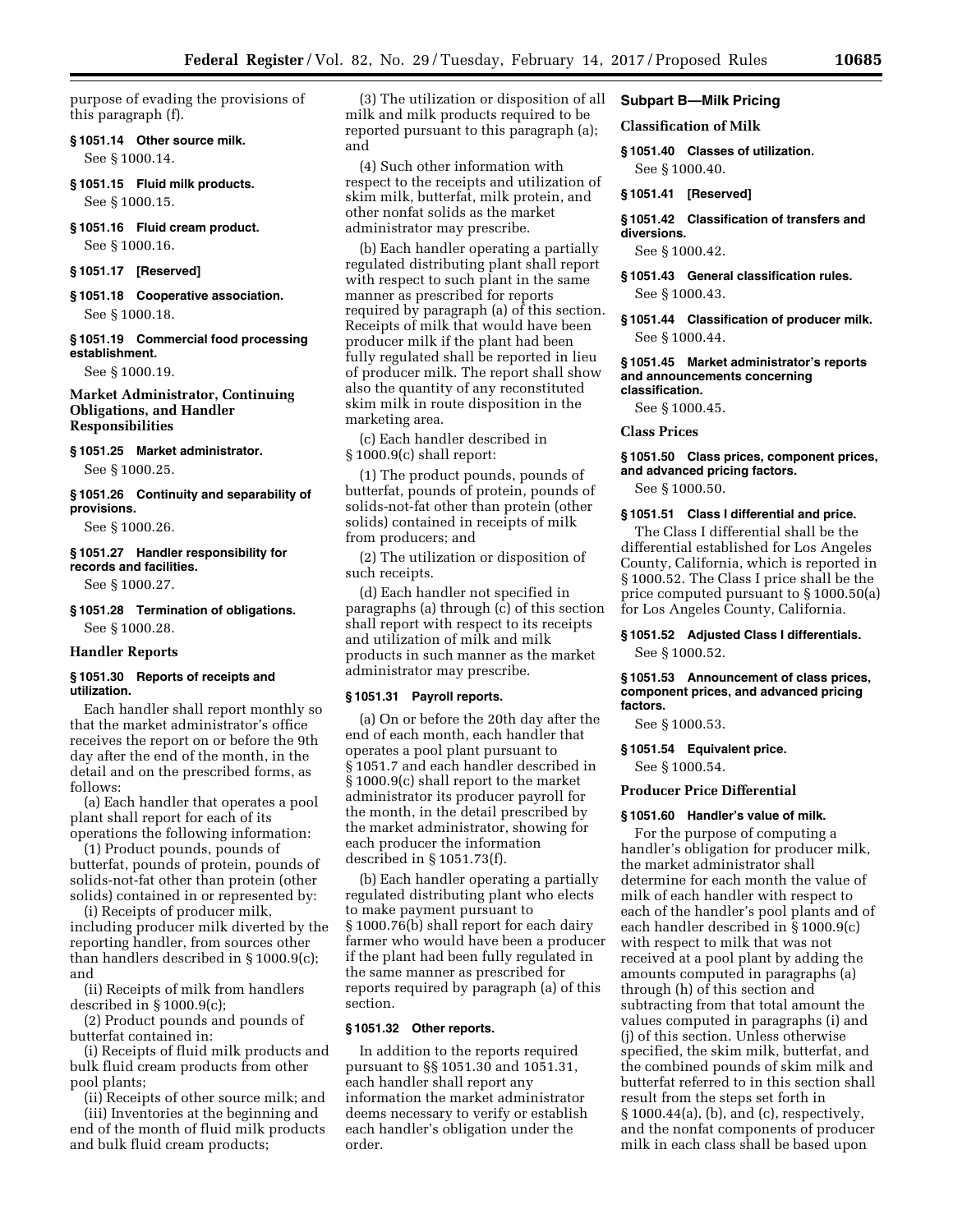purpose of evading the provisions of this paragraph (f).

**§ 1051.14 Other source milk.** 

See § 1000.14.

- **§ 1051.15 Fluid milk products.**  See § 1000.15.
- **§ 1051.16 Fluid cream product.**  See § 1000.16.

### **§ 1051.17 [Reserved]**

- **§ 1051.18 Cooperative association.**  See § 1000.18.
- **§ 1051.19 Commercial food processing establishment.**

See § 1000.19.

## **Market Administrator, Continuing Obligations, and Handler Responsibilities**

- **§ 1051.25 Market administrator.**  See § 1000.25.
- **§ 1051.26 Continuity and separability of provisions.**

See § 1000.26.

#### **§ 1051.27 Handler responsibility for records and facilities.**

See § 1000.27.

**§ 1051.28 Termination of obligations.**  See § 1000.28.

### **Handler Reports**

### **§ 1051.30 Reports of receipts and utilization.**

Each handler shall report monthly so that the market administrator's office receives the report on or before the 9th day after the end of the month, in the detail and on the prescribed forms, as follows:

(a) Each handler that operates a pool plant shall report for each of its operations the following information:

(1) Product pounds, pounds of butterfat, pounds of protein, pounds of solids-not-fat other than protein (other solids) contained in or represented by:

(i) Receipts of producer milk, including producer milk diverted by the reporting handler, from sources other than handlers described in § 1000.9(c); and

(ii) Receipts of milk from handlers described in § 1000.9(c);

(2) Product pounds and pounds of butterfat contained in:

(i) Receipts of fluid milk products and bulk fluid cream products from other pool plants;

(ii) Receipts of other source milk; and

(iii) Inventories at the beginning and end of the month of fluid milk products and bulk fluid cream products;

(3) The utilization or disposition of all milk and milk products required to be reported pursuant to this paragraph (a); and

(4) Such other information with respect to the receipts and utilization of skim milk, butterfat, milk protein, and other nonfat solids as the market administrator may prescribe.

(b) Each handler operating a partially regulated distributing plant shall report with respect to such plant in the same manner as prescribed for reports required by paragraph (a) of this section. Receipts of milk that would have been producer milk if the plant had been fully regulated shall be reported in lieu of producer milk. The report shall show also the quantity of any reconstituted skim milk in route disposition in the marketing area.

(c) Each handler described in § 1000.9(c) shall report:

(1) The product pounds, pounds of butterfat, pounds of protein, pounds of solids-not-fat other than protein (other solids) contained in receipts of milk from producers; and

(2) The utilization or disposition of such receipts.

(d) Each handler not specified in paragraphs (a) through (c) of this section shall report with respect to its receipts and utilization of milk and milk products in such manner as the market administrator may prescribe.

#### **§ 1051.31 Payroll reports.**

(a) On or before the 20th day after the end of each month, each handler that operates a pool plant pursuant to § 1051.7 and each handler described in § 1000.9(c) shall report to the market administrator its producer payroll for the month, in the detail prescribed by the market administrator, showing for each producer the information described in § 1051.73(f).

(b) Each handler operating a partially regulated distributing plant who elects to make payment pursuant to § 1000.76(b) shall report for each dairy farmer who would have been a producer if the plant had been fully regulated in the same manner as prescribed for reports required by paragraph (a) of this section.

### **§ 1051.32 Other reports.**

In addition to the reports required pursuant to §§ 1051.30 and 1051.31, each handler shall report any information the market administrator deems necessary to verify or establish each handler's obligation under the order.

# **Subpart B—Milk Pricing**

### **Classification of Milk**

**§ 1051.40 Classes of utilization.**  See § 1000.40.

**§ 1051.41 [Reserved]** 

# **§ 1051.42 Classification of transfers and diversions.**

See § 1000.42.

**§ 1051.43 General classification rules.**  See § 1000.43.

**§ 1051.44 Classification of producer milk.**  See § 1000.44.

**§ 1051.45 Market administrator's reports and announcements concerning classification.** 

See § 1000.45.

## **Class Prices**

**§ 1051.50 Class prices, component prices, and advanced pricing factors.** 

See § 1000.50.

**§ 1051.51 Class I differential and price.** 

The Class I differential shall be the differential established for Los Angeles County, California, which is reported in § 1000.52. The Class I price shall be the price computed pursuant to § 1000.50(a) for Los Angeles County, California.

**§ 1051.52 Adjusted Class I differentials.** 

See § 1000.52.

## **§ 1051.53 Announcement of class prices, component prices, and advanced pricing factors.**

See § 1000.53.

#### **§ 1051.54 Equivalent price.**

See § 1000.54.

# **Producer Price Differential**

#### **§ 1051.60 Handler's value of milk.**

For the purpose of computing a handler's obligation for producer milk, the market administrator shall determine for each month the value of milk of each handler with respect to each of the handler's pool plants and of each handler described in § 1000.9(c) with respect to milk that was not received at a pool plant by adding the amounts computed in paragraphs (a) through (h) of this section and subtracting from that total amount the values computed in paragraphs (i) and (j) of this section. Unless otherwise specified, the skim milk, butterfat, and the combined pounds of skim milk and butterfat referred to in this section shall result from the steps set forth in § 1000.44(a), (b), and (c), respectively, and the nonfat components of producer milk in each class shall be based upon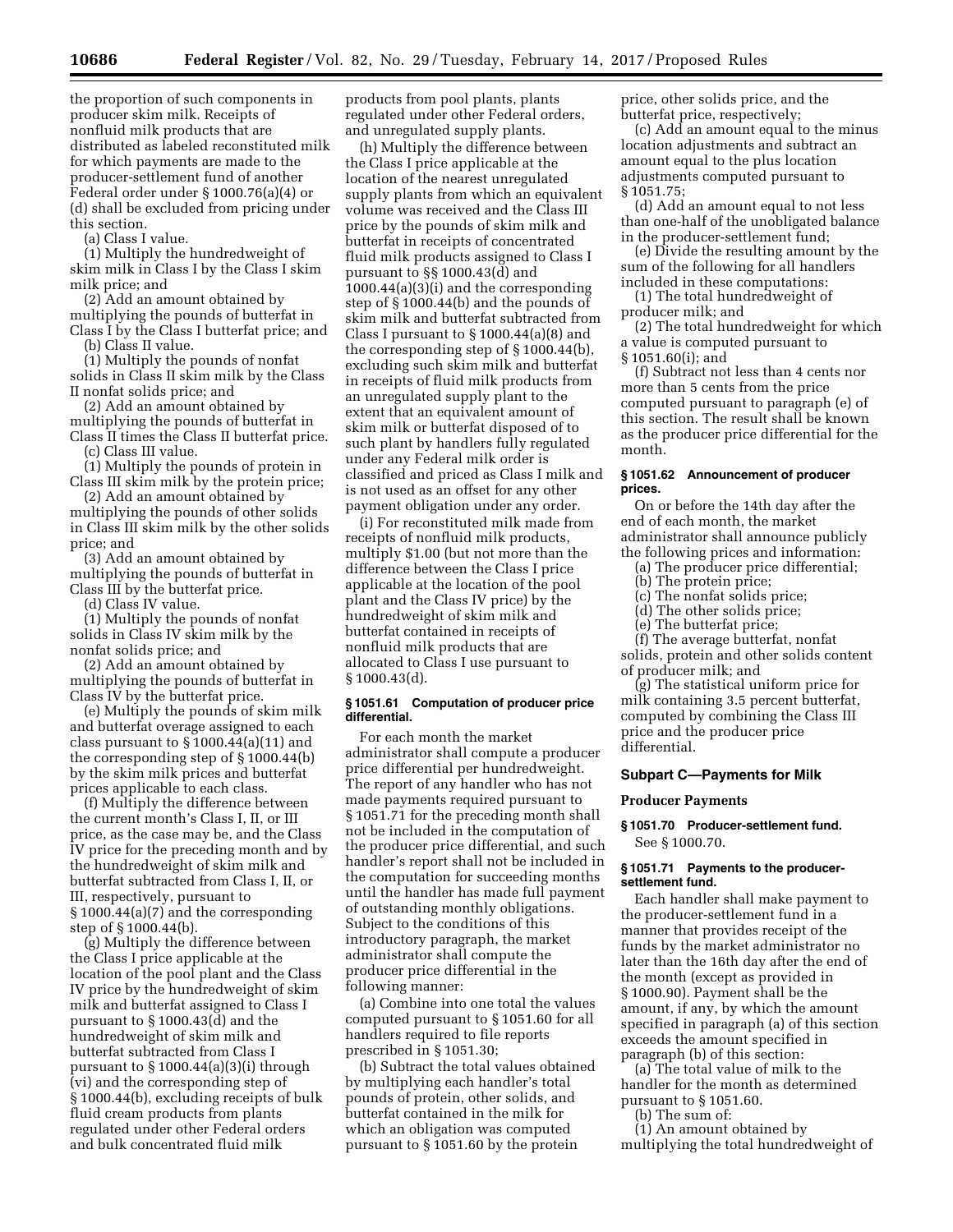the proportion of such components in producer skim milk. Receipts of nonfluid milk products that are distributed as labeled reconstituted milk for which payments are made to the producer-settlement fund of another Federal order under § 1000.76(a)(4) or (d) shall be excluded from pricing under this section.

(a) Class I value.

(1) Multiply the hundredweight of skim milk in Class I by the Class I skim milk price; and

(2) Add an amount obtained by multiplying the pounds of butterfat in Class I by the Class I butterfat price; and

(b) Class II value.

(1) Multiply the pounds of nonfat solids in Class II skim milk by the Class II nonfat solids price; and

(2) Add an amount obtained by multiplying the pounds of butterfat in Class II times the Class II butterfat price.

(c) Class III value.

(1) Multiply the pounds of protein in Class III skim milk by the protein price;

(2) Add an amount obtained by multiplying the pounds of other solids in Class III skim milk by the other solids price; and

(3) Add an amount obtained by multiplying the pounds of butterfat in Class III by the butterfat price.

(d) Class IV value.

(1) Multiply the pounds of nonfat solids in Class IV skim milk by the nonfat solids price; and

(2) Add an amount obtained by multiplying the pounds of butterfat in Class IV by the butterfat price.

(e) Multiply the pounds of skim milk and butterfat overage assigned to each class pursuant to  $\S 1000.44(a)(11)$  and the corresponding step of § 1000.44(b) by the skim milk prices and butterfat prices applicable to each class.

(f) Multiply the difference between the current month's Class I, II, or III price, as the case may be, and the Class IV price for the preceding month and by the hundredweight of skim milk and butterfat subtracted from Class I, II, or III, respectively, pursuant to § 1000.44(a)(7) and the corresponding step of § 1000.44(b).

(g) Multiply the difference between the Class I price applicable at the location of the pool plant and the Class IV price by the hundredweight of skim milk and butterfat assigned to Class I pursuant to § 1000.43(d) and the hundredweight of skim milk and butterfat subtracted from Class I pursuant to § 1000.44(a)(3)(i) through (vi) and the corresponding step of § 1000.44(b), excluding receipts of bulk fluid cream products from plants regulated under other Federal orders and bulk concentrated fluid milk

products from pool plants, plants regulated under other Federal orders, and unregulated supply plants.

(h) Multiply the difference between the Class I price applicable at the location of the nearest unregulated supply plants from which an equivalent volume was received and the Class III price by the pounds of skim milk and butterfat in receipts of concentrated fluid milk products assigned to Class I pursuant to §§ 1000.43(d) and 1000.44(a)(3)(i) and the corresponding step of § 1000.44(b) and the pounds of skim milk and butterfat subtracted from Class I pursuant to  $\S 1000.44(a)(8)$  and the corresponding step of § 1000.44(b), excluding such skim milk and butterfat in receipts of fluid milk products from an unregulated supply plant to the extent that an equivalent amount of skim milk or butterfat disposed of to such plant by handlers fully regulated under any Federal milk order is classified and priced as Class I milk and is not used as an offset for any other payment obligation under any order.

(i) For reconstituted milk made from receipts of nonfluid milk products, multiply \$1.00 (but not more than the difference between the Class I price applicable at the location of the pool plant and the Class IV price) by the hundredweight of skim milk and butterfat contained in receipts of nonfluid milk products that are allocated to Class I use pursuant to § 1000.43(d).

## **§ 1051.61 Computation of producer price differential.**

For each month the market administrator shall compute a producer price differential per hundredweight. The report of any handler who has not made payments required pursuant to § 1051.71 for the preceding month shall not be included in the computation of the producer price differential, and such handler's report shall not be included in the computation for succeeding months until the handler has made full payment of outstanding monthly obligations. Subject to the conditions of this introductory paragraph, the market administrator shall compute the producer price differential in the following manner:

(a) Combine into one total the values computed pursuant to § 1051.60 for all handlers required to file reports prescribed in § 1051.30;

(b) Subtract the total values obtained by multiplying each handler's total pounds of protein, other solids, and butterfat contained in the milk for which an obligation was computed pursuant to § 1051.60 by the protein

price, other solids price, and the butterfat price, respectively;

(c) Add an amount equal to the minus location adjustments and subtract an amount equal to the plus location adjustments computed pursuant to § 1051.75;

(d) Add an amount equal to not less than one-half of the unobligated balance in the producer-settlement fund;

(e) Divide the resulting amount by the sum of the following for all handlers included in these computations:

(1) The total hundredweight of producer milk; and

month.

(2) The total hundredweight for which a value is computed pursuant to § 1051.60(i); and

(f) Subtract not less than 4 cents nor more than 5 cents from the price computed pursuant to paragraph (e) of this section. The result shall be known as the producer price differential for the

## **§ 1051.62 Announcement of producer prices.**

On or before the 14th day after the end of each month, the market administrator shall announce publicly the following prices and information:

- (a) The producer price differential;
- (b) The protein price;
- (c) The nonfat solids price;
- (d) The other solids price;
- (e) The butterfat price;
- (f) The average butterfat, nonfat

solids, protein and other solids content of producer milk; and

(g) The statistical uniform price for milk containing 3.5 percent butterfat, computed by combining the Class III price and the producer price differential.

#### **Subpart C—Payments for Milk**

### **Producer Payments**

**§ 1051.70 Producer-settlement fund.**  See § 1000.70.

## **§ 1051.71 Payments to the producersettlement fund.**

Each handler shall make payment to the producer-settlement fund in a manner that provides receipt of the funds by the market administrator no later than the 16th day after the end of the month (except as provided in § 1000.90). Payment shall be the amount, if any, by which the amount specified in paragraph (a) of this section exceeds the amount specified in paragraph (b) of this section:

(a) The total value of milk to the handler for the month as determined pursuant to § 1051.60.

(b) The sum of:

(1) An amount obtained by multiplying the total hundredweight of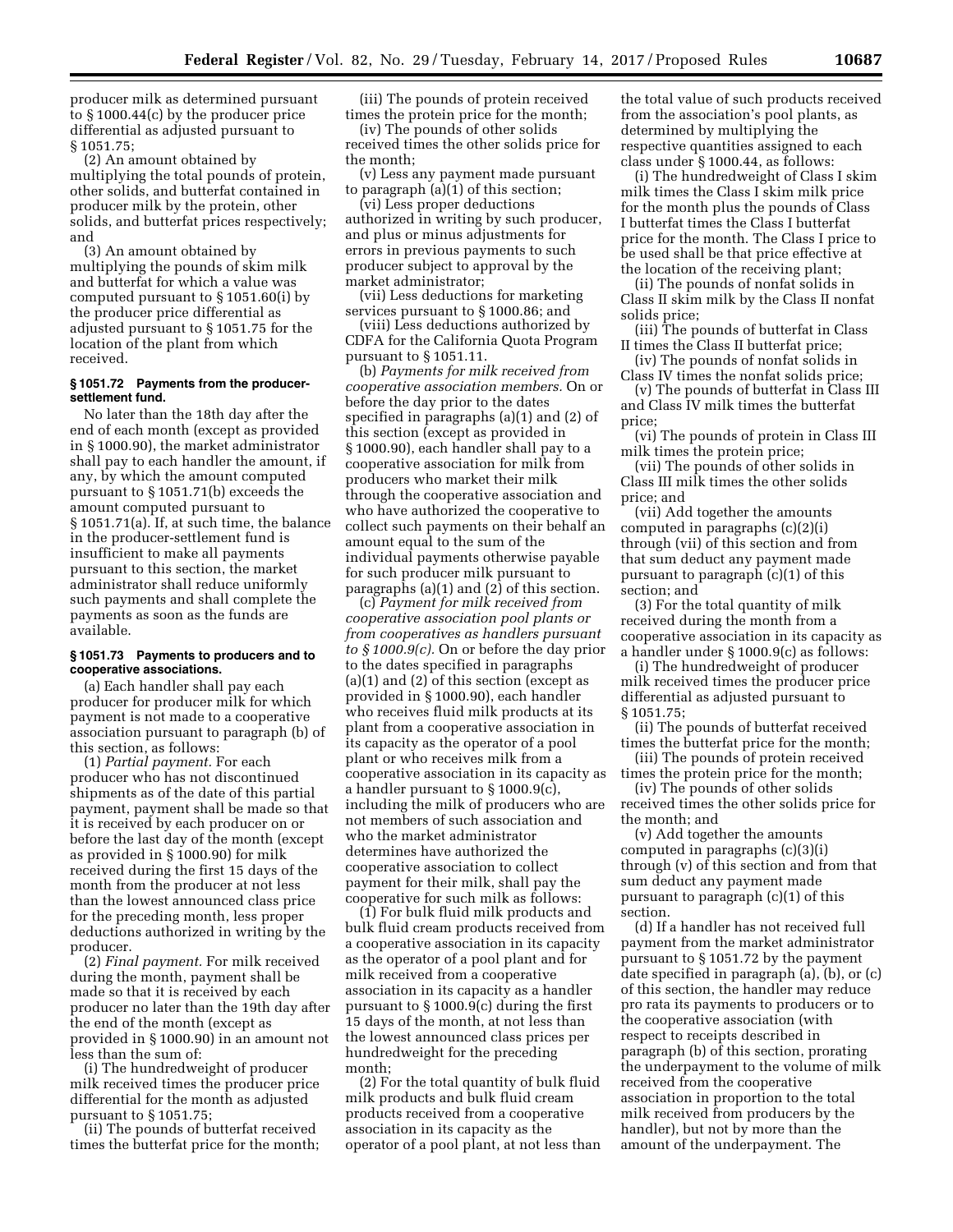producer milk as determined pursuant to § 1000.44(c) by the producer price differential as adjusted pursuant to § 1051.75;

(2) An amount obtained by multiplying the total pounds of protein, other solids, and butterfat contained in producer milk by the protein, other solids, and butterfat prices respectively; and

(3) An amount obtained by multiplying the pounds of skim milk and butterfat for which a value was computed pursuant to § 1051.60(i) by the producer price differential as adjusted pursuant to § 1051.75 for the location of the plant from which received.

### **§ 1051.72 Payments from the producersettlement fund.**

No later than the 18th day after the end of each month (except as provided in § 1000.90), the market administrator shall pay to each handler the amount, if any, by which the amount computed pursuant to § 1051.71(b) exceeds the amount computed pursuant to § 1051.71(a). If, at such time, the balance in the producer-settlement fund is insufficient to make all payments pursuant to this section, the market administrator shall reduce uniformly such payments and shall complete the payments as soon as the funds are available.

## **§ 1051.73 Payments to producers and to cooperative associations.**

(a) Each handler shall pay each producer for producer milk for which payment is not made to a cooperative association pursuant to paragraph (b) of this section, as follows:

(1) *Partial payment.* For each producer who has not discontinued shipments as of the date of this partial payment, payment shall be made so that it is received by each producer on or before the last day of the month (except as provided in § 1000.90) for milk received during the first 15 days of the month from the producer at not less than the lowest announced class price for the preceding month, less proper deductions authorized in writing by the producer.

(2) *Final payment.* For milk received during the month, payment shall be made so that it is received by each producer no later than the 19th day after the end of the month (except as provided in § 1000.90) in an amount not less than the sum of:

(i) The hundredweight of producer milk received times the producer price differential for the month as adjusted pursuant to § 1051.75;

(ii) The pounds of butterfat received times the butterfat price for the month;

(iii) The pounds of protein received times the protein price for the month;

(iv) The pounds of other solids received times the other solids price for the month;

(v) Less any payment made pursuant to paragraph (a)(1) of this section;

(vi) Less proper deductions authorized in writing by such producer, and plus or minus adjustments for errors in previous payments to such producer subject to approval by the market administrator;

(vii) Less deductions for marketing services pursuant to § 1000.86; and

(viii) Less deductions authorized by CDFA for the California Quota Program pursuant to § 1051.11.

(b) *Payments for milk received from cooperative association members.* On or before the day prior to the dates specified in paragraphs (a)(1) and (2) of this section (except as provided in § 1000.90), each handler shall pay to a cooperative association for milk from producers who market their milk through the cooperative association and who have authorized the cooperative to collect such payments on their behalf an amount equal to the sum of the individual payments otherwise payable for such producer milk pursuant to paragraphs (a)(1) and  $(2)$  of this section.

(c) *Payment for milk received from cooperative association pool plants or from cooperatives as handlers pursuant to § 1000.9(c).* On or before the day prior to the dates specified in paragraphs (a)(1) and (2) of this section (except as provided in § 1000.90), each handler who receives fluid milk products at its plant from a cooperative association in its capacity as the operator of a pool plant or who receives milk from a cooperative association in its capacity as a handler pursuant to § 1000.9(c), including the milk of producers who are not members of such association and who the market administrator determines have authorized the cooperative association to collect payment for their milk, shall pay the cooperative for such milk as follows:

(1) For bulk fluid milk products and bulk fluid cream products received from a cooperative association in its capacity as the operator of a pool plant and for milk received from a cooperative association in its capacity as a handler pursuant to § 1000.9(c) during the first 15 days of the month, at not less than the lowest announced class prices per hundredweight for the preceding month;

(2) For the total quantity of bulk fluid milk products and bulk fluid cream products received from a cooperative association in its capacity as the operator of a pool plant, at not less than

the total value of such products received from the association's pool plants, as determined by multiplying the respective quantities assigned to each class under § 1000.44, as follows:

(i) The hundredweight of Class I skim milk times the Class I skim milk price for the month plus the pounds of Class I butterfat times the Class I butterfat price for the month. The Class I price to be used shall be that price effective at the location of the receiving plant;

(ii) The pounds of nonfat solids in Class II skim milk by the Class II nonfat solids price;

(iii) The pounds of butterfat in Class II times the Class II butterfat price;

(iv) The pounds of nonfat solids in Class IV times the nonfat solids price;

(v) The pounds of butterfat in Class III and Class IV milk times the butterfat price;

(vi) The pounds of protein in Class III milk times the protein price;

(vii) The pounds of other solids in Class III milk times the other solids price; and

(vii) Add together the amounts computed in paragraphs (c)(2)(i) through (vii) of this section and from that sum deduct any payment made pursuant to paragraph (c)(1) of this section; and

(3) For the total quantity of milk received during the month from a cooperative association in its capacity as a handler under § 1000.9(c) as follows:

(i) The hundredweight of producer milk received times the producer price differential as adjusted pursuant to § 1051.75;

(ii) The pounds of butterfat received times the butterfat price for the month;

(iii) The pounds of protein received times the protein price for the month;

(iv) The pounds of other solids received times the other solids price for the month; and

(v) Add together the amounts computed in paragraphs (c)(3)(i) through (v) of this section and from that sum deduct any payment made pursuant to paragraph (c)(1) of this section.

(d) If a handler has not received full payment from the market administrator pursuant to § 1051.72 by the payment date specified in paragraph (a), (b), or (c) of this section, the handler may reduce pro rata its payments to producers or to the cooperative association (with respect to receipts described in paragraph (b) of this section, prorating the underpayment to the volume of milk received from the cooperative association in proportion to the total milk received from producers by the handler), but not by more than the amount of the underpayment. The